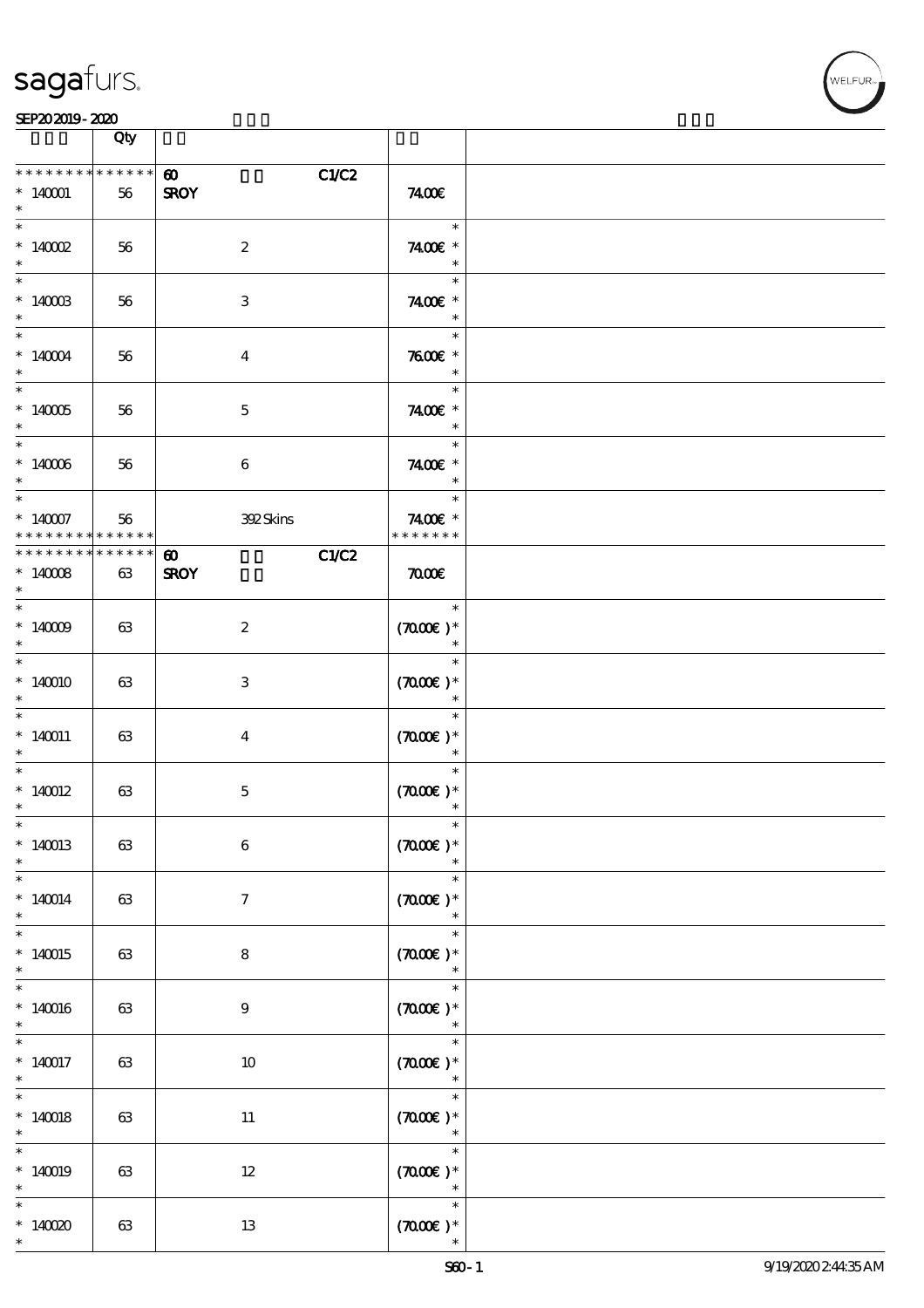

#### SEP202019-2020

|                                                     | Qty |                                               |                                            |  |
|-----------------------------------------------------|-----|-----------------------------------------------|--------------------------------------------|--|
| * * * * * * * * * * * * * *<br>$*140001$<br>$\ast$  | 56  | C1/C2<br>$\boldsymbol{\omega}$<br><b>SROY</b> | 7400E                                      |  |
| $\overline{\ast}$<br>$*$ 140002<br>$\ast$           | 56  | $\boldsymbol{2}$                              | $\ast$<br>7400€ *<br>$\ast$                |  |
| $*1400B$<br>$\ast$                                  | 56  | $\,3$                                         | $\ast$<br>7400€ *<br>$\ast$                |  |
| $\ast$<br>$*140004$<br>$\ast$                       | 56  | $\bf{4}$                                      | $\ast$<br>$7600$ $*$<br>$\ast$             |  |
| $^*$ 140005 $\,$<br>$*$                             | 56  | $\mathbf 5$                                   | $\ast$<br>7400 £*<br>$\ast$                |  |
| $*$<br>$^*$ 140006 $\,$<br>$*$                      | 56  | $\boldsymbol{6}$                              | $\ast$<br>7400 £*<br>$\ast$                |  |
| $\ast$<br>$* 140007$<br>* * * * * * * * * * * * * * | 56  | 392Skins                                      | $\ast$<br>7400€ *<br>* * * * * * *         |  |
| * * * * * * * * * * * * * *<br>$*14008$<br>$\ast$   | 63  | C1/C2<br>$\boldsymbol{\omega}$<br><b>SROY</b> | $\pi$                                      |  |
| $\,^*$ 140009<br>$\ast$                             | 63  | $\boldsymbol{2}$                              | $\ast$<br>$(7000\varepsilon)*$<br>$\ast$   |  |
| $*140010$<br>$\ast$                                 | 63  | $\ensuremath{\mathsf{3}}$                     | $\ast$<br>$(7000\varepsilon)*$<br>$\ast$   |  |
| $\overline{\phantom{0}}$<br>$*140011$<br>$\ast$     | 63  | $\overline{\mathbf{4}}$                       | $\ast$<br>$(700E)*$<br>$\ast$              |  |
| $*$<br>$*140012$<br>$\ast$                          | 63  | $\mathbf 5$                                   | $\ast$<br>$(700E)*$<br>$\ast$              |  |
| $*$<br>$*140013$<br>$\ast$                          | 63  | $\,6\,$                                       | $\ast$<br>$(7000\text{E})$ *<br>$\ast$     |  |
| $\ast$<br>$* 140014$<br>$\ast$                      | 63  | $\tau$                                        | $\ast$<br>$(700E)*$<br>$\ast$              |  |
| $\ast$<br>$*140015$<br>$\ast$                       | 63  | 8                                             | $\ast$<br>$(7000\varepsilon)*$<br>$\ast$   |  |
| $\ast$<br>$*140016$<br>$\ast$                       | 63  | 9                                             | $\ast$<br>$(700E)*$<br>$\ast$              |  |
| $\overline{\phantom{0}}$<br>$* 140017$<br>$\ast$    | 63  | 10                                            | $\ast$<br>$(\texttt{TOOE})$ $^*$<br>$\ast$ |  |
| $\overline{\phantom{1}}$<br>$* 140018$<br>$\ast$    | 63  | $11\phantom{.0}$                              | $\ast$<br>$(700E)*$<br>$\ast$              |  |
| $\ast$<br>$*140019$<br>$\ast$                       | 63  | $12\,$                                        | $\ast$<br>$(700E)*$<br>$\ast$              |  |
| $\ast$<br>$*14000$<br>$\ast$                        | 63  | 13                                            | $\ast$<br>$(700)$ *<br>$\ast$              |  |

т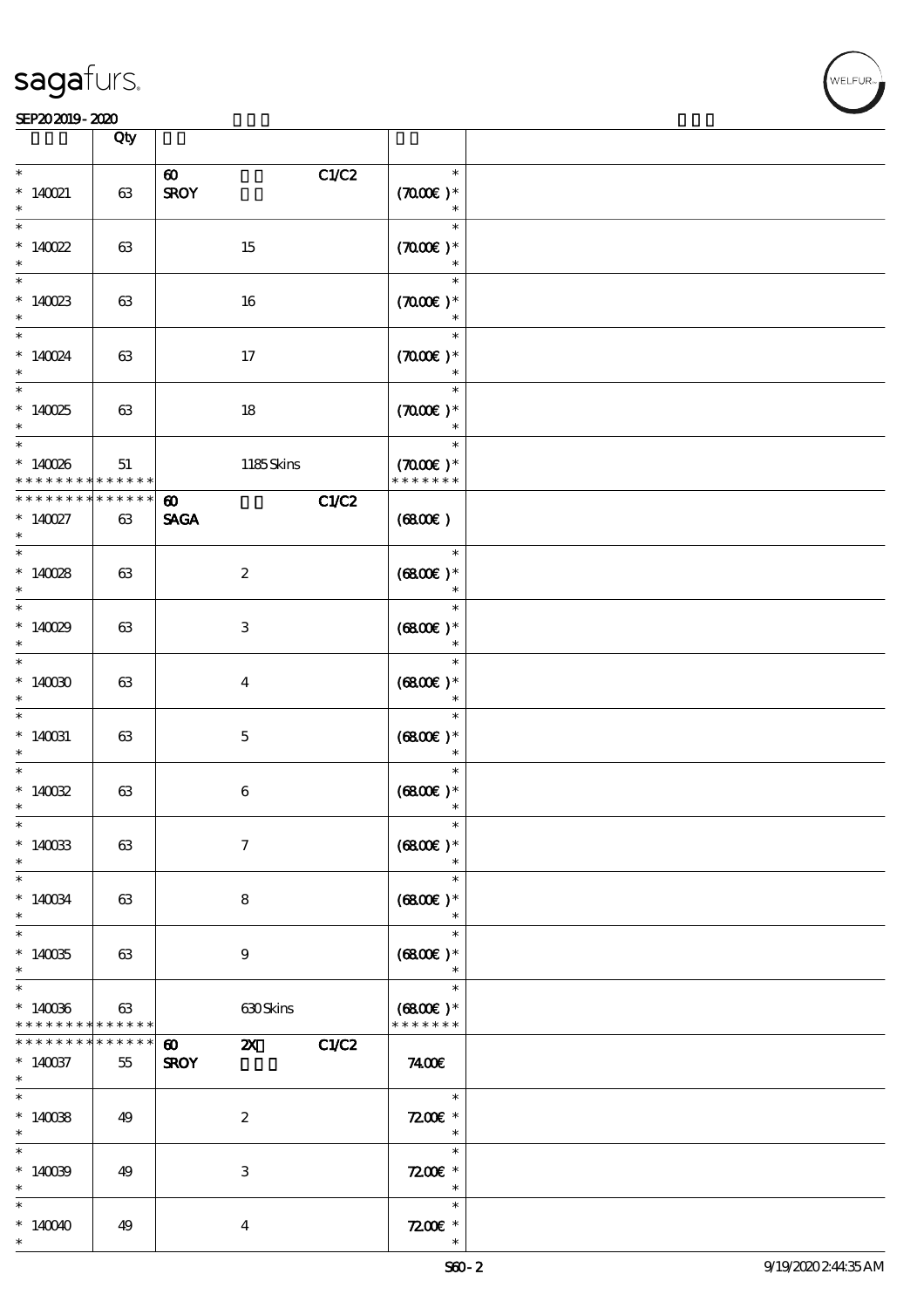

|                                                                   | Qty                   |                                                      |       |                                                  |  |
|-------------------------------------------------------------------|-----------------------|------------------------------------------------------|-------|--------------------------------------------------|--|
| $\ast$<br>$* 140021$<br>$\ast$                                    | 63                    | $\boldsymbol{\omega}$<br><b>SROY</b>                 | C1/C2 | $\ast$<br>$(7000\varepsilon)*$<br>$\ast$         |  |
| $\ast$<br>$*140022$<br>$\ast$                                     | 63                    | 15                                                   |       | $\ast$<br>$(7000\varepsilon)*$<br>$\ast$         |  |
| $*$<br>$*140023$<br>$\ast$                                        | 63                    | 16                                                   |       | $\ast$<br>$(7000\varepsilon)*$<br>$\ast$         |  |
| $\overline{\ast}$<br>$* 140024$<br>$\ast$                         | 63                    | $17$                                                 |       | $\ast$<br>$(7000\varepsilon)*$<br>$\ast$         |  |
| $\overline{\ast}$<br>$*140025$<br>$\ast$                          | 63                    | $18\,$                                               |       | $\ast$<br>$(7000)$ *<br>$\ast$                   |  |
| $\ast$<br>$*140086$<br>* * * * * * * *                            | 51<br>$* * * * * * *$ | 1185Skins                                            |       | $\ast$<br>$(7000\varepsilon)*$<br>* * * * * * *  |  |
| * * * * * * * *<br>$* 140027$<br>$\ast$                           | $* * * * * * *$<br>63 | $\boldsymbol{\omega}$<br><b>SAGA</b>                 | C1/C2 | (6800)                                           |  |
| $\ast$<br>$*140028$<br>$\ast$                                     | 63                    | $\boldsymbol{2}$                                     |       | $\ast$<br>$(6800)$ *<br>$\ast$                   |  |
| $\overline{\ast}$<br>$*140029$<br>$\ast$                          | 63                    | $\,3\,$                                              |       | $\ast$<br>$(6800)$ *<br>$\ast$                   |  |
| $\overline{\ast}$<br>$*14000$<br>$\ast$                           | 63                    | $\boldsymbol{4}$                                     |       | $\ast$<br>$(6800)$ *                             |  |
| $\overline{\phantom{0}}$<br>$*140031$<br>$\ast$                   | 63                    | $\mathbf 5$                                          |       | $\ast$<br>$(6800)$ *<br>$\ast$                   |  |
| $\ast$<br>$*140032$<br>$\ast$                                     | 63                    | $\,6\,$                                              |       | $\ast$<br>$(6800)$ *<br>$\ast$                   |  |
| $\ast$<br>$*140033$<br>$\ast$                                     | 63                    | $\boldsymbol{7}$                                     |       | $\ast$<br>$(6800)$ *<br>$\ast$                   |  |
| $\ast$<br>$\hspace{0.1cm}^*$ 140034<br>$\ast$                     | 63                    | 8                                                    |       | $\ast$<br>$(6800)$ *<br>$\ast$                   |  |
| $\ast$<br>$*140035$<br>$\ast$                                     | 63                    | $\boldsymbol{9}$                                     |       | $\ast$<br>$(6800)$ *<br>$\ast$                   |  |
| $\ast$<br>$*140036$<br>* * * * * * * * <mark>* * * * * * *</mark> | 63                    | 630Skins                                             |       | $\ast$<br>$(6800)$ *<br>* * * * * * *            |  |
| * * * * * * *<br>$*140037$<br>$*$                                 | * * * * * *<br>55     | $\boldsymbol{\omega}$<br>$\mathbf{x}$<br><b>SROY</b> | C1/C2 | 7400E                                            |  |
| $\overline{\ast}$<br>$*140088$<br>$\ast$                          | 49                    | $\boldsymbol{2}$                                     |       | $\ast$<br>$7200$ $*$<br>$\overline{\phantom{a}}$ |  |
| $\ast$<br>$*140099$<br>$\ast$                                     | 49                    | $\,3\,$                                              |       | $\ast$<br>$7200$ £ *<br>$\ast$                   |  |
| $\ast$<br>$*140040$<br>$\ast$                                     | 49                    | $\boldsymbol{4}$                                     |       | $\ast$<br>$7200$ $*$<br>$\ast$                   |  |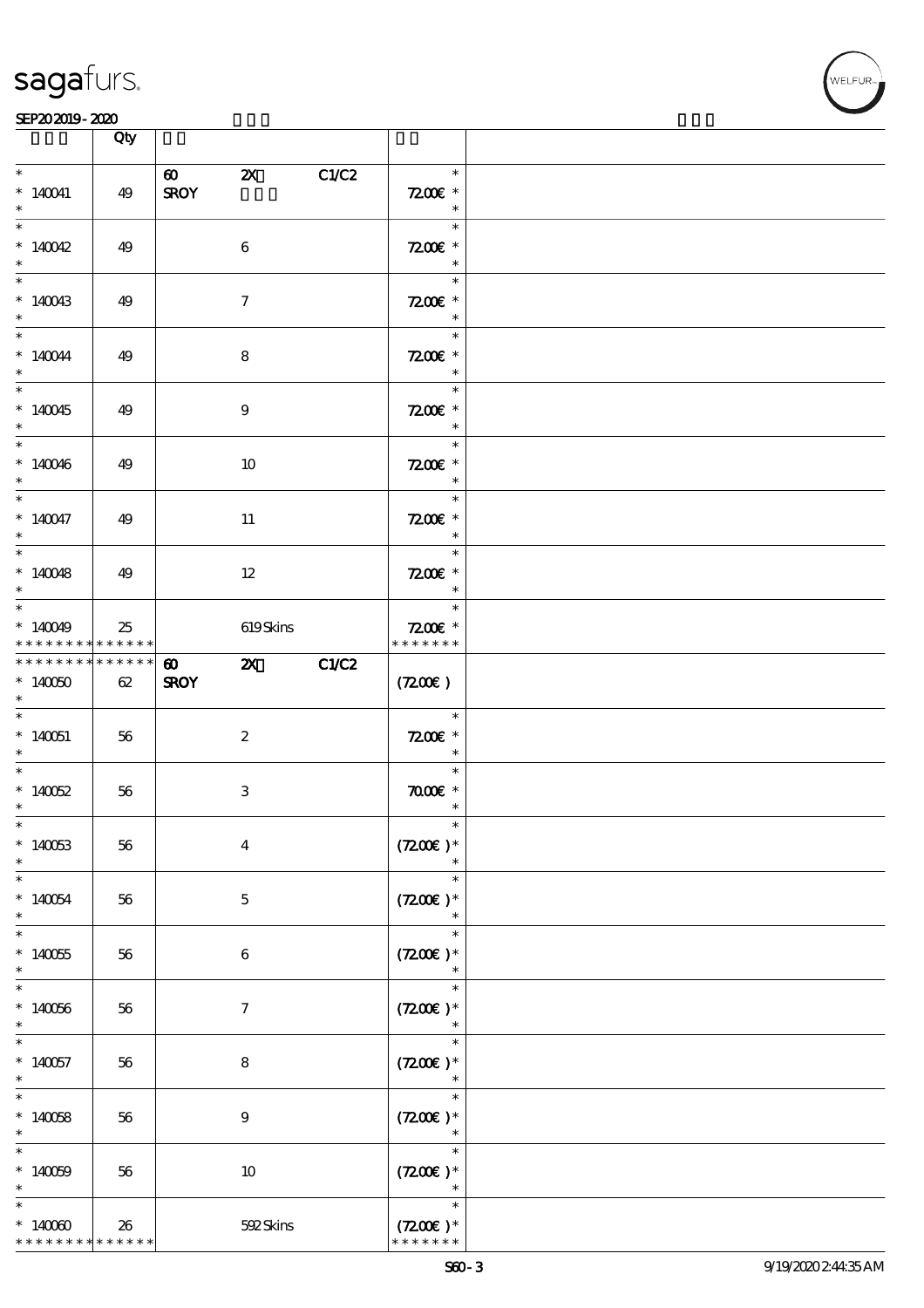

|                                                                | Qty |                                      |                           |       |                                                                   |  |
|----------------------------------------------------------------|-----|--------------------------------------|---------------------------|-------|-------------------------------------------------------------------|--|
| $\ast$<br>$*140041$<br>$\ast$                                  | 49  | $\boldsymbol{\omega}$<br><b>SROY</b> | $\boldsymbol{\mathsf{Z}}$ | C1/C2 | $\ast$<br>$7200$ $\epsilon$ *<br>$\ast$                           |  |
| $\overline{\ast}$<br>$*140042$<br>$\ast$                       | 49  |                                      | 6                         |       | $\ast$<br>$7200E$ *                                               |  |
| $*140043$<br>$\ast$                                            | 49  |                                      | $\boldsymbol{\tau}$       |       | $\overline{\phantom{a}}$<br>$7200E$ *                             |  |
| $\overline{\ast}$<br>$*140044$<br>$\ast$                       | 49  |                                      | 8                         |       | $\ast$<br>$7200E$ *<br>$\overline{\phantom{a}}$                   |  |
| $\overline{\ast}$<br>$*140045$<br>$*$                          | 49  |                                      | $\boldsymbol{9}$          |       | 1995 F<br>$\ast$<br>$7200E$ *<br>$\overline{\phantom{a}}$         |  |
| $*$<br>$*140046$<br>$*$                                        | 49  |                                      | 10                        |       | $\mathcal{L}$<br>$\ast$<br>$7200$ £ *<br>$\overline{\phantom{a}}$ |  |
| $\ast$<br>$* 140047$<br>$\ast$                                 | 49  |                                      | 11                        |       | $\ast$<br>$7200$ £ *<br>$\overline{\mathbf{r}}$                   |  |
| $\overline{\phantom{0}}$<br>$*140048$<br>$\ast$                | 49  |                                      | $12 \,$                   |       | $\ast$<br>$7200E$ *<br>$\overline{\phantom{a}}$ *                 |  |
| $*140049$<br>* * * * * * * * * * * * * *                       | 25  |                                      | 619Skins                  |       | $7200$ £ *<br>* * * * * * *                                       |  |
| * * * * * * * * * * * * * *<br>$*140050$<br>$*$                | 62  | $\boldsymbol{\omega}$<br><b>SROY</b> | <b>2X</b> C1/C2           |       | (7200)                                                            |  |
| $*140051$<br>$*$                                               | 56  |                                      | $\boldsymbol{2}$          |       | $\overline{\phantom{a}}$<br>$7200E$ *<br>$\overline{\phantom{a}}$ |  |
| $*$<br>$*140052$<br>$*$                                        | 56  |                                      | $\,3\,$                   |       | $\ast$<br>$\pi$ and $*$<br>$\ast$                                 |  |
| $*$ $*$<br>$*140053$<br>$\ast$                                 | 56  |                                      | $\boldsymbol{4}$          |       | $\ast$<br>$(7200)$ *                                              |  |
| $\ast$<br>$*140054$<br>$\ast$                                  | 56  |                                      | $\mathbf 5$               |       | $\ast$<br>$(7200)$ *<br>$\ast$                                    |  |
| $\ast$<br>$*140055$<br>$\ast$                                  | 56  |                                      | 6                         |       | $\ast$<br>$(7200)$ *                                              |  |
| $\ast$<br>$*140066$<br>$\ast$                                  | 56  |                                      | $\boldsymbol{\tau}$       |       | $\ast$<br>$(7200)$ *                                              |  |
| $*140057$<br>$\ast$                                            | 56  |                                      | 8                         |       | $\ast$<br>$(7200)$ *<br>$\ast$                                    |  |
| $\overline{\ast}$<br>$*140058$<br>$\ast$                       | 56  |                                      | $\boldsymbol{9}$          |       | $\ast$<br>$(7200)$ *<br>$\ast$                                    |  |
| $\ast$<br>$*140009$<br>$\ast$                                  | 56  |                                      | 10                        |       | $\ast$<br>$(7200)$ *<br>$\ast$                                    |  |
| $\ast$<br>$*14000$<br>* * * * * * * * <mark>* * * * * *</mark> | 26  |                                      | 592Skins                  |       | $\ast$<br>$(7200)$ *<br>* * * * * * *                             |  |

T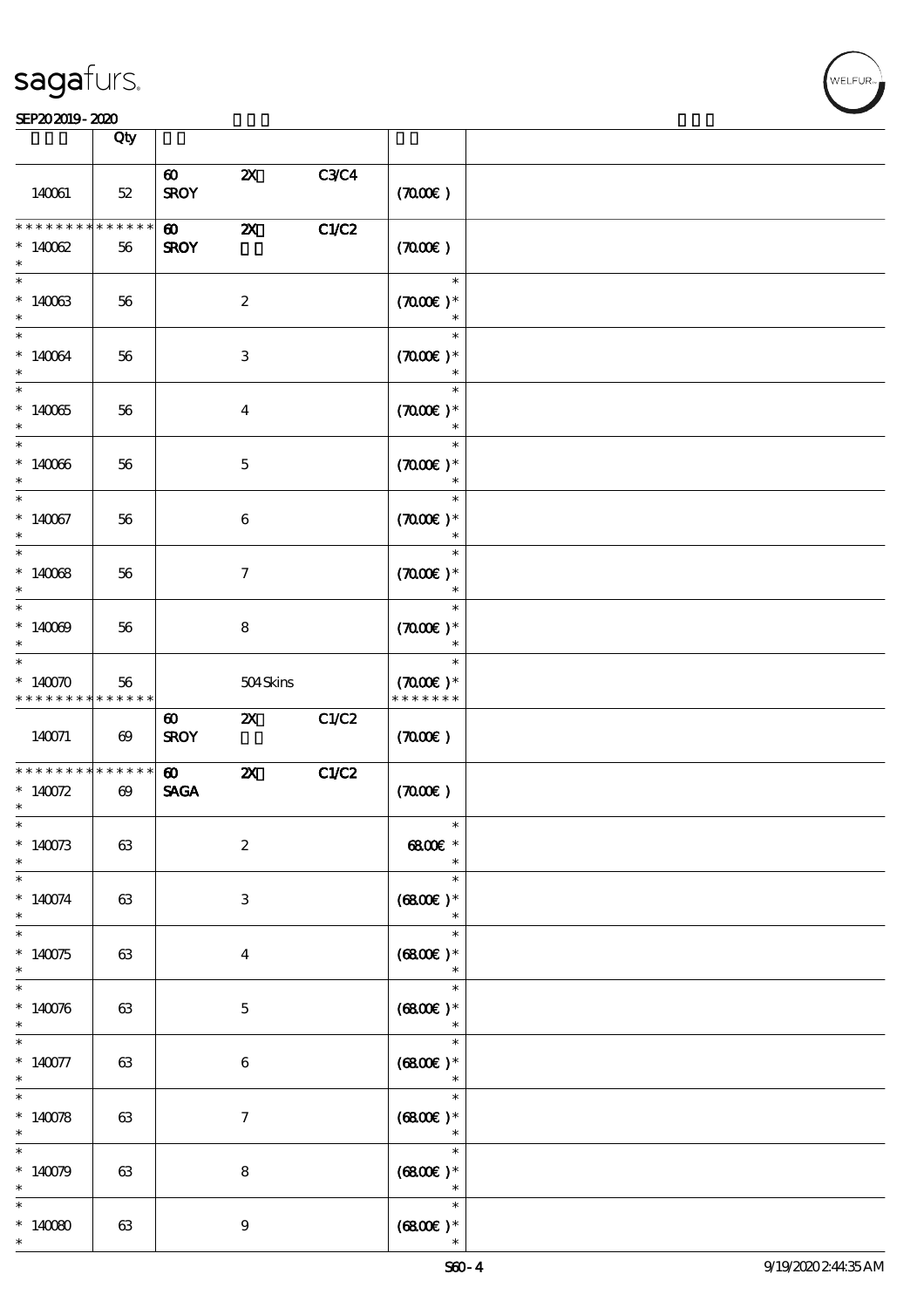| <b>saga</b> furs. |
|-------------------|
|-------------------|

#### $S$ EP20 2019 - 2020  $\overline{)}$  Oby  $\overline{)}$

|                                         | Qty                             |                                      |                           |       |                                               |  |
|-----------------------------------------|---------------------------------|--------------------------------------|---------------------------|-------|-----------------------------------------------|--|
|                                         |                                 |                                      |                           |       |                                               |  |
| 140061                                  | $52\,$                          | $\boldsymbol{\omega}$<br><b>SROY</b> | $\boldsymbol{\mathsf{z}}$ | C3C4  | (700)                                         |  |
| * * * * * * *<br>$*14002$<br>$\ast$     | * * * * * * $\frac{1}{1}$<br>56 | $\boldsymbol{\omega}$<br><b>SROY</b> | $\boldsymbol{\mathsf{z}}$ | C1/C2 | (700)                                         |  |
| $\ast$<br>$*140033$<br>$\ast$           | 56                              |                                      | $\boldsymbol{z}$          |       | $\ast$<br>$(7000\varepsilon)*$<br>$\ast$      |  |
| $\ast$<br>$* 140064$<br>$\ast$          | 56                              |                                      | $\ensuremath{\mathsf{3}}$ |       | $\ast$<br>$(7000\varepsilon)*$<br>$\ast$      |  |
| $\ast$<br>$*14005$<br>$\ast$            | 56                              |                                      | $\boldsymbol{4}$          |       | $\ast$<br>$(7000\varepsilon)*$<br>$\ast$      |  |
| $\ast$<br>$*140066$<br>$\ast$           | 56                              |                                      | $\mathbf 5$               |       | $\ast$<br>$(7000\text{E})$ *                  |  |
| $\ast$<br>$*140067$<br>$\ast$           | 56                              |                                      | $\bf 6$                   |       | $\ast$<br>$(7000\text{E})$ *<br>$\ast$        |  |
| $\overline{\ast}$<br>$*14008$<br>$\ast$ | 56                              |                                      | $\boldsymbol{\tau}$       |       | $\ast$<br>$(700E)*$<br>$\ast$                 |  |
| $\ast$<br>$*140009$<br>$\ast$           | 56                              |                                      | ${\bf 8}$                 |       | $\ast$<br>$(7000\varepsilon)*$<br>$\ast$      |  |
| $\ast$<br>$*140070$<br>* * * * * * * *  | 56<br>* * * * * *               |                                      | 504Skins                  |       | $\ast$<br>$(7000\text{E})$ *<br>* * * * * * * |  |
| 140071                                  | $\boldsymbol{\omega}$           | $\boldsymbol{\omega}$<br><b>SROY</b> | $\boldsymbol{\alpha}$     | C1/C2 | (700)                                         |  |
| * * * * * * * *<br>$* 140072$<br>$\ast$ | ******<br>$\boldsymbol{\omega}$ | $\boldsymbol{\omega}$<br><b>SAGA</b> | $\boldsymbol{\mathsf{z}}$ | C1/C2 | (7000)                                        |  |
| $\ast$<br>$*140073$<br>$\ast$           | 63                              |                                      | $\boldsymbol{2}$          |       | 6800€ *<br>$\ast$                             |  |
| $\ast$<br>$* 140074$<br>$\ast$          | 63                              |                                      | $\ensuremath{\mathbf{3}}$ |       | $\ast$<br>$(6800)$ *<br>$\ast$                |  |
| $\ast$<br>$*140075$<br>$\ast$           | 63                              |                                      | $\bf{4}$                  |       | $\ast$<br>$(6800)$ *<br>$\ast$                |  |
| $\ast$<br>$* 140076$<br>$\ast$          | 63                              |                                      | $\bf 5$                   |       | $\ast$<br>$(6800)$ *<br>$\ast$                |  |
| $\ast$<br>$* 140077$<br>$\ast$          | 63                              |                                      | $\boldsymbol{6}$          |       | $\ast$<br>$(6800)$ *<br>$\ast$                |  |
| $\ast$<br>$* 140078$<br>$\ast$          | 63                              |                                      | $\tau$                    |       | $\ast$<br>$(6800)$ *<br>$\ast$                |  |
| $\ast$<br>$*140079$<br>$\ast$           | 63                              |                                      | ${\bf 8}$                 |       | $\ast$<br>$(6800)$ *                          |  |
| $\ast$                                  |                                 |                                      |                           |       | $\ast$<br>$\ast$                              |  |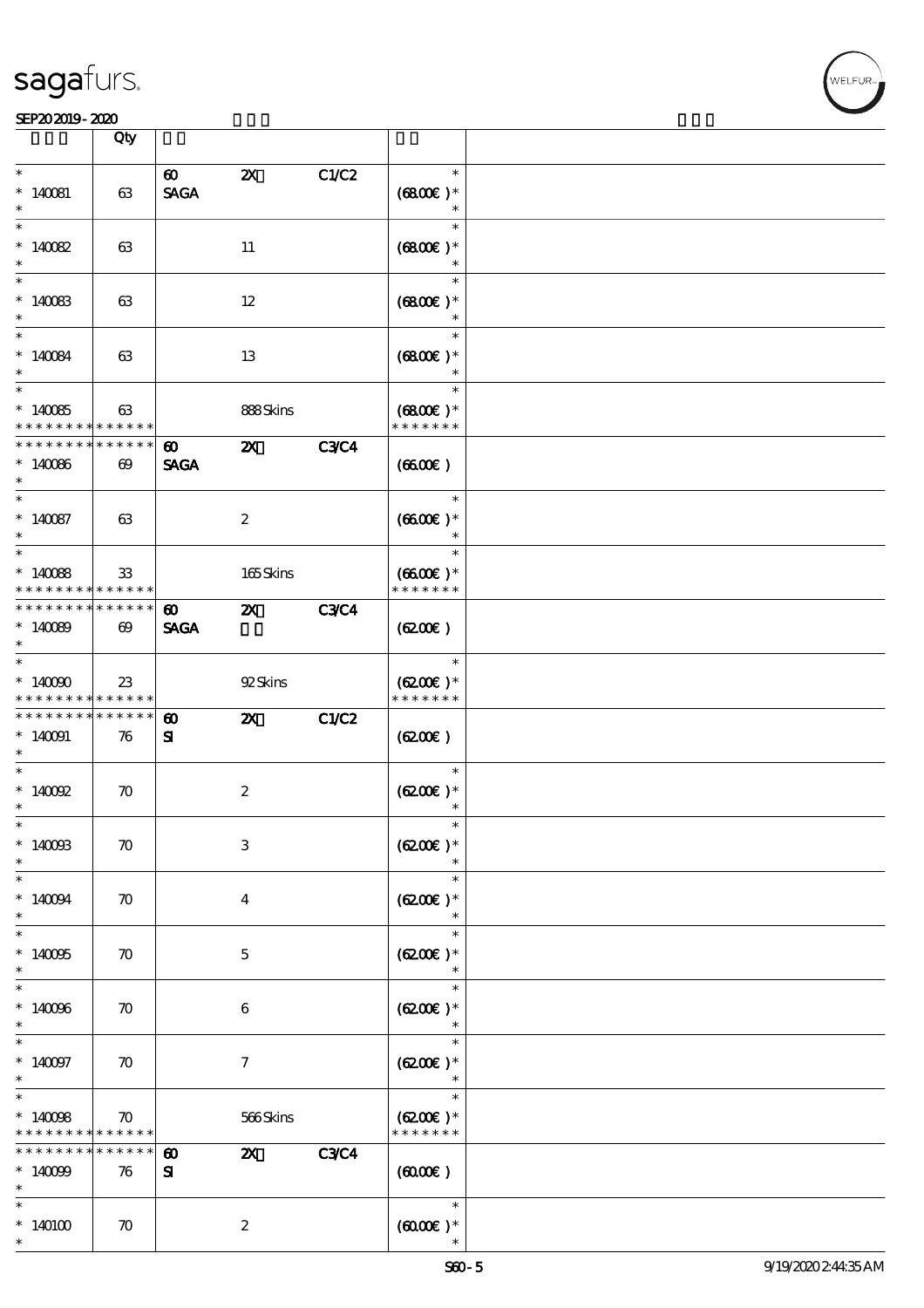#### SEP202019-2020 DEEP202019-2020 DEEP202019-2020 DEEP202019-2020 DEEP202019-2020 DEEP20

|                                                          | Qty                                  |                                      |                           |             |                                       |  |
|----------------------------------------------------------|--------------------------------------|--------------------------------------|---------------------------|-------------|---------------------------------------|--|
| $\ast$<br>$*140081$                                      | 63                                   | $\boldsymbol{\omega}$<br><b>SAGA</b> | $\boldsymbol{\mathsf{z}}$ | C1/C2       | $\ast$<br>$(6800)$ *<br>$\ast$        |  |
| $\ast$<br>$*140082$<br>$\ast$                            | 63                                   |                                      | 11                        |             | $\ast$<br>$(6800)$ *<br>$\ast$        |  |
| $*140083$<br>$\ast$                                      | 63                                   |                                      | 12                        |             | $\ast$<br>$(6800)$ *<br>$\ast$        |  |
| $*$<br>$*140084$<br>$\ast$                               | 63                                   |                                      | 13                        |             | $\ast$<br>$(6800)$ *<br>$\ast$        |  |
| $\overline{\phantom{0}}$<br>$*140085$<br>* * * * * * * * | 63<br>* * * * * *                    |                                      | 888Skins                  |             | $\ast$<br>$(6800)$ *<br>* * * * * * * |  |
| * * * * * * * *<br>$*140066$<br>$\ast$                   | * * * * * *<br>$\boldsymbol{\omega}$ | $\boldsymbol{\omega}$<br><b>SAGA</b> | $\boldsymbol{\mathsf{Z}}$ | <b>C3C4</b> | (6600)                                |  |
| $\overline{\ast}$<br>$*140087$<br>$\ast$                 | 63                                   |                                      | $\boldsymbol{2}$          |             | $\ast$<br>$(6600)$ *<br>$\ast$        |  |
| $\overline{\ast}$<br>$*140088$<br>* * * * * * * *        | 33<br>* * * * * *                    |                                      | 165Skins                  |             | $\ast$<br>$(6600)$ *<br>* * * * * * * |  |
| * * * * * * * *<br>$*140089$<br>$\ast$                   | * * * * * *<br>$\boldsymbol{\omega}$ | $\boldsymbol{\omega}$<br><b>SAGA</b> | $\boldsymbol{\mathsf{Z}}$ | <b>C3C4</b> | $(6200\varepsilon)$                   |  |
| $\overline{\ast}$<br>$*14000$<br>* * * * * * * *         | 23<br>* * * * * *                    |                                      | 92Skins                   |             | $\ast$<br>$(6200)$ *<br>* * * * * * * |  |
| * * * * * * * *<br>$*140091$<br>$*$                      | * * * * * *<br>76                    | $\boldsymbol{\omega}$<br>${\bf s}$   | $\boldsymbol{\alpha}$     | C1/C2       | (6200)                                |  |
| $\overline{\phantom{0}}$<br>$*$ 140092<br>$\ast$         | $\boldsymbol{\pi}$                   |                                      | $\boldsymbol{2}$          |             | $\ast$<br>$(6200)$ *<br>$\ast$        |  |
| $\ast$<br>$*1400B$<br>$\ast$                             | $\boldsymbol{\pi}$                   |                                      | $\,3$                     |             | $\ast$<br>$(6200)$ *                  |  |
| $\ast$<br>$*140094$<br>$\ast$                            | $\boldsymbol{\pi}$                   |                                      | $\bf{4}$                  |             | $\ast$<br>$(6200)$ *<br>$\ast$        |  |
| $\overline{\phantom{0}}$<br>$*140005$<br>$\ast$          | $\boldsymbol{\pi}$                   |                                      | $\mathbf{5}$              |             | $\ast$<br>$(6200)$ *<br>$\ast$        |  |
| $\ast$<br>$*140066$<br>$\ast$                            | $\boldsymbol{\pi}$                   |                                      | 6                         |             | $\ast$<br>$(6200)$ *                  |  |
| $\ast$<br>$*140097$<br>$\ast$                            | $\boldsymbol{\pi}$                   |                                      | $\boldsymbol{\tau}$       |             | $\ast$<br>$(6200)$ *<br>$\ast$        |  |
| $\overline{\ast}$<br>$*14008$<br>* * * * * * *           | $\boldsymbol{\pi}$<br>* * * * * *    |                                      | 566Skins                  |             | $\ast$<br>$(6200)$ *<br>* * * * * * * |  |
| * * * * * * *<br>$*140099$<br>$\ast$                     | * * * * * *<br>76                    | $\boldsymbol{\omega}$<br>${\bf s}$   | $\boldsymbol{\mathsf{z}}$ | <b>C3C4</b> | $(6000\varepsilon)$                   |  |
| $\ast$<br>$*140100$<br>$\ast$                            | $\boldsymbol{\pi}$                   |                                      | $\boldsymbol{z}$          |             | $\ast$<br>$(6000\varepsilon)*$        |  |

**VELFUR**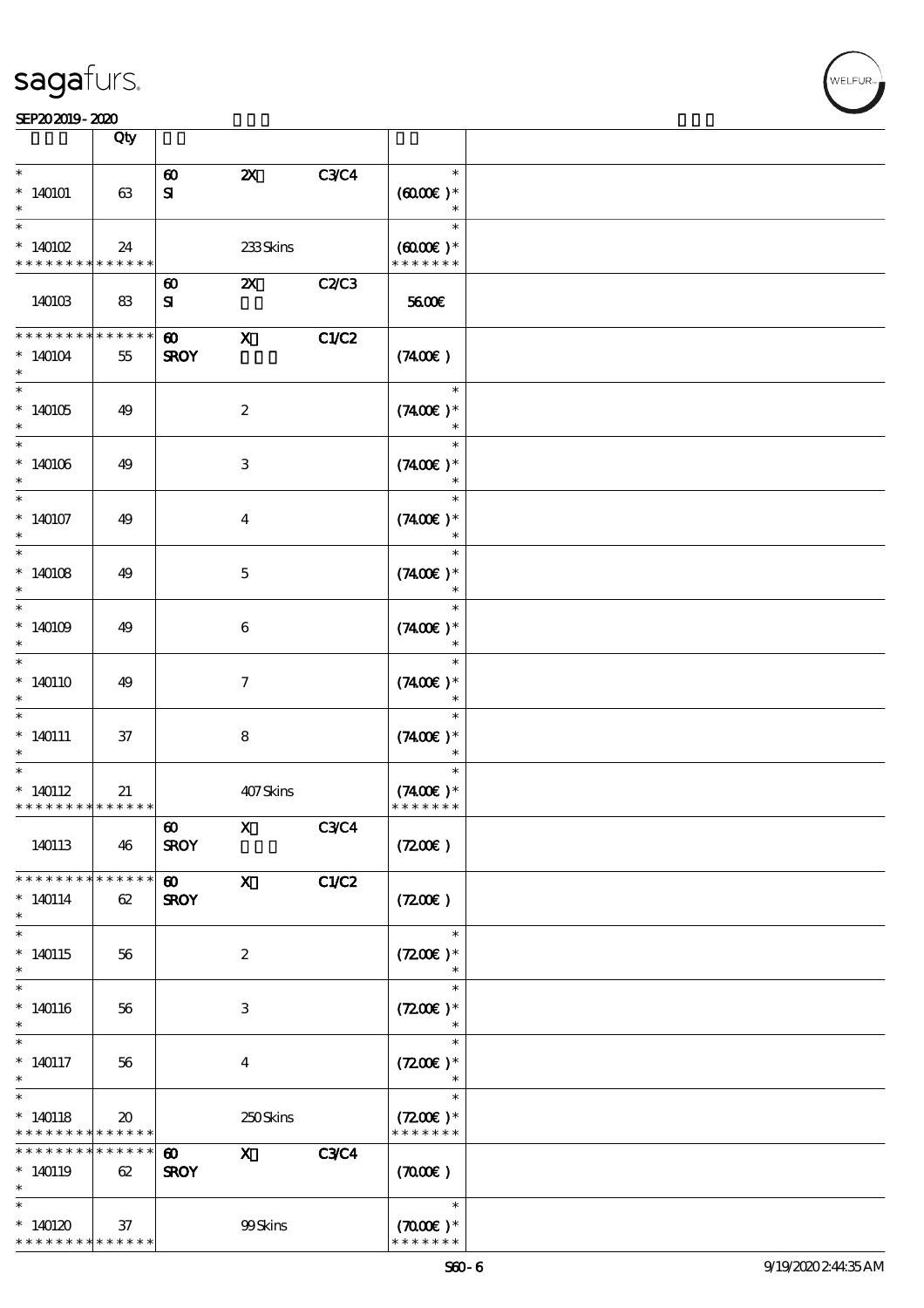|                                                    | Qty                                        |                                      |                           |             |                                                 |  |
|----------------------------------------------------|--------------------------------------------|--------------------------------------|---------------------------|-------------|-------------------------------------------------|--|
| $\ast$<br>$*140101$                                | 63                                         | $\boldsymbol{\omega}$<br>${\bf s}$   | $\boldsymbol{\mathsf{X}}$ | <b>C3C4</b> | $\ast$<br>$(6000\varepsilon)*$<br>$\ast$        |  |
| $\ast$<br>$*140102$<br>* * * * * * * *             | 24<br>******                               |                                      | $233\mathrm{S}$ kins      |             | $\ast$<br>$(6000\varepsilon)*$<br>* * * * * * * |  |
| 140103                                             | 83                                         | $\boldsymbol{\omega}$<br>${\bf s}$   | $\boldsymbol{\alpha}$     | C2C3        | 5600E                                           |  |
| * * * * * * * *<br>$*140104$<br>$\ast$             | * * * * * *<br>55                          | $\boldsymbol{\omega}$<br><b>SROY</b> | $\mathbf{x}$              | C1/C2       | (7400)                                          |  |
| $*140105$<br>$*$                                   | 49                                         |                                      | $\boldsymbol{2}$          |             | $\ast$<br>$(7400)$ *<br>$\ast$                  |  |
| $*140106$<br>$\ast$                                | 49                                         |                                      | 3                         |             | $\ast$<br>$(7400)$ *<br>$\ast$                  |  |
| $\overline{\ast}$<br>$*140107$<br>$\ast$           | 49                                         |                                      | $\overline{\mathbf{4}}$   |             | $\ast$<br>$(7400)$ *<br>$\ast$                  |  |
| $\overline{\ast}$<br>$*140108$<br>$\ast$           | 49                                         |                                      | $\mathbf{5}$              |             | $\ast$<br>$(7400)$ *<br>$\ast$                  |  |
| $*140109$<br>$\ast$                                | 49                                         |                                      | 6                         |             | $\ast$<br>$(7400)$ *<br>$\ast$                  |  |
| $\ast$<br>$*140110$<br>$\ast$<br>$\ast$            | 49                                         |                                      | $\tau$                    |             | $(7400)$ *                                      |  |
| $* 140111$<br>$\ast$<br>$\ast$                     | 37                                         |                                      | 8                         |             | $\ast$<br>$(7400)$ *<br>$\ast$<br>$\ast$        |  |
| $*140112$<br>* * * * * * * * * * * * * *           | 21                                         |                                      | 407Skins                  |             | $(7400)$ *<br>* * * * * * *                     |  |
| 140113                                             | 46                                         | $\boldsymbol{\omega}$<br><b>SROY</b> | X C3C4                    |             | (7200)                                          |  |
| * * * * * * * *<br>$*140114$<br>$\ast$             | * * * * * *<br>62                          | $\boldsymbol{\omega}$<br><b>SROY</b> | $\boldsymbol{\mathsf{X}}$ | C1/C2       | (720)                                           |  |
| $*140115$<br>$\ast$                                | 56                                         |                                      | $\boldsymbol{z}$          |             | $\ast$<br>$(7200)$ *<br>$\ast$                  |  |
| $\ast$<br>$*140116$<br>$\ast$                      | 56                                         |                                      | 3                         |             | $\ast$<br>$(7200)$ *                            |  |
| $\ast$<br>$*140117$<br>$\ast$                      | 56                                         |                                      | $\overline{4}$            |             | $\ast$<br>$(7200)$ *<br>$\ast$                  |  |
| $*140118$<br>* * * * * * * *                       | $\boldsymbol{\mathfrak{D}}$<br>* * * * * * |                                      | 250Skins                  |             | $\ast$<br>$(7200)$ *<br>* * * * * * *           |  |
| * * * * * * * *<br>$*140119$<br>$\ast$             | * * * * * *<br>62                          | $\boldsymbol{\omega}$<br><b>SROY</b> | $\mathbf{x}$              | <b>C3C4</b> | (7000)                                          |  |
| $\ast$<br>$*140120$<br>* * * * * * * * * * * * * * | 37                                         |                                      | 99Skins                   |             | $\ast$<br>$(7000\varepsilon)*$<br>* * * * * * * |  |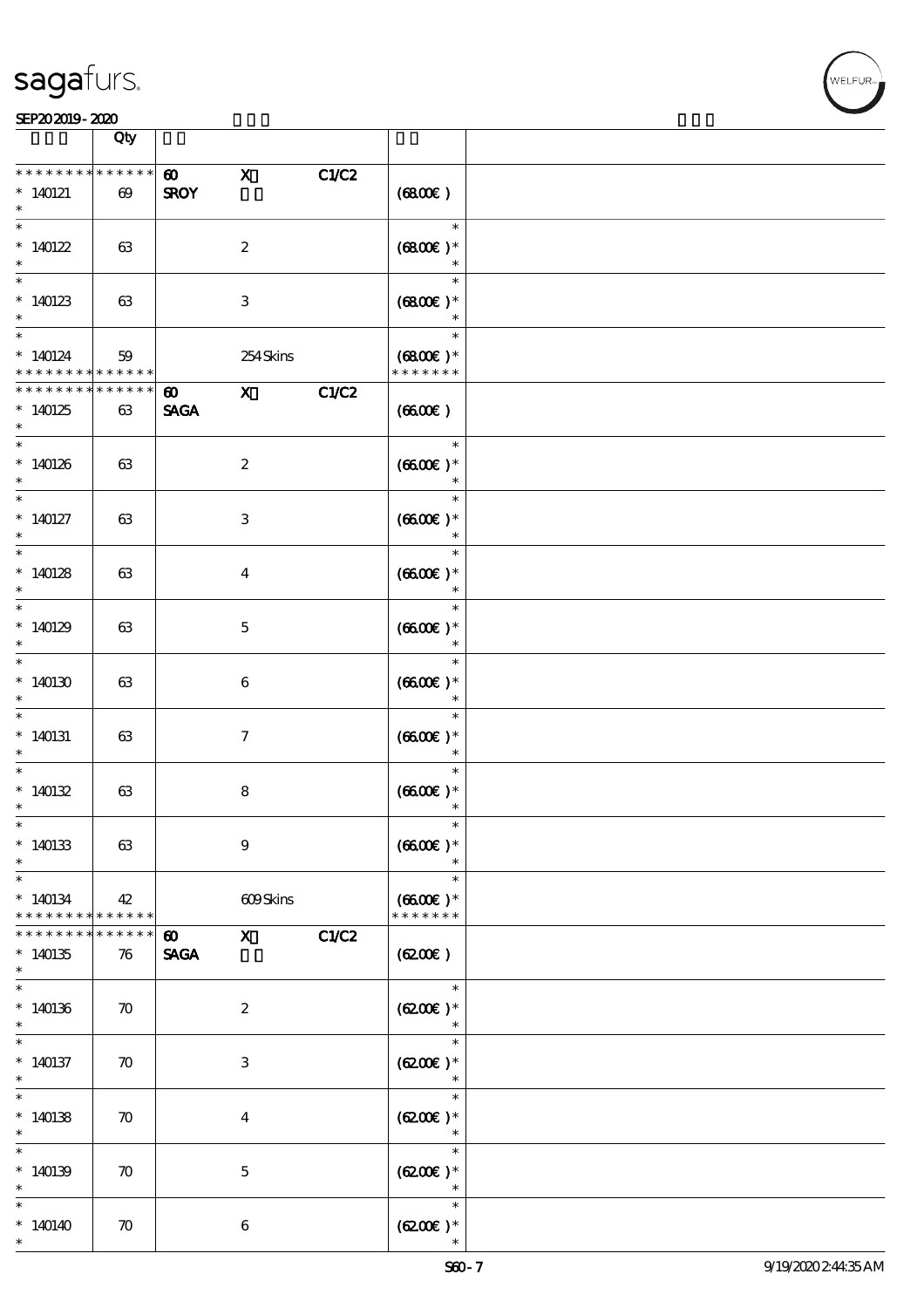#### SEP202019-2020 DEEP202019-2020 DEEP202019-2020 DEEP202019-2020 DEEP202019-2020 DEEP20

|                                                 | Qty                                  |                                      |                                                                                                                                                                                                                                                                                                                                                                                                                                                               |       |                                                  |  |
|-------------------------------------------------|--------------------------------------|--------------------------------------|---------------------------------------------------------------------------------------------------------------------------------------------------------------------------------------------------------------------------------------------------------------------------------------------------------------------------------------------------------------------------------------------------------------------------------------------------------------|-------|--------------------------------------------------|--|
|                                                 |                                      |                                      |                                                                                                                                                                                                                                                                                                                                                                                                                                                               |       |                                                  |  |
| * * * *<br>$*140121$<br>$\ast$                  | * * * * * *<br>$\boldsymbol{\omega}$ | $\boldsymbol{\omega}$<br><b>SROY</b> | $\mathbf x$                                                                                                                                                                                                                                                                                                                                                                                                                                                   | C1/C2 | (6800)                                           |  |
| $\overline{\ast}$<br>* $140122$                 | 63                                   |                                      | $\boldsymbol{2}$                                                                                                                                                                                                                                                                                                                                                                                                                                              |       | $\ast$<br>$(6800)$ *<br>$\ast$                   |  |
| $\ast$<br>$*140123$                             | 63                                   |                                      | $\ensuremath{\mathsf{3}}$                                                                                                                                                                                                                                                                                                                                                                                                                                     |       | $\ast$<br>$(6800)$ *<br>$\ast$                   |  |
| $\ast$<br>$*140124$<br>* * * * * * * *          | 59<br>* * * * * * *                  |                                      | 254Skins                                                                                                                                                                                                                                                                                                                                                                                                                                                      |       | $\ast$<br>$(6800)$ *<br>* * * * * * *            |  |
| * * * * * * * *<br>$*140125$                    | * * * * * *<br>63                    | $\boldsymbol{\omega}$<br><b>SAGA</b> | $\mathbf{x}$                                                                                                                                                                                                                                                                                                                                                                                                                                                  | C1/C2 | (6600)                                           |  |
| $*140126$<br>$\ast$                             | 63                                   |                                      | $\boldsymbol{z}$                                                                                                                                                                                                                                                                                                                                                                                                                                              |       | $\ast$<br>$(6600\text{E})*$                      |  |
| $*$ 140127<br>$\ast$                            | 63                                   |                                      | 3                                                                                                                                                                                                                                                                                                                                                                                                                                                             |       | $\ast$<br>$(6600)$ *<br>$\ast$                   |  |
| $\overline{\phantom{0}}$<br>$*140128$<br>$*$    | 63                                   |                                      | $\bf{4}$                                                                                                                                                                                                                                                                                                                                                                                                                                                      |       | $\ast$<br>$(6600E)*$<br>$\ast$                   |  |
| $*140129$<br>$\ast$                             | 63                                   |                                      | $\mathbf{5}$                                                                                                                                                                                                                                                                                                                                                                                                                                                  |       | $\ast$<br>$(6600)$ *<br>$\ast$                   |  |
| $\overline{\ast}$<br>$*140130$<br>$*$           | 63                                   |                                      | $\boldsymbol{6}$                                                                                                                                                                                                                                                                                                                                                                                                                                              |       | $\ast$<br>$(6600E)*$<br>$\ast$                   |  |
| $\ast$<br>$*140131$<br>$\ast$                   | 63                                   |                                      | $\mathcal{I}$                                                                                                                                                                                                                                                                                                                                                                                                                                                 |       | $\ast$<br>$(6600)$ *<br>$\ast$                   |  |
| $\ast$<br>$*140132$<br>$\ast$                   | 63                                   |                                      | 8                                                                                                                                                                                                                                                                                                                                                                                                                                                             |       | $\ast$<br>$(6600)$ *                             |  |
| $\ast$<br>$*140133$<br>$\ast$                   | 63                                   |                                      | $\boldsymbol{9}$                                                                                                                                                                                                                                                                                                                                                                                                                                              |       | $(6600E)*$                                       |  |
| $\ast$<br>$*140134$<br>* * * * * * * *          | 42<br>* * * * * *                    |                                      | $609\mbox{Skirs}$                                                                                                                                                                                                                                                                                                                                                                                                                                             |       | $\ast$<br>$(6600E)*$<br>* * * * * * *            |  |
| * * * * * * * *<br>$*140135$<br>$*$             | * * * * * *<br>76                    | $\boldsymbol{\omega}$<br><b>SAGA</b> | $\boldsymbol{\mathrm{X}}$ and $\boldsymbol{\mathrm{X}}$ and $\boldsymbol{\mathrm{X}}$ and $\boldsymbol{\mathrm{X}}$ and $\boldsymbol{\mathrm{X}}$ and $\boldsymbol{\mathrm{X}}$ and $\boldsymbol{\mathrm{X}}$ and $\boldsymbol{\mathrm{X}}$ and $\boldsymbol{\mathrm{X}}$ and $\boldsymbol{\mathrm{X}}$ and $\boldsymbol{\mathrm{X}}$ and $\boldsymbol{\mathrm{X}}$ and $\boldsymbol{\mathrm{X}}$ and $\boldsymbol{\mathrm{X}}$ and $\boldsymbol{\mathrm{X}}$ | C1/C2 | (6200)                                           |  |
| $\overline{\phantom{0}}$<br>$*140136$<br>$*$    | $\boldsymbol{\pi}$                   |                                      | $\boldsymbol{z}$                                                                                                                                                                                                                                                                                                                                                                                                                                              |       | $\ast$<br>$(6200)$ *<br>$\overline{\phantom{a}}$ |  |
| $\overline{\phantom{0}}$<br>$*140137$<br>$\ast$ | $\boldsymbol{\pi}$                   |                                      | 3                                                                                                                                                                                                                                                                                                                                                                                                                                                             |       | $\ast$<br>$(6200)$ *<br>$\ast$                   |  |
| $\ast$<br>$*140138$<br>$\ast$                   | $\boldsymbol{\pi}$                   |                                      | $\bf{4}$                                                                                                                                                                                                                                                                                                                                                                                                                                                      |       | $\ast$<br>$(6200)$ *<br>$\ast$                   |  |
| $\ast$<br>$*140139$<br>$\ast$                   | $\boldsymbol{\pi}$                   |                                      | $\mathbf{5}$                                                                                                                                                                                                                                                                                                                                                                                                                                                  |       | $\ast$<br>$(6200)$ *<br>$\ast$                   |  |
| $\ast$<br>$*140140$<br>$\ast$                   | $\boldsymbol{\pi}$                   |                                      | $\boldsymbol{6}$                                                                                                                                                                                                                                                                                                                                                                                                                                              |       | $\ast$<br>$(6200)$ *                             |  |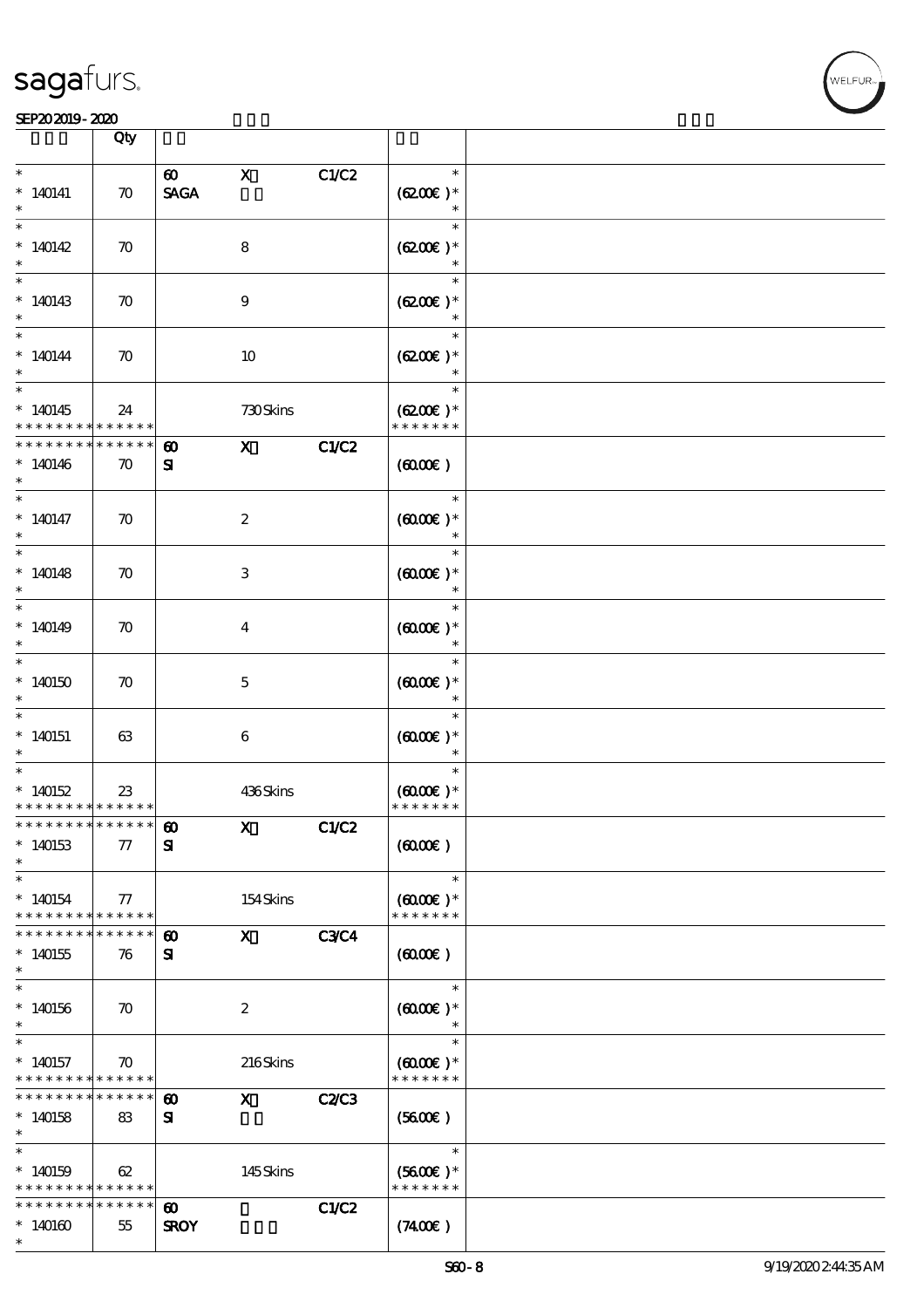#### SEP202019-2020 DEEP202019-2020 DEEP202019-2020 DEEP202019-2020 DEEP202019-2020 DEEP20

|                                                                  | Qty                |                                    |                                                                                                                                                                                                                                                                                                                                                                                                                                                               |              |                                |  |
|------------------------------------------------------------------|--------------------|------------------------------------|---------------------------------------------------------------------------------------------------------------------------------------------------------------------------------------------------------------------------------------------------------------------------------------------------------------------------------------------------------------------------------------------------------------------------------------------------------------|--------------|--------------------------------|--|
| $\ast$                                                           |                    | $\boldsymbol{\omega}$              | $\mathbf X$                                                                                                                                                                                                                                                                                                                                                                                                                                                   | C1/C2        | $\ast$                         |  |
| $*140141$                                                        | $\boldsymbol{\pi}$ | <b>SAGA</b>                        |                                                                                                                                                                                                                                                                                                                                                                                                                                                               |              | $(6200)$ *                     |  |
|                                                                  |                    |                                    |                                                                                                                                                                                                                                                                                                                                                                                                                                                               |              | $\ast$                         |  |
| $\overline{\ast}$                                                |                    |                                    |                                                                                                                                                                                                                                                                                                                                                                                                                                                               |              | $\ast$                         |  |
| $*140142$                                                        | $\boldsymbol{\pi}$ |                                    | 8                                                                                                                                                                                                                                                                                                                                                                                                                                                             |              | $(6200)$ *                     |  |
|                                                                  |                    |                                    |                                                                                                                                                                                                                                                                                                                                                                                                                                                               |              | $\ast$<br>$\ast$               |  |
| $*140143$                                                        | $\boldsymbol{\pi}$ |                                    | 9                                                                                                                                                                                                                                                                                                                                                                                                                                                             |              | $(6200)$ *                     |  |
| $\ast$                                                           |                    |                                    |                                                                                                                                                                                                                                                                                                                                                                                                                                                               |              |                                |  |
| $*$                                                              |                    |                                    |                                                                                                                                                                                                                                                                                                                                                                                                                                                               |              | $\ast$                         |  |
| $*140144$                                                        | $\boldsymbol{\pi}$ |                                    | 10                                                                                                                                                                                                                                                                                                                                                                                                                                                            |              | $(6200)$ *                     |  |
| $\ast$                                                           |                    |                                    |                                                                                                                                                                                                                                                                                                                                                                                                                                                               |              |                                |  |
|                                                                  |                    |                                    |                                                                                                                                                                                                                                                                                                                                                                                                                                                               |              | $\ast$                         |  |
| $*140145$<br>* * * * * * * *                                     | 24<br>$******$     |                                    | 730Skins                                                                                                                                                                                                                                                                                                                                                                                                                                                      |              | $(6200)$ *<br>* * * * * * *    |  |
| * * * * * * * *                                                  | * * * * * *        | $\boldsymbol{\omega}$              | $\mathbf x$                                                                                                                                                                                                                                                                                                                                                                                                                                                   | C1/C2        |                                |  |
| $*140146$                                                        | $\boldsymbol{\pi}$ | ${\bf s}$                          |                                                                                                                                                                                                                                                                                                                                                                                                                                                               |              | (6000)                         |  |
| $*$                                                              |                    |                                    |                                                                                                                                                                                                                                                                                                                                                                                                                                                               |              |                                |  |
|                                                                  |                    |                                    |                                                                                                                                                                                                                                                                                                                                                                                                                                                               |              | $\ast$                         |  |
| $*140147$                                                        | $\boldsymbol{\pi}$ |                                    | $\boldsymbol{2}$                                                                                                                                                                                                                                                                                                                                                                                                                                              |              | $(6000\varepsilon)*$           |  |
| $\ast$                                                           |                    |                                    |                                                                                                                                                                                                                                                                                                                                                                                                                                                               |              | $\ast$                         |  |
|                                                                  |                    |                                    |                                                                                                                                                                                                                                                                                                                                                                                                                                                               |              | $\ast$                         |  |
| $*140148$<br>$\ast$                                              | $\boldsymbol{\pi}$ |                                    | 3                                                                                                                                                                                                                                                                                                                                                                                                                                                             |              | $(6000\varepsilon)*$<br>$\ast$ |  |
|                                                                  |                    |                                    |                                                                                                                                                                                                                                                                                                                                                                                                                                                               |              | $\ast$                         |  |
| $*140149$                                                        | $\boldsymbol{\pi}$ |                                    | $\bf{4}$                                                                                                                                                                                                                                                                                                                                                                                                                                                      |              | $(6000\varepsilon)*$           |  |
| $\ast$                                                           |                    |                                    |                                                                                                                                                                                                                                                                                                                                                                                                                                                               |              | $\ast$                         |  |
|                                                                  |                    |                                    |                                                                                                                                                                                                                                                                                                                                                                                                                                                               |              | $\ast$                         |  |
| $*140150$                                                        | $\boldsymbol{\pi}$ |                                    | $\mathbf{5}$                                                                                                                                                                                                                                                                                                                                                                                                                                                  |              | $(6000\varepsilon)*$           |  |
| $*$                                                              |                    |                                    |                                                                                                                                                                                                                                                                                                                                                                                                                                                               |              | $\ast$                         |  |
| $*140151$                                                        | 63                 |                                    | 6                                                                                                                                                                                                                                                                                                                                                                                                                                                             |              | $(6000\varepsilon)*$           |  |
| $\ast$                                                           |                    |                                    |                                                                                                                                                                                                                                                                                                                                                                                                                                                               |              | $\ast$                         |  |
|                                                                  |                    |                                    |                                                                                                                                                                                                                                                                                                                                                                                                                                                               |              | $\ast$                         |  |
| $*140152$                                                        | 23                 |                                    | 436Skins                                                                                                                                                                                                                                                                                                                                                                                                                                                      |              | $(6000\varepsilon)*$           |  |
| * * * * * * * * <mark>* * * * * * *</mark><br>*************** 10 |                    |                                    |                                                                                                                                                                                                                                                                                                                                                                                                                                                               |              | * * * * * * *                  |  |
| $*140153$                                                        | $\pi$              | ${\bf s}$                          | $\boldsymbol{\mathrm{X}}$ and $\boldsymbol{\mathrm{X}}$ and $\boldsymbol{\mathrm{X}}$ and $\boldsymbol{\mathrm{X}}$ and $\boldsymbol{\mathrm{X}}$ and $\boldsymbol{\mathrm{X}}$ and $\boldsymbol{\mathrm{X}}$ and $\boldsymbol{\mathrm{X}}$ and $\boldsymbol{\mathrm{X}}$ and $\boldsymbol{\mathrm{X}}$ and $\boldsymbol{\mathrm{X}}$ and $\boldsymbol{\mathrm{X}}$ and $\boldsymbol{\mathrm{X}}$ and $\boldsymbol{\mathrm{X}}$ and $\boldsymbol{\mathrm{X}}$ | <b>C1/C2</b> | (6000)                         |  |
| $\ast$                                                           |                    |                                    |                                                                                                                                                                                                                                                                                                                                                                                                                                                               |              |                                |  |
| $\ast$                                                           |                    |                                    |                                                                                                                                                                                                                                                                                                                                                                                                                                                               |              | $\ast$                         |  |
| $*140154$                                                        | 77                 |                                    | 154Skins                                                                                                                                                                                                                                                                                                                                                                                                                                                      |              | $(6000\varepsilon)*$           |  |
| * * * * * * * *                                                  | $* * * * * * *$    |                                    |                                                                                                                                                                                                                                                                                                                                                                                                                                                               |              | * * * * * * *                  |  |
| * * * * * * *                                                    | * * * * *          | $\boldsymbol{\omega}$              | $\mathbf X$ and $\mathbf X$ and $\mathbf X$ and $\mathbf X$ and $\mathbf X$ and $\mathbf X$                                                                                                                                                                                                                                                                                                                                                                   | <b>C3C4</b>  |                                |  |
| $*140155$<br>$\ast$                                              | 76                 | ${\bf s}$                          |                                                                                                                                                                                                                                                                                                                                                                                                                                                               |              | $(6000\varepsilon)$            |  |
| $\ast$                                                           |                    |                                    |                                                                                                                                                                                                                                                                                                                                                                                                                                                               |              | $\ast$                         |  |
| $*140156$                                                        | $\boldsymbol{\pi}$ |                                    | $\boldsymbol{z}$                                                                                                                                                                                                                                                                                                                                                                                                                                              |              | $(6000\varepsilon)*$           |  |
| $\ast$                                                           |                    |                                    |                                                                                                                                                                                                                                                                                                                                                                                                                                                               |              |                                |  |
| $\ast$                                                           |                    |                                    |                                                                                                                                                                                                                                                                                                                                                                                                                                                               |              | $\ast$                         |  |
| $*140157$                                                        | $\boldsymbol{\pi}$ |                                    | 216Skins                                                                                                                                                                                                                                                                                                                                                                                                                                                      |              | $(6000\varepsilon)*$           |  |
| * * * * * * * * <mark>* * * * * *</mark><br>* * * * * * * *      | * * * * * *        |                                    |                                                                                                                                                                                                                                                                                                                                                                                                                                                               |              | * * * * * * *                  |  |
| $*140158$                                                        | 83                 | $\boldsymbol{\omega}$<br>${\bf s}$ | $\mathbf{x}$                                                                                                                                                                                                                                                                                                                                                                                                                                                  | <b>C2/C3</b> | $(5600\varepsilon)$            |  |
| $\ast$                                                           |                    |                                    |                                                                                                                                                                                                                                                                                                                                                                                                                                                               |              |                                |  |
| $\ast$                                                           |                    |                                    |                                                                                                                                                                                                                                                                                                                                                                                                                                                               |              | $\ast$                         |  |
| $*140159$                                                        | 62                 |                                    | 145Skins                                                                                                                                                                                                                                                                                                                                                                                                                                                      |              | $(5600)$ *                     |  |
| * * * * * * * *                                                  | * * * * * *        |                                    |                                                                                                                                                                                                                                                                                                                                                                                                                                                               |              | * * * * * * *                  |  |
| * * * * * * * *                                                  | * * * * * *        | $\boldsymbol{\omega}$              |                                                                                                                                                                                                                                                                                                                                                                                                                                                               | C1/C2        |                                |  |
| $*140160$<br>$\ast$                                              | 55                 | <b>SROY</b>                        |                                                                                                                                                                                                                                                                                                                                                                                                                                                               |              | (7400)                         |  |
|                                                                  |                    |                                    |                                                                                                                                                                                                                                                                                                                                                                                                                                                               |              |                                |  |

 $\overline{\mathbf{r}}$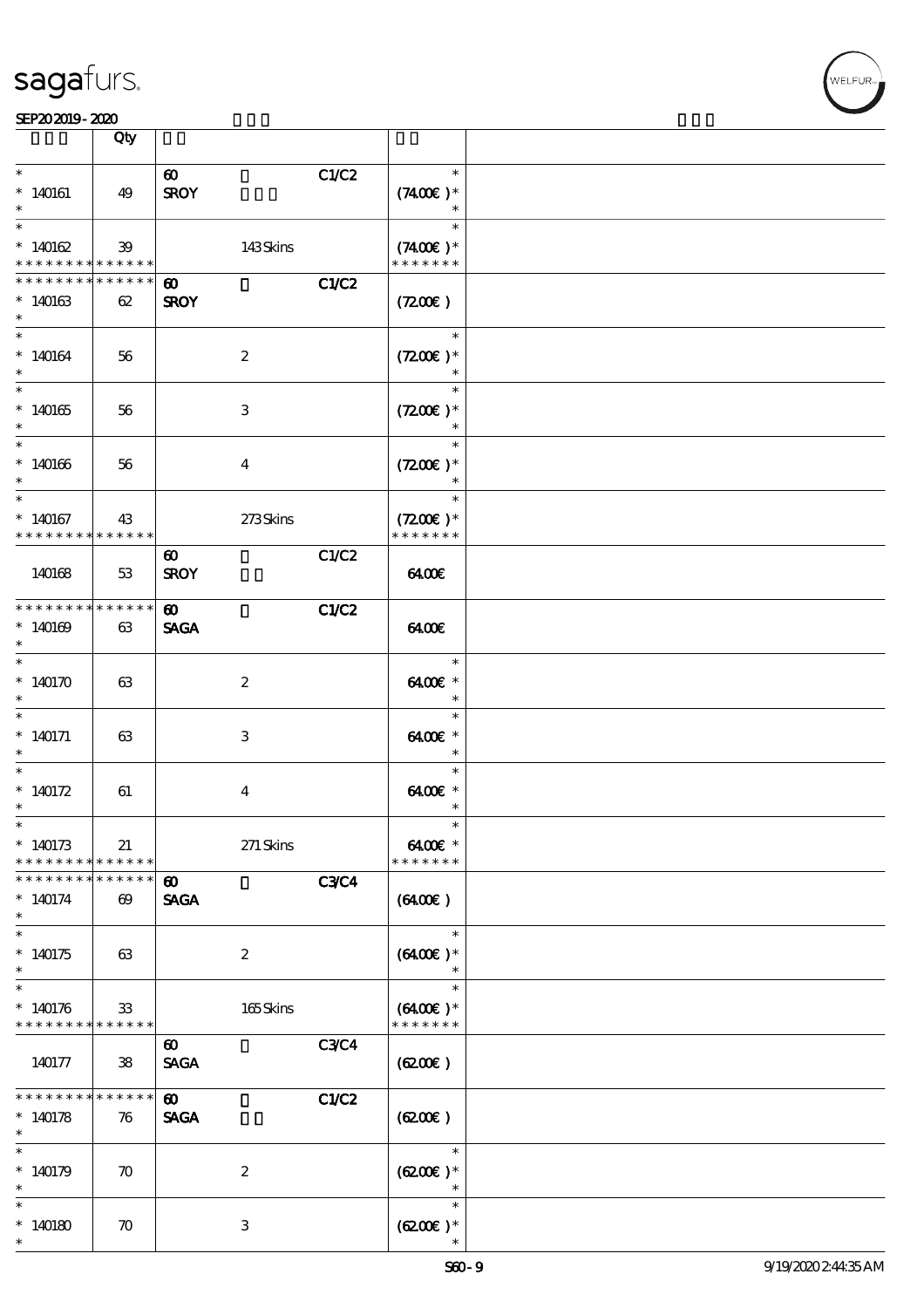|                                                                   | Qty                                  |                                      |             |                                       |  |
|-------------------------------------------------------------------|--------------------------------------|--------------------------------------|-------------|---------------------------------------|--|
| $\ast$<br>$*140161$                                               | 49                                   | $\boldsymbol{\omega}$<br><b>SROY</b> | C1/C2       | $\ast$<br>$(7400)$ *<br>$\ast$        |  |
| $\overline{\ast}$<br>$*140162$<br>* * * * * * * *                 | 39<br>******                         | 143Skins                             |             | $\ast$<br>$(7400)$ *<br>* * * * * * * |  |
| * * * * * * * *<br>$*140163$<br>$\ast$                            | * * * * * *<br>62                    | $\boldsymbol{\omega}$<br><b>SROY</b> | C1/C2       | $(7200\varepsilon)$                   |  |
| $\ast$<br>$*140164$<br>$\ast$                                     | 56                                   | $\boldsymbol{2}$                     |             | $\ast$<br>$(7200)$ *                  |  |
| $*140165$<br>$\ast$                                               | 56                                   | 3                                    |             | $\ast$<br>$(7200)$ *<br>$\ast$        |  |
| $\ast$<br>$*140166$<br>$\ast$                                     | 56                                   | $\overline{\mathbf{4}}$              |             | $\ast$<br>$(7200)$ *<br>$\ast$        |  |
| $\ast$<br>$*140167$<br>* * * * * * * *                            | 43<br>* * * * * *                    | 273Skins                             |             | $\ast$<br>$(7200)$ *<br>* * * * * * * |  |
| 140168                                                            | 53                                   | $\boldsymbol{\omega}$<br><b>SROY</b> | C1/C2       | 6400€                                 |  |
| * * * * * * * * * * * * * * <mark>*</mark><br>$*140169$<br>$\ast$ | 63                                   | $\boldsymbol{\omega}$<br><b>SAGA</b> | C1/C2       | 6400                                  |  |
| $\ast$<br>* $140170$<br>$\ast$                                    | 63                                   | $\boldsymbol{2}$                     |             | $\ast$<br>6400€ *<br>$\ast$           |  |
| $\ast$<br>$*140171$                                               | 63                                   | 3                                    |             | $\ast$<br>6400€ *<br>$\ast$           |  |
| $\ast$<br>$*140172$<br>$^{\ast}$                                  | 61                                   | $\bf{4}$                             |             | $\ast$<br>$6400E$ *<br>$\ast$         |  |
| $\ast$<br>$*140173$<br>* * * * * * * *                            | 21<br>******                         | $271$ Skins                          |             | $\ast$<br>6400€ *<br>* * * * * * *    |  |
| * * * * * * * *<br>$*140174$<br>$\ast$                            | * * * * * *<br>$\boldsymbol{\omega}$ | $\boldsymbol{\omega}$<br><b>SAGA</b> | <b>C3C4</b> | $(6400\varepsilon)$                   |  |
| $\overline{\ast}$<br>$*140175$<br>$\ast$                          | 63                                   | $\boldsymbol{2}$                     |             | $\ast$<br>$(6400)$ *<br>$\ast$        |  |
| $\ast$<br>$*140176$<br>* * * * * * * * <mark>* * * * * *</mark>   | 33                                   | $165$ Skins                          |             | $\ast$<br>$(6400E)*$<br>* * * * * * * |  |
| 140177                                                            | 38                                   | $\boldsymbol{\omega}$<br><b>SAGA</b> | <b>C3C4</b> | (620)                                 |  |
| * * * * * * * *<br>$*140178$<br>$\ast$                            | * * * * * *<br>76                    | $\boldsymbol{\omega}$<br><b>SAGA</b> | C1/C2       | (6200)                                |  |
| $\ast$<br>$*140179$                                               | $\boldsymbol{\pi}$                   | $\boldsymbol{2}$                     |             | $\ast$<br>$(6200)$ *<br>$\ast$        |  |
| $\ast$<br>$*140180$<br>$\ast$                                     | $\boldsymbol{\pi}$                   | 3                                    |             | $\ast$<br>$(6200)$ *                  |  |

т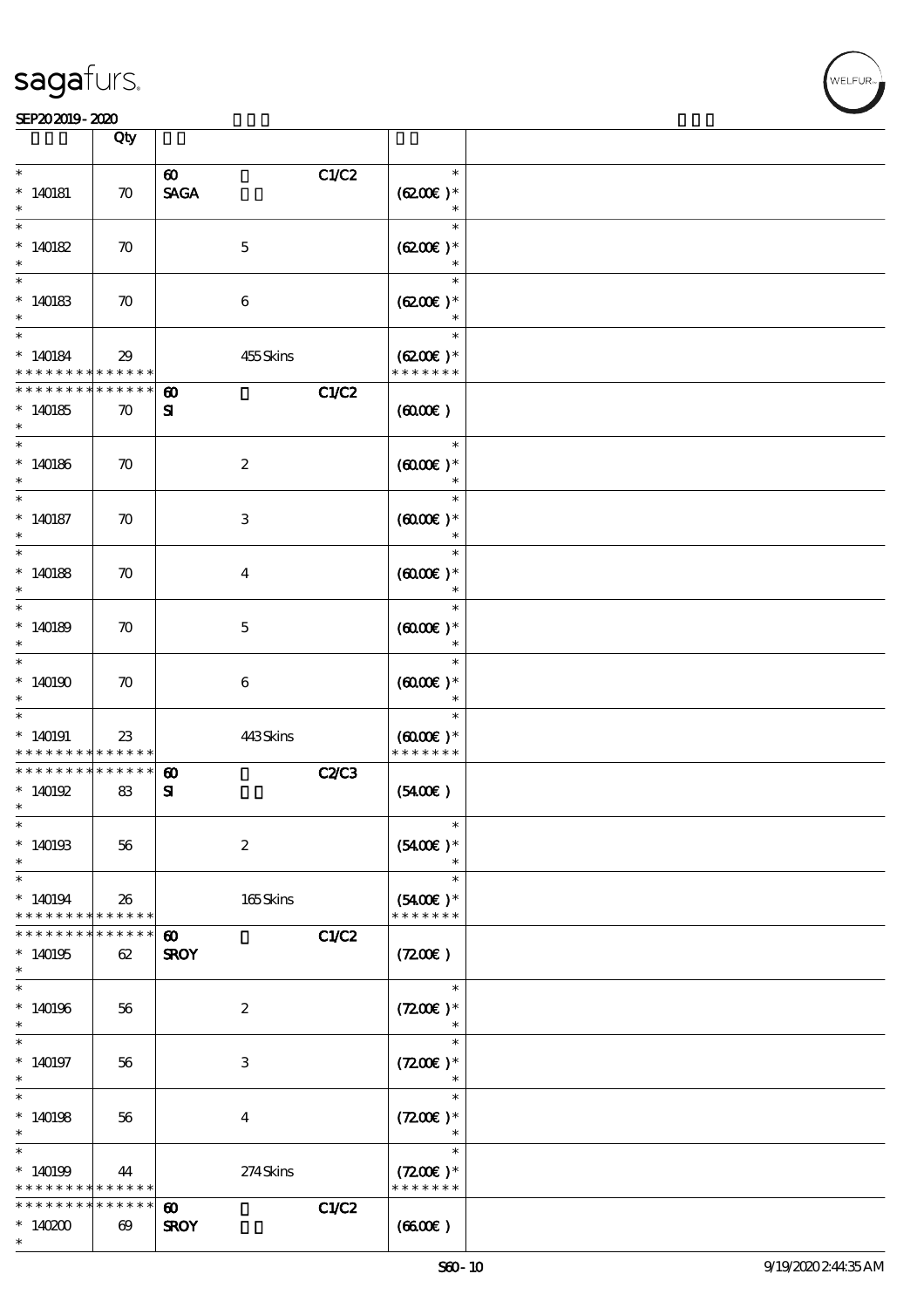

|                                        | Qty                                  |                                                                  |                                                 |  |
|----------------------------------------|--------------------------------------|------------------------------------------------------------------|-------------------------------------------------|--|
| $\ast$<br>$*140181$<br>$\ast$          | $\boldsymbol{\pi}$                   | C1/C2<br>$\boldsymbol{\omega}$<br>$\operatorname{\mathsf{SAGA}}$ | $\ast$<br>$(6200)$ *<br>$\ast$                  |  |
| $\ast$<br>$*140182$<br>$\ast$          | $\boldsymbol{\pi}$                   | $\mathbf 5$                                                      | $\ast$<br>$(6200)$ *<br>$\ast$                  |  |
| $\ast$<br>$*140183$<br>$\ast$          | $\boldsymbol{\pi}$                   | $\boldsymbol{6}$                                                 | $\ast$<br>$(6200)$ *                            |  |
| $\ast$<br>$*140184$<br>* * * * * * * * | 29<br>* * * * * *                    | 455Skins                                                         | $\ast$<br>$(6200)$ *<br>* * * * * * *           |  |
| * * * * * * * *<br>$*140185$<br>$\ast$ | * * * * * *<br>$\boldsymbol{\pi}$    | C1/C2<br>$\boldsymbol{\omega}$<br>${\bf s}$                      | (6000)                                          |  |
| $\ast$<br>$*140186$<br>$\ast$          | $\boldsymbol{\pi}$                   | $\boldsymbol{2}$                                                 | $\ast$<br>$(6000\varepsilon)*$<br>$\ast$        |  |
| $\ast$<br>$*140187$<br>$\ast$          | $\boldsymbol{\pi}$                   | $\ensuremath{\mathbf{3}}$                                        | $\ast$<br>$(0,000)$ *<br>$\ast$                 |  |
| $\ast$<br>$*140188$<br>$\ast$          | $\boldsymbol{\pi}$                   | $\boldsymbol{4}$                                                 | $\ast$<br>$(6000\varepsilon)*$<br>$\ast$        |  |
| $\ast$<br>$*140189$<br>$\ast$          | $\boldsymbol{\pi}$                   | $\mathbf 5$                                                      | $\ast$<br>$(6000)$ *<br>$\ast$                  |  |
| $\ast$<br>$*140190$<br>$\ast$          | $\boldsymbol{\pi}$                   | 6                                                                | $\ast$<br>$(6000)$ *                            |  |
| $*140191$<br>* * * * * * * *           | 23<br>* * * * * *                    | 443Skins                                                         | $\ast$<br>$(6000\varepsilon)*$<br>* * * * * * * |  |
| * * * * * * * *<br>$*140192$<br>$\ast$ | * * * * * *<br>83                    | C2C3<br>$\boldsymbol{\omega}$<br>${\bf s}$                       | (5400)                                          |  |
| $*$<br>$*140193$<br>$\ast$             | 56                                   | $\boldsymbol{2}$                                                 | $\ast$<br>$(5400)$ *                            |  |
| $\ast$<br>$*140194$<br>* * * * * * * * | 26<br>* * * * * *                    | 165Skins                                                         | $\ast$<br>$(5400)$ *<br>* * * * * * *           |  |
| * * * * * * *<br>$*140195$<br>$\ast$   | * * * * * *<br>62                    | C1/C2<br>$\boldsymbol{\omega}$<br><b>SROY</b>                    | (7200)                                          |  |
| $\ast$<br>$*140196$<br>$\ast$          | 56                                   | $\boldsymbol{2}$                                                 | $\ast$<br>$(7200)$ *                            |  |
| $*140197$<br>$\ast$                    | 56                                   | 3                                                                | $\ast$<br>$(7200)$ *<br>$\ast$                  |  |
| $\ast$<br>$*140198$<br>$\ast$          | 56                                   | $\bf{4}$                                                         | $\ast$<br>$(7200)$ *<br>$\ast$                  |  |
| $\ast$<br>$*140199$<br>* * * * * * * * | 44<br>* * * * * *                    | 274Skins                                                         | $\ast$<br>$(7200)$ *<br>* * * * * * *           |  |
| * * * * * * *<br>$*140200$<br>$\ast$   | * * * * * *<br>$\boldsymbol{\omega}$ | C1/C2<br>$\boldsymbol{\omega}$<br><b>SROY</b>                    | (660)                                           |  |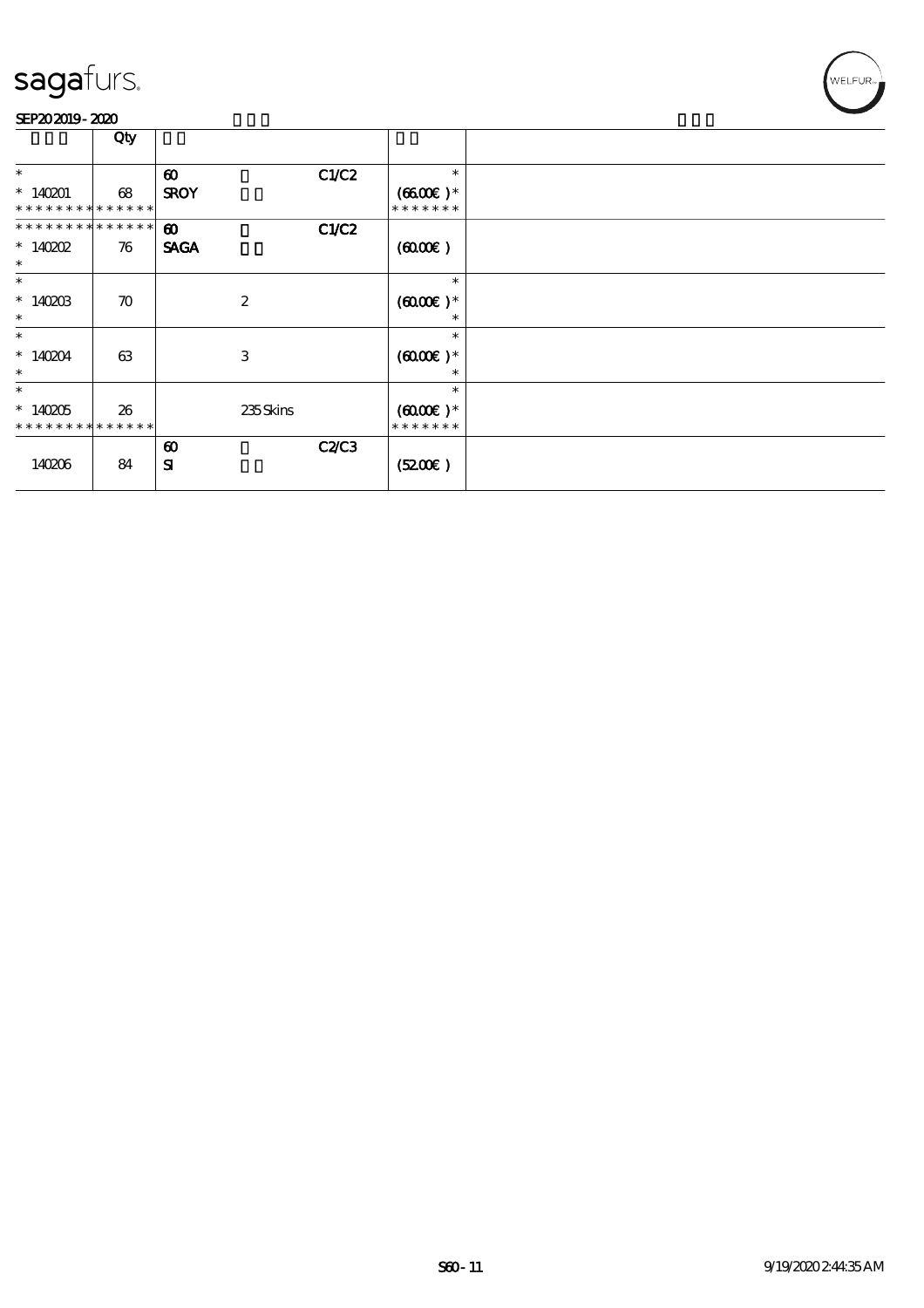

|                                                    | Qty                |                                      |       |                                                 |  |
|----------------------------------------------------|--------------------|--------------------------------------|-------|-------------------------------------------------|--|
| $\ast$                                             |                    | $\boldsymbol{\omega}$                | C1/C2 | $\ast$                                          |  |
| $*140201$<br>* * *                                 | 68<br>* * * * * *  | <b>SROY</b>                          |       | $(6600)$ *<br>* * * * * * *                     |  |
| * * * * * * * * * * * * * *<br>$*140002$<br>$\ast$ | 76                 | $\boldsymbol{\omega}$<br><b>SAGA</b> | C1/C2 | (6000)                                          |  |
| $\ast$<br>$*1400B$<br>$\ast$                       | $\boldsymbol{\pi}$ | $\boldsymbol{2}$                     |       | $\ast$<br>$(6000\varepsilon)*$<br>$\ast$        |  |
| $\ast$<br>$*140204$<br>$\ast$                      | 63                 | 3                                    |       | $\ast$<br>$(6000\varepsilon)*$<br>$\ast$        |  |
| $\ast$<br>$*140205$<br>* * * * * * * *             | 26<br>* * * * * *  | 235Skins                             |       | $\ast$<br>$(6000\varepsilon)*$<br>* * * * * * * |  |
| 140206                                             | 84                 | $\boldsymbol{\omega}$<br>${\bf s}$   | C2C3  | (5200)                                          |  |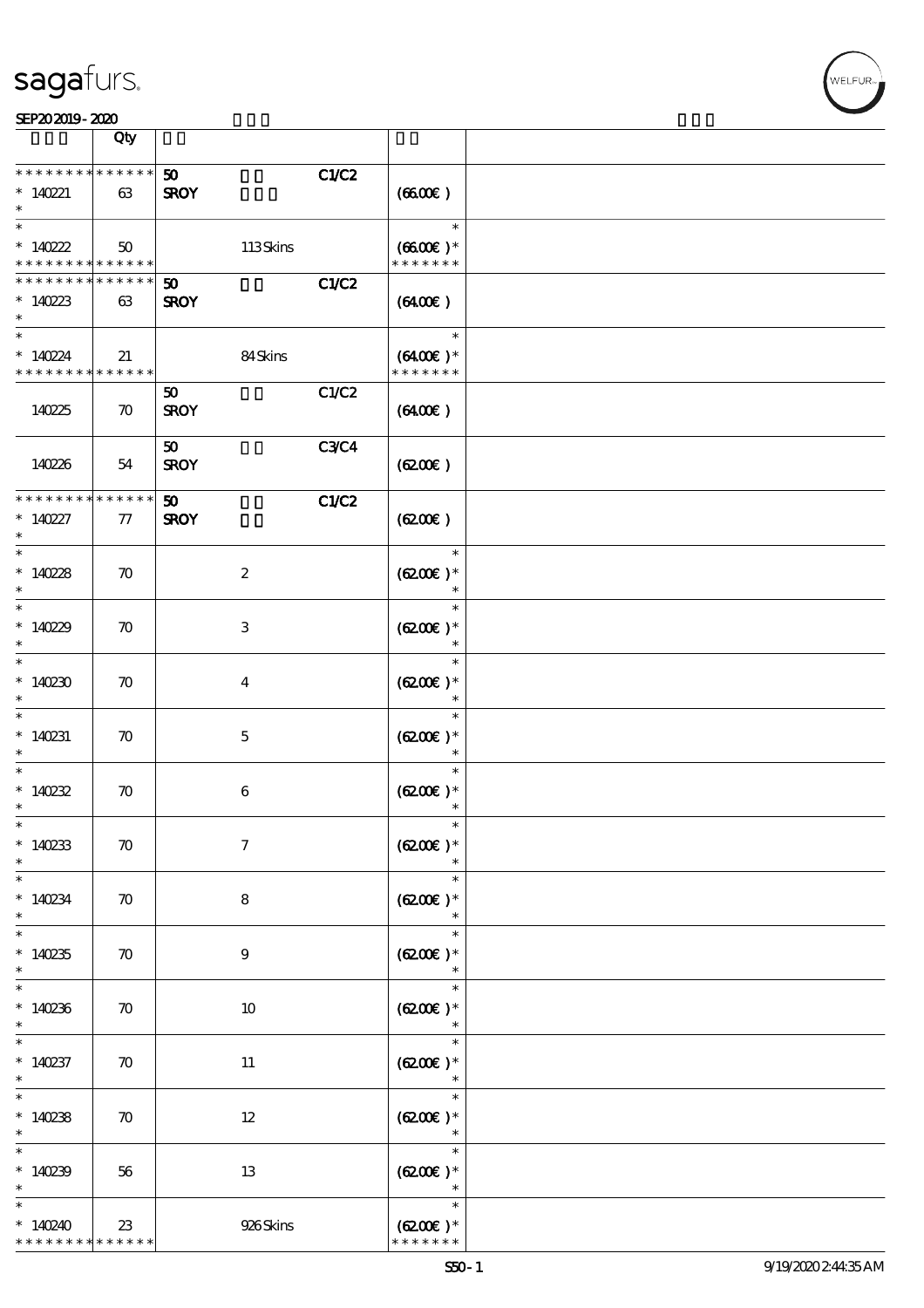

|                                                                 | Qty                |                                                     |                                       |  |
|-----------------------------------------------------------------|--------------------|-----------------------------------------------------|---------------------------------------|--|
| * * * * * * * * * * * * * *<br>$*140221$<br>$\ast$              | 63                 | C1/C2<br>50 <sub>1</sub><br><b>SROY</b>             | (6600)                                |  |
| $\ast$<br>$*140222$<br>* * * * * * * * <mark>* * * * * *</mark> | 50                 | 113Skins                                            | $\ast$<br>$(6600E)*$<br>* * * * * * * |  |
| * * * * * * * *<br>$*140223$<br>$\ast$                          | * * * * * *<br>63  | C1/C2<br>$\boldsymbol{\mathfrak{D}}$<br><b>SROY</b> | (6400E)                               |  |
| $\ast$<br>$*140224$<br>* * * * * * * * * * * * * *              | 21                 | 84Skins                                             | $\ast$<br>$(6400)$ *<br>* * * * * * * |  |
| 140225                                                          | $\boldsymbol{\pi}$ | C1/C2<br>50<br><b>SROY</b>                          | (6400)                                |  |
| 140226                                                          | 54                 | <b>C3C4</b><br>50<br><b>SROY</b>                    | (6200)                                |  |
| * * * * * * * * * * * * * *<br>$* 140227$<br>$\ast$             | 77                 | C1/C2<br>50 <sub>1</sub><br><b>SROY</b>             | (6200)                                |  |
| $\ast$<br>$*14028$<br>$\ast$                                    | $\boldsymbol{\pi}$ | $\boldsymbol{2}$                                    | $\ast$<br>$(6200)$ *<br>$\ast$        |  |
| $\ast$<br>$*14029$<br>$\ast$                                    | $\boldsymbol{\pi}$ | 3                                                   | $\ast$<br>$(6200)$ *<br>$\ast$        |  |
| $\ast$<br>$*140230$<br>$\ast$                                   | $\boldsymbol{\pi}$ | 4                                                   | $\ast$<br>$(6200)$ *                  |  |
| $\ast$<br>$*140231$<br>$\ast$                                   | $\boldsymbol{\pi}$ | $\mathbf 5$                                         | $\ast$<br>$(6200)$ *<br>$\ast$        |  |
| $\ast$<br>$*140232$<br>$\ast$                                   | $\boldsymbol{\pi}$ | $\boldsymbol{6}$                                    | $\ast$<br>$(6200)$ *<br>$\ast$        |  |
| $*$<br>$*140233$<br>$\ast$                                      | $\boldsymbol{\pi}$ | $\boldsymbol{\tau}$                                 | $\ast$<br>$(6200)$ *                  |  |
| $\ast$<br>$*140234$<br>$\ast$                                   | $\boldsymbol{\pi}$ | 8                                                   | $\ast$<br>$(6200\text{E})*$<br>$\ast$ |  |
| $\ast$<br>$*140235$<br>$\ast$                                   | $\boldsymbol{\pi}$ | $\boldsymbol{9}$                                    | $\ast$<br>$(6200)$ *<br>$\ast$        |  |
| $\ast$<br>$*140236$<br>$\ast$                                   | $\boldsymbol{\pi}$ | 10                                                  | $\ast$<br>$(6200)$ *                  |  |
| $\overline{\ast}$<br>$*140237$<br>$\ast$                        | $\boldsymbol{\pi}$ | 11                                                  | $\ast$<br>$(6200)$ *<br>$\ast$        |  |
| $\overline{\phantom{0}}$<br>$*140238$<br>$\ast$                 | $\boldsymbol{\pi}$ | 12                                                  | $\ast$<br>$(6200)$ *<br>$\ast$        |  |
| $\ast$<br>$*140239$<br>$\ast$                                   | 56                 | 13                                                  | $\ast$<br>$(6200)$ *<br>$\ast$        |  |
| $\ast$<br>$*140240$<br>* * * * * * * *                          | 23<br>* * * * * *  | 926Skins                                            | $\ast$<br>$(6200)$ *<br>* * * * * * * |  |

WELFUR-<br>NELFUR-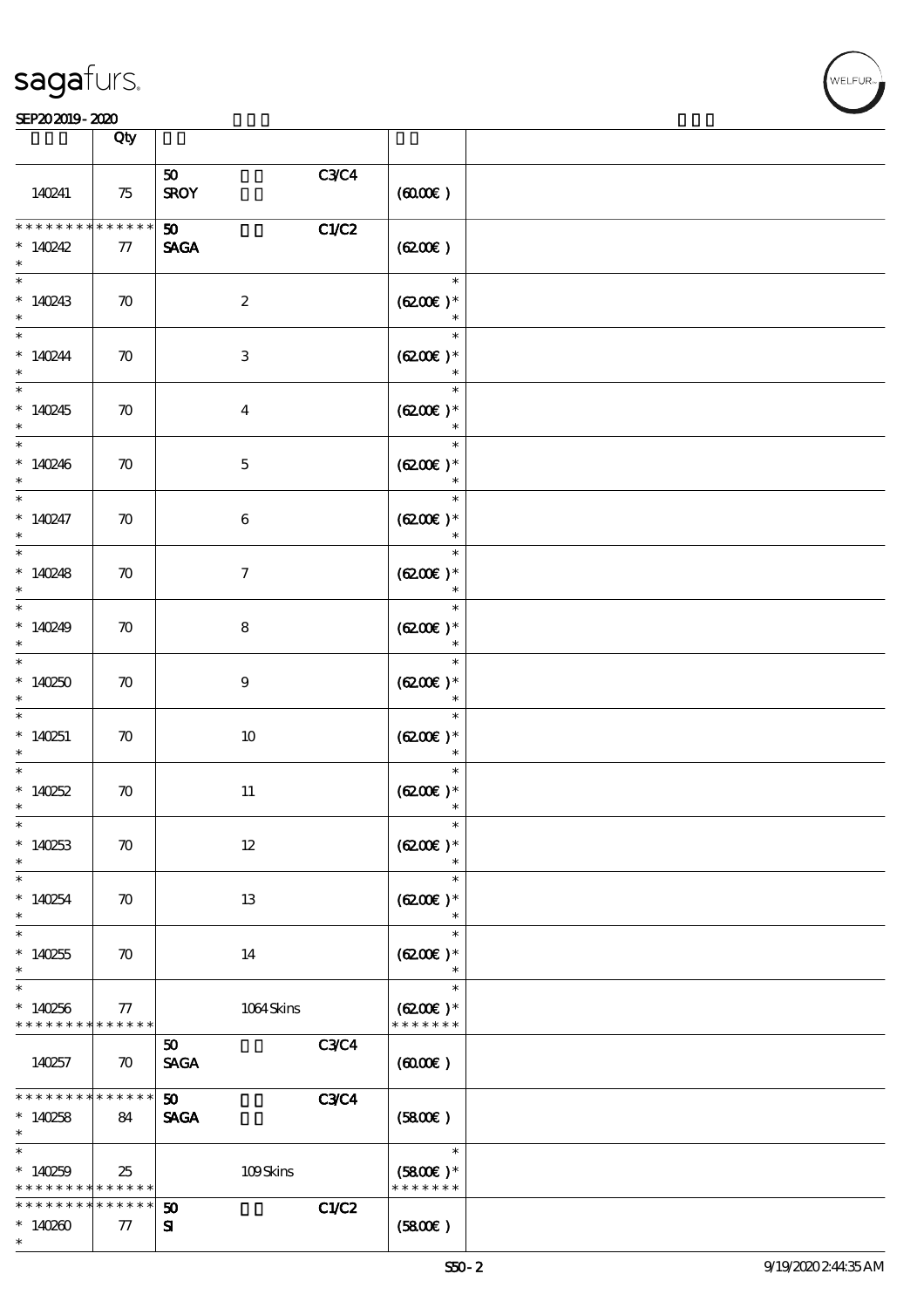| sagafurs. |  |
|-----------|--|
|           |  |

#### $S$ EP20 2019 - 2020  $\overline{)}$  Oby  $\overline{)}$

|                                                    | Qty                |                                |              |                                       |  |
|----------------------------------------------------|--------------------|--------------------------------|--------------|---------------------------------------|--|
|                                                    |                    | 50                             |              |                                       |  |
| 140241                                             | 75                 | <b>SROY</b>                    | C3C4         | (6000)                                |  |
| * * * * * * *<br>$*140242$<br>$\ast$               | * * * * * *<br>77  | 50 <sub>2</sub><br><b>SAGA</b> | C1/C2        | (6200)                                |  |
| $\ast$<br>$*140243$<br>$\ast$                      | $\boldsymbol{\pi}$ | $\boldsymbol{2}$               |              | $\ast$<br>$(6200)$ *<br>$\ast$        |  |
| $\ast$<br>$*140244$<br>$\ast$                      | $\boldsymbol{\pi}$ | $\,3\,$                        |              | $\ast$<br>$(6200)$ *<br>$\ast$        |  |
| $\ast$<br>$*140245$<br>$\ast$                      | $\boldsymbol{\pi}$ | $\boldsymbol{4}$               |              | $\ast$<br>$(6200)$ *<br>$\ast$        |  |
| $\ast$<br>$*140246$<br>$\ast$                      | $\boldsymbol{\pi}$ | $\mathbf 5$                    |              | $\ast$<br>$(6200)$ *                  |  |
| $\ast$<br>$*140247$<br>$\ast$                      | $\boldsymbol{\pi}$ | $\bf 6$                        |              | $\ast$<br>$(6200)$ *<br>$\ast$        |  |
| $\ast$<br>$*140248$<br>$\ast$                      | $\boldsymbol{\pi}$ | $\boldsymbol{7}$               |              | $\ast$<br>$(6200)$ *<br>$\ast$        |  |
| $\ast$<br>$*140249$<br>$\ast$                      | $\boldsymbol{\pi}$ | $\bf 8$                        |              | $\ast$<br>$(6200)$ *<br>$\ast$        |  |
| $\ast$<br>$*140250$<br>$\ast$                      | $\boldsymbol{\pi}$ | $\boldsymbol{9}$               |              | $\ast$<br>$(6200)$ *<br>$\ast$        |  |
| $\ast$<br>$*140251$                                | $\boldsymbol{\pi}$ | 10                             |              | $\ast$<br>$(6200)$ *<br>$\ast$        |  |
| $\ast$<br>$*140252$<br>$\ast$                      | $\boldsymbol{\pi}$ | 11                             |              | $\ast$<br>$(6200)$ *                  |  |
| $\ast$<br>$*140253$<br>$\ast$                      | $\boldsymbol{\pi}$ | $12\,$                         |              | $(6200)$ *                            |  |
| $\ast$<br>$*140254$<br>$\ast$                      | $\boldsymbol{\pi}$ | 13                             |              | $\ast$<br>$(6200)$ *<br>$\ast$        |  |
| $\ast$<br>$*140255$<br>$\ast$                      | $\boldsymbol{\pi}$ | 14                             |              | $\ast$<br>$(6200)$ *<br>$\ast$        |  |
| $\ast$<br>$*140256$<br>* * * * * * * *             | 77<br>* * * * * *  | $1064$ Skins                   |              | $\ast$<br>$(6200)$ *<br>* * * * * * * |  |
| 140257                                             | $\boldsymbol{\pi}$ | $50^{\circ}$<br><b>SAGA</b>    | <b>C3C4</b>  | (6000)                                |  |
| * * * * * * * *<br>$*140258$<br>$\ast$             | * * * * * *<br>84  | 50<br><b>SAGA</b>              | <b>C3C4</b>  | (5800)                                |  |
| $\ast$<br>$*140259$<br>* * * * * * * * * * * * * * | 25                 | 109Skins                       |              | $\ast$<br>$(5800)$ *<br>* * * * * * * |  |
| * * * * * * * *<br>$*140200$<br>$\ast$             | * * * * * *<br>77  | 50<br>${\bf s}$                | <b>C1/C2</b> | (5800)                                |  |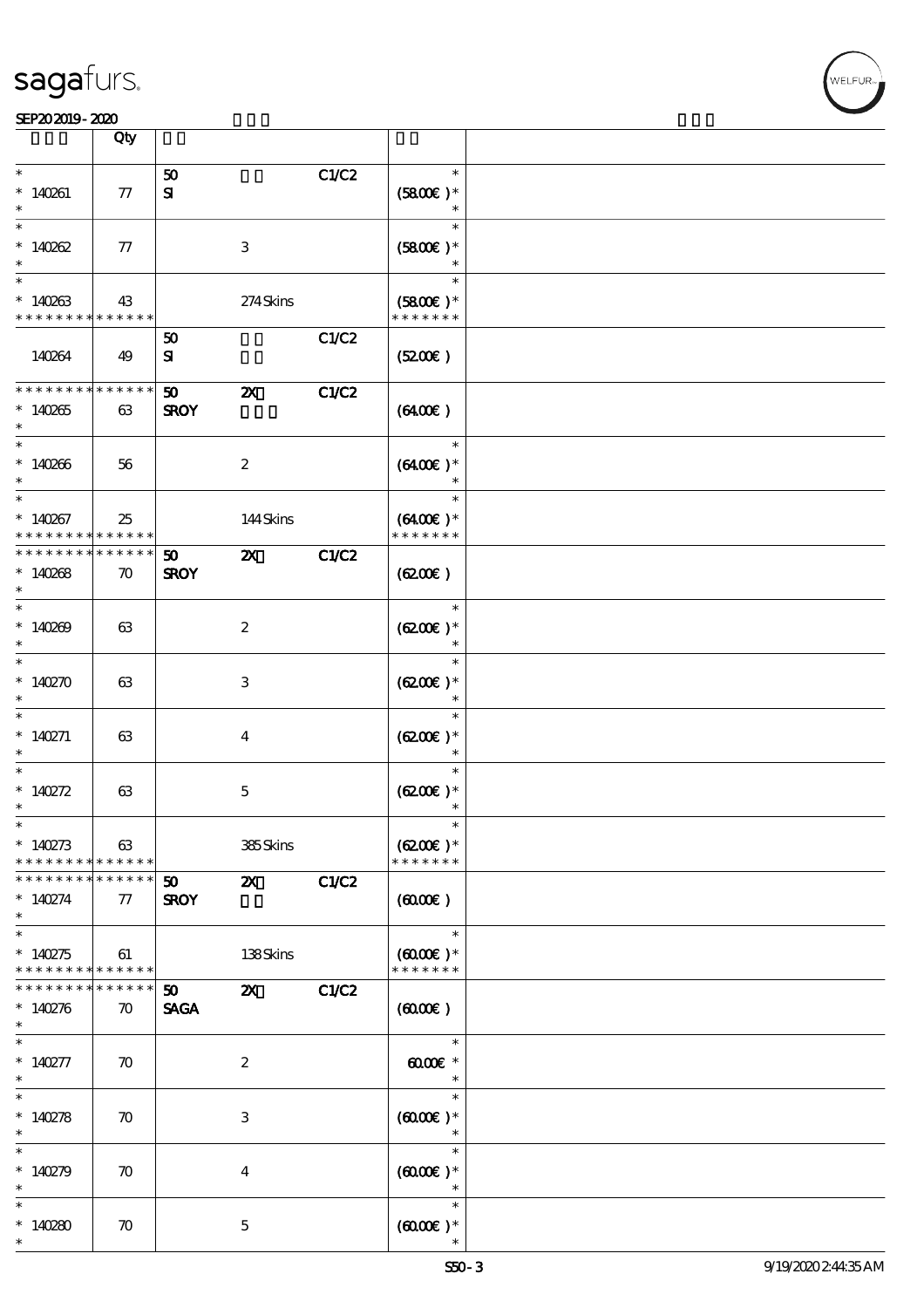|                                                   | Qty                                   |                                |                           |       |                                              |  |
|---------------------------------------------------|---------------------------------------|--------------------------------|---------------------------|-------|----------------------------------------------|--|
| $\ast$<br>$*140261$                               | 77                                    | 50<br>${\bf s}$                |                           | C1/C2 | $\ast$<br>$(5800)$ *                         |  |
| $\ast$<br>$*140262$                               | 77                                    |                                | 3                         |       | $\ast$<br>$(5800\epsilon)*$                  |  |
| $\overline{\ast}$<br>$*140263$<br>* * * * * * * * | 43<br>* * * * * *                     |                                | 274Skins                  |       | $\ast$<br>$(5800)$ *<br>* * * * * * *        |  |
| 140264                                            | 49                                    | 50<br>${\bf s}$                |                           | C1/C2 | (520)                                        |  |
| * * * * * * * *<br>$*140265$<br>$\ast$            | $* * * * * * *$<br>63                 | 50<br><b>SROY</b>              | $\boldsymbol{\mathsf{Z}}$ | C1/C2 | (6400)                                       |  |
| $\ast$<br>$*140266$<br>$*$                        | 56                                    |                                | $\boldsymbol{z}$          |       | $\ast$<br>$(6400)$ *<br>$\ast$               |  |
| $\ast$<br>$*140267$<br>* * * * * * * *            | 25<br>* * * * * *                     |                                | 144Skins                  |       | $\ast$<br>$(6400)$ *<br>* * * * * * *        |  |
| * * * * * * * *<br>$*14088$<br>$\ast$             | $* * * * * * *$<br>$\boldsymbol{\pi}$ | 50 <sub>2</sub><br><b>SROY</b> | $\boldsymbol{\mathsf{z}}$ | C1/C2 | $(6200\varepsilon)$                          |  |
| $\overline{\phantom{0}}$<br>$*140209$<br>$\ast$   | 63                                    |                                | $\boldsymbol{2}$          |       | $\ast$<br>$(6200)$ *<br>$\ast$               |  |
| $\ast$<br>$*140270$<br>$\ast$                     | 63                                    |                                | 3                         |       | $(6200)$ *                                   |  |
| $\ast$<br>* $140271$<br>$\ast$                    | 63                                    |                                | $\overline{4}$            |       | $\ast$<br>$(6200\text{E})*$<br>$\ast$        |  |
| $\ast$<br>* $140272$<br>$\ast$                    | 63                                    |                                | $\mathbf 5$               |       | $\ast$<br>$(6200)$ *<br>$\ast$               |  |
| $\ast$<br>* $140273$<br>* * * * * * * *           | 63<br>* * * * * *                     |                                | 385Skins                  |       | $\ast$<br>$(6200)$ *<br>* * * * * * *        |  |
| * * * * * * * *<br>$* 140274$<br>$\ast$           | * * * * * *<br>$\tau$                 | 50<br><b>SROY</b>              | $\boldsymbol{\mathsf{X}}$ | C1/C2 | $(6000\varepsilon)$                          |  |
| $*$<br>$*140275$<br>* * * * * * * *               | 61<br>* * * * * *                     |                                | 138Skins                  |       | $\ast$<br>$(6000\text{E})*$<br>* * * * * * * |  |
| * * * * * * * *<br>$*140276$<br>$\ast$            | * * * * * *<br>$\boldsymbol{\pi}$     | 50<br><b>SAGA</b>              | $\boldsymbol{\mathsf{Z}}$ | C1/C2 | $(6000\varepsilon)$                          |  |
| $* 140277$<br>$*$                                 | $\boldsymbol{\pi}$                    |                                | $\boldsymbol{z}$          |       | $\ast$<br>$\omega$ $\alpha$<br>$\ast$        |  |
| $*$<br>* $140278$<br>$\ast$                       | $\boldsymbol{\pi}$                    |                                | 3                         |       | $\ast$<br>$(6000\varepsilon)*$<br>$\ast$     |  |
| $\ast$<br>* $140279$<br>$\ast$                    | $\boldsymbol{\pi}$                    |                                | 4                         |       | $\ast$<br>$(6000\varepsilon)*$<br>$\ast$     |  |
| $\ast$<br>* $140280$<br>$\ast$                    | $\boldsymbol{\pi}$                    |                                | $\mathbf{5}$              |       | $\ast$<br>$(6000\varepsilon)*$               |  |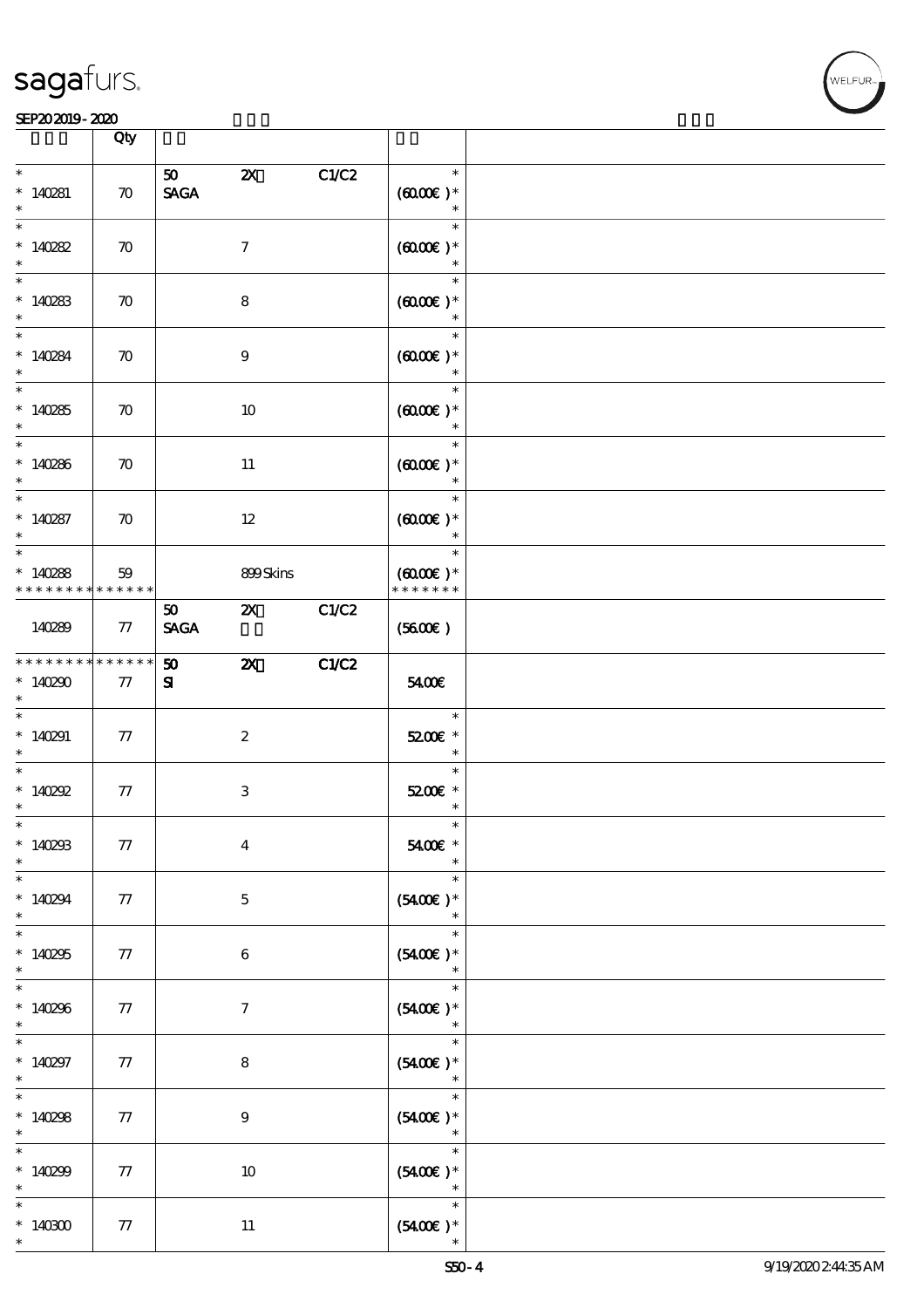#### SEP202019-2020 DEEP202019-2020 DEEP202019-2020 DEEP202019-2020 DEEP202019-2020 DEEP20

|                                                      | Qty                   |                                |                           |       |                                               |  |
|------------------------------------------------------|-----------------------|--------------------------------|---------------------------|-------|-----------------------------------------------|--|
| $\ast$<br>$*140281$<br>$\ast$                        | $\boldsymbol{\pi}$    | 50<br><b>SAGA</b>              | $\boldsymbol{\mathsf{Z}}$ | C1/C2 | $\ast$<br>$(6000)$ *<br>$\ast$                |  |
| $\ast$<br>$*140282$<br>$\ast$                        | $\boldsymbol{\pi}$    |                                | $\tau$                    |       | $\ast$<br>$(0,0000)$ *<br>$\ast$              |  |
| $*140283$<br>$\ast$                                  | $\boldsymbol{\pi}$    |                                | 8                         |       | $\ast$<br>$(6000\varepsilon)*$                |  |
| $\overline{\ast}$<br>$*140284$<br>$\ast$             | $\boldsymbol{\pi}$    |                                | 9                         |       | $\ast$<br>$(6000\varepsilon)*$                |  |
| $\overline{\ast}$<br>$*140285$<br>$\ast$             | $\boldsymbol{\pi}$    |                                | 10                        |       | $\ast$<br>$(0,000)$ *<br>$\ast$               |  |
| $*140286$<br>$\ast$                                  | $\boldsymbol{\pi}$    |                                | 11                        |       | $\ast$<br>$(6000\varepsilon)*$<br>$\ast$      |  |
| $\ast$<br>$* 140287$<br>$\ast$                       | $\boldsymbol{\pi}$    |                                | $12\,$                    |       | $\ast$<br>$(6000\varepsilon)*$<br>$\ast$      |  |
| $\ast$<br>$*140288$<br>* * * * * * * * * * * * * * * | 59                    |                                | 899Skins                  |       | $\ast$<br>$(0,000)$ *<br>* * * * * * *        |  |
| 140289                                               | 77                    | 50 <sub>2</sub><br><b>SAGA</b> | $\mathbf{X}$              | C1/C2 | (5600)                                        |  |
| * * * * * * * *<br>$*140290$<br>$\ast$               | $* * * * * * *$<br>77 | 50<br>${\bf s}$                | $\boldsymbol{\mathsf{z}}$ | C1/C2 | 5400€                                         |  |
| $*$<br>$*140291$<br>$\ast$                           | $\tau$                |                                | $\boldsymbol{z}$          |       | $\ast$<br>5200E *<br>$\overline{\phantom{a}}$ |  |
| $\ast$<br>$*140292$<br>$\ast$                        | 77                    |                                | $\ensuremath{\mathsf{3}}$ |       | $\ast$<br>5200E *<br>$\ast$                   |  |
| $*$<br>$*140293$<br>$\ast$                           | ${\bf 77}$            |                                | $\boldsymbol{4}$          |       | $\ast$<br>5400€ *                             |  |
| $\ast$<br>$*140294$<br>$\ast$                        | 77                    |                                | $\mathbf{5}$              |       | $\ast$<br>$(5400E)*$<br>$\ast$                |  |
| $\overline{\ast}$<br>$*140295$<br>$\ast$             | 77                    |                                | $\boldsymbol{6}$          |       | $\ast$<br>$(5400)$ *<br>$\ast$                |  |
| $\ast$<br>$*140296$<br>$\ast$                        | 77                    |                                | $\tau$                    |       | $\ast$<br>$(5400\text{E})*$                   |  |
| $\ast$<br>$*140297$<br>$\ast$                        | 77                    |                                | $\bf8$                    |       | $\ast$<br>$(5400\epsilon)*$<br>$\ast$         |  |
| $\overline{\ast}$<br>* $140298$<br>$\ast$            | 77                    |                                | $\boldsymbol{9}$          |       | $\ast$<br>$(5400\epsilon)*$<br>$\ast$         |  |
| $\ast$<br>$*140299$<br>$\ast$                        | 77                    |                                | $10\,$                    |       | $\ast$<br>$(5400\varepsilon)*$<br>$\ast$      |  |
| $\ast$<br>$*140300$<br>$\ast$                        | 77                    |                                | $11\,$                    |       | $\ast$<br>$(5400\varepsilon)*$                |  |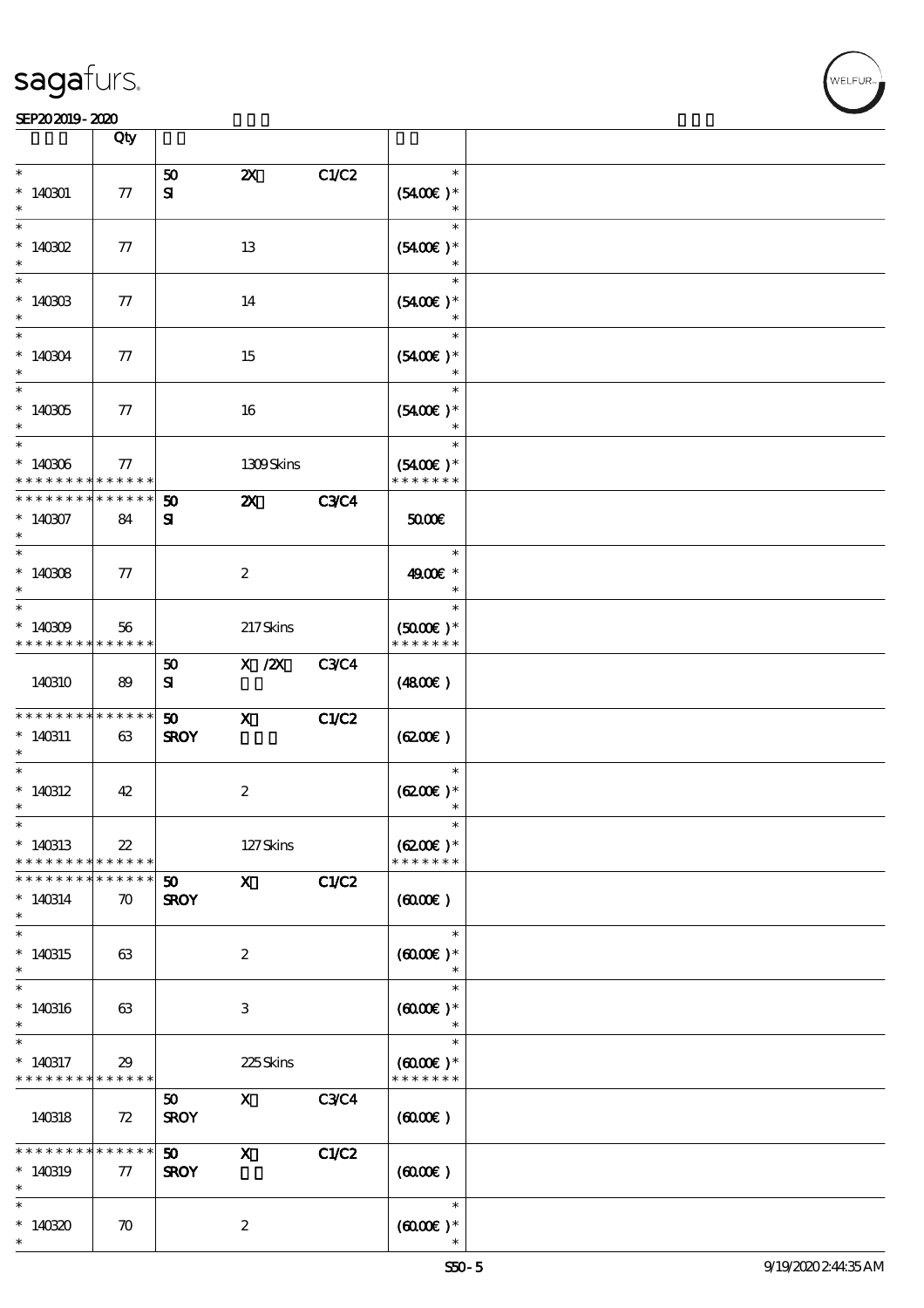|                                                    | Qty                               |                                            |                           |              |                                                 |  |
|----------------------------------------------------|-----------------------------------|--------------------------------------------|---------------------------|--------------|-------------------------------------------------|--|
| $\ast$                                             |                                   | 50                                         | $\boldsymbol{\mathsf{Z}}$ | C1/C2        | $\ast$                                          |  |
| $*140301$<br>$\ast$                                | $77\,$                            | ${\bf s}$                                  |                           |              | $(5400)$ *<br>$\ast$                            |  |
| $\ast$<br>$*$ 140302<br>$\ast$                     | 77                                |                                            | 13                        |              | $\ast$<br>$(5400)$ *<br>$\ast$                  |  |
| $\ast$<br>$*140303$<br>$\ast$                      | 77                                |                                            | 14                        |              | $\ast$<br>$(5400)$ *                            |  |
| $\overline{\ast}$<br>$* 140304$<br>$\ast$          | 77                                |                                            | 15                        |              | $\ast$<br>$(5400)$ *                            |  |
| $\overline{\ast}$<br>$^*$ 140305 $\,$              | 77                                |                                            | 16                        |              | $\ast$<br>$(5400)$ *<br>$\ast$                  |  |
| $\ast$<br>$* 140306$<br>* * * * * * * *            | 77<br>* * * * * *                 |                                            | 1309Skins                 |              | $\ast$<br>$(5400)$ *<br>* * * * * * *           |  |
| * * * * * * * *<br>$*140307$<br>$\ast$             | * * * * * *<br>84                 | 50<br>${\bf s}$                            | $\boldsymbol{\mathsf{Z}}$ | <b>C3C4</b>  | 50000                                           |  |
| $\ast$<br>$*140308$<br>$\ast$                      | 77                                |                                            | $\boldsymbol{z}$          |              | $\ast$<br>4900€ *<br>$\ast$                     |  |
| $\ast$<br>$*140309$<br>* * * * * * * * * * * * * * | 56                                |                                            | 217Skins                  |              | $\ast$<br>$(5000)$ *<br>* * * * * * *           |  |
| 140310                                             | 89                                | 50<br>${\bf s}$                            | $X \, /ZX$                | <b>C3C4</b>  | (4800)                                          |  |
| * * * * * * * *<br>$*140311$<br>$\ast$             | ******<br>63                      | $\boldsymbol{\mathfrak{D}}$<br><b>SROY</b> | $\mathbf{x}$              | <b>C1/C2</b> | (6200)                                          |  |
| $\ast$<br>$*140312$<br>$\ast$                      | 42                                |                                            | $\boldsymbol{2}$          |              | $\ast$<br>$(6200)$ *<br>$\ast$                  |  |
| $\ast$<br>$*140313$<br>* * * * * * * *             | $2\!2$<br>* * * * * *             |                                            | $127$ Skins               |              | $\ast$<br>$(6200)$ *<br>* * * * * * *           |  |
| * * * * * * *<br>$*140314$<br>$\ast$               | * * * * * *<br>$\boldsymbol{\pi}$ | $50^{\circ}$<br><b>SROY</b>                | $\mathbf{x}$              | C1/C2        | (6000)                                          |  |
| $\ast$<br>$*140315$<br>$\ast$                      | 63                                |                                            | $\boldsymbol{2}$          |              | $\ast$<br>$(6000\varepsilon)*$                  |  |
| $\ast$<br>$*140316$<br>$\ast$                      | 63                                |                                            | $\,3$                     |              | $\ast$<br>$(6000\varepsilon)*$                  |  |
| $\ast$<br>$*140317$<br>* * * * * * * *             | 29<br>* * * * * *                 |                                            | 225Skins                  |              | $\ast$<br>$(6000\varepsilon)*$<br>* * * * * * * |  |
| 140318                                             | 72                                | 50<br><b>SROY</b>                          | $\mathbf X$               | <b>C3C4</b>  | (6000)                                          |  |
| * * * * * * * *<br>$*140319$<br>$\ast$             | * * * * * *<br>77                 | $\boldsymbol{\mathfrak{D}}$<br><b>SROY</b> | $\boldsymbol{\mathrm{X}}$ | <b>C1/C2</b> | (0,000)                                         |  |
| $\ast$<br>$*140320$<br>$\ast$                      | $\boldsymbol{\pi}$                |                                            | $\boldsymbol{z}$          |              | $\ast$<br>$(6000\varepsilon)*$                  |  |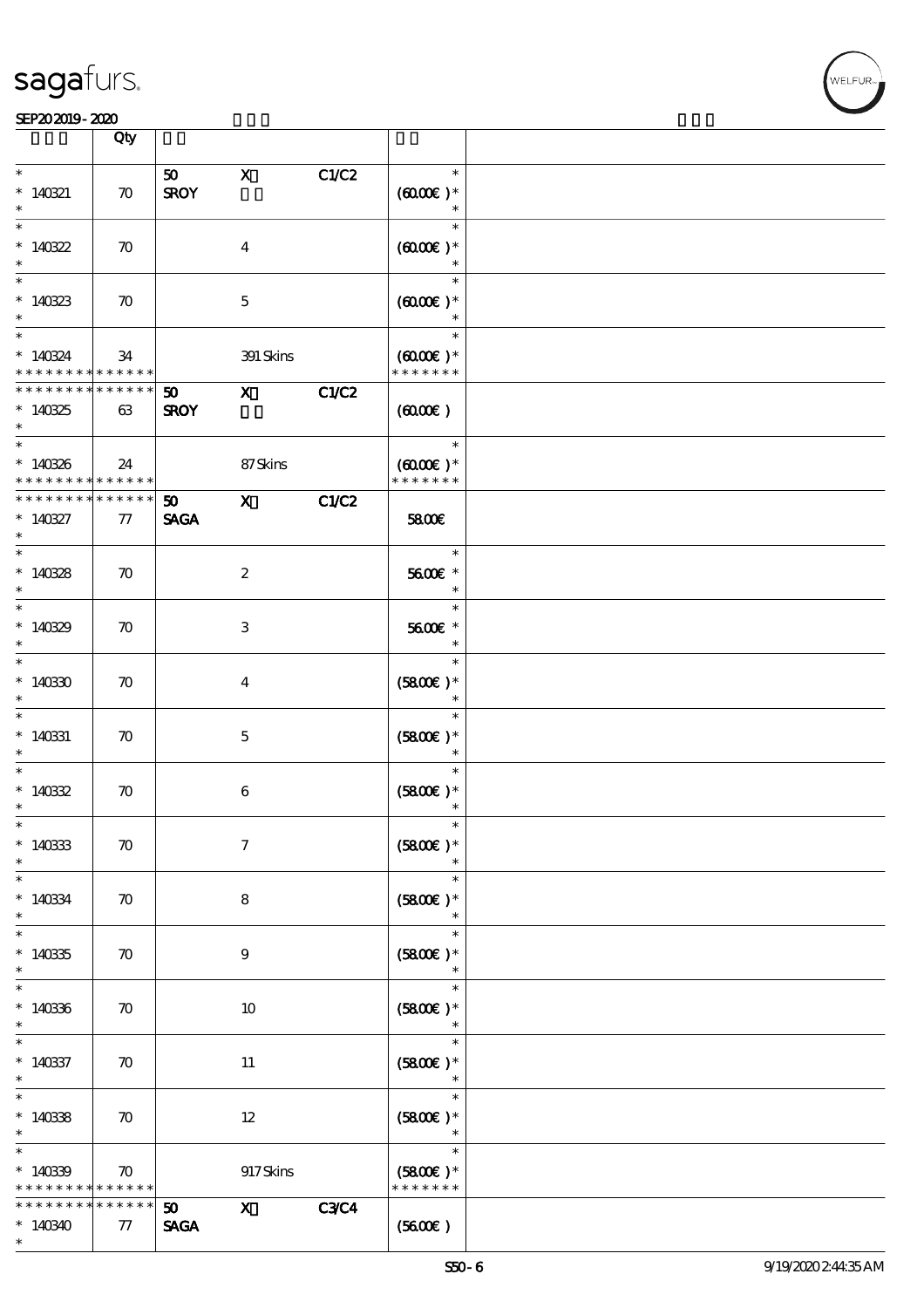#### SEP202019-2020

|                                                                        | Qty                   |                                                   |                         |             |                                                                   |  |
|------------------------------------------------------------------------|-----------------------|---------------------------------------------------|-------------------------|-------------|-------------------------------------------------------------------|--|
| $\ast$                                                                 |                       |                                                   |                         |             | $\ast$                                                            |  |
| $* 140321$<br>$\ast$                                                   | $\boldsymbol{\pi}$    | 50<br><b>SROY</b>                                 | $\mathbf{x}$            | C1/C2       | $(6000)$ *<br>$\ast$                                              |  |
| $\ast$<br>* $140322$<br>$\ast$                                         | $\boldsymbol{\pi}$    |                                                   | $\boldsymbol{4}$        |             | $\ast$<br>$(6000\varepsilon)*$<br>$\ast$                          |  |
| $\ast$<br>$*14033$<br>$\ast$                                           | $\boldsymbol{\pi}$    |                                                   | $\mathbf 5$             |             | $\ast$<br>$(6000\varepsilon)*$<br>$\ast$                          |  |
| $\ast$<br>$*140324$<br>* * * * * * * * <mark>* * * * * * *</mark>      | 34                    |                                                   | 391 Skins               |             | $\ast$<br>$(6000\varepsilon)*$<br>* * * * * * *                   |  |
| * * * * * * * * * * * * * *<br>$*140325$<br>$\ast$                     | 63                    | 50<br><b>SROY</b>                                 | $\mathbf{x}$            | C1/C2       | (6000)                                                            |  |
| $\overline{\phantom{0}}$<br>$*140326$<br>* * * * * * * * * * * * * * * | 24                    |                                                   | 87Skins                 |             | $\overline{\phantom{a}}$<br>$(6000\varepsilon)*$<br>* * * * * * * |  |
| * * * * * * * *<br>$*140327$<br>$\ast$                                 | $* * * * * * *$<br>77 | 50<br><b>SAGA</b>                                 | $\mathbf{X}$            | C1/C2       | 5800E                                                             |  |
| $\ast$<br>$*140328$<br>$*$                                             | $\boldsymbol{\pi}$    |                                                   | $\boldsymbol{2}$        |             | $\ast$<br>5600€ *<br>$\ast$                                       |  |
| $\ast$<br>$*140329$<br>$\ast$                                          | $\boldsymbol{\pi}$    |                                                   | $\,3$                   |             | $\ast$<br>5600€ *<br>$\ast$                                       |  |
| $\ast$<br>$*14030$<br>$\ast$                                           | $\boldsymbol{\pi}$    |                                                   | $\overline{\mathbf{4}}$ |             | $\ast$<br>$(5800)$ *<br>$\ast$                                    |  |
| $\ast$<br>$*140331$<br>$\ast$                                          | $\boldsymbol{\pi}$    |                                                   | $\mathbf 5$             |             | $\ast$<br>$(5800)$ *                                              |  |
| $\ast$<br>$*14032$<br>$\ast$                                           | $\boldsymbol{\pi}$    |                                                   | 6                       |             | $\ast$<br>$(5800)$ *                                              |  |
| $\ast$<br>$*140333$<br>$\ast$                                          | $\boldsymbol{\pi}$    |                                                   | $\boldsymbol{7}$        |             | $(5800)$ *                                                        |  |
| $\ast$<br>$* 140334$<br>$\ast$                                         | $\boldsymbol{\pi}$    |                                                   | 8                       |             | $\ast$<br>$(5800)$ *<br>$\ast$                                    |  |
| $\ast$<br>$*14035$<br>$\ast$                                           | $\boldsymbol{\pi}$    |                                                   | $\boldsymbol{9}$        |             | $\ast$<br>$(5800)$ *<br>$\ast$                                    |  |
| $\ast$<br>$*140336$<br>$\ast$                                          | $\boldsymbol{\pi}$    |                                                   | 10                      |             | $\ast$<br>$(5800)$ *<br>$\ast$                                    |  |
| $\ast$<br>$*140337$<br>$\ast$                                          | $\boldsymbol{\pi}$    |                                                   | 11                      |             | $\ast$<br>$(5800)$ *<br>$\ast$                                    |  |
| $\ast$<br>$*140338$<br>$\ast$                                          | $\boldsymbol{\pi}$    |                                                   | $12 \,$                 |             | $\ast$<br>$(5800)$ *                                              |  |
| $\ast$<br>$*14039$<br>* * * * * * * * <mark>* * * * * * *</mark>       | $\boldsymbol{\pi}$    |                                                   | 917Skins                |             | $\ast$<br>$(5800)$ *<br>* * * * * * *                             |  |
| * * * * * * * *<br>$*140340$<br>$\ast$                                 | ******<br>77          | 50 <sub>o</sub><br>$\operatorname{\mathsf{SAGA}}$ | $\mathbf{x}$            | <b>C3C4</b> | (5600)                                                            |  |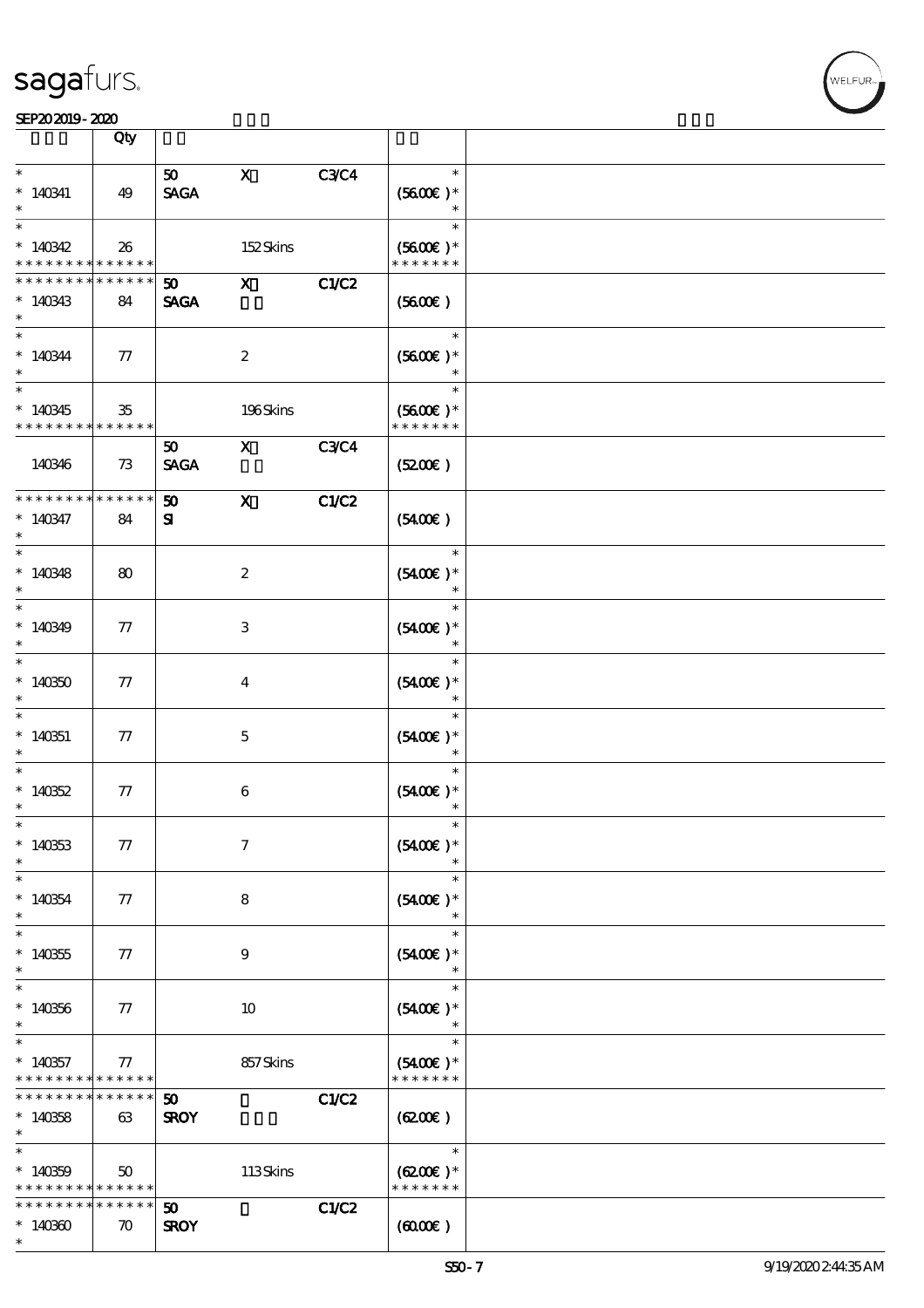|                                    | Qty                        |                   |                                                                                                                                                                                                                                                                                                                                 |             |                             |  |
|------------------------------------|----------------------------|-------------------|---------------------------------------------------------------------------------------------------------------------------------------------------------------------------------------------------------------------------------------------------------------------------------------------------------------------------------|-------------|-----------------------------|--|
| $\ast$                             |                            | 50                | $\mathbf{x}$                                                                                                                                                                                                                                                                                                                    | <b>C3C4</b> | $\ast$                      |  |
| $*140341$                          | 49                         | <b>SAGA</b>       |                                                                                                                                                                                                                                                                                                                                 |             | $(5600)$ *                  |  |
| $\ast$                             |                            |                   |                                                                                                                                                                                                                                                                                                                                 |             | $\ast$<br>$\ast$            |  |
| $*140342$                          | 26                         |                   | 152Skins                                                                                                                                                                                                                                                                                                                        |             | $(5600)$ *                  |  |
| * * * * * * * *                    | * * * * * *                |                   |                                                                                                                                                                                                                                                                                                                                 |             | * * * * * * *               |  |
| * * * * * * *                      | * * * * * *                | 50                | $\boldsymbol{\mathsf{X}}$                                                                                                                                                                                                                                                                                                       | C1/C2       |                             |  |
| $*140343$<br>$\ast$                | 84                         | <b>SAGA</b>       |                                                                                                                                                                                                                                                                                                                                 |             | $(5600\varepsilon)$         |  |
| $\overline{\phantom{0}}$           |                            |                   |                                                                                                                                                                                                                                                                                                                                 |             | $\ast$                      |  |
| $*140344$                          | 77                         |                   | $\boldsymbol{2}$                                                                                                                                                                                                                                                                                                                |             | $(5600)$ *                  |  |
| $\ast$<br>$\overline{\phantom{0}}$ |                            |                   |                                                                                                                                                                                                                                                                                                                                 |             | $\ast$                      |  |
| $*140345$                          | 35                         |                   | 196Skins                                                                                                                                                                                                                                                                                                                        |             | $(5600)$ *                  |  |
| * * * * * * * *                    | * * * * * *                |                   |                                                                                                                                                                                                                                                                                                                                 |             | * * * * * * *               |  |
|                                    |                            | 50 <sub>o</sub>   | $\mathbf X$ and $\mathbf X$ and $\mathbf X$ and $\mathbf X$ and $\mathbf X$ and $\mathbf X$ and $\mathbf X$ and $\mathbf X$ and $\mathbf X$ and $\mathbf X$ and $\mathbf X$ and $\mathbf X$ and $\mathbf X$ and $\mathbf X$ and $\mathbf X$ and $\mathbf X$ and $\mathbf X$ and $\mathbf X$ and $\mathbf X$ and $\mathbf X$ and | <b>C3C4</b> |                             |  |
| 140346                             | 73                         | <b>SAGA</b>       |                                                                                                                                                                                                                                                                                                                                 |             | (5200)                      |  |
| * * * * * * * *                    | * * * * * *                | 50                | $\mathbf{x}$                                                                                                                                                                                                                                                                                                                    | C1/C2       |                             |  |
| $*140347$                          | 84                         | ${\bf s}$         |                                                                                                                                                                                                                                                                                                                                 |             | (5400)                      |  |
| $\ast$<br>$\overline{\ast}$        |                            |                   |                                                                                                                                                                                                                                                                                                                                 |             | $\ast$                      |  |
| $*140348$                          | 80                         |                   | $\boldsymbol{z}$                                                                                                                                                                                                                                                                                                                |             | $(5400)$ *                  |  |
| $\ast$                             |                            |                   |                                                                                                                                                                                                                                                                                                                                 |             | $\ast$                      |  |
|                                    |                            |                   |                                                                                                                                                                                                                                                                                                                                 |             | $\ast$                      |  |
| $*140349$<br>$\ast$                | $77\,$                     |                   | 3                                                                                                                                                                                                                                                                                                                               |             | $(5400)$ *<br>$\ast$        |  |
| $\overline{\ast}$                  |                            |                   |                                                                                                                                                                                                                                                                                                                                 |             | $\ast$                      |  |
| $*140350$                          | 77                         |                   | $\overline{4}$                                                                                                                                                                                                                                                                                                                  |             | $(5400)$ *                  |  |
| $\ast$<br>$\ast$                   |                            |                   |                                                                                                                                                                                                                                                                                                                                 |             | $\ast$                      |  |
| $*140351$                          | 77                         |                   | $\mathbf{5}$                                                                                                                                                                                                                                                                                                                    |             | $(5400)$ *                  |  |
| $*$                                |                            |                   |                                                                                                                                                                                                                                                                                                                                 |             | $\ast$                      |  |
| $\ast$                             |                            |                   |                                                                                                                                                                                                                                                                                                                                 |             | $\ast$                      |  |
| $*140352$<br>$\ast$                | 77                         |                   | 6                                                                                                                                                                                                                                                                                                                               |             | $(5400)$ *<br>$\ast$        |  |
| $*$                                |                            |                   |                                                                                                                                                                                                                                                                                                                                 |             | $\ast$                      |  |
| $*140333$                          | 77                         |                   | $\tau$                                                                                                                                                                                                                                                                                                                          |             | $(5400)$ *                  |  |
| $\ast$<br>$\ast$                   |                            |                   |                                                                                                                                                                                                                                                                                                                                 |             | $\ast$                      |  |
| $*140354$                          | 77                         |                   | 8                                                                                                                                                                                                                                                                                                                               |             | $(5400)$ *                  |  |
| $\ast$                             |                            |                   |                                                                                                                                                                                                                                                                                                                                 |             | $\ast$                      |  |
| $\overline{\ast}$<br>$*140355$     | 77                         |                   | 9                                                                                                                                                                                                                                                                                                                               |             | $\ast$<br>$(5400)$ *        |  |
| $\ast$                             |                            |                   |                                                                                                                                                                                                                                                                                                                                 |             |                             |  |
| $\ast$                             |                            |                   |                                                                                                                                                                                                                                                                                                                                 |             | $\ast$                      |  |
| $*140356$<br>$\ast$                | 77                         |                   | 10                                                                                                                                                                                                                                                                                                                              |             | $(5400)$ *                  |  |
| $\ast$                             |                            |                   |                                                                                                                                                                                                                                                                                                                                 |             | $\ast$                      |  |
| $*140357$                          | 77                         |                   | 857Skins                                                                                                                                                                                                                                                                                                                        |             | $(5400)$ *                  |  |
| * * * * * * * *<br>* * * * * * * * | * * * * * *<br>* * * * * * |                   |                                                                                                                                                                                                                                                                                                                                 |             | * * * * * * *               |  |
| $*140358$                          | 63                         | 50<br><b>SROY</b> |                                                                                                                                                                                                                                                                                                                                 | C1/C2       | $(6200\varepsilon)$         |  |
| $\ast$                             |                            |                   |                                                                                                                                                                                                                                                                                                                                 |             |                             |  |
| $\ast$                             |                            |                   |                                                                                                                                                                                                                                                                                                                                 |             | $\ast$                      |  |
| $*140359$<br>* * * * * * * *       | 50<br>* * * * * *          |                   | 113Skins                                                                                                                                                                                                                                                                                                                        |             | $(6200)$ *<br>* * * * * * * |  |
| * * * * * * * *                    | * * * * * *                | 50 <sub>o</sub>   |                                                                                                                                                                                                                                                                                                                                 | C1/C2       |                             |  |
| $*14030$                           | $\boldsymbol{\pi}$         | <b>SROY</b>       |                                                                                                                                                                                                                                                                                                                                 |             | $(6000\varepsilon)$         |  |
| $\ast$                             |                            |                   |                                                                                                                                                                                                                                                                                                                                 |             |                             |  |

**NELFUR**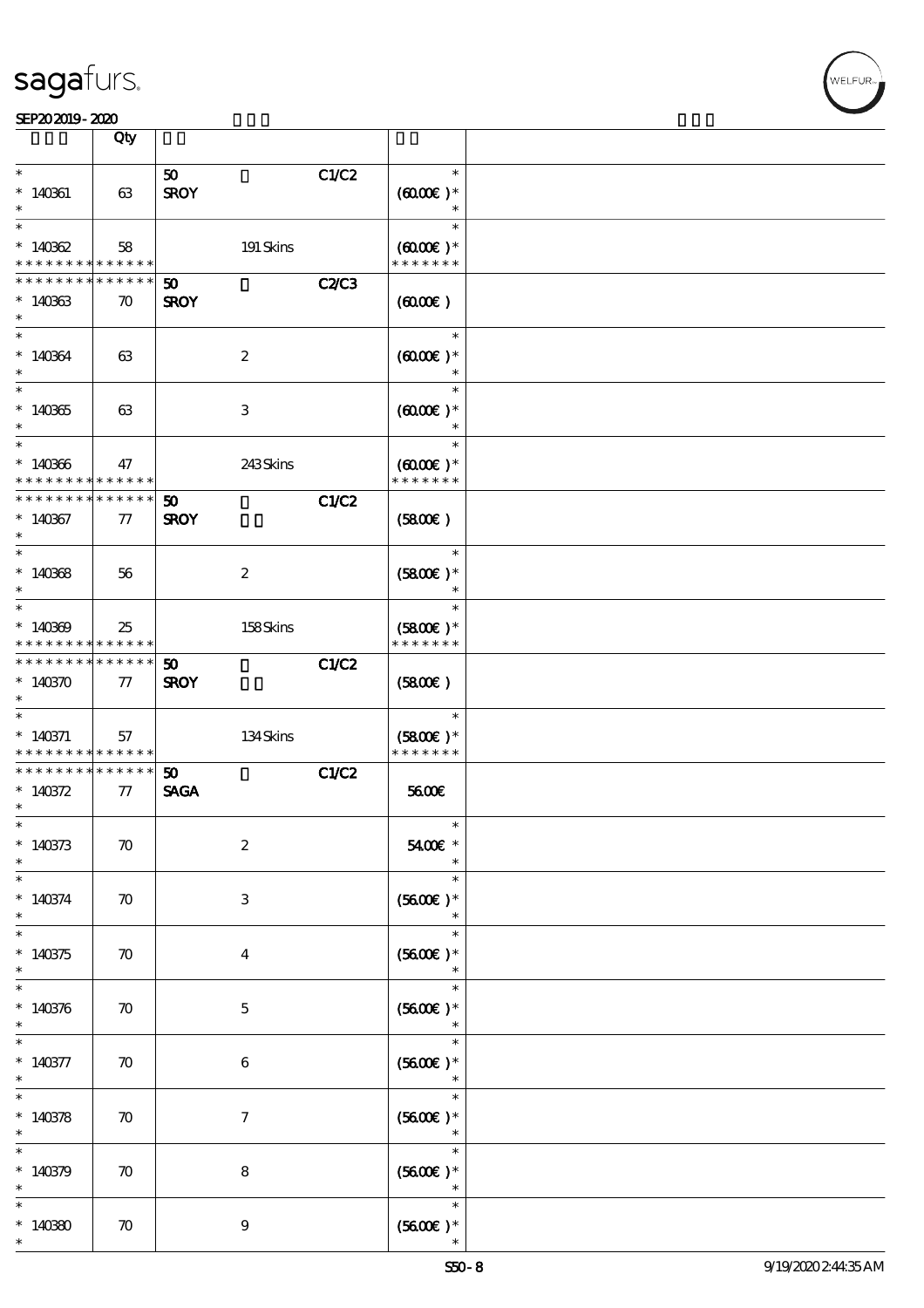|                                                       | Qty                   |                             |              |                                       |  |
|-------------------------------------------------------|-----------------------|-----------------------------|--------------|---------------------------------------|--|
| $\ast$                                                |                       | 50 <sub>1</sub>             | C1/C2        | $\ast$                                |  |
| $*140361$                                             | 63                    | <b>SROY</b>                 |              | $(6000\varepsilon)*$<br>$\ast$        |  |
| $\ast$                                                |                       |                             |              | $\ast$                                |  |
| $*140362$<br>* * * * * * * *                          | 58<br>$* * * * * * *$ | 191 Skins                   |              | $(6000\varepsilon)*$<br>* * * * * * * |  |
| * * * * * * * *                                       | * * * * * *           | $\boldsymbol{\mathfrak{D}}$ | <b>C2/C3</b> |                                       |  |
| $*14033$<br>$\ast$                                    | $\boldsymbol{\pi}$    | <b>SROY</b>                 |              | (600)                                 |  |
| $\ast$                                                |                       |                             |              | $\ast$                                |  |
| $*140364$<br>$\ast$                                   | 63                    | $\boldsymbol{2}$            |              | $(6000\varepsilon)*$                  |  |
| $\overline{\ast}$                                     |                       |                             |              | $\ast$                                |  |
| $*140365$<br>$\ast$                                   | 63                    | 3                           |              | $(6000\varepsilon)*$<br>$\ast$        |  |
| $\ast$                                                |                       |                             |              | $\ast$                                |  |
| $*140366$<br>* * * * * * * *                          | 47<br>******          | 243Skins                    |              | $(6000\varepsilon)*$<br>* * * * * * * |  |
| * * * * * * * *                                       | $* * * * * * *$       | 50                          | C1/C2        |                                       |  |
| $*140367$<br>$\ast$                                   | 77                    | <b>SROY</b>                 |              | (5800)                                |  |
| $\overline{\ast}$                                     |                       |                             |              | $\ast$                                |  |
| $*140368$<br>$\ast$                                   | 56                    | $\boldsymbol{2}$            |              | $(5800)$ *<br>$\ast$                  |  |
| $\overline{\ast}$                                     |                       |                             |              | $\ast$                                |  |
| $*140309$<br>* * * * * * * * <mark>* * * * * *</mark> | 25                    | 158Skins                    |              | $(5800)$ *<br>* * * * * * *           |  |
| * * * * * * * * <mark>* * * * * *</mark>              |                       | 50                          | C1/C2        |                                       |  |
| $*140370$<br>$\ast$                                   | 77                    | <b>SROY</b>                 |              | (5800)                                |  |
| $\ast$                                                |                       |                             |              | $\ast$                                |  |
| $* 140371$                                            | 57                    | 134Skins                    |              | $(5800)$ *                            |  |
| * * * * * * * * <mark>* * * * * * *</mark>            |                       |                             |              | * * * * * * *                         |  |
| * * * * * * * * * * * * * * *                         |                       | 50 <sub>o</sub>             | C1/C2        |                                       |  |
| * $140372$                                            | 77                    | <b>SAGA</b>                 |              | 5600E                                 |  |
| $\ast$                                                |                       |                             |              |                                       |  |
| $\ast$<br>$*140373$<br>$\ast$                         | $\boldsymbol{\pi}$    | $\boldsymbol{2}$            |              | $\ast$<br>5400€ *                     |  |
| $\ast$                                                |                       |                             |              | $\ast$                                |  |
| $* 140374$<br>$\ast$                                  | $\boldsymbol{\pi}$    | 3                           |              | $(5600)$ *<br>$\ast$                  |  |
| $\ast$                                                |                       |                             |              | $\ast$                                |  |
| $*140375$<br>$\ast$                                   | $\boldsymbol{\pi}$    | $\boldsymbol{4}$            |              | $(5600)$ *<br>$\ast$                  |  |
| $\ast$                                                |                       |                             |              | $\ast$                                |  |
| $*140376$<br>$\ast$                                   | $\boldsymbol{\pi}$    | $\mathbf{5}$                |              | $(5600)$ *                            |  |
| $\ast$                                                |                       |                             |              | $\ast$                                |  |
| $* 140377$<br>$\ast$                                  | $\boldsymbol{\pi}$    | 6                           |              | $(5600)$ *<br>$\ast$                  |  |
| $\overline{\ast}$                                     |                       |                             |              | $\ast$                                |  |
| $*140378$<br>$\ast$                                   | $\boldsymbol{\pi}$    | $\tau$                      |              | $(5600)$ *<br>$\ast$                  |  |
| $\ast$                                                |                       |                             |              | $\ast$                                |  |
| $*140379$                                             | $\boldsymbol{\pi}$    | $\bf 8$                     |              | $(5600E)*$<br>$\ast$                  |  |
| $\ast$                                                |                       |                             |              | $\ast$                                |  |
| $*14080$<br>$\ast$                                    | $\boldsymbol{\pi}$    | 9                           |              | $(5600)$ *                            |  |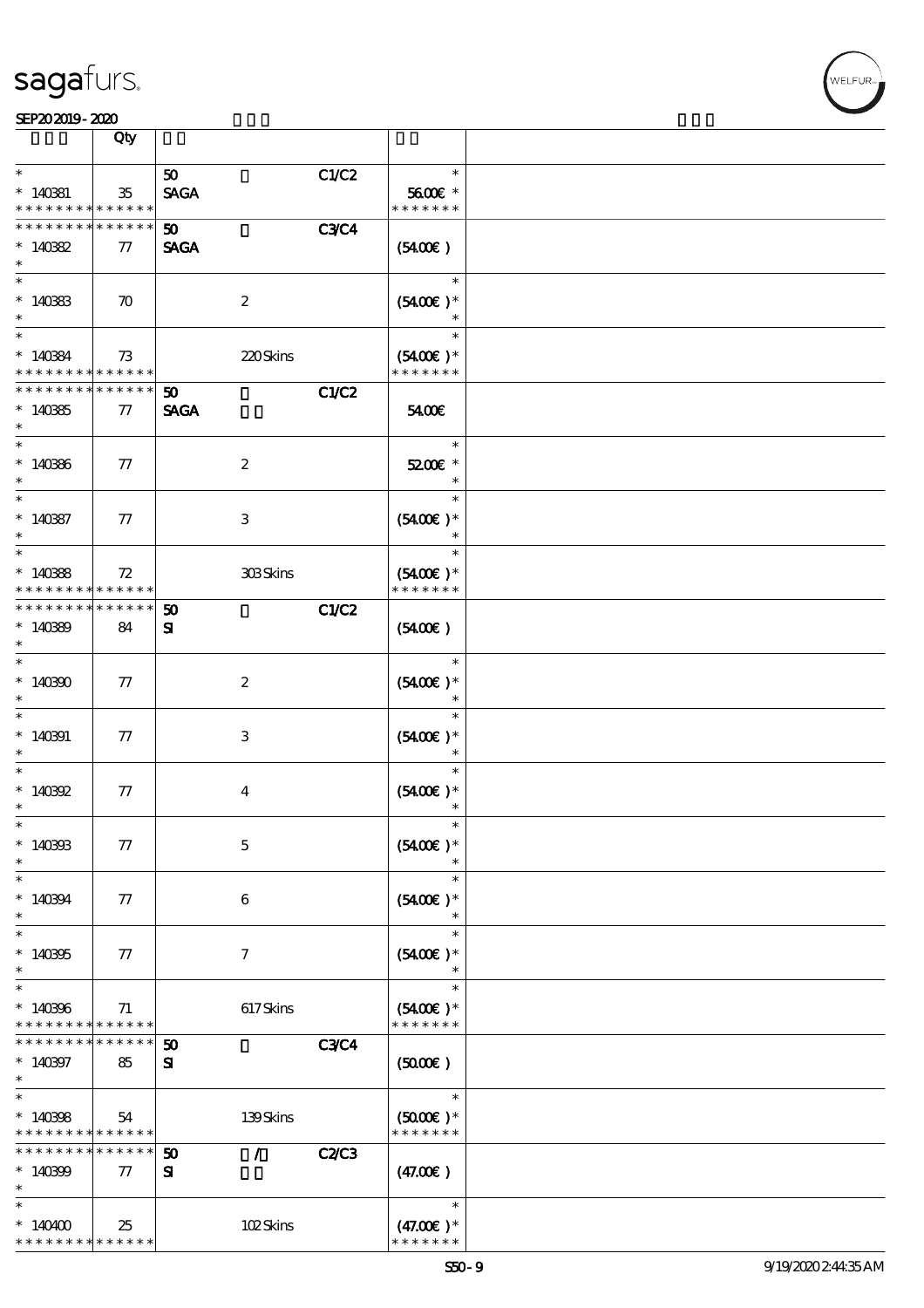

|                                                             | Qty                |                                    |             |                              |  |
|-------------------------------------------------------------|--------------------|------------------------------------|-------------|------------------------------|--|
| $\ast$                                                      |                    | 50 <sub>o</sub>                    | C1/C2       | $\ast$                       |  |
| $*140381$<br>* * * * * * * * * * * * * *                    | $35\,$             | <b>SAGA</b>                        |             | 5600€ *<br>* * * * * * *     |  |
| * * * * * * * * <mark>* * * * * *</mark>                    |                    | 50 <sub>o</sub>                    | <b>C3C4</b> |                              |  |
| $*14082$<br>$\ast$                                          | 77                 | <b>SAGA</b>                        |             | (5400)                       |  |
| $\overline{\phantom{0}}$<br>$*140333$                       | $\boldsymbol{\pi}$ | $\boldsymbol{2}$                   |             | $\ast$<br>$(5400)$ *         |  |
| $\ast$                                                      |                    |                                    |             |                              |  |
| $\overline{\ast}$                                           |                    |                                    |             | $\ast$                       |  |
| $*14084$<br>* * * * * * * * * * * * * *                     | 73                 | 220Skins                           |             | $(5400)$ *<br>* * * * * * *  |  |
| * * * * * * * * * * * * * *                                 |                    | 50 <sub>1</sub>                    | C1/C2       |                              |  |
| $*14085$<br>$\ast$                                          | $\tau$             | <b>SAGA</b>                        |             | 5400E                        |  |
| $\ast$                                                      |                    |                                    |             | $\ast$                       |  |
| $*140366$<br>$\ast$                                         | 77                 | $\boldsymbol{z}$                   |             | 5200E *<br>$\ast$            |  |
| $\ast$                                                      |                    |                                    |             | $\ast$                       |  |
| $* 14087$<br>$\ast$                                         | 77                 | $\,3$                              |             | $(5400)$ *<br>$\ast$         |  |
| $\ast$                                                      |                    |                                    |             | $\ast$                       |  |
| $*14088$<br>* * * * * * * *                                 | 72<br>* * * * * *  | 303Skins                           |             | $(5400)$ *<br>* * * * * * *  |  |
| * * * * * * *                                               | * * * * * *        | 50                                 | C1/C2       |                              |  |
| $*14089$<br>$\ast$                                          | 84                 | ${\bf s}$                          |             | $(5400\varepsilon)$          |  |
| $\ast$                                                      |                    |                                    |             | $\ast$                       |  |
| $*140300$<br>$\ast$                                         | 77                 | $\boldsymbol{z}$                   |             | $(5400)$ *                   |  |
| $\ast$                                                      |                    |                                    |             | $\ast$                       |  |
| $*140391$<br>$\ast$                                         | 77                 | 3                                  |             | $(5400)$ *<br>$\ast$         |  |
| $\ast$<br>$* 140392$                                        | $77\,$             | $\bf{4}$                           |             | $\ast$<br>$(5400)$ *         |  |
| $\ast$                                                      |                    |                                    |             | $\ast$                       |  |
| $*$<br>$*140303$                                            | $77\,$             | $\mathbf 5$                        |             | $\ast$<br>$(5400)$ *         |  |
| $\ast$                                                      |                    |                                    |             | $\ast$                       |  |
| $\ast$<br>$*140394$                                         | 77                 | 6                                  |             | $\ast$<br>$(5400)$ *         |  |
| $\ast$                                                      |                    |                                    |             | $\ast$                       |  |
| $\ast$<br>$*140305$                                         | 77                 | $\boldsymbol{\tau}$                |             | $\ast$<br>$(5400)$ *         |  |
| $\ast$                                                      |                    |                                    |             | $\ast$                       |  |
| $\ast$                                                      |                    |                                    |             | $\ast$                       |  |
| $*140306$<br>* * * * * * * * * * * * * *                    | 71                 | 617Skins                           |             | $(5400)$ *<br>* * * * * * *  |  |
| * * * * * * *                                               | * * * * * *        | $\boldsymbol{\mathfrak{D}}$        | <b>C3C4</b> |                              |  |
| $*140397$<br>$\ast$                                         | 85                 | ${\bf s}$                          |             | (5000)                       |  |
| $\overline{\ast}$                                           |                    |                                    |             | $\ast$                       |  |
| $*140308$                                                   | 54                 | 139Skins                           |             | $(5000)$ *                   |  |
| * * * * * * * * <mark>* * * * * *</mark><br>* * * * * * * * | * * * * * *        | $\mathcal{L}$<br>$\boldsymbol{50}$ | C2C3        | * * * * * * *                |  |
| $*140399$                                                   | $\tau$             | ${\bf s}$                          |             | (47.00)                      |  |
| $\ast$                                                      |                    |                                    |             |                              |  |
| $\ast$                                                      |                    |                                    |             | $\ast$                       |  |
| $*140400$<br>* * * * * * * * <mark>* * * * * *</mark>       | 25                 | 102Skins                           |             | $(47.00)$ *<br>* * * * * * * |  |
|                                                             |                    |                                    |             |                              |  |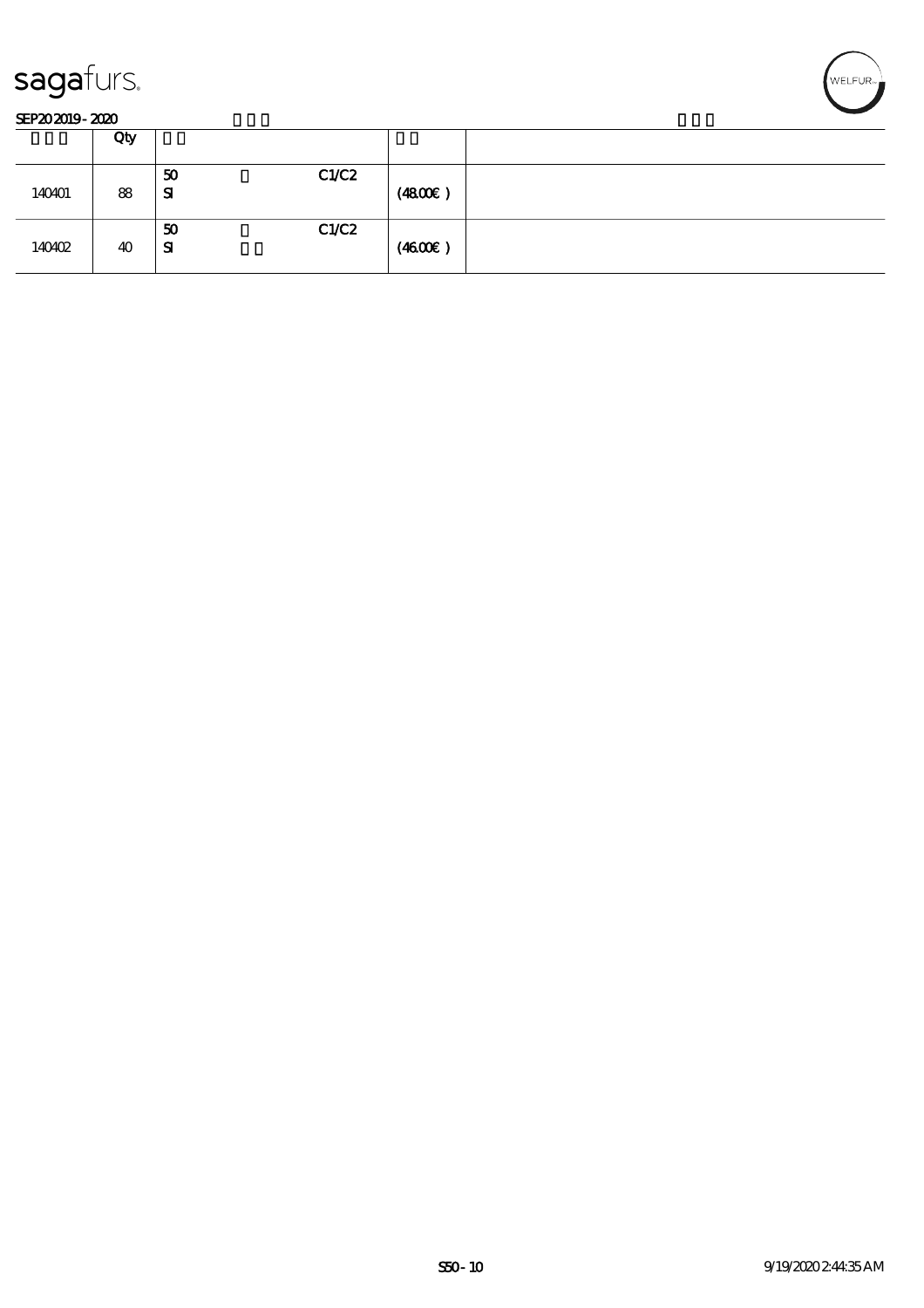



|        | Qty |                             |        |  |
|--------|-----|-----------------------------|--------|--|
| 140401 | 88  | C1/C2<br>50<br>$\mathbf{S}$ | (4800) |  |
| 140402 | 40  | C1/C2<br>50<br>SI           | (460E) |  |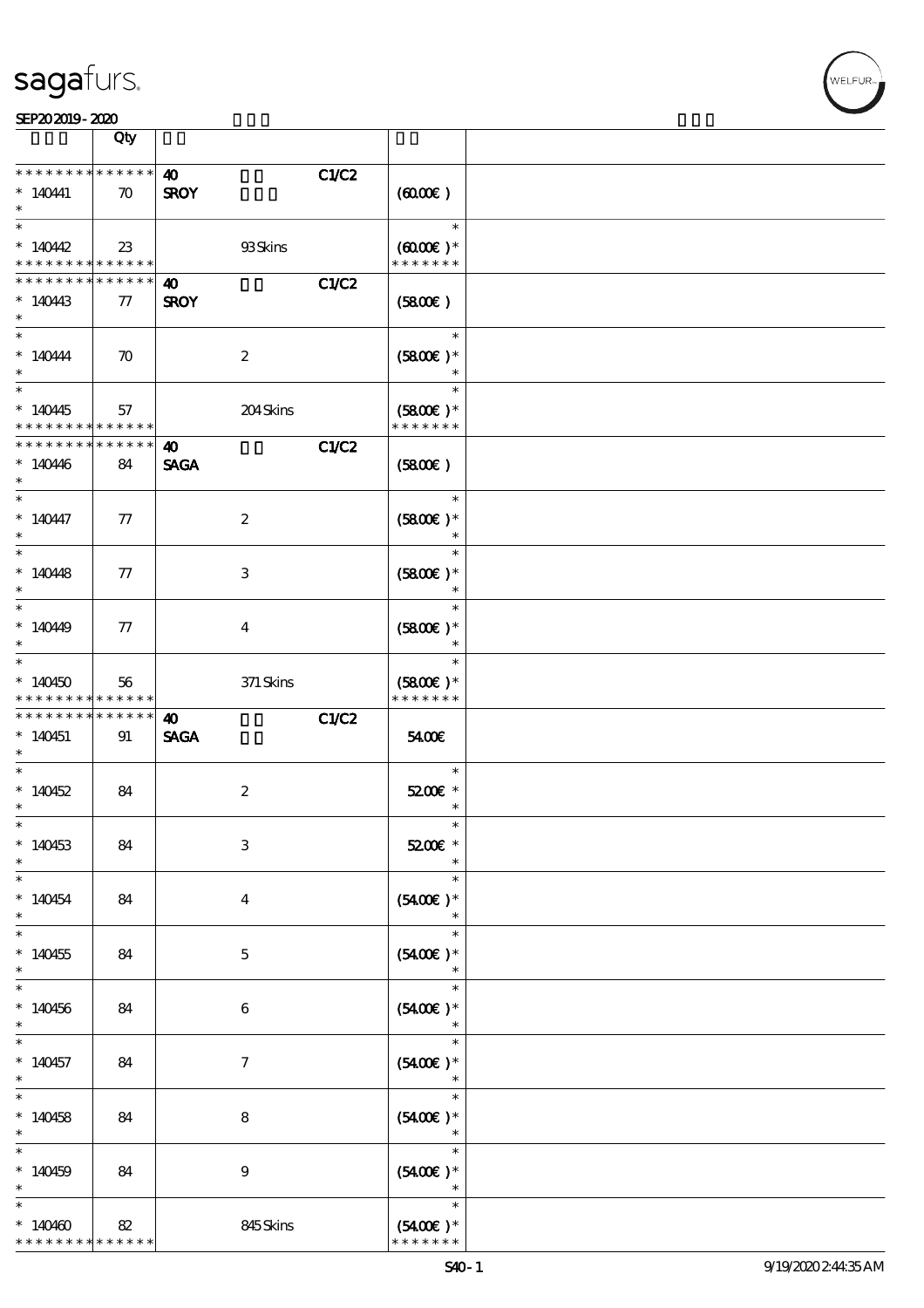|                                                                                           | Qty                             |                                      |                                       |                  |
|-------------------------------------------------------------------------------------------|---------------------------------|--------------------------------------|---------------------------------------|------------------|
| * * * * * * * * * * * * * *<br>$* 14041$                                                  | $\boldsymbol{\pi}$              | 40<br><b>SROY</b>                    | C1/C2<br>(600)                        |                  |
| $\overline{\ast}$<br>$*140442$<br>* * * * * * * * <mark>* * * * * *</mark>                | 23                              | 93Skins                              | $(6000\varepsilon)*$<br>* * * * * * * | $\ast$           |
| * * * * * * * *<br>$*140443$<br>$\ast$                                                    | ******<br>$77\,$                | 40<br><b>SROY</b>                    | C1/C2<br>$(5800\varepsilon)$          |                  |
| $\ast$<br>$*140444$                                                                       | $\boldsymbol{\pi}$              | $\boldsymbol{2}$                     | $(5800)$ *                            | $\ast$           |
| $\ast$<br>$*140445$                                                                       | 57                              | 204Skins                             | $(5800)$ *                            | $\ast$           |
| * * * * * * * * <mark>* * * * * *</mark> *<br>* * * * * * * * <mark>*</mark><br>$*140446$ | ******<br>84                    | $\boldsymbol{\omega}$<br><b>SAGA</b> | * * * * * * *<br>C1/C2<br>(5800)      |                  |
| $\ast$<br>$\ast$<br>$*140447$                                                             | 77                              | $\boldsymbol{2}$                     | $(5800)$ *                            | $\ast$           |
| $\ast$<br>$*140448$                                                                       | 77                              | 3                                    | $(5800)$ *                            | $\ast$<br>$\ast$ |
| $\ast$<br>$*$<br>$*14049$                                                                 | 77                              | $\bf{4}$                             | $(5800)$ *                            | $\ast$<br>$\ast$ |
| $\ast$<br>$\ast$<br>$*140450$                                                             | 56                              | 371 Skins                            | $(5800)$ *                            | $\ast$<br>$\ast$ |
|                                                                                           |                                 |                                      |                                       |                  |
| * * * * * * * *<br>* * * * * * * * <mark>*</mark><br>$*140451$                            | ******<br>$* * * * * * *$<br>91 | 40                                   | * * * * * * *<br>C1/C2<br>5400E       |                  |
| $\ast$<br>$\ast$                                                                          |                                 | <b>SAGA</b>                          |                                       | $\ast$           |
| $*140452$<br>$\ast$                                                                       | 84                              | $\boldsymbol{2}$                     | 5200E *                               | $\ast$           |
| $\ast$<br>$*140453$<br>$\ast$                                                             | 84                              | $\ensuremath{\mathbf{3}}$            | 5200€ *                               | $\ast$           |
| $\ast$<br>$*140454$<br>$\ast$                                                             | 84                              | $\bf{4}$                             | $(5400)$ *                            | $\ast$<br>$\ast$ |
| $\overline{\phantom{0}}$<br>$*140455$<br>$\ast$                                           | 84                              | $\mathbf 5$                          | $(5400)$ *                            | $\ast$<br>$\ast$ |
| $\ast$<br>$*140456$<br>$\ast$                                                             | 84                              | $\boldsymbol{6}$                     | $(5400)$ *                            | $\ast$           |
| $\ast$<br>$*140457$<br>$\ast$                                                             | 84                              | 7                                    | $(5400)$ *                            | $\ast$<br>$\ast$ |
| $\ast$<br>$*140458$<br>$\ast$                                                             | 84                              | 8                                    | $(5400)$ *                            | $\ast$<br>$\ast$ |
| $\ast$<br>$*140459$                                                                       | 84                              | 9                                    | $(5400)$ *                            | $\ast$<br>$\ast$ |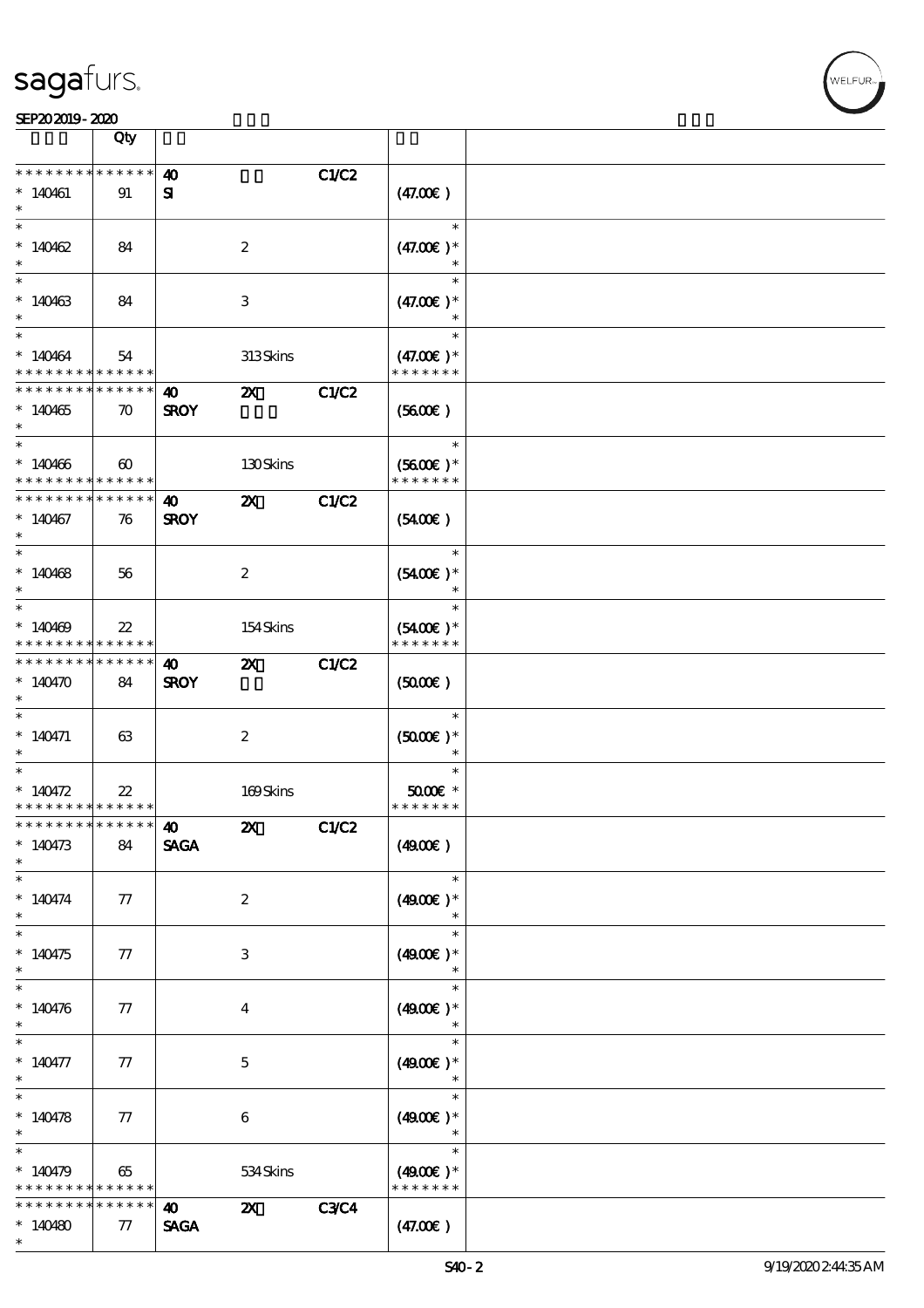|                                                                                    | Qty                   |                                      |                           |             |                                        |  |
|------------------------------------------------------------------------------------|-----------------------|--------------------------------------|---------------------------|-------------|----------------------------------------|--|
| * * * * * * * *                                                                    | * * * * * *           | $\boldsymbol{\omega}$                |                           | C1/C2       |                                        |  |
| $*140461$                                                                          | 91                    | ${\bf s}$                            |                           |             | (47.00)                                |  |
| $*140462$                                                                          | 84                    |                                      | $\boldsymbol{z}$          |             | $\ast$<br>$(47.00)$ *<br>$\ast$        |  |
| $*140463$<br>$\ast$                                                                | 84                    |                                      | 3                         |             | $\ast$<br>$(47.00)$ *                  |  |
| $\overline{\mathbf{r}}$<br>$*140464$<br>* * * * * * * * <mark>* * * * * * *</mark> | 54                    |                                      | 313Skins                  |             | $\ast$<br>$(47.00)$ *<br>* * * * * * * |  |
| * * * * * * * * <mark>* * * * * *</mark> *<br>$*140465$<br>$\ast$                  | $\boldsymbol{\pi}$    | <b>40</b><br><b>SROY</b>             | $\boldsymbol{\mathsf{Z}}$ | C1/C2       | (5600)                                 |  |
| $*$<br>$*140466$<br>* * * * * * * * <mark>* * * * * * *</mark>                     | $\boldsymbol{\omega}$ |                                      | 130Skins                  |             | $\ast$<br>$(5600)$ *<br>* * * * * * *  |  |
| * * * * * * * * <mark>*</mark><br>$*140467$<br>$\ast$                              | $* * * * * * *$<br>76 | $\boldsymbol{\omega}$<br><b>SROY</b> | $\boldsymbol{\mathsf{Z}}$ | C1/C2       | $(5400\varepsilon)$                    |  |
| $*140468$<br>$\ast$                                                                | 56                    |                                      | $\boldsymbol{2}$          |             | $\ast$<br>$(5400)$ *<br>$\ast$         |  |
| $\overline{\ast}$<br>$*140469$<br>* * * * * * * * <mark>* * * * * *</mark>         | $22\,$                |                                      | 154Skins                  |             | $\ast$<br>$(5400)$ *<br>* * * * * * *  |  |
| * * * * * * * *<br>$*140470$<br>$\ast$                                             | $* * * * * * *$<br>84 | 40<br><b>SROY</b>                    | $\boldsymbol{\mathsf{Z}}$ | C1/C2       | $(5000\varepsilon)$                    |  |
| $\ast$<br>$* 140471$<br>$\ast$                                                     | 63                    |                                      | $\boldsymbol{2}$          |             | $\ast$<br>$(5000\text{E})*$<br>$\ast$  |  |
| $\ast$<br>* $140472$<br>* * * * * * * * <mark>* * * * * * *</mark>                 | $2\!2$                |                                      | 169Skins                  |             | $\ast$<br>$5000$ $*$<br>* * * * * * *  |  |
| ************** 10<br>$*140473$<br>$\ast$                                           | 84                    | $\pmb{\text{SAGA}}$                  | $\mathbf{Z}$              | C1/C2       | (4900)                                 |  |
| $\ast$<br>$* 140474$<br>$\ast$                                                     | 77                    |                                      | $\boldsymbol{2}$          |             | $\ast$<br>$(4900)$ *<br>$\ast$         |  |
| $\overline{\phantom{0}}$<br>$*140475$<br>$\ast$                                    | 77                    |                                      | 3                         |             | $\ast$<br>$(4900)$ *<br>$\ast$         |  |
| $\ast$<br>$* 140476$<br>$\ast$                                                     | 77                    |                                      | 4                         |             | $\ast$<br>$(4900)$ *                   |  |
| $\ast$<br>$* 140477$<br>$\ast$                                                     | 77                    |                                      | $\mathbf{5}$              |             | $\ast$<br>$(4900)$ *<br>$\ast$         |  |
| $\overline{\phantom{0}}$<br>* $140478$<br>$\ast$                                   | 77                    |                                      | $\boldsymbol{6}$          |             | $\ast$<br>$(4900)$ *<br>$\ast$         |  |
| $\ast$<br>$*140479$<br>* * * * * * * *                                             | 65<br>* * * * * *     |                                      | 534Skins                  |             | $\ast$<br>$(4900E)*$<br>* * * * * * *  |  |
| * * * * * * *<br>$*140480$<br>$\ast$                                               | * * * * *<br>77       | $\boldsymbol{\omega}$<br><b>SAGA</b> | $\boldsymbol{\mathsf{X}}$ | <b>C3C4</b> | (47.00)                                |  |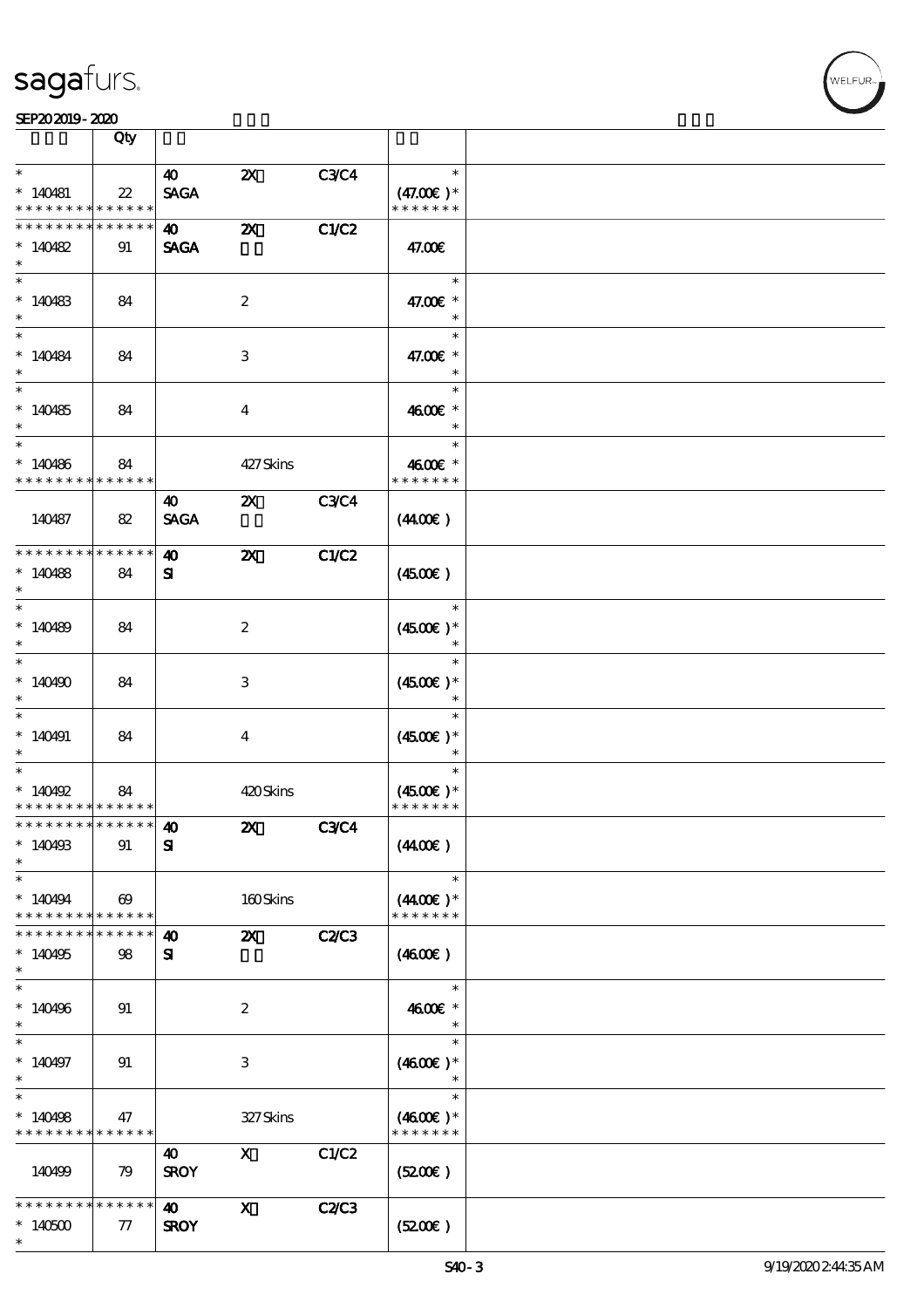

|                                          | Qty                                  |                       |                           |              |                              |  |
|------------------------------------------|--------------------------------------|-----------------------|---------------------------|--------------|------------------------------|--|
| $\ast$                                   |                                      | $\boldsymbol{\omega}$ | $\boldsymbol{\mathsf{Z}}$ | C3C4         | $\ast$                       |  |
| $*140481$<br>* * * * * * * * * * * * * * | $22\,$                               | <b>SAGA</b>           |                           |              | $(47.00)$ *<br>* * * * * * * |  |
| * * * * * * * * * * * * * *              |                                      | $\boldsymbol{\omega}$ | $\boldsymbol{\mathsf{Z}}$ | C1/C2        |                              |  |
| $*140482$<br>$\ast$                      | 91                                   | <b>SAGA</b>           |                           |              | 47.00€                       |  |
| $\ast$                                   |                                      |                       |                           |              | $\ast$                       |  |
| $*140483$<br>$\ast$                      | 84                                   |                       | $\boldsymbol{z}$          |              | 47.00€ *<br>$\ast$           |  |
| $\ast$                                   |                                      |                       |                           |              | $\ast$                       |  |
| $*140484$<br>$\ast$                      | 84                                   |                       | 3                         |              | 47.00€ *<br>$\ast$           |  |
| $\overline{\phantom{1}}$                 |                                      |                       |                           |              | $\ast$                       |  |
| $*140485$<br>$\ast$                      | 84                                   |                       | $\overline{4}$            |              | 4600€ *<br>$\ast$            |  |
| $\ast$                                   |                                      |                       |                           |              | $\ast$                       |  |
| $*140486$<br>* * * * * * * * * * * * * * | 84                                   |                       | 427Skins                  |              | 4600€ *<br>* * * * * * *     |  |
|                                          |                                      | $\boldsymbol{\omega}$ | $\boldsymbol{\mathsf{Z}}$ | <b>C3C4</b>  |                              |  |
| 140487                                   | 82                                   | <b>SAGA</b>           |                           |              | (440E)                       |  |
| * * * * * * * * * * * * * *              |                                      | $\boldsymbol{\omega}$ | $\boldsymbol{\mathsf{Z}}$ | C1/C2        |                              |  |
| $*140488$<br>$\ast$                      | 84                                   | ${\bf s}$             |                           |              | (450E)                       |  |
| $\ast$                                   |                                      |                       |                           |              | $\ast$                       |  |
| $*140489$<br>$\ast$                      | 84                                   |                       | $\boldsymbol{z}$          |              | $(4500)$ *<br>$\ast$         |  |
| $\ast$                                   |                                      |                       |                           |              | $\ast$                       |  |
| $*140490$                                | 84                                   |                       | 3                         |              | $(4500)$ *<br>$\ast$         |  |
| $\ast$                                   |                                      |                       |                           |              | $\ast$                       |  |
| $*140491$<br>$\ast$                      | 84                                   |                       | $\boldsymbol{4}$          |              | $(4500)$ *<br>$\ast$         |  |
| $\ast$                                   |                                      |                       |                           |              | $\ast$                       |  |
| $*140492$                                | 84                                   |                       | 420Skins                  |              | $(4500)$ *                   |  |
| * * * * * * * * * * * * * *              |                                      |                       |                           |              | * * * * * * *                |  |
| *************** 10                       |                                      |                       | $\boldsymbol{\mathsf{Z}}$ | C3C4         |                              |  |
| $*140493$<br>$\ast$                      | 91                                   | ${\bf s}$             |                           |              | (440E)                       |  |
| $\ast$                                   |                                      |                       |                           |              | $\ast$                       |  |
| $*140494$<br>* * * * * * * *             | $\boldsymbol{\omega}$<br>* * * * * * |                       | 160Skins                  |              | $(440E)^*$<br>* * * * * * *  |  |
| * * * * * * *                            | * * * * * *                          | $\boldsymbol{\omega}$ | $\boldsymbol{\mathsf{z}}$ | <b>C2/C3</b> |                              |  |
| $*140495$<br>$\ast$                      | 98                                   | ${\bf s}$             |                           |              | (460E)                       |  |
| $\ast$                                   |                                      |                       |                           |              | $\ast$                       |  |
| $*140496$<br>$\ast$                      | 91                                   |                       | $\boldsymbol{2}$          |              | 4600€ *<br>$\ast$            |  |
|                                          |                                      |                       |                           |              | $\ast$                       |  |
| $*140497$<br>$\ast$                      | 91                                   |                       | 3                         |              | $(4600E)*$<br>$\ast$         |  |
| $\ast$                                   |                                      |                       |                           |              | $\ast$                       |  |
| $*140498$<br>* * * * * * * * * * * * * * | 47                                   |                       | 327Skins                  |              | $(4600)$ *<br>* * * * * * *  |  |
|                                          |                                      | 40                    | $\mathbf{x}$              | C1/C2        |                              |  |
| 140499                                   | 79                                   | <b>SROY</b>           |                           |              | (5200)                       |  |
| * * * * * * * *                          | * * * * * *                          | 40                    | $\mathbf{X}$              | <b>C2C3</b>  |                              |  |
| $*140500$<br>$\ast$                      | 77                                   | <b>SROY</b>           |                           |              | (5200)                       |  |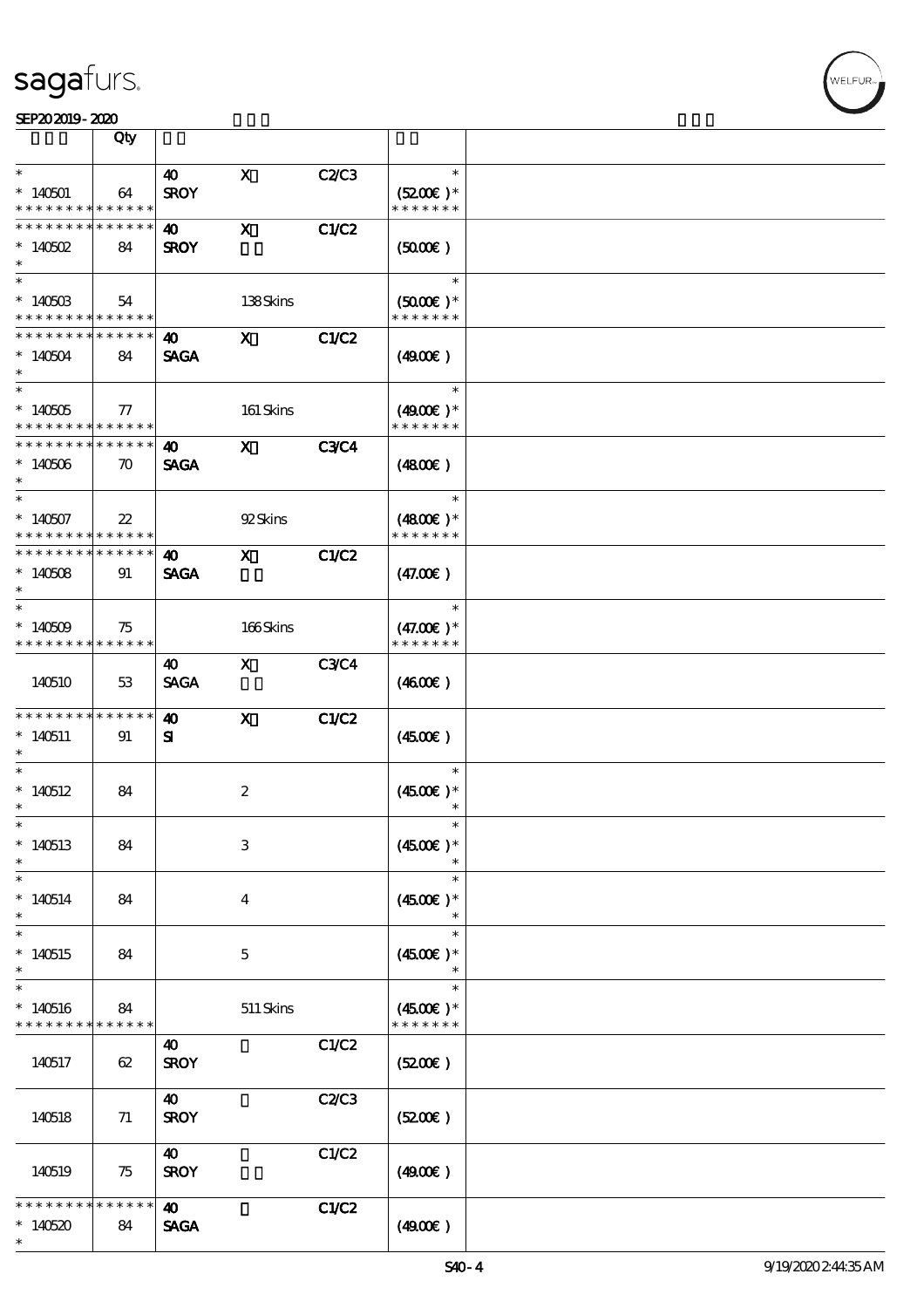|                                                      | Qty                |                                      |                         |              |                                                 |  |
|------------------------------------------------------|--------------------|--------------------------------------|-------------------------|--------------|-------------------------------------------------|--|
| $\ast$                                               |                    | $\boldsymbol{\omega}$                | $\mathbf{X}$            | C2C3         | $\ast$                                          |  |
| $*140501$<br>* * * * * * * * * * * * * *             | 64                 | <b>SROY</b>                          |                         |              | $(5200)$ *<br>* * * * * * *                     |  |
| * * * * * * * *<br>$*140502$<br>$\ast$               | * * * * * *<br>84  | <b>40</b><br><b>SROY</b>             | $\mathbf{x}$            | <b>C1/C2</b> | (5000)                                          |  |
| $*14050B$<br>* * * * * * * * * * * * * *             | 54                 |                                      | 138Skins                |              | $\ast$<br>$(5000\varepsilon)*$<br>* * * * * * * |  |
| * * * * * * * *<br>$*140504$<br>$\ast$               | * * * * * *<br>84  | 40<br><b>SAGA</b>                    | $\mathbf{x}$            | C1/C2        | (4900)                                          |  |
| $^*$ 140505 $\,$<br>* * * * * * * * * * * * * * *    | $77\,$             |                                      | 161 Skins               |              | $\ast$<br>$(4900)$ *<br>* * * * * * *           |  |
| * * * * * * * * * * * * * * *<br>$*140506$<br>$\ast$ | $\boldsymbol{\pi}$ | 40<br><b>SAGA</b>                    | $\mathbf{x}$            | <b>C3C4</b>  | (4800)                                          |  |
| $\ast$<br>$*140507$<br>* * * * * * * * * * * * * * * | $22\,$             |                                      | 92Skins                 |              | $\ast$<br>$(4800)$ *<br>* * * * * * *           |  |
| * * * * * * * * * * * * * *<br>$*140508$<br>$\ast$   | 91                 | 40<br><b>SAGA</b>                    | $\mathbf{x}$            | <b>C1/C2</b> | (47.00)                                         |  |
| $\ast$<br>$*140509$<br>* * * * * * * * * * * * * *   | 75                 |                                      | 166Skins                |              | $\ast$<br>$(47.00)$ *<br>* * * * * * *          |  |
| 140510                                               | 53                 | 40<br><b>SAGA</b>                    | $\mathbf{X}$            | <b>C3C4</b>  | (460E)                                          |  |
| * * * * * * * *<br>$*140511$<br>$\ast$               | * * * * * *<br>91  | 40<br>${\bf s}$                      | $\mathbf{x}$            | C1/C2        | $(4500\varepsilon)$                             |  |
| $\ast$<br>$*140512$<br>$\ast$                        | 84                 |                                      | $\boldsymbol{2}$        |              | $\ast$<br>$(4500)$ *<br>$\ast$                  |  |
| $*$<br>$*140513$<br>$\ast$                           | 84                 |                                      | $\,3$                   |              | $\ast$<br>$(4500)$ *                            |  |
| $\ast$<br>$*140514$<br>$\ast$                        | 84                 |                                      | $\overline{\mathbf{4}}$ |              | $\ast$<br>$(4500)$ *<br>$\ast$                  |  |
| $\ast$<br>$*140515$<br>$\ast$                        | 84                 |                                      | $\mathbf 5$             |              | $\ast$<br>$(4500)$ *                            |  |
| $\ast$<br>$*140516$<br>* * * * * * * *               | 84<br>* * * * * *  |                                      | $511$ Skins             |              | $\ast$<br>$(4500)$ *<br>* * * * * * *           |  |
| 140517                                               | 62                 | 40<br><b>SROY</b>                    |                         | C1/C2        | (5200)                                          |  |
| 140518                                               | 71                 | $\boldsymbol{\omega}$<br><b>SROY</b> |                         | C2C3         | (5200)                                          |  |
| 140519                                               | 75                 | 40<br><b>SROY</b>                    |                         | C1/C2        | (4900)                                          |  |
| * * *<br>$*140520$<br>$\ast$                         | * * * * * *<br>84  | $\boldsymbol{\omega}$<br><b>SAGA</b> |                         | C1/C2        | (4900)                                          |  |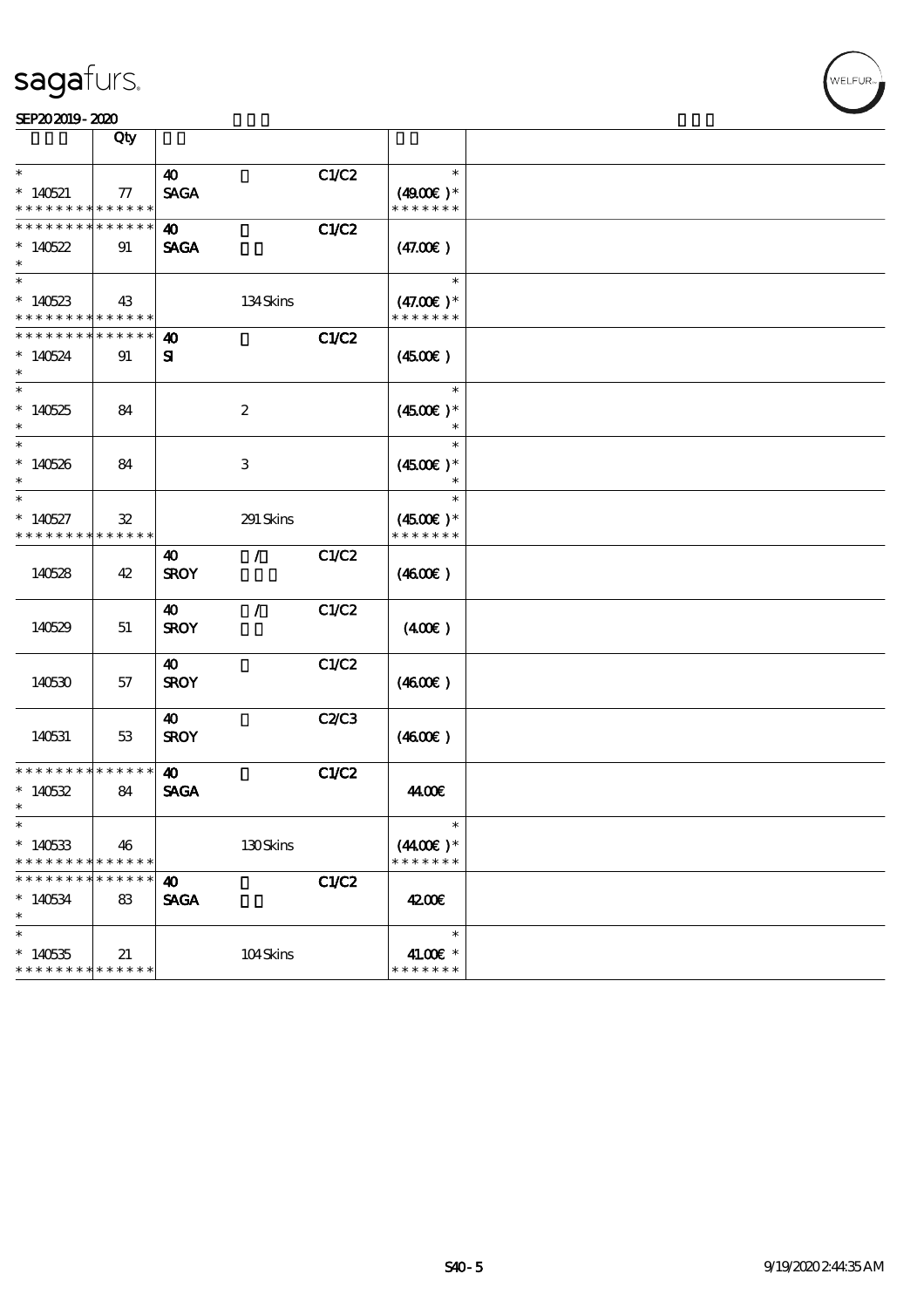| SEP202019-2020 |  |
|----------------|--|
|                |  |

|                                                             | Qty                           |                                      |       |                                       |  |
|-------------------------------------------------------------|-------------------------------|--------------------------------------|-------|---------------------------------------|--|
| $\ast$<br>$*140521$<br>* * * * * * * * * * * * * *          | 77                            | $\boldsymbol{\omega}$<br><b>SAGA</b> | C1/C2 | $\ast$<br>$(4900)$ *<br>* * * * * * * |  |
| * * * * * * * * * * * * * *<br>$*140522$                    | 91                            | $\boldsymbol{\omega}$<br><b>SAGA</b> | C1/C2 | (47.00)                               |  |
| $\ast$<br>$\ast$                                            |                               |                                      |       | $\ast$                                |  |
| $*140523$<br>* * * * * * * * * * * * * *<br>* * * * * * * * | 43<br>* * * * * *             | 134Skins                             |       | $(47.00)$ *<br>* * * * * * *          |  |
| $*140524$<br>$\overline{\ast}$                              | 91                            | 40<br>${\bf z}$                      | C1/C2 | $(4500\varepsilon)$<br>$\ast$         |  |
| $*140525$<br>$\ast$                                         | 84                            | $\boldsymbol{2}$                     |       | $(4500)$ *<br>$\ast$                  |  |
| $\ast$<br>$*140526$<br>$\ast$                               | 84                            | 3                                    |       | $\ast$<br>$(4500)$ *<br>$\ast$        |  |
| $\ast$<br>$*140527$<br>* * * * * * * *                      | $\mathfrak{B}$<br>* * * * * * | 291 Skins                            |       | $\ast$<br>$(4500)$ *<br>* * * * * * * |  |
| 140528                                                      | 42                            | $\mathcal{L}$<br>40<br><b>SROY</b>   | C1/C2 | (460E)                                |  |
| 140529                                                      | 51                            | 40<br>$\mathcal{L}$<br><b>SROY</b>   | C1/C2 | $(400\varepsilon)$                    |  |
| 140530                                                      | 57                            | 40<br><b>SROY</b>                    | C1/C2 | (460E)                                |  |
| 140531                                                      | 53                            | 40<br><b>SROY</b>                    | C2C3  | (460E)                                |  |
| * * * * * * * * * * * * * *<br>$*140532$<br>$\ast$          | 84                            | $\boldsymbol{\omega}$<br><b>SAGA</b> | C1/C2 | 44.00€                                |  |
| $\ast$<br>$*140533$<br>* * * * * * *                        | 46<br>* * * * * *             | 130Skins                             |       | $\ast$<br>$(440E)^*$<br>* * * * * * * |  |
| * * * * * * *<br>$*140534$<br>$\ast$                        | * * * * * *<br>83             | $\boldsymbol{\omega}$<br><b>SAGA</b> | C1/C2 | 4200E                                 |  |
| $\ast$<br>$*140535$<br>* * * * * * * * * * * * * *          | 21                            | 104Skins                             |       | $\ast$<br>41.00€ *<br>* * * * * * *   |  |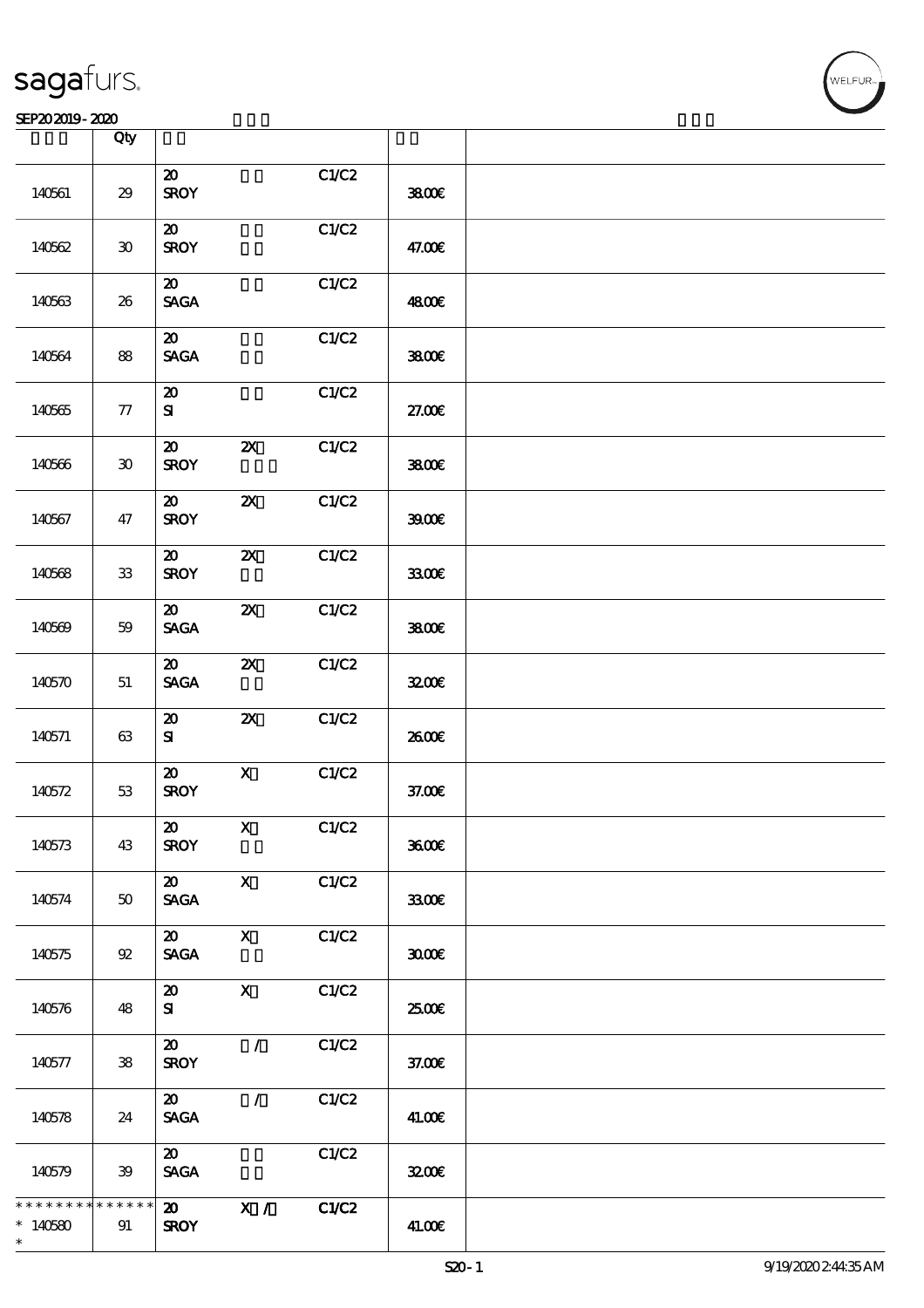|                                      | Qty                  |                                                               |                           |       |        |  |
|--------------------------------------|----------------------|---------------------------------------------------------------|---------------------------|-------|--------|--|
| 140561                               | $29\,$               | $\boldsymbol{\mathfrak{D}}$<br><b>SROY</b>                    |                           | C1/C2 | 3800€  |  |
| 140562                               | $30^{\circ}$         | $\boldsymbol{\mathsf{20}}$<br><b>SROY</b>                     |                           | C1/C2 | 47.00€ |  |
| 140563                               | 26                   | $\boldsymbol{\mathfrak{D}}$<br>$\operatorname{\mathsf{SAGA}}$ |                           | C1/C2 | 4800€  |  |
| 140564                               | 88                   | $\boldsymbol{\mathsf{20}}$<br><b>SAGA</b>                     |                           | C1/C2 | 3800€  |  |
| 140565                               | ${\bf 77}$           | $\boldsymbol{\mathfrak{D}}$<br>${\bf s}$                      |                           | C1/C2 | 27.00E |  |
| 140566                               | $\pmb{\mathfrak{D}}$ | $\boldsymbol{\mathfrak{D}}$<br><b>SROY</b>                    | $\boldsymbol{\mathsf{X}}$ | C1/C2 | 3800€  |  |
| 140567                               | 47                   | $\boldsymbol{\mathfrak{D}}$<br><b>SROY</b>                    | $\boldsymbol{\mathsf{z}}$ | C1/C2 | 39000  |  |
| 140568                               | ${\bf 33}$           | $\boldsymbol{\mathfrak{D}}$<br><b>SROY</b>                    | $\boldsymbol{\mathsf{X}}$ | C1/C2 | 3300   |  |
| 140569                               | $5\!9$               | $\boldsymbol{\mathfrak{D}}$<br><b>SAGA</b>                    | $\boldsymbol{\mathsf{z}}$ | C1/C2 | 3800€  |  |
| 140570                               | 51                   | $\boldsymbol{\mathfrak{D}}$<br><b>SAGA</b>                    | $\boldsymbol{\mathsf{z}}$ | C1/C2 | 3200E  |  |
| 140571                               | $63\,$               | $\boldsymbol{\mathbf{z}}$<br>${\bf s}$                        | $\boldsymbol{\mathsf{z}}$ | C1/C2 | 2600E  |  |
| 140572                               | $53\,$               | $\boldsymbol{\mathfrak{D}}$<br><b>SROY</b>                    | $\mathbf X$               | C1/C2 | 37.00E |  |
| 140573                               | 43                   | 20<br><b>SROY</b>                                             | X                         | C1/C2 | 3600E  |  |
| 140574                               | $50\,$               | $\boldsymbol{\mathfrak{D}}$<br>$\operatorname{\mathsf{SAGA}}$ | $\mathbf x$               | C1/C2 | 3300   |  |
| 140575                               | $92\,$               | $\boldsymbol{\mathfrak{D}}$<br><b>SAGA</b>                    | $\mathbf X$               | C1/C2 | 3000   |  |
| 140576                               | 48                   | $\boldsymbol{\mathsf{20}}$<br>${\bf s}$                       | $\boldsymbol{\mathrm{X}}$ | C1/C2 | 2500€  |  |
| 140577                               | ${\bf 38}$           | $\boldsymbol{\mathfrak{D}}$<br><b>SROY</b>                    | $\mathcal{L}$             | C1/C2 | 37.00E |  |
| 140578                               | 24                   | $\boldsymbol{\mathfrak{D}}$<br><b>SAGA</b>                    | $\mathcal{L}$             | C1/C2 | 41.00€ |  |
| 140579                               | 39                   | $\boldsymbol{\mathfrak{D}}$<br><b>SAGA</b>                    |                           | C1/C2 | 3200E  |  |
| * * * * * * *<br>$*140580$<br>$\ast$ | * * * * * *<br>91    | $\boldsymbol{\mathfrak{D}}$<br><b>SROY</b>                    | X /                       | C1/C2 | 41.00€ |  |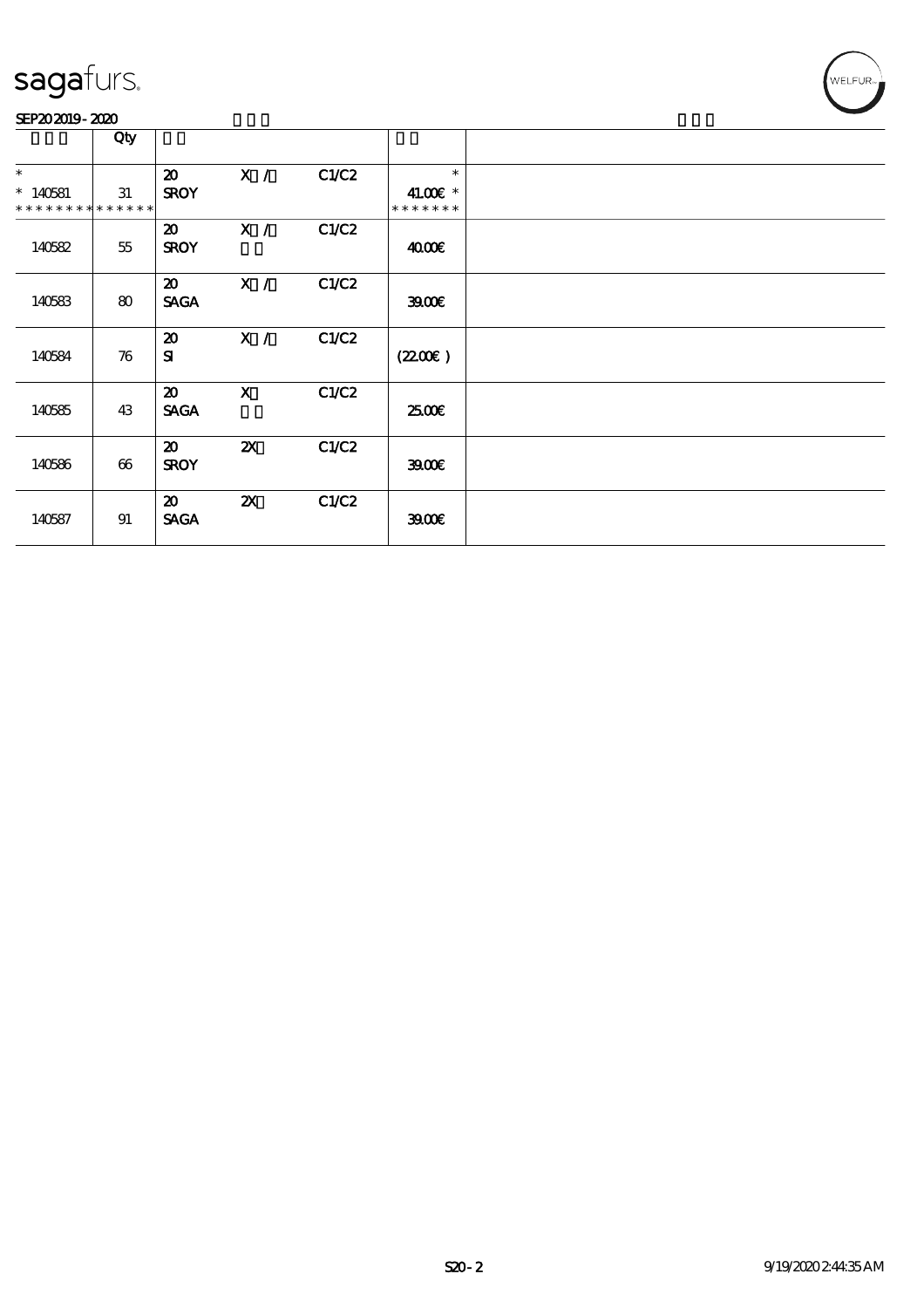#### SEP202019-2020

|                                                    | Qty    |                                            |                           |       |                                     |  |
|----------------------------------------------------|--------|--------------------------------------------|---------------------------|-------|-------------------------------------|--|
| $\ast$<br>$*140581$<br>* * * * * * * * * * * * * * | 31     | $\boldsymbol{\mathfrak{D}}$<br><b>SROY</b> | X /                       | C1/C2 | $\ast$<br>41.00€ *<br>* * * * * * * |  |
| 140582                                             | $55\,$ | $\boldsymbol{\mathfrak{D}}$<br><b>SROY</b> | X /                       | C1/C2 | 4000€                               |  |
| 140583                                             | 80     | $\boldsymbol{\mathfrak{D}}$<br><b>SAGA</b> | X /                       | C1/C2 | 3900                                |  |
| 140584                                             | 76     | $\boldsymbol{\mathfrak{D}}$<br>${\bf s}$   | X /                       | C1/C2 | (2200)                              |  |
| 140585                                             | 43     | 20<br><b>SAGA</b>                          | $\mathbf{X}$              | C1/C2 | 2500€                               |  |
| 140586                                             | 66     | $\boldsymbol{\mathfrak{D}}$<br><b>SROY</b> | $\boldsymbol{\mathsf{Z}}$ | C1/C2 | 3900                                |  |
| 140587                                             | 91     | $\boldsymbol{\mathfrak{D}}$<br><b>SAGA</b> | $\boldsymbol{\mathsf{Z}}$ | C1/C2 | 3900                                |  |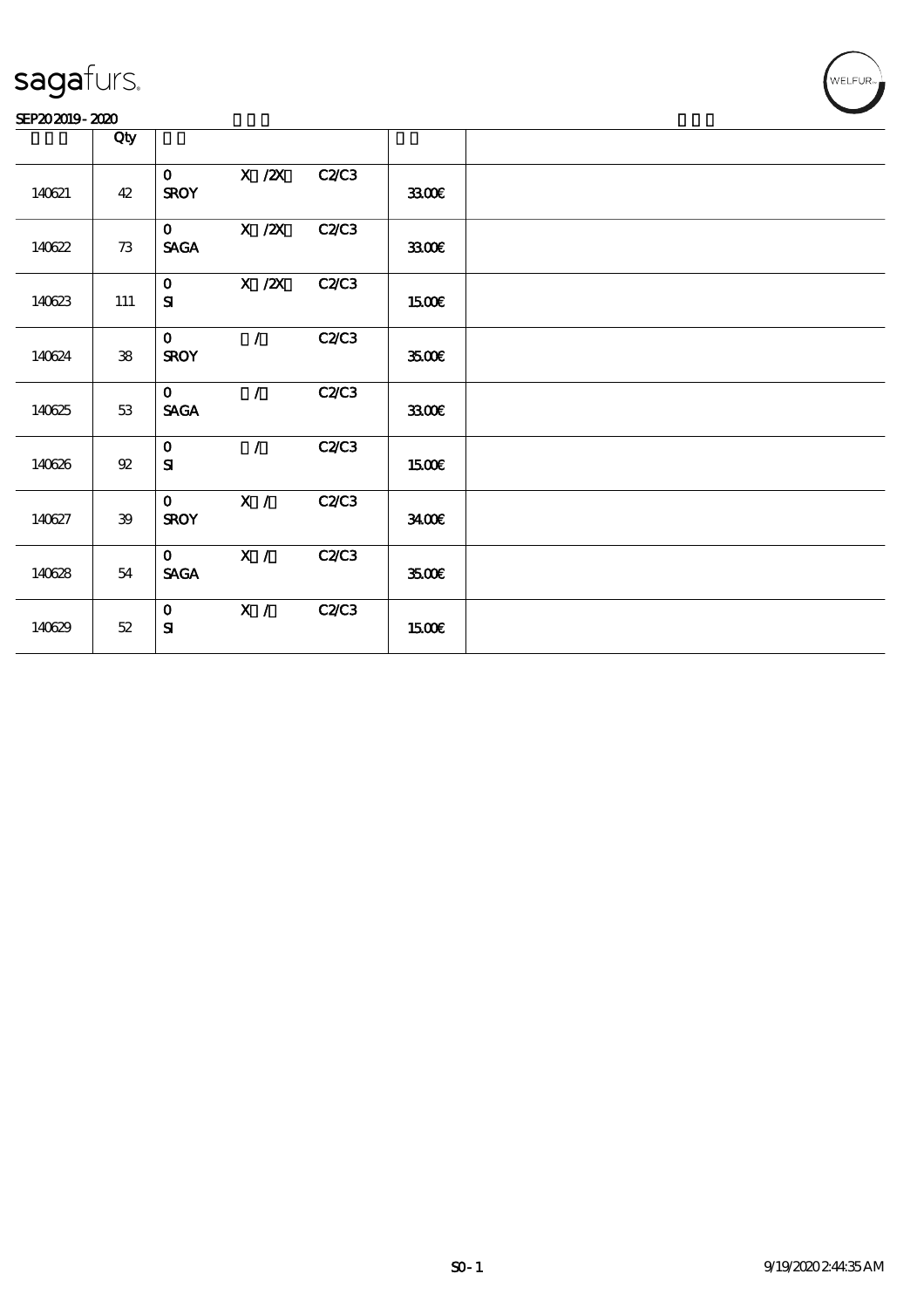#### SEP202019-2020

|        | Qty        |                             |               |              |              |  |
|--------|------------|-----------------------------|---------------|--------------|--------------|--|
| 140621 | 42         | $\mathbf{o}$<br><b>SROY</b> | X / ZX        | C2C3         | 3300         |  |
| 140622 | 73         | $\mathbf{O}$<br><b>SAGA</b> | $X$ / $ZX$    | <b>C2/C3</b> | 3300         |  |
| 140623 | 111        | $\mathbf{O}$<br>${\bf s}$   | X / ZX        | C2C3         | <b>1500€</b> |  |
| 140624 | ${\bf 38}$ | $\mathbf{o}$<br><b>SROY</b> | $\mathcal{L}$ | C2/C3        | 3500€        |  |
| 140625 | 53         | $\mathbf{O}$<br><b>SAGA</b> | $\mathcal{L}$ | C2C3         | 3300         |  |
| 140626 | 92         | $\mathbf{O}$<br>${\bf s}$   | $\mathcal{L}$ | C2C3         | <b>1500€</b> |  |
| 140627 | 39         | $\mathbf{O}$<br><b>SROY</b> | X /           | C2/C3        | 3400         |  |
| 140628 | 54         | $\mathbf{O}$<br><b>SAGA</b> | X /           | <b>C2/C3</b> | 3500€        |  |
| 140629 | 52         | $\mathbf{O}$<br>${\bf S}$   | X /           | <b>C2/C3</b> | <b>1500€</b> |  |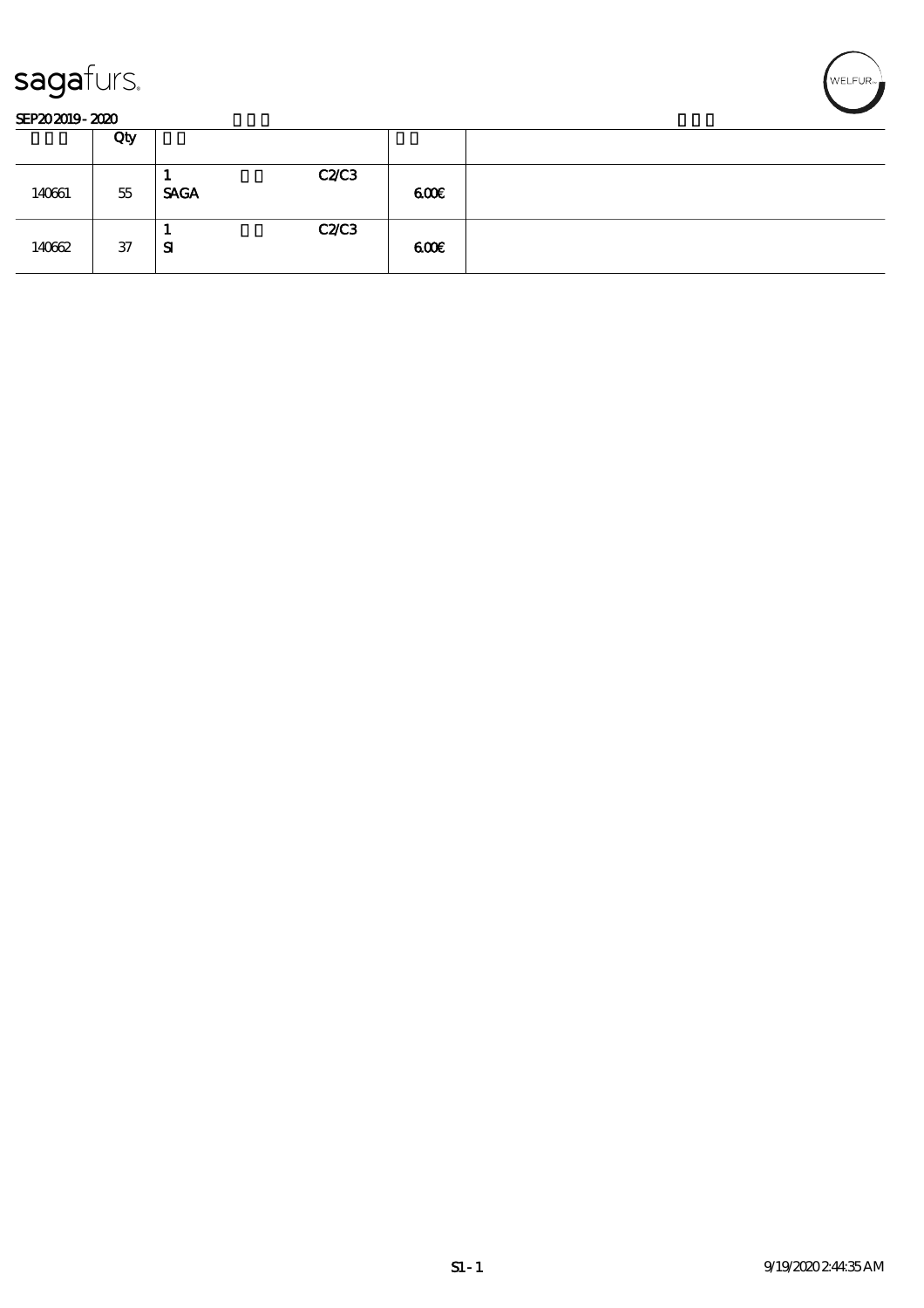



|        | Qty |                     |     |  |
|--------|-----|---------------------|-----|--|
| 140661 | 55  | C2C3<br><b>SAGA</b> | 600 |  |
| 140662 | 37  | C2C3<br>. .<br>-SI  | 600 |  |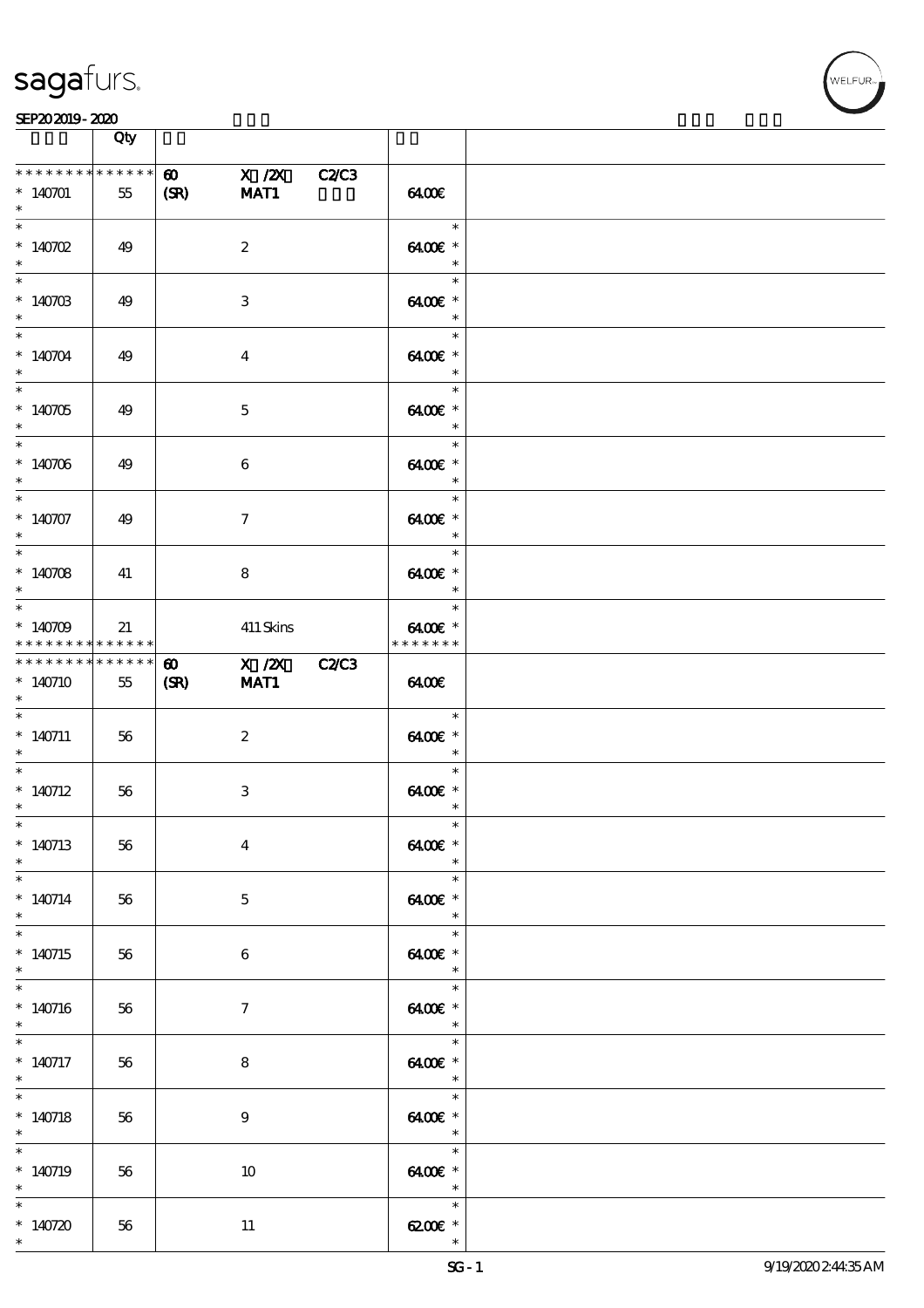

|                                                    | Qty |                                                      |                                               |  |
|----------------------------------------------------|-----|------------------------------------------------------|-----------------------------------------------|--|
| * * * * * * * * * * * * * *<br>$*140701$<br>$\ast$ | 55  | $X$ / $ZX$<br>$\boldsymbol{\omega}$<br>MAT1<br>(SR)  | <b>C2/C3</b><br>6400                          |  |
| $\overline{\ast}$<br>$*140702$<br>$\ast$           | 49  | $\boldsymbol{2}$                                     | $\ast$<br>6400€ *<br>$\ast$                   |  |
| $\overline{\phantom{0}}$<br>$*14070B$<br>$\ast$    | 49  | 3                                                    | $\ast$<br>6400€ *<br>$\ast$                   |  |
| $\ast$<br>$*140704$<br>$\ast$                      | 49  | $\boldsymbol{4}$                                     | $\ast$<br>6400€ *<br>$\ast$                   |  |
| $\overline{\phantom{0}}$<br>$*140705$<br>$\ast$    | 49  | $\mathbf 5$                                          | $\ast$<br>6400€ *<br>$\overline{\phantom{a}}$ |  |
| $*$<br>$*140706$<br>$*$                            | 49  | $\boldsymbol{6}$                                     | $\ast$<br>6400€ *<br>$\overline{\phantom{a}}$ |  |
| $\ast$<br>$*140707$<br>$\ast$                      | 49  | $\tau$                                               | $\ast$<br>6400€ *<br>$\ast$                   |  |
| $\overline{\ast}$<br>$*140708$<br>$\ast$           | 41  | 8                                                    | $\ast$<br>6400€ *<br>$\ast$                   |  |
| $\ast$<br>$*140709$<br>* * * * * * * * * * * * * * | 21  | 411 Skins                                            | $\ast$<br>6400€ *<br>* * * * * * *            |  |
| * * * * * * * * * * * * * *<br>$*140710$<br>$\ast$ | 55  | X /2X C2/C3<br>$\boldsymbol{\omega}$<br>MAT1<br>(SR) | 6400                                          |  |
| $\ast$<br>$*140711$<br>$\ast$                      | 56  | $\boldsymbol{2}$                                     | $\ast$<br>6400€ *<br>$\overline{\phantom{a}}$ |  |
| $\ast$<br>$*140712$<br>$*$                         | 56  | $\,3\,$                                              | $\ast$<br>6400€ *<br>$\ast$                   |  |
| $*$<br>$*140713$<br>$\ast$                         | 56  | $\boldsymbol{4}$                                     | $\ast$<br>6400€ *<br>$\ast$                   |  |
| $\ast$<br>$*140714$<br>$\ast$                      | 56  | $\mathbf{5}$                                         | $\ast$<br>6400€ *<br>$\ast$                   |  |
| $\ast$<br>$*140715$<br>$\ast$                      | 56  | $6\phantom{.}6$                                      | $\ast$<br>6400€ *<br>$\ast$                   |  |
| $\ast$<br>$*140716$<br>$\ast$                      | 56  | $\tau$                                               | $\ast$<br>6400€ *<br>$\ast$                   |  |
| $*140717$<br>$*$                                   | 56  | $\bf8$                                               | $\ast$<br>6400€ *<br>$\overline{\phantom{a}}$ |  |
| $\overline{\ast}$<br>$*140718$<br>$\ast$           | 56  | $\boldsymbol{9}$                                     | $\ast$<br>6400€ *<br>$\overline{\phantom{a}}$ |  |
| $\ast$<br>$*140719$<br>$\ast$                      | 56  | 10                                                   | $\ast$<br>6400€ *<br>$\ast$                   |  |
| $\ast$<br>$*140720$<br>$\ast$                      | 56  | $11\,$                                               | $\ast$<br>$6200$ $\varepsilon$ *              |  |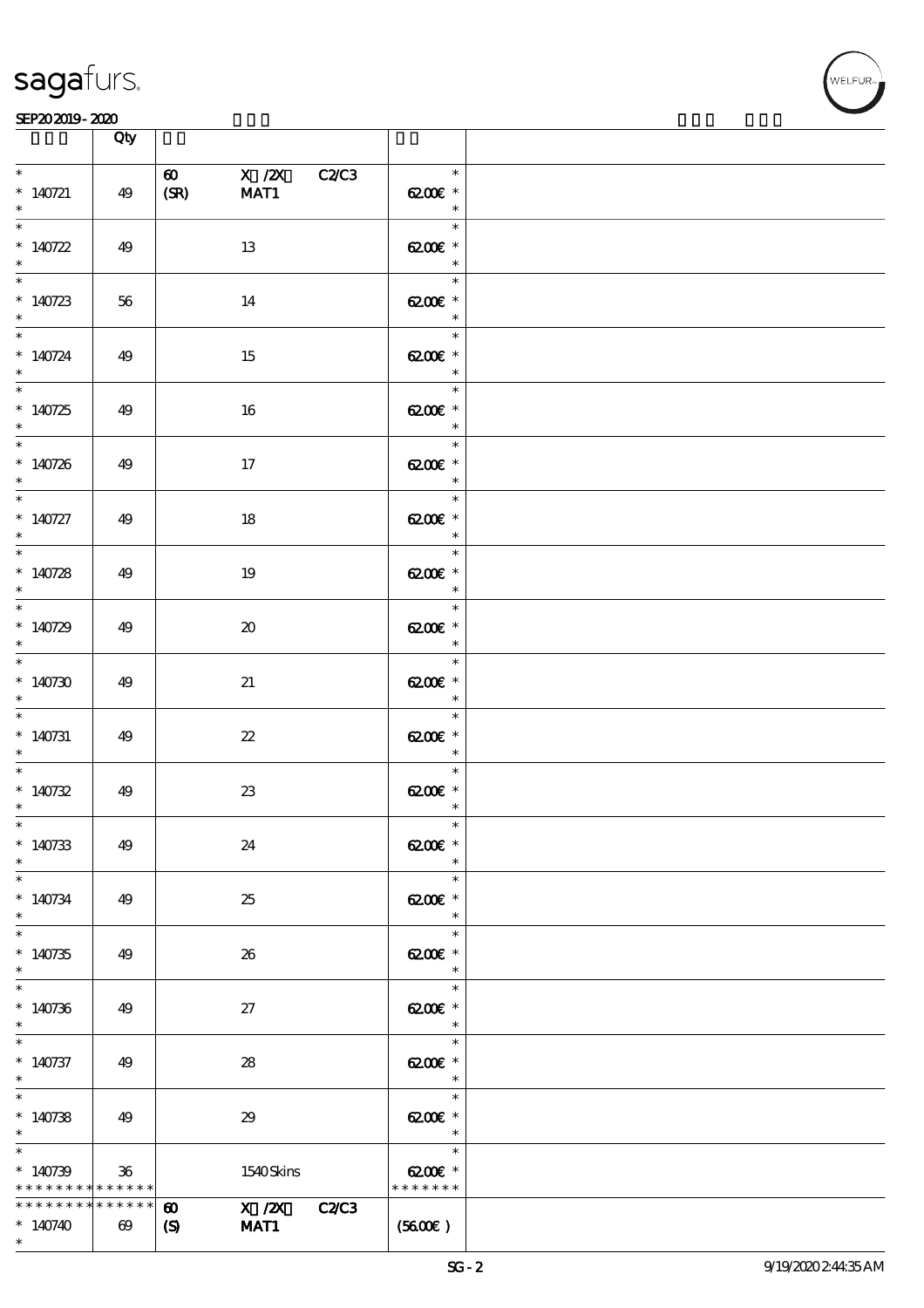

|                                                                  |                 | Qty                                                |                                                     |                             |                                                                                                                                                |  |
|------------------------------------------------------------------|-----------------|----------------------------------------------------|-----------------------------------------------------|-----------------------------|------------------------------------------------------------------------------------------------------------------------------------------------|--|
| $\ast$<br>$*140721$<br>$\ast$                                    |                 | 49                                                 | $\boldsymbol{\omega}$<br>(SR)                       | X /2X C2/C3<br>MAT1         | $\ast$<br>6200€ *<br>$\begin{array}{c c}\n\ast \\ \hline\n\ast \\ \end{array}$                                                                 |  |
| $\overline{\ast}$<br>$*140722$<br>$\ast$                         |                 | 49                                                 |                                                     | 13                          | 6200€ *<br>$\overline{\phantom{a}}$                                                                                                            |  |
| $*140723$<br>$\ast$                                              |                 | 56                                                 |                                                     | 14                          | $\overline{\phantom{a}}$<br>6200€ *                                                                                                            |  |
| $*140724$<br>$\ast$                                              |                 | 49                                                 |                                                     | 15                          | $\ast$<br>6200€ *<br>$\begin{array}{c c}\n\ast \\ \ast \\ \ast \\ \end{array}$                                                                 |  |
| $*140725$<br>$\ast$                                              |                 | 49                                                 |                                                     | 16                          | $\overline{\phantom{a}}$<br>$6200E$ *                                                                                                          |  |
| $*140726$<br>$\ast$                                              |                 | 49                                                 |                                                     | 17                          | $\begin{array}{c c}\n\ast \\ \ast \\ \end{array}$<br>$\overline{\ast}$<br>6200€ *<br>$\begin{array}{c c}\n\ast \\ \hline\n\ast \\ \end{array}$ |  |
| $\overline{\phantom{0}}$<br>$*140727$<br>$\ast$                  |                 | 49                                                 |                                                     | $18\,$                      | 6200€ *<br>$\begin{array}{c c}\n\ast \\ \hline\n\ast \\ \end{array}$                                                                           |  |
| $_{*}$<br>$*140728$<br>$\ast$                                    |                 | 49                                                 |                                                     | 19                          | $6200$ $*$<br>$\begin{array}{c c}\n\ast \\ \hline\n\ast \\ \end{array}$                                                                        |  |
| $\begin{array}{c c}\n\hline\n\end{array}$<br>$*140729$<br>$\ast$ |                 | 49                                                 |                                                     | $\boldsymbol{\mathfrak{D}}$ | $6200$ $*$<br>$\overline{\phantom{a}}$                                                                                                         |  |
| $\ast$<br>$*140730$<br>$\ast$                                    |                 | 49                                                 |                                                     | 21                          | $\overline{\phantom{0}}$<br>6200€ *<br>$\frac{\ast}{\ast}$                                                                                     |  |
| $\overline{\phantom{a}^*}$<br>$*$ 140731<br>$\ast$               |                 | 49                                                 |                                                     | $\boldsymbol{\mathcal{Z}}$  | $\overline{\phantom{0}}$<br>6200€ *<br>$\begin{array}{c c}\n & \ast \\ \hline\n & \ast\n\end{array}$                                           |  |
| $\ast$<br>$*140732$<br>$\ast$                                    |                 | 49                                                 |                                                     | $2\!3$                      | $\overline{\phantom{0}}$<br>$6200$ $^{\circ}$<br>$\ast$                                                                                        |  |
| $*$<br>$*140733$<br>$\ast$                                       |                 | 49                                                 |                                                     | 24                          | $\ast$<br>$C^{\infty}$<br>$\ast$                                                                                                               |  |
| $\ast$<br>$*140734$<br>$\ast$                                    |                 | 49                                                 |                                                     | 25                          | $\ast$<br>$6200$ $*$<br>$\ast$                                                                                                                 |  |
| $\ast$<br>$*140735$<br>$\ast$                                    |                 | 49                                                 |                                                     | 26                          | $\ast$<br>6200€ *<br>$\ast$                                                                                                                    |  |
| $\ast$<br>$*140736$<br>$\ast$                                    |                 | 49                                                 |                                                     | 27                          | $\ast$<br>6200€ *<br>$\ast$                                                                                                                    |  |
| $\ast$<br>$*140737$<br>$\ast$                                    |                 | 49                                                 |                                                     | 28                          | $\ast$<br>$6200$ $*$<br>$\ast$                                                                                                                 |  |
| $\ast$<br>$*140738$<br>$\ast$                                    |                 | 49                                                 |                                                     | 29                          | $\ast$<br>$6200$ $*$<br>$\overline{\phantom{a}}$                                                                                               |  |
| $\ast$<br>$*140739$                                              |                 | $36\,$<br>* * * * * * * * <mark>* * * * * *</mark> |                                                     | 1540Skins                   | $\ast$<br>$6200$ $\varepsilon$ *<br>* * * * * * *                                                                                              |  |
| $*140740$<br>$*$                                                 | * * * * * * * * | * * * * * *<br>$\boldsymbol{\omega}$               | $\boldsymbol{\omega}$<br>$\boldsymbol{\mathcal{S}}$ | X / ZX C2/C3<br>MAT1        | (5600)                                                                                                                                         |  |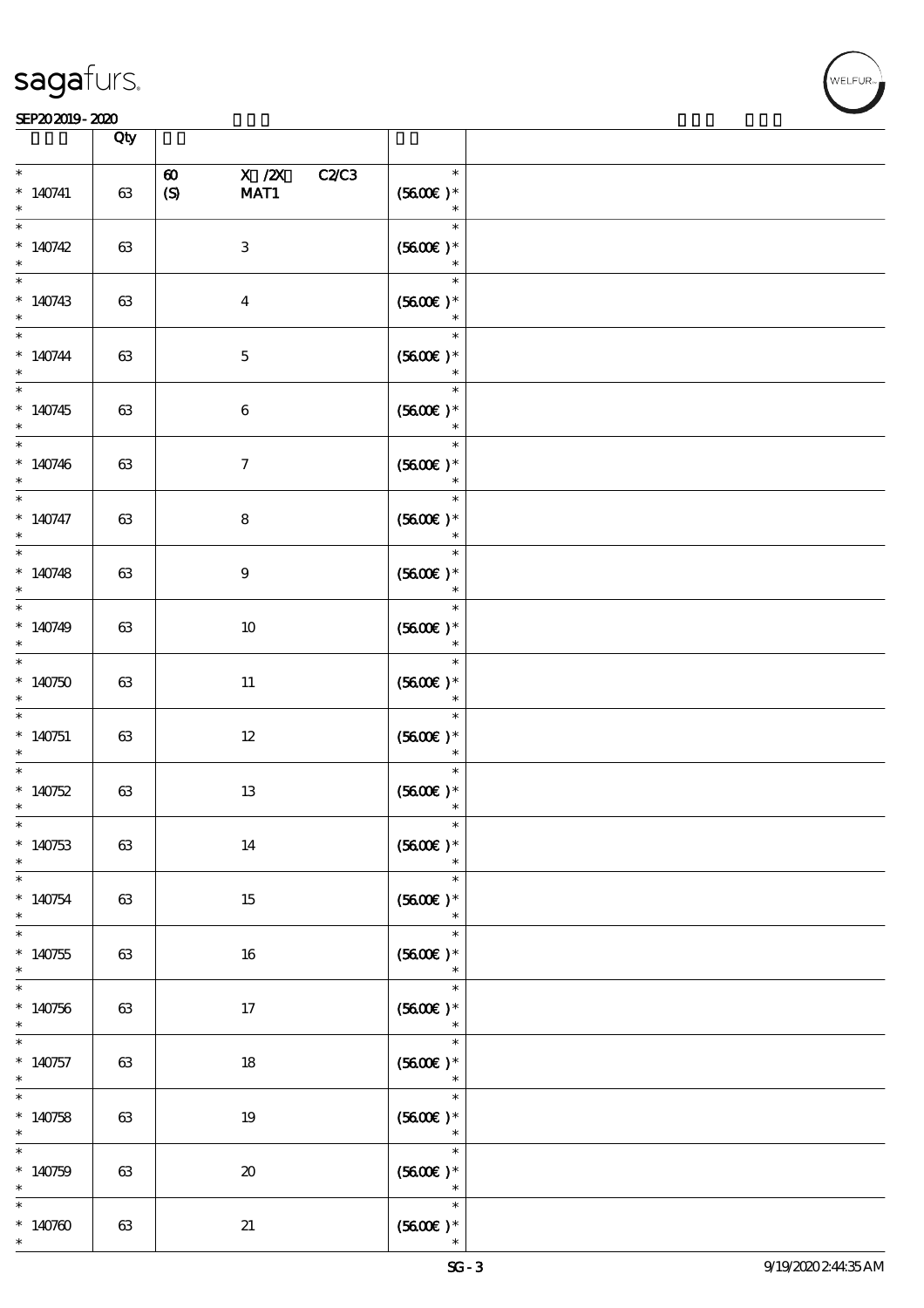

|                                                 | Qty    |                                                    |                                                |  |
|-------------------------------------------------|--------|----------------------------------------------------|------------------------------------------------|--|
| $\ast$<br>$*140741$<br>$\ast$                   | $63\,$ | $X$ / $ZX$<br>$\boldsymbol{\omega}$<br>(S)<br>MAT1 | <b>C2/C3</b><br>$\ast$<br>$(5600)$ *<br>$\ast$ |  |
| $\ast$<br>$*140742$<br>$\ast$                   | 63     | $\,3\,$                                            | $\ast$<br>$(5600)$ *<br>$\ast$                 |  |
| $\ast$<br>$*140743$<br>$\ast$                   | 63     | $\boldsymbol{4}$                                   | $\ast$<br>$(5600)$ *<br>$\ast$                 |  |
| $\ast$<br>$*140744$<br>$\ast$                   | 63     | $\mathbf 5$                                        | $\ast$<br>$(5600)$ *                           |  |
| $\overline{\phantom{0}}$<br>$*140745$<br>$\ast$ | 63     | $\,6\,$                                            | $\ast$<br>$(5600)$ *<br>$\ast$                 |  |
| $\ast$<br>$*140746$<br>$\ast$                   | 63     | $\boldsymbol{7}$                                   | $\ast$<br>$(5600)$ *<br>$\ast$                 |  |
| $\ast$<br>$* 140747$<br>$\ast$                  | 63     | $\bf 8$                                            | $\ast$<br>$(5600)$ *<br>$\ast$                 |  |
| $\overline{\ast}$<br>$*140748$<br>$\ast$        | 63     | $\boldsymbol{9}$                                   | $\ast$<br>$(5600E)*$<br>$\ast$                 |  |
| $\ast$<br>$*140749$<br>$\ast$                   | 63     | 10                                                 | $\ast$<br>$(5600)$ *<br>$\ast$                 |  |
| $\ast$<br>$*140750$<br>$\ast$                   | 63     | $11\,$                                             | $\ast$<br>$(5600)$ *                           |  |
| $\ast$<br>$*140751$<br>$\ast$                   | 63     | $12\,$                                             | $\ast$<br>$(5600)$ *<br>$\ast$                 |  |
| $\ast$<br>$*140752$<br>$\ast$                   | 63     | $13\,$                                             | $\ast$<br>$(5600)$ *<br>$\ast$                 |  |
| $\ast$<br>$*140753$<br>$\ast$                   | 63     | 14                                                 | $\ast$<br>$(5600)$ *                           |  |
| $\ast$<br>$*140754$<br>$\ast$                   | 63     | 15                                                 | $\ast$<br>$(5600)$ *<br>$\ast$                 |  |
| $\ast$<br>$*140755$<br>$\ast$                   | 63     | 16                                                 | $\ast$<br>$(5600)$ *<br>$\ast$                 |  |
| $\ast$<br>$*140756$<br>$\ast$                   | 63     | 17                                                 | $\ast$<br>$(5600)$ *                           |  |
| $\ast$<br>$*140757$<br>$\ast$                   | 63     | 18                                                 | $\ast$<br>$(5600)$ *<br>$\ast$                 |  |
| $\ast$<br>$*140758$<br>$\ast$                   | 63     | $19\,$                                             | $\ast$<br>$(5600)$ *<br>$\ast$                 |  |
| $\ast$<br>$*140759$<br>$\ast$                   | 63     | $\pmb{\mathcal{X}}$                                | $\ast$<br>$(5600E)*$<br>$\ast$                 |  |
| $\ast$<br>$*140760$<br>$\ast$                   | 63     | 21                                                 | $\ast$<br>$(5600)$ *                           |  |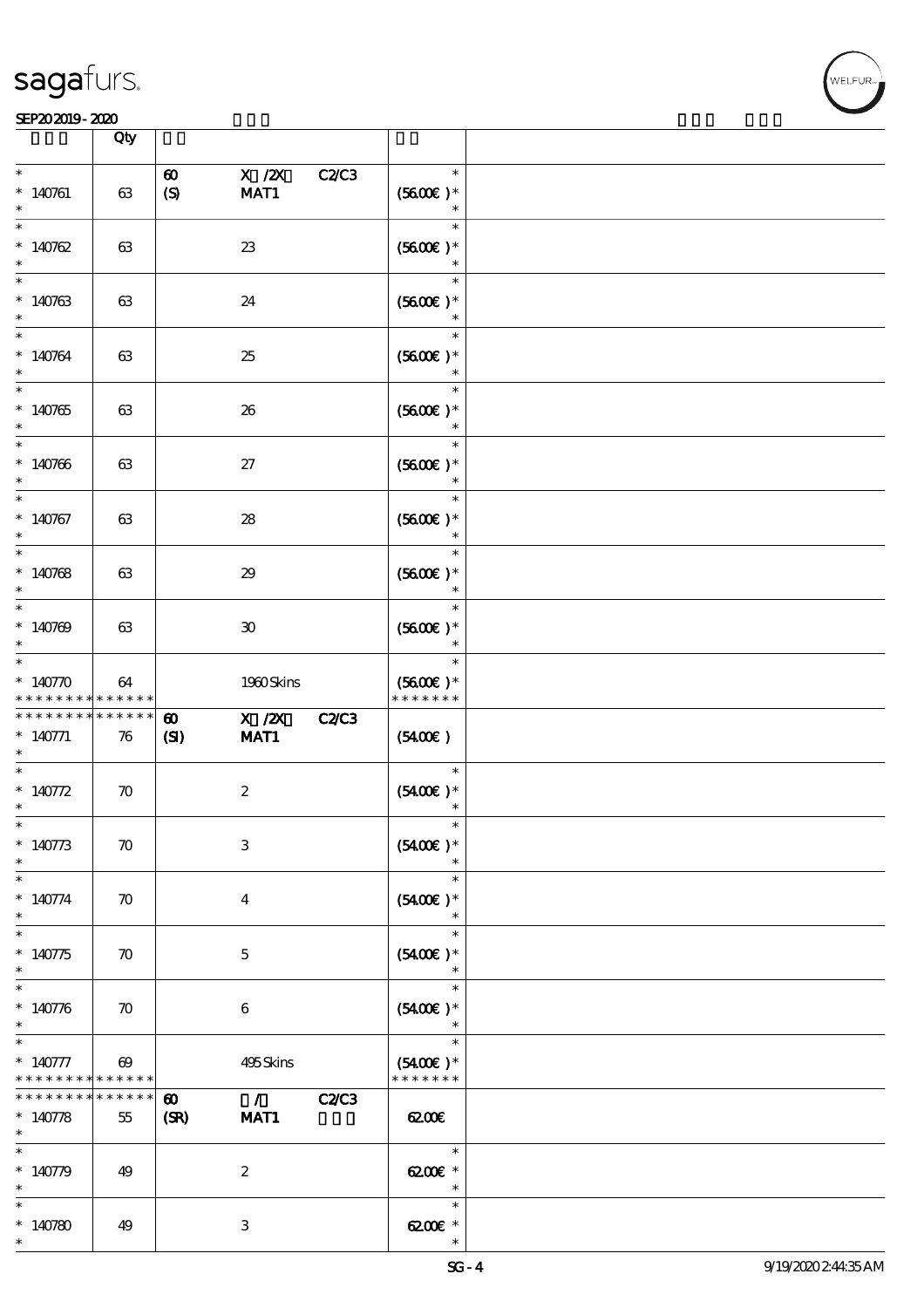

|                                                                                                                                      | Qty                                  |                                                                   |              |                                         |  |
|--------------------------------------------------------------------------------------------------------------------------------------|--------------------------------------|-------------------------------------------------------------------|--------------|-----------------------------------------|--|
| $\ast$<br>$*140761$<br>$\ast$                                                                                                        | 63                                   | X / ZX<br>$\boldsymbol{\omega}$<br>$\boldsymbol{S}$<br>MAT1       | C2C3         | $\ast$<br>$(5600)$ *<br>$\ast$          |  |
| $\ast$<br>$*140762$<br>$\ast$                                                                                                        | 63                                   | $23\,$                                                            |              | $\ast$<br>$(5600)$ *<br>$\ast$          |  |
| $\ast$<br>$*140763$<br>$\ast$                                                                                                        | 63                                   | 24                                                                |              | $\ast$<br>$(5600)$ *                    |  |
| $\ast$<br>$*140764$<br>$\ast$                                                                                                        | 63                                   | 25                                                                |              | $\ast$<br>$(5600)$ *                    |  |
| $\overline{\ast}$<br>$*140765$<br>$\ast$                                                                                             | 63                                   | 26                                                                |              | $\ast$<br>$(5600)$ *<br>$\ast$          |  |
| $\overline{\phantom{0}}$<br>$* 140766$<br>$\ast$                                                                                     | 63                                   | 27                                                                |              | $\ast$<br>$(5600)$ *<br>$\ast$          |  |
| $\ast$<br>$*140767$<br>$\ast$                                                                                                        | 63                                   | ${\bf 28}$                                                        |              | $\ast$<br>$(5600)$ *<br>$\ast$          |  |
| $\ast$<br>$*140768$<br>$\ast$                                                                                                        | 63                                   | 29                                                                |              | $\ast$<br>$(5600)$ *<br>$\ast$          |  |
| $\ast$<br>$*140769$<br>$\ast$                                                                                                        | 63                                   | $\boldsymbol{\mathfrak{D}}$                                       |              | $\ast$<br>$(5600)$ *<br>$\ast$          |  |
| $\ast$<br>$* 140770$<br>* * * * * * * *                                                                                              | 64<br>$* * * * * * *$                | 1980Skins                                                         |              | $\ast$<br>$(5600)$ *<br>* * * * * * *   |  |
| * * * * * * * *<br>$* 140771$<br>$\ast$                                                                                              | * * * * * *<br>76                    | $X$ / $ZX$<br>$\boldsymbol{\omega}$<br>MAT1<br>$\mathbf{C}$       | <b>C2/C3</b> | (5400)                                  |  |
| $\ast$<br>* $140772$<br>$\ast$                                                                                                       | $\boldsymbol{\pi}$                   | $\boldsymbol{2}$                                                  |              | $\ast$<br>$(5400)$ *<br>$\ast$          |  |
| $*$                                                                                                                                  |                                      |                                                                   |              |                                         |  |
|                                                                                                                                      | $\boldsymbol{\pi}$                   | $\ensuremath{\mathbf{3}}$                                         |              | $\ast$<br>$(5400)$ *                    |  |
|                                                                                                                                      | $\boldsymbol{\pi}$                   | $\bf{4}$                                                          |              | $\ast$<br>$(5400)$ *<br>$\ast$          |  |
|                                                                                                                                      | $\boldsymbol{\pi}$                   | $\mathbf 5$                                                       |              | $\ast$<br>$(5400)$ *<br>$\ast$          |  |
| $* 140773$<br>$\ast$<br>$\ast$<br>$* 140774$<br>$\ast$<br>$\overline{\ast}$<br>$*140775$<br>$\ast$<br>$\ast$<br>$* 140776$<br>$\ast$ | $\boldsymbol{\pi}$                   | $\boldsymbol{6}$                                                  |              | $\ast$<br>$(5400)$ *                    |  |
| * * * * * * * *                                                                                                                      | $\boldsymbol{\omega}$<br>* * * * * * | 495Skins                                                          |              | $\ast$<br>$(5400)$ *<br>* * * * * * *   |  |
| $\ast$<br>$* 140777$<br>* * * * * * *<br>$* 140778$<br>$\ast$                                                                        | * * * * * *<br>55                    | $\overline{\phantom{a}}$<br>$\boldsymbol{\omega}$<br>(SR)<br>MAT1 | <b>C2/C3</b> | 6200                                    |  |
| $\ast$<br>$* 140779$<br>$\ast$<br>$\ast$                                                                                             | 49                                   | $\boldsymbol{2}$                                                  |              | $\ast$<br>$6200E$ *<br>$\ast$<br>$\ast$ |  |

**NELFUR**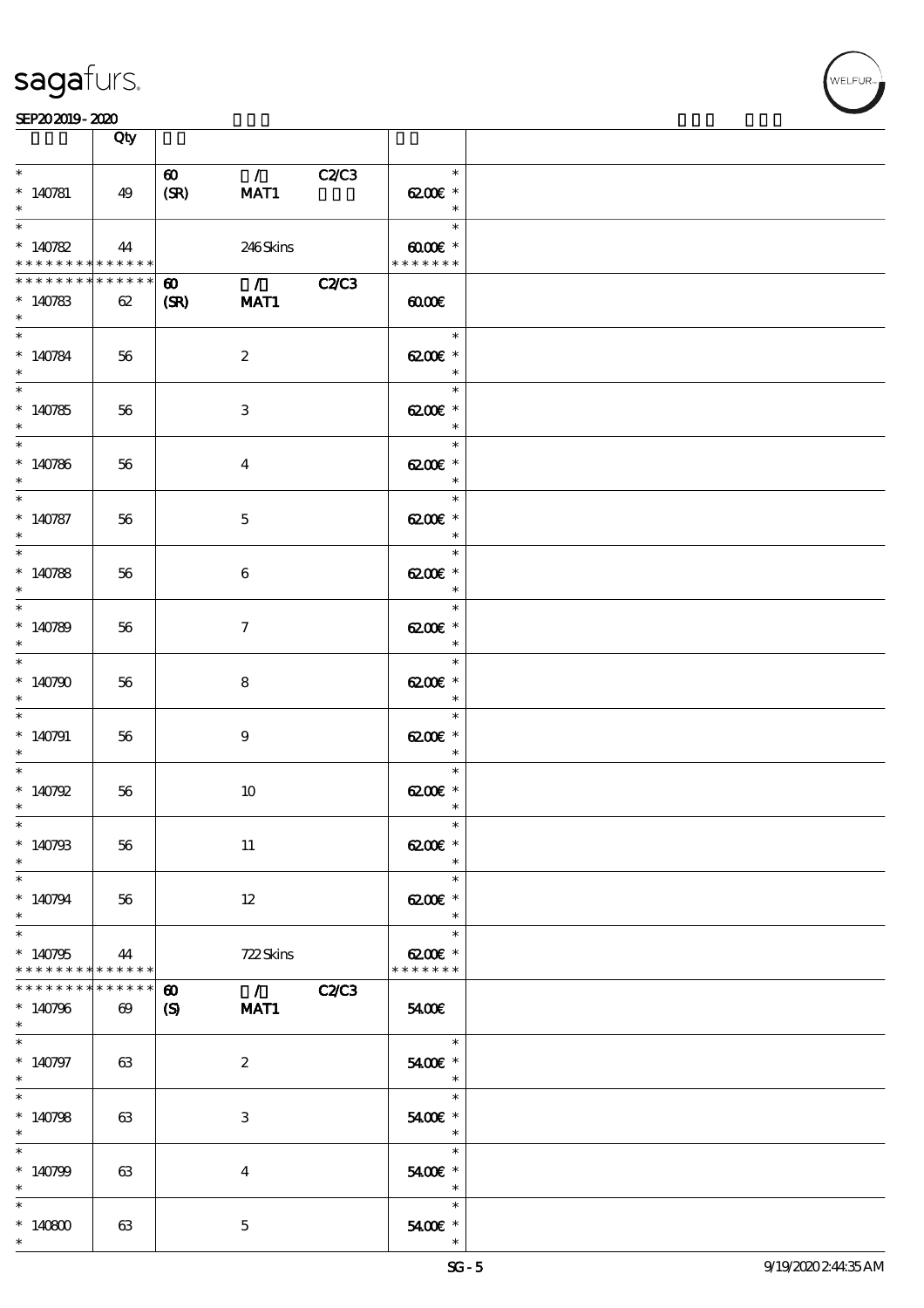

|                                                                   | Qty                                  |                                                                                                                                                                                                                                                                                                                                                                                                                               |                                                                           |  |
|-------------------------------------------------------------------|--------------------------------------|-------------------------------------------------------------------------------------------------------------------------------------------------------------------------------------------------------------------------------------------------------------------------------------------------------------------------------------------------------------------------------------------------------------------------------|---------------------------------------------------------------------------|--|
| $\ast$<br>$*140781$<br>$\ast$                                     | 49                                   | $\mathcal{L}$ and $\mathcal{L}$<br>$\boldsymbol{\omega}$<br>C2C3<br>(SR)<br>MAT1                                                                                                                                                                                                                                                                                                                                              | $\ast$<br>$6200$ $\varepsilon$ *<br>$\ast$                                |  |
| $\ast$<br>$*140782$<br>* * * * * * * * <mark>* * * * * * *</mark> | 44                                   | 246Skins                                                                                                                                                                                                                                                                                                                                                                                                                      | Timbre<br>$\ast$<br>$00005$ *<br>* * * * * * *                            |  |
| * * * * * * * * * * * * * *<br>$*140783$<br>$\ast$                | 62                                   | $\overline{1}$ $\overline{2}$ $\overline{2}$ $\overline{2}$ $\overline{2}$ $\overline{2}$ $\overline{2}$ $\overline{2}$ $\overline{2}$ $\overline{2}$ $\overline{2}$ $\overline{2}$ $\overline{2}$ $\overline{2}$ $\overline{2}$ $\overline{2}$ $\overline{2}$ $\overline{2}$ $\overline{2}$ $\overline{2}$ $\overline{2}$ $\overline{2}$ $\overline{2}$ $\overline{2}$ $\overline{$<br>$\boldsymbol{\omega}$<br>(SR)<br>MAT1 | $\omega$                                                                  |  |
| $\ast$<br>$*140784$<br>$\ast$                                     | 56                                   | $\boldsymbol{2}$                                                                                                                                                                                                                                                                                                                                                                                                              | $\ast$<br>6200€ *<br>$\ast$                                               |  |
| $*140785$<br>$\ast$                                               | 56                                   | 3                                                                                                                                                                                                                                                                                                                                                                                                                             | $\overline{a}$<br>$\ast$<br>6200€ *<br>$\overline{\phantom{a}}$           |  |
| $*140786$<br>$*$                                                  | 56                                   | $\bf{4}$                                                                                                                                                                                                                                                                                                                                                                                                                      | $\overline{\phantom{0}}$<br>$\ast$<br>6200€ *<br>$\overline{\phantom{a}}$ |  |
| $\ast$<br>$* 140787$<br>$\ast$                                    | 56                                   | $\mathbf{5}$                                                                                                                                                                                                                                                                                                                                                                                                                  | $\ast$<br>6200€ *<br>$\overline{\mathbf{r}}$                              |  |
| $\overline{\ast}$<br>$*140788$<br>$\ast$                          | 56                                   | 6                                                                                                                                                                                                                                                                                                                                                                                                                             | $\ast$<br>6200€ *                                                         |  |
| $*140789$<br>$\ast$                                               | 56                                   | $\tau$                                                                                                                                                                                                                                                                                                                                                                                                                        | $\ast$<br>6200€ *                                                         |  |
| $\ast$<br>$*140790$                                               | 56                                   | 8                                                                                                                                                                                                                                                                                                                                                                                                                             | $\ast$<br>6200€ *<br>$\ast$                                               |  |
| $\ast$<br>$*140791$<br>$\ast$                                     | 56                                   | $9\phantom{.0}$                                                                                                                                                                                                                                                                                                                                                                                                               | $\ast$<br>6200€ *<br>$\overline{\phantom{a}}$                             |  |
| $*140792$<br>$*$                                                  | 56                                   | $10\,$                                                                                                                                                                                                                                                                                                                                                                                                                        | $\ast$<br>6200€ *<br>$\ast$                                               |  |
| $*$<br>$*140793$<br>$\ast$                                        | 56                                   | 11                                                                                                                                                                                                                                                                                                                                                                                                                            | $\ast$<br>$C^*$<br>$\ast$                                                 |  |
| $\ast$<br>$*140794$<br>$\ast$                                     | 56                                   | $12 \,$                                                                                                                                                                                                                                                                                                                                                                                                                       | $\ast$<br>6200€ *<br>$\ast$                                               |  |
| $\ast$<br>$*140795$<br>* * * * * * * * * * * * * *                | 44                                   | 722Skins                                                                                                                                                                                                                                                                                                                                                                                                                      | $\ast$<br>6200€ *<br>* * * * * * *                                        |  |
| * * * * * * * *<br>$*140796$<br>$\ast$                            | * * * * * *<br>$\boldsymbol{\omega}$ | $\sqrt{C2C3}$<br>$\boldsymbol{\omega}$<br>(S)<br>MAT1                                                                                                                                                                                                                                                                                                                                                                         | 5400E                                                                     |  |
| $\ast$<br>$*140797$<br>$*$                                        | 63                                   | $\boldsymbol{2}$                                                                                                                                                                                                                                                                                                                                                                                                              | $\overline{\phantom{a}}$<br>5400€ *<br>$\overline{\phantom{a}}$           |  |
| $\ast$<br>$*140798$<br>$\ast$                                     | 63                                   | 3                                                                                                                                                                                                                                                                                                                                                                                                                             | $\ast$<br>5400€ *<br>$\overline{\phantom{a}}$                             |  |
| $\ast$<br>$*140799$<br>$\ast$                                     | 63                                   | 4                                                                                                                                                                                                                                                                                                                                                                                                                             | $\ast$<br>5400€ *<br>$\overline{\phantom{a}}$                             |  |
| $\ast$<br>$*140800$<br>$\ast$                                     | 63                                   | $\mathbf{5}$                                                                                                                                                                                                                                                                                                                                                                                                                  | $\ast$<br>5400€ *<br>$\ast$                                               |  |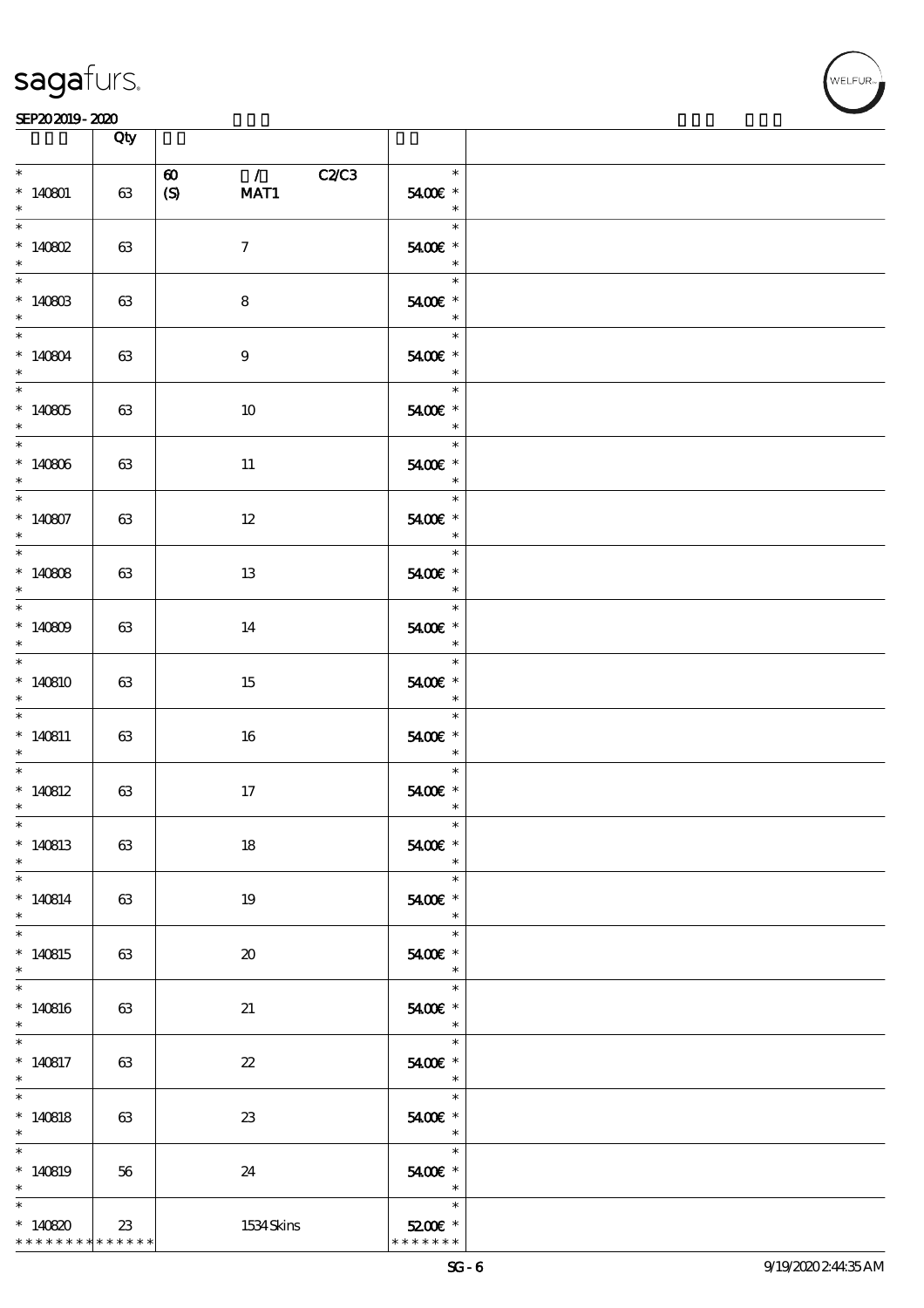

|                                                                   | Qty |                                                                                 |                                                                                                 |  |
|-------------------------------------------------------------------|-----|---------------------------------------------------------------------------------|-------------------------------------------------------------------------------------------------|--|
| $\ast$<br>$*140801$<br>$\ast$                                     | 63  | $\mathcal{L}$ and $\mathcal{L}$<br>C2C3<br>$\boldsymbol{\omega}$<br>(S)<br>MAT1 | $\overline{\mathbf{r}}$<br>5400€ *<br>$\overline{\phantom{a}}$                                  |  |
| $\overline{\ast}$<br>$*140802$<br>$\ast$                          | 63  | $\tau$                                                                          | $\ast$<br>5400€ *                                                                               |  |
| $*140803$<br>$\ast$                                               | 63  | $\bf8$                                                                          | $\overline{\phantom{a}}$<br>5400€ *                                                             |  |
| $*140804$<br>$\ast$                                               | 63  | $\boldsymbol{9}$                                                                | $\overline{\phantom{a}}$<br>$5400$ $^{\circ}$                                                   |  |
| $*140805$<br>$*$                                                  | 63  | 10                                                                              | $\overline{\ast}$<br>$5400E$ $^{\ast}$<br>$\overline{\phantom{a}}$                              |  |
| $*140806$<br>$\ast$                                               | 63  | $11\,$                                                                          | $\overline{\phantom{a}}$<br>$*$<br>5400€ *<br>$\overline{\phantom{a}}$ $\overline{\phantom{a}}$ |  |
| $\overline{\phantom{0}}$<br>$*140807$<br>$\ast$                   | 63  | $12 \,$                                                                         | $\ast$<br>5400€ *<br>$\overline{\phantom{a}}$                                                   |  |
| $\overline{\phantom{0}}$<br>$*140808$<br>$\ast$                   | 63  | 13                                                                              | $\ast$<br>$5400E$ $^{\ast}$                                                                     |  |
| $*140809$<br>$\ast$                                               | 63  | 14                                                                              | $\ast$<br>$5400$ $^{\circ}$                                                                     |  |
| $*140810$<br>$\ast$                                               | 63  | 15                                                                              | $\ast$<br>5400€ *<br>$\overline{\phantom{a}}$                                                   |  |
| $\ast$<br>$*140811$<br>$\ast$                                     | 63  | 16                                                                              | $\ast$<br>$5400E$ $^{\ast}$<br>$\overline{\phantom{a}}$                                         |  |
| $*$<br>$*140812$<br>$\ast$                                        | 63  | 17                                                                              | $\ast$<br>$5400E$ $^{\ast}$<br>$\ast$                                                           |  |
| $*$<br>$*140813$<br>$\ast$                                        | 63  | 18                                                                              | $\ast$<br>5400€ *<br>$\ast$                                                                     |  |
| $\ast$<br>$*140814$<br>$\ast$                                     | 63  | 19                                                                              | $\ast$<br>5400€ *<br>$\overline{\phantom{a}}$                                                   |  |
| $\ast$<br>$*140815$<br>$\ast$                                     | 63  | $\boldsymbol{\mathfrak{D}}$                                                     | $\ast$<br>5400€ *<br>$\ast$                                                                     |  |
| $\ast$<br>$*140816$<br>$\ast$                                     | 63  | 21                                                                              | $\ast$<br>5400€ *<br>$\overline{\phantom{a}}$                                                   |  |
| $\ast$<br>$*140817$<br>$*$                                        | 63  | $\boldsymbol{\mathcal{Z}}$                                                      | $\ast$<br>5400€ *<br>$\overline{\phantom{a}}$                                                   |  |
| $\overline{\ast}$<br>$*140818$<br>$\ast$                          | 63  | 23                                                                              | $\ast$<br>5400€ *<br>$\overline{\phantom{a}}$                                                   |  |
| $\ast$<br>$*140819$<br>$\ast$                                     | 56  | 24                                                                              | $\ast$<br>5400 £*<br>$\overline{\phantom{a}}$                                                   |  |
| $\ast$<br>$*140820$<br>* * * * * * * * <mark>* * * * * *</mark> * | 23  | 1534Skins                                                                       | $\ast$<br>$5200$ $*$<br>* * * * * * *                                                           |  |

WELFUR<br>
VELFUR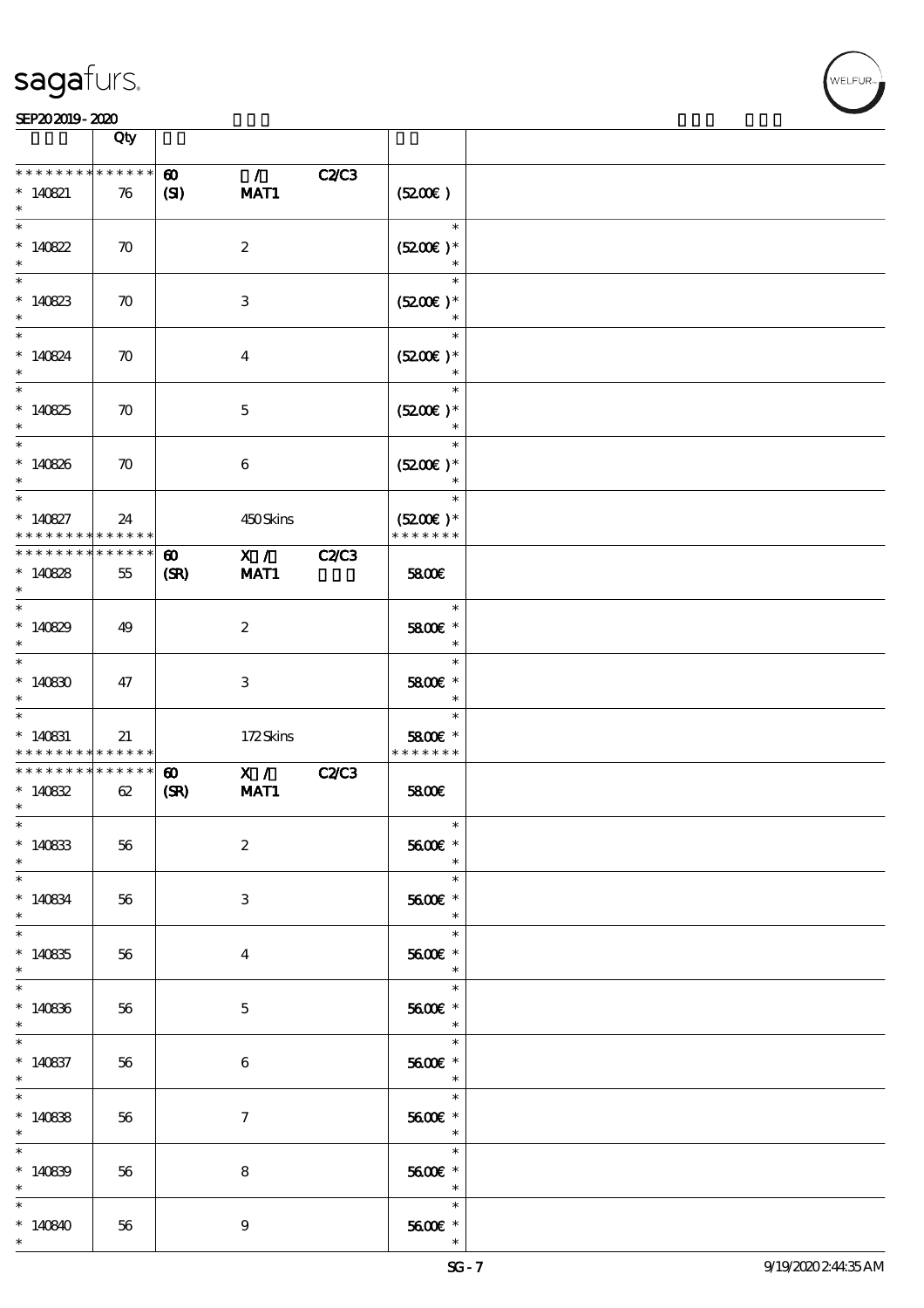| WELFUR <sub>™</sub> |
|---------------------|
|                     |
|                     |

| SEP202019-2020                                                                                                                                                                                                                                                                                                                                                                                                                                                                                      |                    |                                       |                        |              |                                                                                     |  |
|-----------------------------------------------------------------------------------------------------------------------------------------------------------------------------------------------------------------------------------------------------------------------------------------------------------------------------------------------------------------------------------------------------------------------------------------------------------------------------------------------------|--------------------|---------------------------------------|------------------------|--------------|-------------------------------------------------------------------------------------|--|
|                                                                                                                                                                                                                                                                                                                                                                                                                                                                                                     | Qty                |                                       |                        |              |                                                                                     |  |
| * * * * * * * * * * * * * *<br>$* 140821$<br>$\ast$                                                                                                                                                                                                                                                                                                                                                                                                                                                 | 76                 | $\boldsymbol{\omega}$<br>$\mathbf{C}$ | $\mathcal{L}$<br>MAT1  | <b>C2/C3</b> | (5200)                                                                              |  |
| $\ast$<br>$*140822$<br>$\ast$                                                                                                                                                                                                                                                                                                                                                                                                                                                                       | $\boldsymbol{\pi}$ | $\boldsymbol{z}$                      |                        |              | $\overline{\phantom{a}}$<br>$(5200)$ *<br>$\ast$                                    |  |
| $\ast$<br>$*140823$<br>$\ast$                                                                                                                                                                                                                                                                                                                                                                                                                                                                       | $\boldsymbol{\pi}$ | $\,3$                                 |                        |              | $\ast$<br>$(5200)$ *<br>$\ast$                                                      |  |
| $\ast$<br>$*140824$<br>$\ast$                                                                                                                                                                                                                                                                                                                                                                                                                                                                       | $\boldsymbol{\pi}$ | $\bf{4}$                              |                        |              | $\ast$<br>$(5200)$ *<br>$\ast$                                                      |  |
| $\ast$<br>$*140825$<br>$\ast$                                                                                                                                                                                                                                                                                                                                                                                                                                                                       | $\boldsymbol{\pi}$ | $\mathbf 5$                           |                        |              | $\ast$<br>$(5200)$ *<br>$\ast$                                                      |  |
| $\ast$<br>$*140826$<br>$\ast$                                                                                                                                                                                                                                                                                                                                                                                                                                                                       | $\boldsymbol{\pi}$ | $\boldsymbol{6}$                      |                        |              | $\ast$<br>$(5200)$ *<br>$\ast$                                                      |  |
| $\ast$<br>$* 140827$<br>* * * * * * * * <mark>* * * * * *</mark>                                                                                                                                                                                                                                                                                                                                                                                                                                    | 24                 |                                       | 450Skins               |              | $\ast$<br>$(5200)$ *<br>* * * * * * *                                               |  |
| * * * * * * * * * * * * * *<br>$*140828$<br>$\ast$                                                                                                                                                                                                                                                                                                                                                                                                                                                  | 55                 | $\boldsymbol{\omega}$<br>(SR)         | X /<br>MAT1            | <b>C2/C3</b> | 5800€                                                                               |  |
| $\ast$<br>$*140829$                                                                                                                                                                                                                                                                                                                                                                                                                                                                                 | 49                 | $\boldsymbol{z}$                      |                        |              | $\ast$<br>5800€ *<br>$\ast$                                                         |  |
| $\ast$<br>$*140800$                                                                                                                                                                                                                                                                                                                                                                                                                                                                                 | 47                 | $\,3$                                 |                        |              | $\ast$<br>5800€ *<br>$\ast$                                                         |  |
| $\ast$<br>$*140831$<br>* * * * * * * * <mark>* * * * * * *</mark>                                                                                                                                                                                                                                                                                                                                                                                                                                   | 21                 |                                       | 172Skins               |              | $\ast$<br>5800€ *<br>* * * * * * *                                                  |  |
| * * * * * * * * * * * * * *<br>$*140832$<br>$\ast$<br>$\ast$                                                                                                                                                                                                                                                                                                                                                                                                                                        | 62                 | $\boldsymbol{\omega}$<br>(SR)         | $\mathbf{X}$ /<br>MAT1 | <b>C2/C3</b> | 5800E<br>$\ast$                                                                     |  |
| $*140833$<br>$\ast$<br>$\overline{\phantom{a}^*}$                                                                                                                                                                                                                                                                                                                                                                                                                                                   | 56                 | $\boldsymbol{2}$                      |                        |              | 5600€ *<br>$\frac{1}{\sqrt{2\pi}}$                                                  |  |
| $*140834$<br>$\ast$<br>$\overline{\ast}$                                                                                                                                                                                                                                                                                                                                                                                                                                                            | 56                 | 3                                     |                        |              | $5600E$ $^{\ast}$<br>$\ast$<br>$\overline{\phantom{0}}$<br>$\overline{\phantom{a}}$ |  |
| $*140835$<br>$\ast$<br>$\begin{array}{c c} \hline \hline \rule{0pt}{2.5ex} & \multicolumn{2}{c}{} & \multicolumn{2}{c}{} & \multicolumn{2}{c}{} & \multicolumn{2}{c}{} & \multicolumn{2}{c}{} & \multicolumn{2}{c}{} & \multicolumn{2}{c}{} & \multicolumn{2}{c}{} & \multicolumn{2}{c}{} & \multicolumn{2}{c}{} & \multicolumn{2}{c}{} & \multicolumn{2}{c}{} & \multicolumn{2}{c}{} & \multicolumn{2}{c}{} & \multicolumn{2}{c}{} & \multicolumn{2}{c}{} & \multicolumn{2}{c}{} & \multicolumn{2$ | 56                 | $\boldsymbol{4}$                      |                        |              | $5600E$ $^{\ast}$<br>$\begin{array}{c c}\n\ast \\ \hline\n\ast \\ \end{array}$      |  |
| $*140836$<br>$\begin{picture}(20,20) \put(0,0){\line(1,0){150}} \put(15,0){\line(1,0){150}} \put(15,0){\line(1,0){150}} \put(15,0){\line(1,0){150}} \put(15,0){\line(1,0){150}} \put(15,0){\line(1,0){150}} \put(15,0){\line(1,0){150}} \put(15,0){\line(1,0){150}} \put(15,0){\line(1,0){150}} \put(15,0){\line(1,0){150}} \put(15,0){\line(1,0){150}} \$                                                                                                                                          | 56                 | $\mathbf{5}$                          |                        |              | $5600E$ $^{\ast}$<br>$\begin{array}{c c}\n\ast \\ \hline\n\ast \\ \end{array}$      |  |
| $*140837$<br>$\ast$<br>$\overline{\phantom{0}}$                                                                                                                                                                                                                                                                                                                                                                                                                                                     | 56                 | 6                                     |                        |              | 5600€ *<br>$\overline{\phantom{a}}$<br>$\overline{\phantom{0}}$<br>$\ast$           |  |
| $*140838$<br>$\ast$<br>$\overline{\phantom{0}}$                                                                                                                                                                                                                                                                                                                                                                                                                                                     | 56                 | $\mathcal{I}$                         |                        |              | 5600€ *<br>$\overline{\mathbf{r}}$                                                  |  |
| $*140839$<br>$\ast$                                                                                                                                                                                                                                                                                                                                                                                                                                                                                 | 56                 | 8                                     |                        |              | $\overline{\phantom{0}}$<br>5600€ *<br>$\overline{\phantom{a}}$                     |  |
| $*140840$<br>$\ast$                                                                                                                                                                                                                                                                                                                                                                                                                                                                                 | 56                 | 9                                     |                        |              | 5600€ *<br>$\ast$                                                                   |  |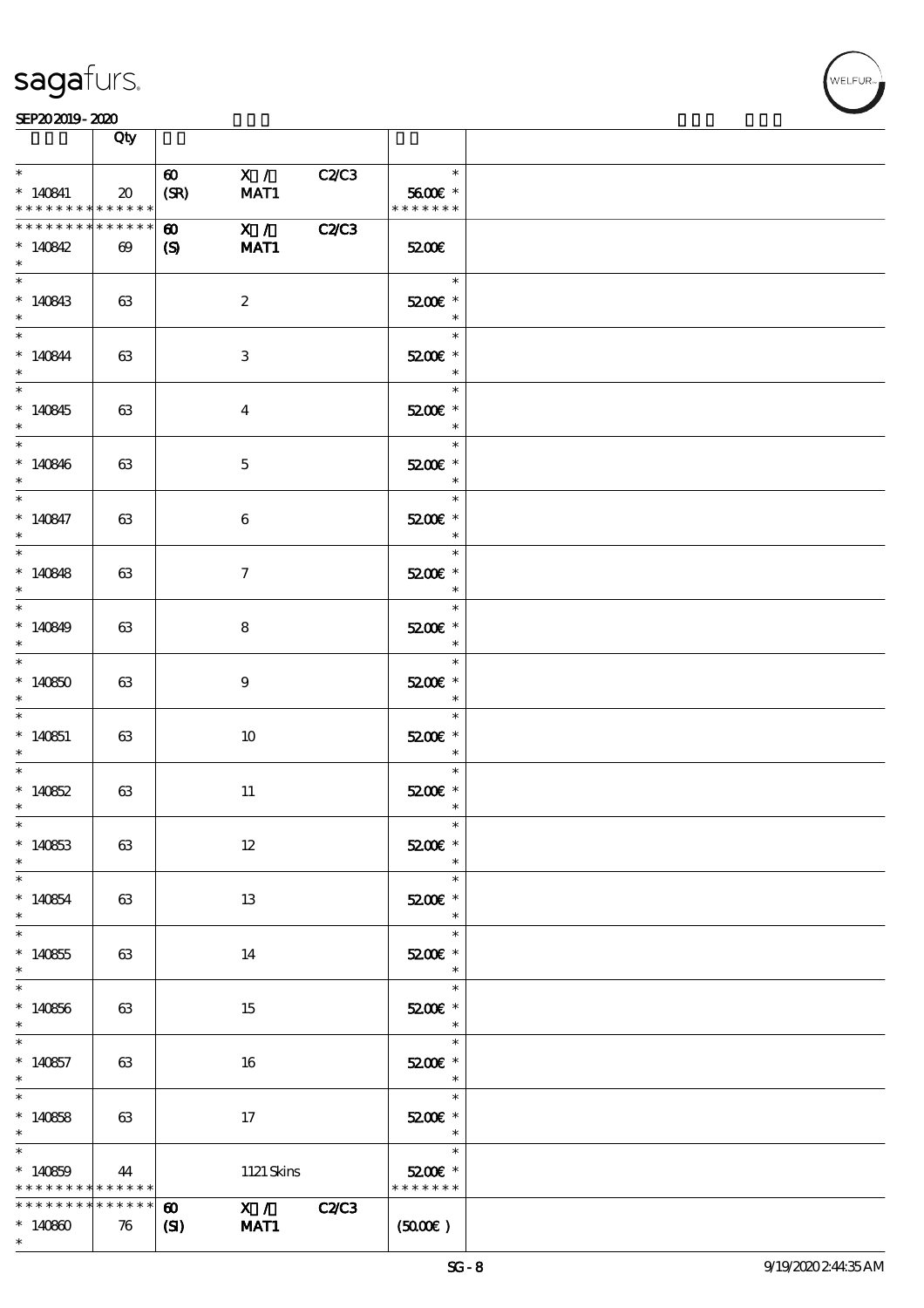

|                                                                  | Qty                           |                                       |                                  |              |                                                                                                                                                                                                                                                                                                                                                                                                                                                                                        |  |
|------------------------------------------------------------------|-------------------------------|---------------------------------------|----------------------------------|--------------|----------------------------------------------------------------------------------------------------------------------------------------------------------------------------------------------------------------------------------------------------------------------------------------------------------------------------------------------------------------------------------------------------------------------------------------------------------------------------------------|--|
| $\ast$<br>$*140841$<br>* * * * * * * * * * * * * *               | 20                            | $\boldsymbol{\omega}$<br>(SR)         | X /<br>MAT1                      | C2C3         | $\ast$<br>5600€ *<br>* * * * * * *                                                                                                                                                                                                                                                                                                                                                                                                                                                     |  |
| * * * * * * * * * * * * * *<br>$*140842$<br>$\ast$               | $\boldsymbol{\omega}$         | $\boldsymbol{\omega}$<br>$\mathbf{S}$ | $\overline{\mathbf{X}$ /<br>MAT1 | <b>C2/C3</b> | 5200E                                                                                                                                                                                                                                                                                                                                                                                                                                                                                  |  |
| $\begin{array}{c c}\n\hline\n\end{array}$<br>$*140843$<br>$\ast$ | 63                            |                                       | $\boldsymbol{2}$                 |              | $\ast$<br>5200E *<br>$\ast$                                                                                                                                                                                                                                                                                                                                                                                                                                                            |  |
| $*140844$<br>$\ast$                                              | 63                            |                                       | 3                                |              | $\ast$<br>5200E *<br>$\overline{\phantom{a}}$<br>$\frac{1}{\sqrt{2\pi}}\int_0^1\frac{1}{\sqrt{2\pi}}\left(\frac{1}{\sqrt{2\pi}}\right)^2\frac{1}{2\sqrt{2\pi}}\left(\frac{1}{\sqrt{2\pi}}\right)^2\frac{1}{2\sqrt{2\pi}}\left(\frac{1}{\sqrt{2\pi}}\right)^2\frac{1}{2\sqrt{2\pi}}\left(\frac{1}{\sqrt{2\pi}}\right)^2\frac{1}{2\sqrt{2\pi}}\left(\frac{1}{\sqrt{2\pi}}\right)^2\frac{1}{2\sqrt{2\pi}}\left(\frac{1}{\sqrt{2\pi}}\right)^2\frac{1}{2\sqrt{2\pi}}\left(\frac$<br>$\ast$ |  |
| $*140845$<br>$\ast$                                              | 63                            |                                       | $\bf{4}$                         |              | 5200E *<br>$\overline{\phantom{a}}$<br>$\ast$                                                                                                                                                                                                                                                                                                                                                                                                                                          |  |
| $*140846$<br>$*$<br>$\overline{\phantom{0}}$                     | 63                            |                                       | $\mathbf{5}$                     |              | 5200E *<br>$*$                                                                                                                                                                                                                                                                                                                                                                                                                                                                         |  |
| $* 140847$<br>$\ast$<br>$\overline{\ast}$                        | 63                            |                                       | 6                                |              | 5200E *<br>$\overline{\phantom{a}}$<br>$\ast$                                                                                                                                                                                                                                                                                                                                                                                                                                          |  |
| $*140848$<br>$\ast$                                              | 63                            |                                       | $\mathcal{I}$                    |              | 5200E *<br>$\overline{\phantom{a}}$<br>$\ast$                                                                                                                                                                                                                                                                                                                                                                                                                                          |  |
| $*140849$<br>$\ast$<br>$\ast$                                    | 63                            |                                       | 8                                |              | 5200E *<br>—<br>*                                                                                                                                                                                                                                                                                                                                                                                                                                                                      |  |
| $*140850$<br>$\ast$<br>$\ast$                                    | 63                            |                                       | 9                                |              | 5200E *<br>$\overline{\phantom{a}}$<br>$\ast$                                                                                                                                                                                                                                                                                                                                                                                                                                          |  |
| $*140851$<br>$\ast$<br>$\ast$                                    | 63                            |                                       | 10                               |              | 5200E *<br>$\overline{\phantom{a}}$<br>$\ast$                                                                                                                                                                                                                                                                                                                                                                                                                                          |  |
| $*140852$<br>$\ast$<br>$*$ $*$                                   | 63                            |                                       | $11\,$                           |              | 52006 *<br>$\ast$<br>$\ast$                                                                                                                                                                                                                                                                                                                                                                                                                                                            |  |
| $*140853$<br>$\ast$<br>$\overline{\ast}$<br>$*140854$            | 63                            |                                       | $12\,$                           |              | 5200€ *<br>$\ast$<br>$\ast$<br>5200E *                                                                                                                                                                                                                                                                                                                                                                                                                                                 |  |
| $\ast$<br>$\ast$<br>$*140855$                                    | 63<br>63                      |                                       | 13<br>14                         |              | $\ast$<br>$\ast$<br>5200E *                                                                                                                                                                                                                                                                                                                                                                                                                                                            |  |
| $\ast$<br>$\ast$<br>$*140856$                                    | 63                            |                                       | 15                               |              | $\ast$<br>$\ast$<br>5200E *                                                                                                                                                                                                                                                                                                                                                                                                                                                            |  |
| $\ast$<br>$\ast$<br>$*140857$                                    | 63                            |                                       | 16                               |              | $\overline{\phantom{a}}$<br>$\ast$<br>5200E *                                                                                                                                                                                                                                                                                                                                                                                                                                          |  |
| $\ast$<br>$\ast$<br>$*140858$                                    | 63                            |                                       | 17                               |              | $\overline{\phantom{a}}$<br>$\ast$<br>5200E *                                                                                                                                                                                                                                                                                                                                                                                                                                          |  |
| $\ast$<br>$\ast$<br>$*140859$                                    | 44                            |                                       | 1121 Skins                       |              | $\overline{\phantom{a}}$<br><u>a sa Ba</u><br>$\ast$<br>5200E *                                                                                                                                                                                                                                                                                                                                                                                                                        |  |
| * * * * * * * * *<br>* * * * * * * *<br>$*140800$<br>$*$         | $******$<br>* * * * * *<br>76 | $\boldsymbol{\omega}$<br>$\mathbf{C}$ | $\overline{X}$ / C2/C3<br>MAT1   |              | * * * * * * *<br>(5000)                                                                                                                                                                                                                                                                                                                                                                                                                                                                |  |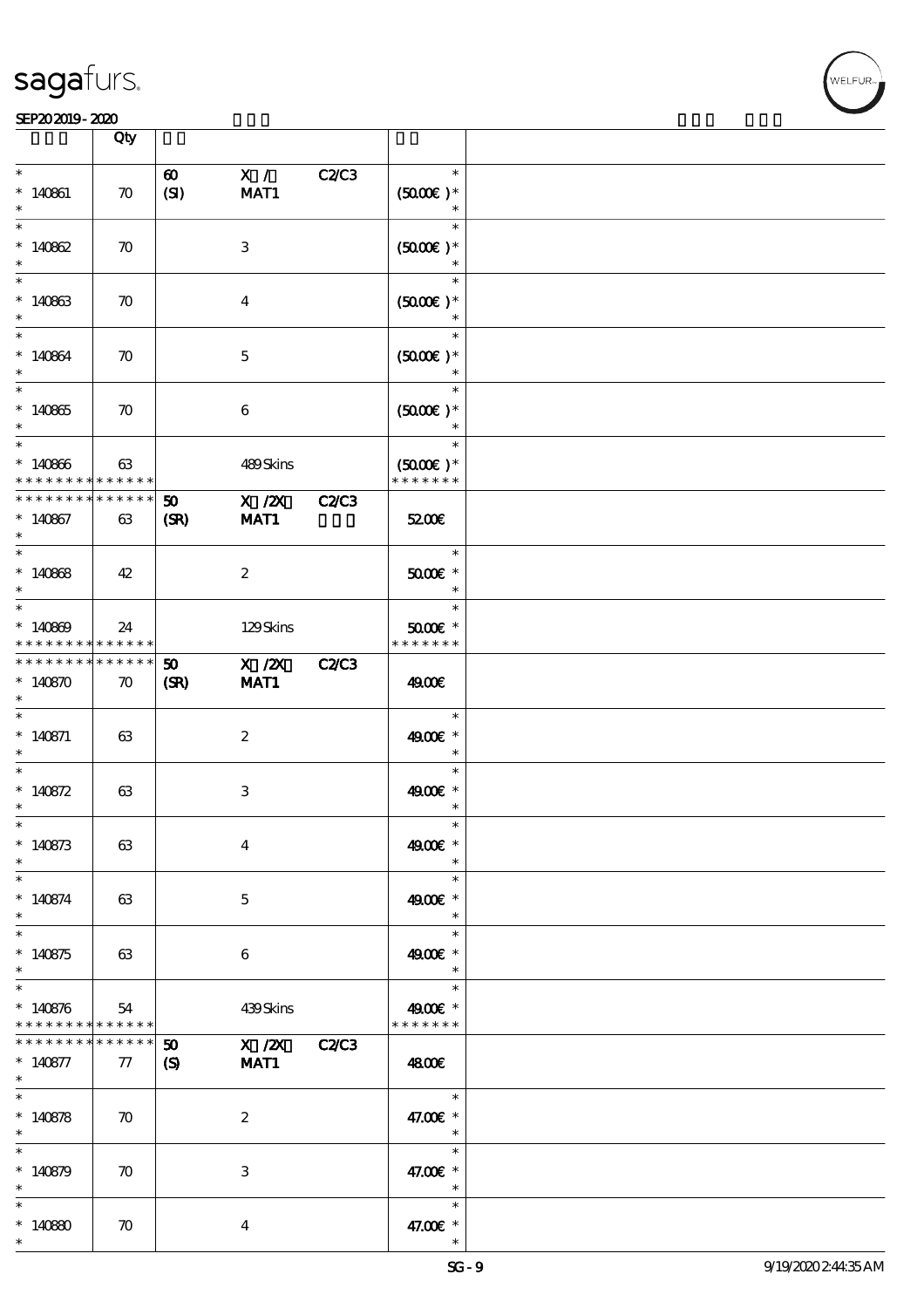#### SEP202019-2020

|                              | Qty                        |                       |                           |              |                                |  |
|------------------------------|----------------------------|-----------------------|---------------------------|--------------|--------------------------------|--|
| $\ast$                       |                            |                       |                           |              | $\ast$                         |  |
|                              |                            | $\boldsymbol{\omega}$ | X /                       | C2C3         |                                |  |
| $* 140861$<br>$\ast$         | $\boldsymbol{\pi}$         | (SI)                  | MAT1                      |              | $(5000\varepsilon)*$<br>$\ast$ |  |
| $\ast$                       |                            |                       |                           |              | $\ast$                         |  |
|                              |                            |                       |                           |              |                                |  |
| * $140862$                   | $\boldsymbol{\pi}$         |                       | $\ensuremath{\mathsf{3}}$ |              | $(5000\varepsilon)*$           |  |
| $\ast$                       |                            |                       |                           |              | $\ast$                         |  |
| $\ast$                       |                            |                       |                           |              | $\ast$                         |  |
| $*140863$                    | $\boldsymbol{\pi}$         |                       | $\bf{4}$                  |              | $(5000)$ *                     |  |
|                              |                            |                       |                           |              | $\ast$                         |  |
| $\ast$                       |                            |                       |                           |              | $\ast$                         |  |
| $*140864$                    | $\boldsymbol{\pi}$         |                       | $\mathbf{5}$              |              | $(5000\varepsilon)*$           |  |
| $\ast$                       |                            |                       |                           |              | $\ast$                         |  |
| $\ast$                       |                            |                       |                           |              | $\ast$                         |  |
| $*140865$                    | $\boldsymbol{\pi}$         |                       | $\boldsymbol{6}$          |              | $(5000\varepsilon)*$           |  |
|                              |                            |                       |                           |              |                                |  |
|                              |                            |                       |                           |              | $\ast$                         |  |
| $*140866$                    | 63                         |                       | 489Skins                  |              | $(5000\varepsilon)*$           |  |
| * * * * * * * *              | * * * * * *                |                       |                           |              | * * * * * * *                  |  |
| * * * * * * * *              | * * * * * *                | 50                    | $X$ / $ZX$                | <b>C2/C3</b> |                                |  |
| $*140867$                    | 63                         | (SR)                  | MAT1                      |              | 5200E                          |  |
| $*$                          |                            |                       |                           |              |                                |  |
| $\overline{\ast}$            |                            |                       |                           |              | $\ast$                         |  |
| $*140868$                    |                            |                       |                           |              | $5000E$ *                      |  |
| $\ast$                       | 42                         |                       | $\boldsymbol{z}$          |              | $\ast$                         |  |
| $\ast$                       |                            |                       |                           |              | $\ast$                         |  |
|                              |                            |                       |                           |              |                                |  |
| $*140809$<br>* * * * * * * * | 24                         |                       | 129Skins                  |              | $5000$ $*$<br>* * * * * * *    |  |
| * * * * * * * *              | $\ast\ast\ast\ast\ast\ast$ |                       |                           |              |                                |  |
|                              | * * * * * *                | 50                    | $X$ / $ZX$                | <b>C2/C3</b> |                                |  |
| $*140870$                    | $\boldsymbol{\pi}$         | (SR)                  | MAT1                      |              | 4900€                          |  |
| $\ast$                       |                            |                       |                           |              |                                |  |
| $\ast$                       |                            |                       |                           |              | $\ast$                         |  |
| $* 140871$                   | 63                         |                       | $\boldsymbol{z}$          |              | 4900€ *                        |  |
| $\ast$                       |                            |                       |                           |              | $\ast$                         |  |
| $\ast$                       |                            |                       |                           |              | $\ast$                         |  |
| * $140872$                   | 63                         |                       | 3                         |              | 4900€ *                        |  |
| $\ast$                       |                            |                       |                           |              |                                |  |
| $\ast$                       |                            |                       |                           |              |                                |  |
| $*140873$                    | 63                         |                       | $\bf{4}$                  |              | 4900€ *                        |  |
| $\ast$                       |                            |                       |                           |              | $\ast$                         |  |
|                              |                            |                       |                           |              | $\ast$                         |  |
| $* 140874$                   | 63                         |                       | $\mathbf{5}$              |              | 4900€ *                        |  |
| $*$                          |                            |                       |                           |              | $\ast$                         |  |
| $\overline{\phantom{0}}$     |                            |                       |                           |              | $\ast$                         |  |
| $*140875$                    | 63                         |                       | $\boldsymbol{6}$          |              | 4900€ *                        |  |
| $\ast$                       |                            |                       |                           |              | $\ast$                         |  |
| $\overline{\phantom{0}}$     |                            |                       |                           |              | $\ast$                         |  |
| $* 140876$                   | 54                         |                       | 439Skins                  |              | 4900€ *                        |  |
| * * * * * * * *              | $* * * * * * *$            |                       |                           |              | * * * * * * *                  |  |
| * * * * * * * *              | $* * * * * * *$            | 50                    | X / ZX C2/C3              |              |                                |  |
| $* 140877$                   | 77                         | (S)                   | <b>MAT1</b>               |              | 4800€                          |  |
| $\ast$                       |                            |                       |                           |              |                                |  |
| $\overline{\ast}$            |                            |                       |                           |              | $\ast$                         |  |
| $* 140878$                   | $\boldsymbol{\pi}$         |                       | $\boldsymbol{2}$          |              | 47.00 £*                       |  |
| $\ast$                       |                            |                       |                           |              | $\ast$                         |  |
| $\overline{\ast}$            |                            |                       |                           |              | $\ast$                         |  |
| $*140879$                    | $\boldsymbol{\pi}$         |                       | 3                         |              | 47.00€ *                       |  |
| $\ast$                       |                            |                       |                           |              | $\overline{\mathbf{r}}$        |  |
| $\ast$                       |                            |                       |                           |              | $\ast$                         |  |
| $*14080$                     | $\boldsymbol{\pi}$         |                       | $\bf{4}$                  |              | 47.00€ *                       |  |
| $\ast$                       |                            |                       |                           |              |                                |  |
|                              |                            |                       |                           |              |                                |  |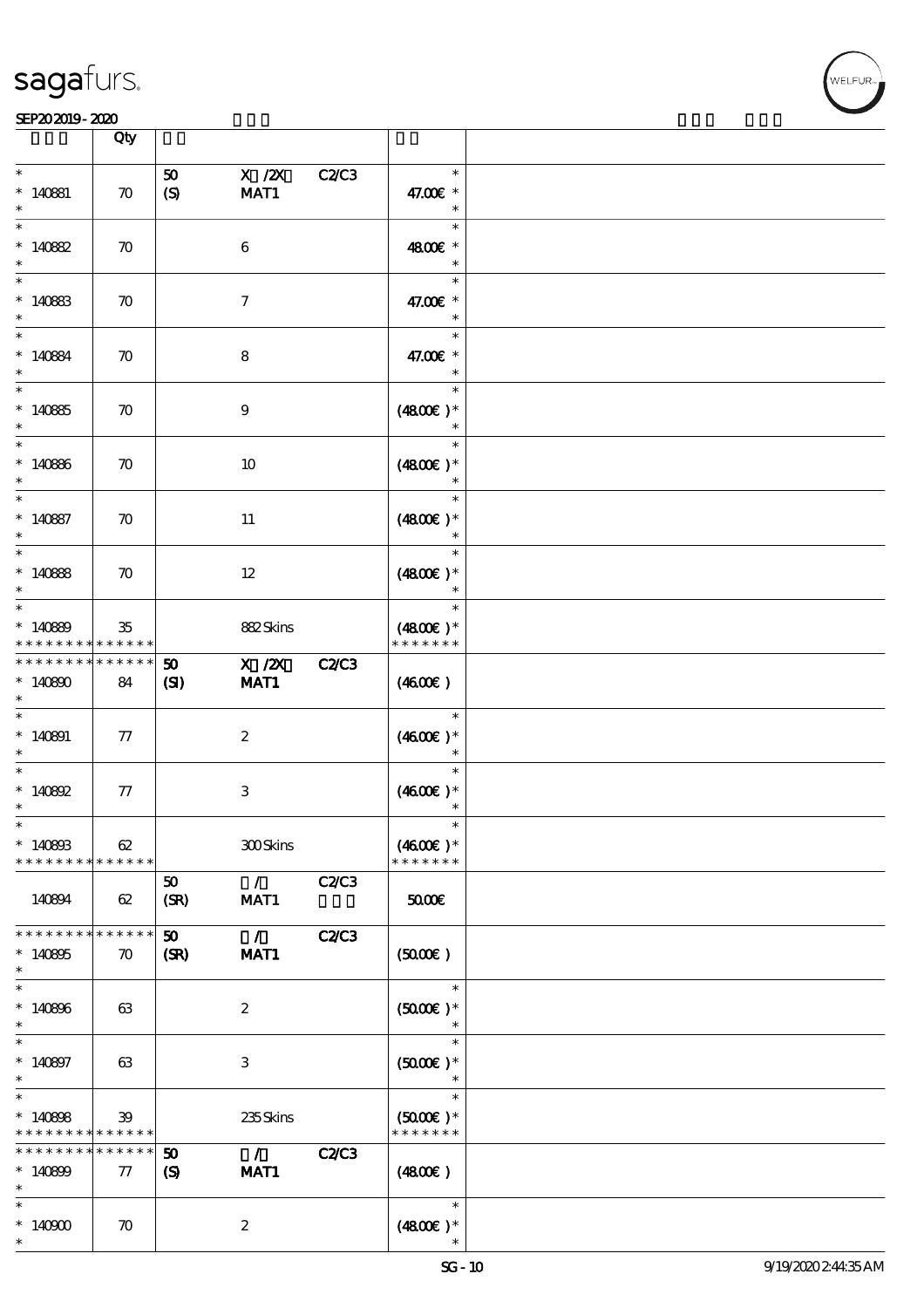

|                                                | Qty                               |                                                           |                           |              |                                                 |  |
|------------------------------------------------|-----------------------------------|-----------------------------------------------------------|---------------------------|--------------|-------------------------------------------------|--|
| $\ast$<br>$* 140881$<br>$\ast$                 | $\boldsymbol{\pi}$                | 50<br>$\boldsymbol{S}$                                    | $X$ / $ZX$<br>MAT1        | <b>C2/C3</b> | $\ast$<br>47.00€ *<br>$\ast$                    |  |
| $\ast$<br>$*140882$<br>$\ast$                  | $\boldsymbol{\pi}$                |                                                           | $\boldsymbol{6}$          |              | $\ast$<br>4800€ *<br>$\ast$                     |  |
| $\ast$<br>$*140883$<br>$\ast$                  | $\boldsymbol{\pi}$                |                                                           | $\tau$                    |              | $\ast$<br>47.00€ *                              |  |
| $\ast$<br>$*140884$<br>$\ast$                  | $\boldsymbol{\pi}$                |                                                           | $\bf8$                    |              | $\ast$<br>47.00€ *                              |  |
| $\overline{\phantom{0}}$<br>$*14085$<br>$\ast$ | $\boldsymbol{\pi}$                |                                                           | $9\phantom{.0}$           |              | $\ast$<br>$(4800)$ *                            |  |
| $\ast$<br>$*140866$<br>$\ast$                  | $\boldsymbol{\pi}$                |                                                           | 10                        |              | $\ast$<br>$(4800)$ *<br>$\ast$                  |  |
| $\ast$<br>$*140887$<br>$\ast$                  | $\boldsymbol{\pi}$                |                                                           | 11                        |              | $\ast$<br>$(4800)$ *<br>$\ast$                  |  |
| $\overline{\ast}$<br>$*140888$<br>$\ast$       | $\boldsymbol{\pi}$                |                                                           | $12 \,$                   |              | $\ast$<br>$(4800)$ *                            |  |
| $\ast$<br>$*140889$<br>* * * * * * * *         | 35<br>* * * * * *                 |                                                           | 882Skins                  |              | $\ast$<br>$(4800)$ *<br>* * * * * * *           |  |
| * * * * * * * *<br>$*140800$<br>$\ast$         | $******$<br>84                    | 50<br>(S)                                                 | X / ZX C2/C3<br>MAT1      |              | (460E)                                          |  |
| $*140891$<br>$\ast$                            | ${\it 77}$                        |                                                           | $\boldsymbol{2}$          |              | $\ast$<br>$(460E)*$                             |  |
| $\ast$<br>$*140892$<br>$\ast$                  | ${\it 77}$                        |                                                           | $\ensuremath{\mathsf{3}}$ |              | $\ast$<br>$(4600)$ *<br>$\ast$                  |  |
| $*$<br>$*140803$<br>* * * * * * * *            | 62<br>* * * * * *                 |                                                           | 300Skins                  |              | $\ast$<br>$(4600E)*$<br>* * * * * * *           |  |
| 140894                                         | 62                                | 50<br>(SR)                                                | $\mathcal{F}$<br>MAT1     | C2C3         | 50000                                           |  |
| * * * * * * *<br>$*140805$<br>$\ast$           | * * * * * *<br>$\boldsymbol{\pi}$ | 50 <sub>o</sub><br>(SR)                                   | $\mathcal{L}$<br>MAT1     | <b>C2/C3</b> | (5000)                                          |  |
| $\ast$<br>$*140806$<br>$\ast$                  | 63                                |                                                           | $\boldsymbol{z}$          |              | $\ast$<br>$(5000)$ *                            |  |
| $\ast$<br>$*140897$<br>$\ast$                  | 63                                |                                                           | 3                         |              | $\ast$<br>$(5000\varepsilon)*$                  |  |
| $\ast$<br>$*140808$<br>* * * * * * * *         | 39<br>* * * * * *                 |                                                           | 235Skins                  |              | $\ast$<br>$(5000\varepsilon)*$<br>* * * * * * * |  |
| * * * * * * * *<br>$*140809$<br>$\ast$         | * * * * * *<br>$\tau$             | $\boldsymbol{\mathfrak{D}}$<br>$\boldsymbol{\mathcal{S}}$ | $\mathcal{L}$<br>MAT1     | <b>C2/C3</b> | (4800)                                          |  |
| $\ast$<br>$*14000$<br>$\ast$                   | $\boldsymbol{\pi}$                |                                                           | $\boldsymbol{z}$          |              | $\ast$<br>$(4800)$ *                            |  |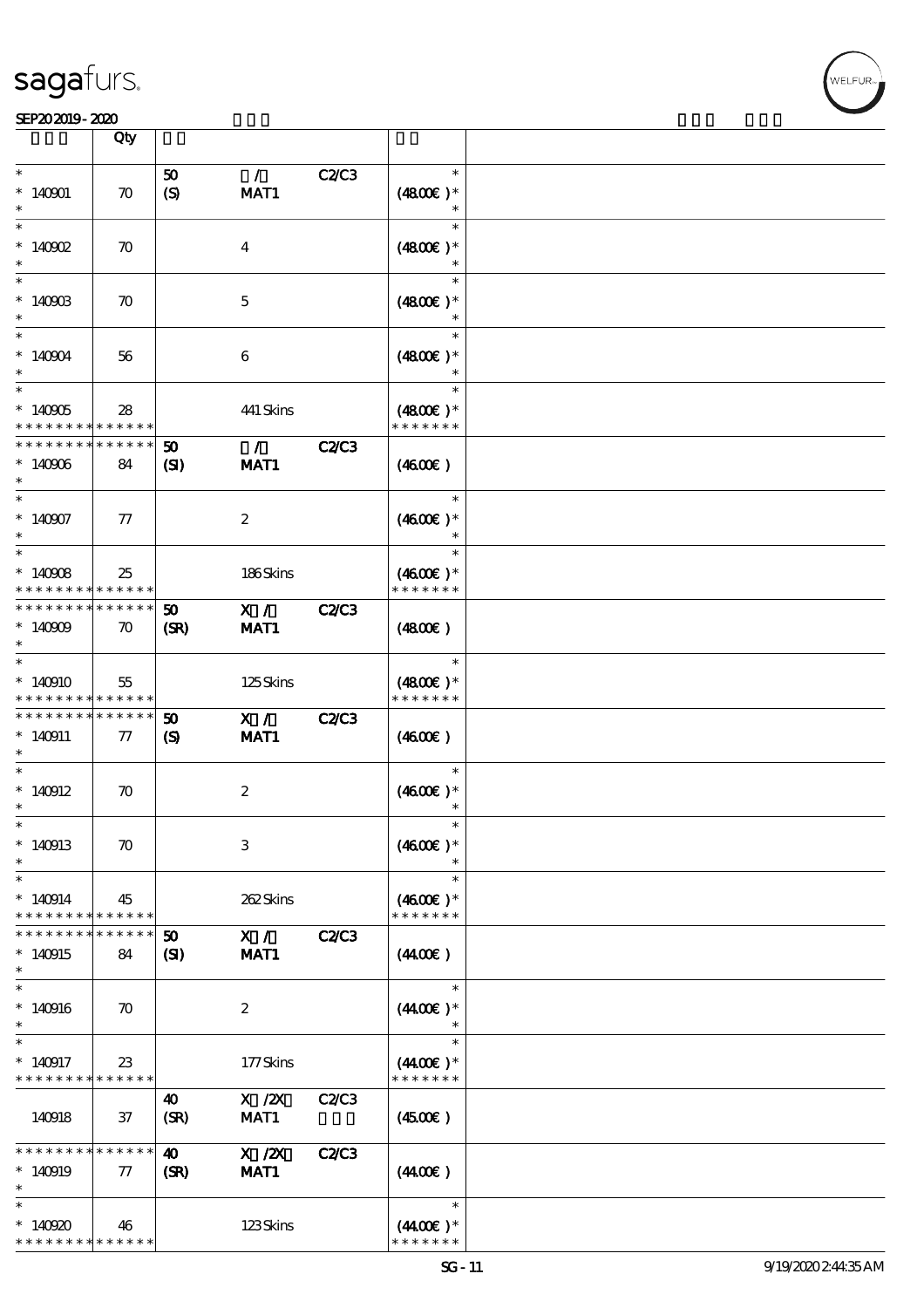#### SEP202019-2020

|                                                                   | Qty                               |                                                           |                       |              |                                       |  |
|-------------------------------------------------------------------|-----------------------------------|-----------------------------------------------------------|-----------------------|--------------|---------------------------------------|--|
|                                                                   |                                   |                                                           |                       |              |                                       |  |
| $\ast$<br>$*140001$                                               | $\boldsymbol{\pi}$                | 50<br>(S)                                                 | $\mathcal{L}$<br>MAT1 | C2/C3        | $\ast$<br>$(4800)$ *                  |  |
| $\ast$<br>$*$ 140902                                              | $\boldsymbol{\pi}$                |                                                           | $\bf{4}$              |              | $\ast$<br>$(4800)$ *<br>$\ast$        |  |
| $\ast$<br>$*14090B$                                               | $\boldsymbol{\pi}$                |                                                           | $\mathbf{5}$          |              | $\ast$<br>$(4800)$ *                  |  |
| $\ast$<br>$*140904$                                               | 56                                |                                                           | $\boldsymbol{6}$      |              | $\ast$<br>$(4800)$ *                  |  |
| $\overline{\ast}$<br>$*140005$<br>* * * * * * * *                 | 28<br>* * * * * *                 |                                                           | 441 Skins             |              | $\ast$<br>$(4800)$ *<br>* * * * * * * |  |
| * * * * * * * *<br>$*140006$<br>$\ast$                            | * * * * * *<br>84                 | 50<br>$\mathbf{C}$                                        | $\mathcal{L}$<br>MAT1 | <b>C2/C3</b> | (460E)                                |  |
| $\overline{\phantom{0}}$<br>$*140907$<br>$\ast$                   | $\pi$                             |                                                           | $\boldsymbol{z}$      |              | $\ast$<br>$(4600E)*$                  |  |
| $\overline{\ast}$<br>$*140908$<br>* * * * * * * *                 | 25<br>* * * * * *                 |                                                           | 186Skins              |              | $\ast$<br>$(4600E)*$<br>* * * * * * * |  |
| * * * * * * * *<br>$*140009$<br>$\ast$                            | * * * * * *<br>$\boldsymbol{\pi}$ | 50<br>(SR)                                                | X /<br>MAT1           | <b>C2/C3</b> | (480)                                 |  |
| $\ast$<br>$*140910$<br>* * * * * * * *                            | 55<br>* * * * * *                 |                                                           | 125Skins              |              | $\ast$<br>$(4800)$ *<br>* * * * * * * |  |
| * * * * * * * *<br>$* 140911$<br>$\ast$                           | * * * * * *<br>$\pi$              | $\boldsymbol{\mathfrak{D}}$<br>$\boldsymbol{\mathcal{S}}$ | X /<br>MAT1           | <b>C2/C3</b> | (460E)                                |  |
| $\ast$<br>$*140912$<br>$\ast$                                     | $\boldsymbol{\pi}$                |                                                           | $\boldsymbol{2}$      |              | $\ast$<br>$(4600)$ *                  |  |
| $*$<br>$*140913$<br>$\ast$                                        | $\boldsymbol{\pi}$                |                                                           | $\,3$                 |              | $(4600)$ *                            |  |
| $\ast$<br>$*140914$<br>* * * * * * * *                            | 45<br>* * * * * *                 |                                                           | 262Skins              |              | $\ast$<br>$(4600)$ *<br>* * * * * * * |  |
| * * * * * * *<br>$*140915$<br>$\ast$                              | * * * * * *<br>84                 | 50<br>(S)                                                 | X /<br>MAT1           | <b>C2/C3</b> | (440E)                                |  |
| $\ast$<br>$*140916$<br>$\ast$                                     | $\boldsymbol{\pi}$                |                                                           | 2                     |              | $\ast$<br>$(440E)^*$<br>$\ast$        |  |
| $\ast$<br>$*140917$<br>* * * * * * * *                            | $23\,$<br>* * * * * *             |                                                           | 177Skins              |              | $\ast$<br>$(440E)^*$<br>* * * * * * * |  |
| 140918                                                            | 37                                | 40<br>(SR)                                                | $X$ / $ZX$<br>MAT1    | C2/C3        | $(4500\varepsilon)$                   |  |
| * * * * * * * *<br>$*140919$<br>$\ast$                            | $* * * * * * *$<br>$\tau$         | $\boldsymbol{\omega}$<br>(SR)                             | $X$ / $ZX$<br>MAT1    | <b>C2/C3</b> | (440E)                                |  |
| $\ast$<br>$*140920$<br>* * * * * * * * <mark>* * * * * * *</mark> | 46                                |                                                           | 123Skins              |              | $\ast$<br>$(440E)^*$<br>* * * * * * * |  |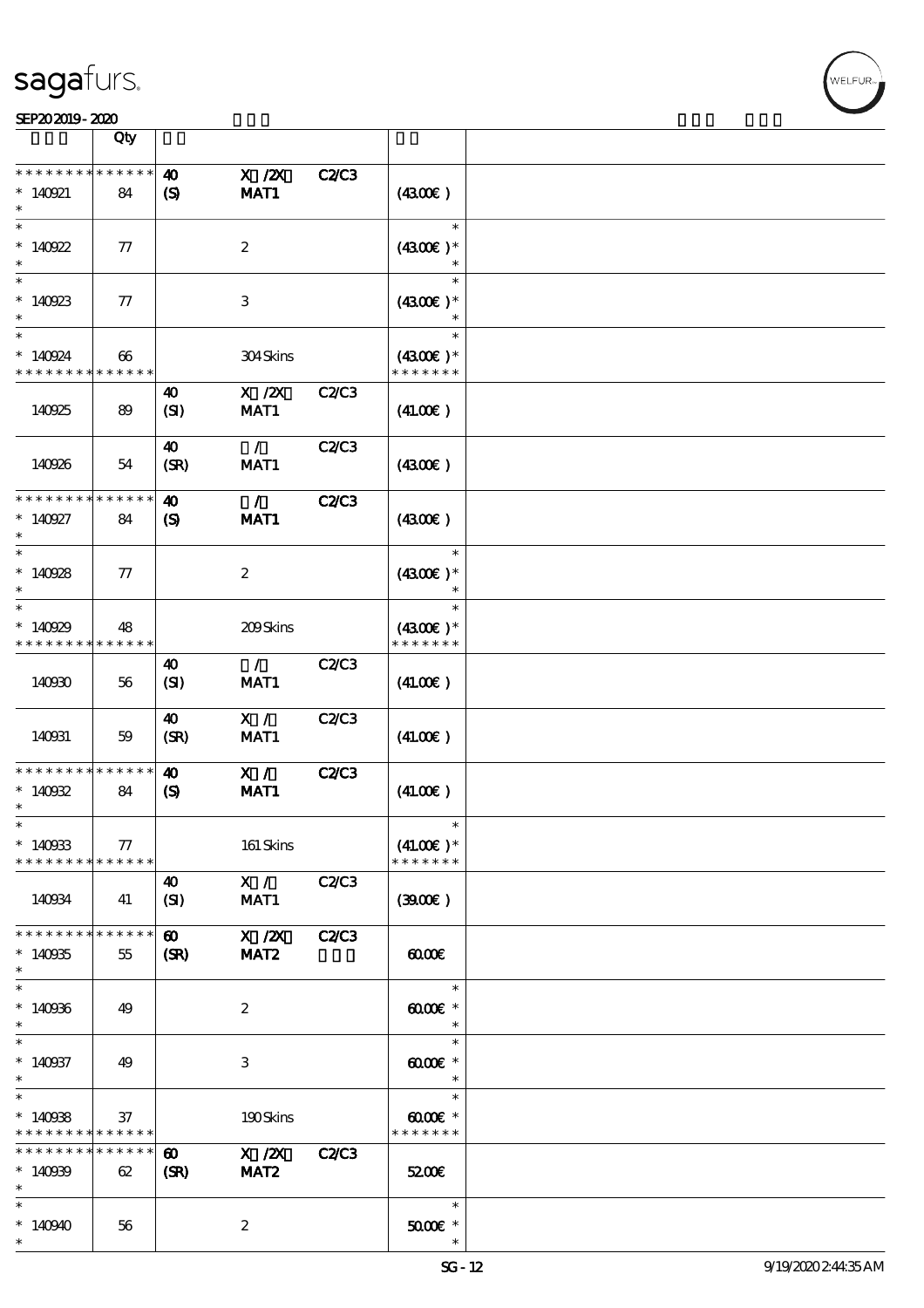#### SEP202019-2020

|                                                    | Qty               |                                                      |                                |              |                                       |  |
|----------------------------------------------------|-------------------|------------------------------------------------------|--------------------------------|--------------|---------------------------------------|--|
|                                                    | * * * * * *       |                                                      |                                |              |                                       |  |
| $* 140921$<br>$\ast$                               | 84                | $\boldsymbol{\omega}$<br>$\boldsymbol{\mathcal{S}}$  | $X$ / $ZX$<br>MAT1             | <b>C2C3</b>  | (430E)                                |  |
| $\ast$<br>$*140922$                                | 77                |                                                      | $\boldsymbol{2}$               |              | $\ast$<br>$(4300)$ *                  |  |
| $\ast$<br>$*140923$<br>$\ast$                      | 77                |                                                      | $\,3$                          |              | $\ast$<br>$(4300)$ *<br>$\ast$        |  |
| $\ast$<br>$*140924$<br>* * * * * * * *             | 66<br>* * * * * * |                                                      | 304Skins                       |              | $\ast$<br>$(4300)$ *<br>* * * * * * * |  |
| 140925                                             | 89                | 40<br>(SI)                                           | $X$ / $ZX$<br>MAT1             | C2/C3        | (41.00)                               |  |
| 140926                                             | 54                | 40<br>(SR)                                           | $\mathcal{L}$<br>MAT1          | <b>C2/C3</b> | (430E)                                |  |
| * * * * * * *<br>$* 140927$                        | * * * * * *<br>84 | $\boldsymbol{\omega}$<br>$\boldsymbol{S}$            | $\mathcal{L}$<br>MAT1          | <b>C2/C3</b> | (4300)                                |  |
| $\ast$<br>$*140928$                                | 77                |                                                      | $\boldsymbol{2}$               |              | $\ast$<br>$(4300)$ *                  |  |
| $\ast$<br>$*140929$<br>* * * * * * * *             | 48<br>* * * * * * |                                                      | 209Skins                       |              | $\ast$<br>$(4300)$ *<br>* * * * * * * |  |
| 140930                                             | 56                | $\boldsymbol{\omega}$<br>(SI)                        | $\mathcal{L}$<br>MAT1          | C2/C3        | (41.00)                               |  |
| 140931                                             | 59                | 40<br>(SR)                                           | X /<br>MAT1                    | C2/C3        | (41.00)                               |  |
| * * * * * * * *<br>$*140032$<br>$\ast$             | * * * * * *<br>84 | $\boldsymbol{\omega}$<br>$\boldsymbol{\mathrm{(S)}}$ | X /<br>MAT1                    | <b>C2/C3</b> | (41.00)                               |  |
| ⋇<br>$*140933$<br>* * * * * * * * * * * * * *      | ${\bf \tau}$      |                                                      | 161 Skins                      |              | $(41.00)$ *<br>* * * * * * *          |  |
| 140934                                             | 41                | 40<br>(SI)                                           | X /<br>MAT1                    | <b>C2/C3</b> | (300)                                 |  |
| * * * * * * * * * * * * * *<br>$*140935$<br>$\ast$ | 55                | $\boldsymbol{\omega}$<br>(SR)                        | X / ZX<br>MAT <sub>2</sub>     | <b>C2/C3</b> | 0000                                  |  |
| $\ast$<br>$*140966$<br>$\ast$                      | 49                |                                                      | $\boldsymbol{2}$               |              | $\ast$<br>$6000 \times$<br>$\ast$     |  |
| $\ast$<br>$*140937$<br>$\ast$                      | 49                |                                                      | $\,3$                          |              | $\ast$<br>$6000 \text{E}$ *<br>$\ast$ |  |
| $\ast$<br>$*140088$<br>* * * * * * * * * * * * * * | 37                |                                                      | 190Skins                       |              | $\ast$<br>00000<br>* * * * * * *      |  |
| * * * * * * * *<br>$*140009$<br>$\ast$             | * * * * * *<br>62 | $\boldsymbol{\omega}$<br>(SR)                        | $X$ / $ZX$<br>MAT <sub>2</sub> | <b>C2/C3</b> | 5200E                                 |  |
| $\ast$<br>$*140940$<br>$\ast$                      | 56                |                                                      | $\boldsymbol{2}$               |              | $\ast$<br>$5000E$ $^{\ast}$           |  |

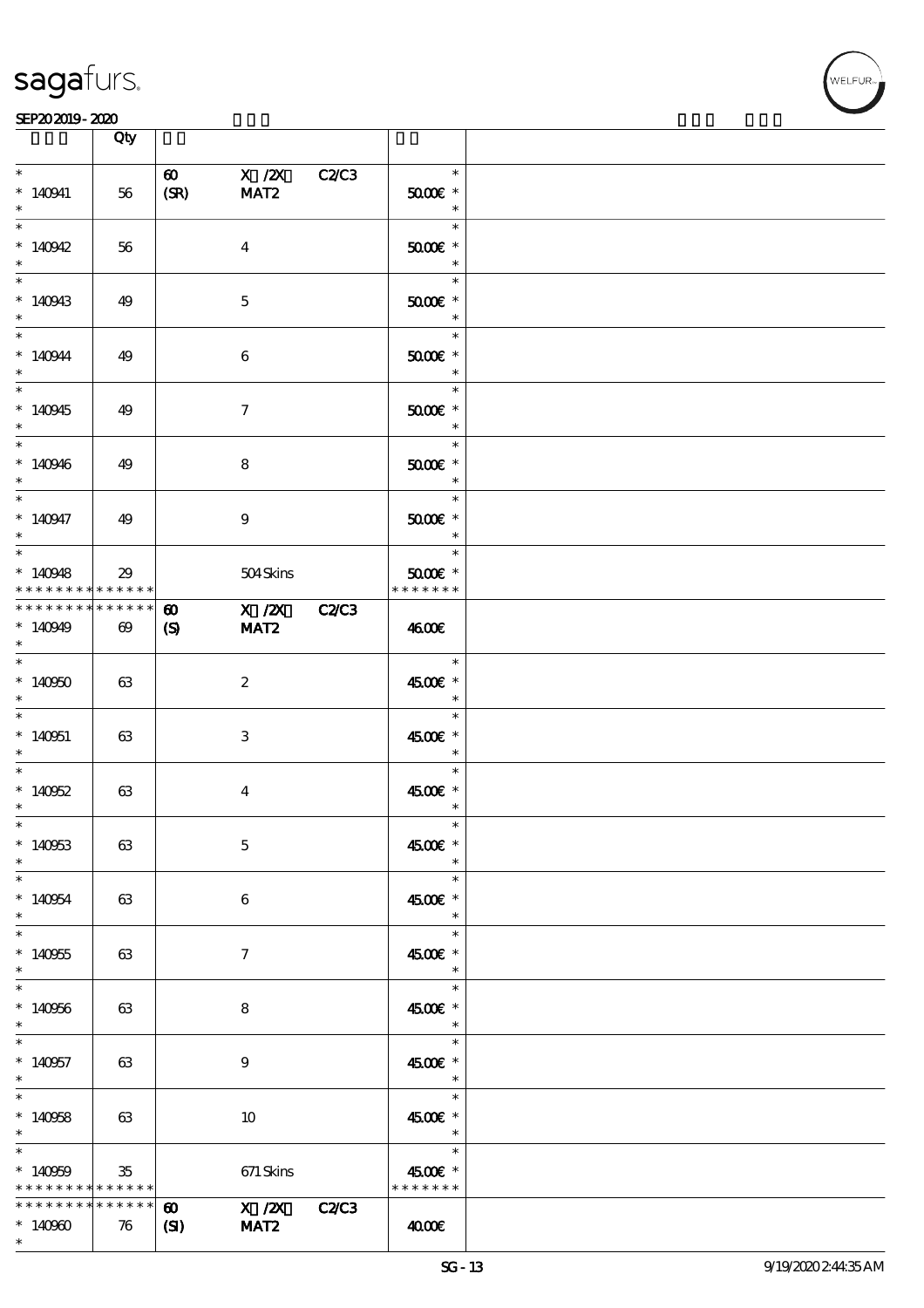

|                                                   | Qty                               |                                       |                                  |                                                                                   |  |
|---------------------------------------------------|-----------------------------------|---------------------------------------|----------------------------------|-----------------------------------------------------------------------------------|--|
| $\ast$<br>$*140941$<br>$\ast$                     | 56                                | $\boldsymbol{\omega}$<br>(SR)         | X /2X C2/C3<br>MAT <sub>2</sub>  | $\ast$<br>$5000$ $*$<br>$\begin{array}{c c}\n\ast \\ \hline\n\ast \\ \end{array}$ |  |
| $\overline{\ast}$<br>$*140942$<br>$\ast$          | 56                                |                                       | $\bf{4}$                         | $5000$ $\epsilon$ $*$<br>$\overline{\phantom{a}}$                                 |  |
| $*140943$<br>$\ast$                               | 49                                |                                       | $\mathbf{5}$                     | $\ast$<br>$5000$ $*$                                                              |  |
| $\overline{\ast}$<br>$*140944$<br>$\ast$          | 49                                |                                       | $\boldsymbol{6}$                 | $\ast$<br>$5000$ $*$<br>$\overline{\phantom{a}}$ $\overline{\phantom{a}}$         |  |
| $*140945$<br>$\ast$                               | 49                                |                                       | $\tau$                           | $\overline{\ast}$<br>$\overline{a}$<br>$5000$ $*$<br>$\overline{\phantom{a}}$     |  |
| $*140946$<br>$\ast$                               | 49                                |                                       | 8                                | $\ast$<br>$5000$ $*$<br>$\overline{\phantom{a}}$                                  |  |
| $\overline{\phantom{0}}$<br>$*140947$<br>$\ast$   | 49                                |                                       | 9                                | $\ast$<br>$5000$ $*$<br>$\ast$                                                    |  |
| $\overline{\ast}$<br>$*140948$<br>* * * * * * * * | 29<br>$******$                    |                                       | 504Skins                         | $\ast$<br>$5000$ $*$<br>* * * * * * *                                             |  |
| * * * * * * * *<br>$*140949$<br>$\ast$            | $******$<br>$\boldsymbol{\omega}$ | $\boldsymbol{\omega}$<br>(S)          | X / ZX C2/C3<br>MAT <sub>2</sub> | 4600E                                                                             |  |
| $\ast$<br>$*140000$<br>$\ast$                     | 63                                |                                       | $\mathbf{z}$                     | $\ast$<br>4500€ *                                                                 |  |
| $\ast$<br>$*140051$<br>$\ast$                     | 63                                |                                       | 3                                | $\ast$<br>4500€ *<br>$\begin{array}{c c}\n\ast \\ \hline\n\ast \\ \end{array}$    |  |
| $\ast$<br>$*14062$<br>$\ast$                      | 63                                |                                       | $\bf{4}$                         | $\ast$<br>4500€ *<br>$\ast$                                                       |  |
| $*$<br>$*140053$<br>$\ast$                        | 63                                |                                       | $\mathbf{5}$                     | $\ast$<br>4500€ *<br>$\ast$                                                       |  |
| $\ast$<br>$*140054$<br>$\ast$                     | 63                                |                                       | 6                                | $\ast$<br>4500€ *<br>$\ast$                                                       |  |
| $\ast$<br>$*140055$<br>$\ast$                     | 63                                |                                       | 7                                | $\ast$<br>4500€ *<br>$\ast$                                                       |  |
| $\ast$<br>$*140956$<br>$\ast$                     | 63                                |                                       | 8                                | $\ast$<br>4500€ *<br>$\ast$                                                       |  |
| $\ast$<br>$*140957$<br>$\ast$<br>$\ast$           | 63                                |                                       | $\boldsymbol{9}$                 | $\ast$<br>4500€ *<br>$\overline{\phantom{a}}$<br>$\ast$                           |  |
| $*140058$<br>$\ast$<br>$\ast$                     | 63                                |                                       | 10                               | 4500€ *<br>$\overline{\phantom{a}}$<br>$\ast$                                     |  |
| $*140009$<br>$*********$                          | $35\,$<br>* * * * * *             |                                       | $671\,$ Skins                    | 4500€ *<br>* * * * * * *                                                          |  |
| * * * * * * * *<br>$*14000$<br>$\ast$             | * * * * * *<br>76                 | $\boldsymbol{\omega}$<br>$\mathbf{C}$ | X / ZX C2/C3<br>MAT <sub>2</sub> | 4000€                                                                             |  |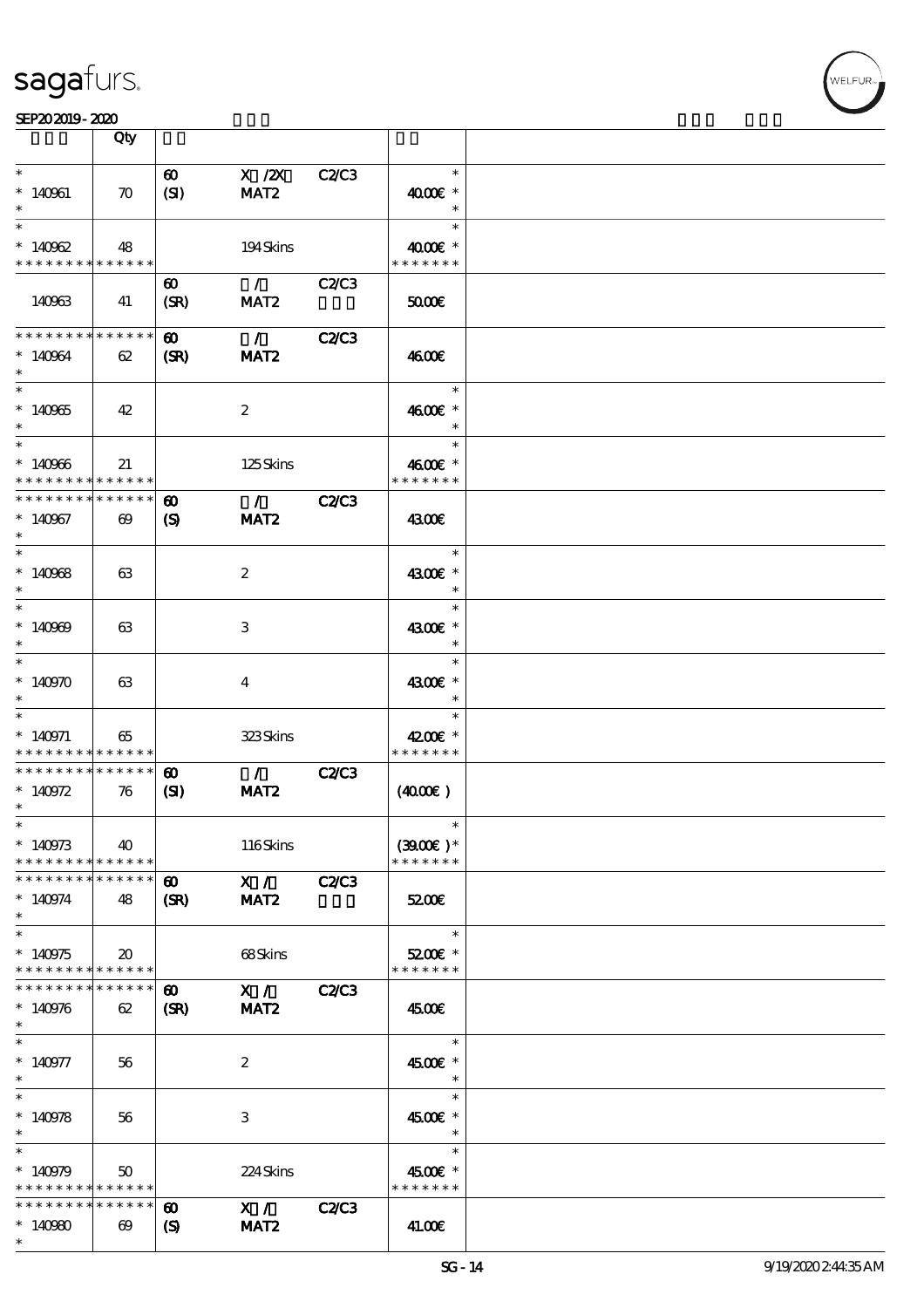

|                                                       | Qty                         |                               |                                 |              |                             |  |
|-------------------------------------------------------|-----------------------------|-------------------------------|---------------------------------|--------------|-----------------------------|--|
| $\ast$                                                |                             |                               |                                 |              | $\ast$                      |  |
| $*140961$<br>$\ast$                                   | $\boldsymbol{\pi}$          | $\boldsymbol{\omega}$<br>(SI) | $X$ / $ZX$<br>MAT <sub>2</sub>  | C2/C3        | 4000€ *<br>$\ast$           |  |
| $\ast$                                                |                             |                               |                                 |              | $\ast$                      |  |
| $*140962$<br>* * * * * * * * * * * * * *              | 48                          |                               | 194Skins                        |              | 4000€ *<br>* * * * * * *    |  |
|                                                       |                             | $\boldsymbol{\omega}$         | $\sim$ 1 $\sim$                 | C2C3         |                             |  |
| 140963                                                | 41                          | (SR)                          | MAT <sub>2</sub>                |              | 50000                       |  |
| * * * * * * * * * * * * * *                           |                             | $\boldsymbol{\omega}$         | $\mathcal{L}$                   | <b>C2/C3</b> |                             |  |
| $*140964$<br>$\ast$                                   | 62                          | (SR)                          | MAT <sub>2</sub>                |              | 4600E                       |  |
| $\overline{\phantom{0}}$                              |                             |                               |                                 |              | $\ast$                      |  |
| $*140965$<br>$\ast$                                   | 42                          |                               | $\boldsymbol{2}$                |              | 4600€ *<br>$\ast$           |  |
| $\ast$                                                |                             |                               |                                 |              | $\ast$                      |  |
| $*140966$<br>* * * * * * * * * * * * * *              | 21                          |                               | 125Skins                        |              | 4600€ *<br>* * * * * * *    |  |
| * * * * * * * *                                       | * * * * * *                 | $\boldsymbol{\omega}$         | $\mathcal{L}$ and $\mathcal{L}$ | <b>C2/C3</b> |                             |  |
| $*140967$<br>$\ast$                                   | $\boldsymbol{\omega}$       | $\boldsymbol{\mathrm{(S)}}$   | MAT <sub>2</sub>                |              | 4300€                       |  |
| $\ast$                                                |                             |                               |                                 |              | $\ast$                      |  |
| $*140968$<br>$\ast$                                   | 63                          |                               | $\boldsymbol{z}$                |              | 4300€ *<br>$\ast$           |  |
| $\ast$                                                |                             |                               |                                 |              | $\ast$                      |  |
| $*140909$<br>$\ast$                                   | 63                          |                               | 3                               |              | 4300€ *<br>$\ast$           |  |
| $\ast$                                                |                             |                               |                                 |              | $\ast$                      |  |
| $* 140970$                                            | 63                          |                               | $\overline{\mathbf{4}}$         |              | 4300€ *<br>$\ast$           |  |
| $\ast$                                                |                             |                               |                                 |              | $\ast$                      |  |
| $* 140971$                                            | 65                          |                               | 323Skins                        |              | 4200€ *                     |  |
| * * * * * * * * <mark>* * * * * *</mark>              |                             |                               |                                 |              | * * * * * * *               |  |
| * * * * * * * * * * * * * *                           |                             | $\boldsymbol{\omega}$         | $\mathcal{L}$                   | <b>C2/C3</b> |                             |  |
| $*140972$<br>$\ast$                                   | 76                          | $\mathbf{C}$                  | MAT <sub>2</sub>                |              | (400E)                      |  |
| $*$                                                   |                             |                               |                                 |              | $\ast$                      |  |
| $*140973$<br>* * * * * * * * * * * * * *              | 40                          |                               | 116Skins                        |              | $(3900)$ *<br>* * * * * * * |  |
| * * * * * * * * * * * * * *                           |                             | $\boldsymbol{\omega}$         | X /                             | C2C3         |                             |  |
| $*140974$<br>$\ast$                                   | 48                          | (SR)                          | MAT <sub>2</sub>                |              | 5200E                       |  |
| $\overline{\ast}$                                     |                             |                               |                                 |              | $\ast$                      |  |
| $*140975$<br>* * * * * * * * <mark>* * * * * *</mark> | $\boldsymbol{\mathfrak{D}}$ |                               | 68Skins                         |              | 5200E *<br>* * * * * * *    |  |
| * * * * * * * * <mark>* * * * * *</mark>              |                             | $\boldsymbol{\omega}$         | X /                             | <b>C2/C3</b> |                             |  |
| $*140976$<br>$\ast$                                   | 62                          | (SR)                          | MAT <sub>2</sub>                |              | 4500E                       |  |
| $\ast$                                                |                             |                               |                                 |              | $\ast$                      |  |
| $* 140977$<br>$*$                                     | 56                          |                               | $\boldsymbol{2}$                |              | 4500€ *<br>$\ast$           |  |
| $\overline{\ast}$                                     |                             |                               |                                 |              | $\ast$                      |  |
| $* 140978$<br>$\ast$                                  | 56                          |                               | 3                               |              | 4500€ *<br>$\ast$           |  |
| $\ast$                                                |                             |                               |                                 |              | $\ast$                      |  |
| $*140979$<br>* * * * * * * * <mark>* * * * * *</mark> | $50^{\circ}$                |                               | 224Skins                        |              | 4500€ *<br>* * * * * * *    |  |
| * * * * * * * *                                       | * * * * * *                 | $\boldsymbol{\omega}$         | X /                             | C2C3         |                             |  |
| $*140980$<br>$\ast$                                   | $\boldsymbol{\omega}$       | $\boldsymbol{\mathcal{S}}$    | MAT <sub>2</sub>                |              | 41.00E                      |  |
|                                                       |                             |                               |                                 |              |                             |  |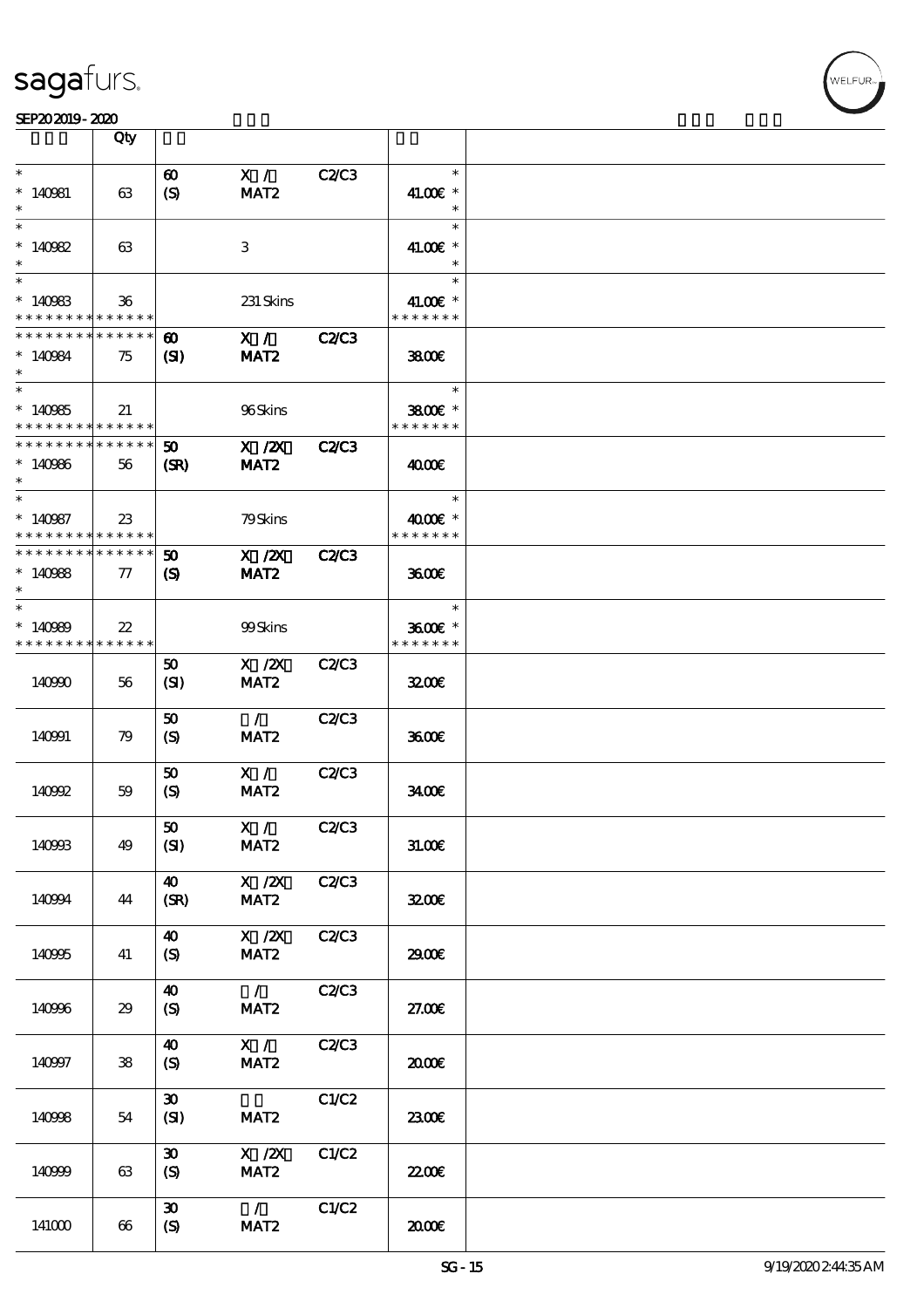

|                                                                 | Qty               |                                       |                                   |              |                                     |  |
|-----------------------------------------------------------------|-------------------|---------------------------------------|-----------------------------------|--------------|-------------------------------------|--|
| $\ast$<br>$*140981$<br>$\ast$                                   | 63                | $\boldsymbol{\omega}$<br>(S)          | X /<br>MAT <sub>2</sub>           | <b>C2/C3</b> | $\ast$<br>41.00€ *<br>$\ast$        |  |
| $\ast$<br>$*140982$<br>$\ast$                                   | 63                |                                       | 3                                 |              | $\ast$<br>41.00€ *<br>$\ast$        |  |
| $\ast$<br>$*140983$<br>* * * * * * * * <mark>* * * * * *</mark> | $36\,$            |                                       | 231 Skins                         |              | $\ast$<br>41.00€ *<br>* * * * * * * |  |
| * * * * * * * *<br>$*140984$<br>$\ast$                          | * * * * * *<br>75 | $\boldsymbol{\omega}$<br>(S)          | X /<br>MAT <sub>2</sub>           | <b>C2/C3</b> | 3800                                |  |
| $\overline{\ast}$<br>$*140965$<br>* * * * * * * * * * * * * *   | 21                |                                       | 96Skins                           |              | $\ast$<br>3800€ *<br>* * * * * * *  |  |
| * * * * * * * * * * * * * *<br>$*140966$<br>$\ast$              | 56                | 50<br>(SR)                            | $X$ / $ZX$<br>MAT <sub>2</sub>    | <b>C2/C3</b> | 4000€                               |  |
| $\ast$<br>$*140987$<br>* * * * * * * * * * * * * *              | $23\,$            |                                       | 79Skins                           |              | $\ast$<br>4000 £*<br>* * * * * * *  |  |
| * * * * * * * * * * * * * *<br>$*140988$<br>$\ast$              | $\tau$            | $\boldsymbol{\omega}$<br>$\mathbf{S}$ | X / ZX<br>MAT <sub>2</sub>        | <b>C2/C3</b> | 3600                                |  |
| $\ast$<br>$*140989$<br>* * * * * * * * * * * * * *              | $22\,$            |                                       | 99Skins                           |              | $\ast$<br>3600€ *<br>* * * * * * *  |  |
| 140990                                                          | 56                | 50<br>(SI)                            | $X$ / $ZX$<br>MAT <sub>2</sub>    | <b>C2/C3</b> | 3200E                               |  |
| 140991                                                          | 79                | 50<br>$\boldsymbol{S}$                | $\mathcal{L}$<br>MAT <sub>2</sub> | <b>C2/C3</b> | 3600                                |  |
| 140992                                                          | 59                | 50<br>(S)                             | X /<br>MAT <sub>2</sub>           | C2C3         | 3400                                |  |
| 140993                                                          | 49                | 50<br>(SI)                            | X /<br>MAT <sub>2</sub>           | C2/C3        | 31.00E                              |  |
| 140994                                                          | 44                | $\boldsymbol{\omega}$<br>(SR)         | $X \, /ZX$<br>MAT <sub>2</sub>    | C2C3         | 3200E                               |  |
| 140995                                                          | 41                | $\boldsymbol{\omega}$<br>(S)          | X / ZX<br>MAT <sub>2</sub>        | <b>C2/C3</b> | 2900€                               |  |
| 140996                                                          | 29                | 40<br>(S)                             | $\mathcal{L}$<br>MAT <sub>2</sub> | <b>C2/C3</b> | 27.00E                              |  |
| 140997                                                          | 38                | 40<br>$\boldsymbol{S}$                | X /<br>MAT <sub>2</sub>           | C2C3         | æœ                                  |  |
| 140998                                                          | 54                | $\boldsymbol{\mathfrak{D}}$<br>(SI)   | MAT <sub>2</sub>                  | C1/C2        | 2300E                               |  |
| 140999                                                          | 63                | $\boldsymbol{\mathfrak{D}}$<br>(S)    | X / ZX<br>MAT <sub>2</sub>        | C1/C2        | <b>2200</b> €                       |  |
| 141000                                                          | 66                | $\boldsymbol{\mathfrak{D}}$<br>(S)    | $\mathcal{L}$<br>MAT <sub>2</sub> | C1/C2        | æœ                                  |  |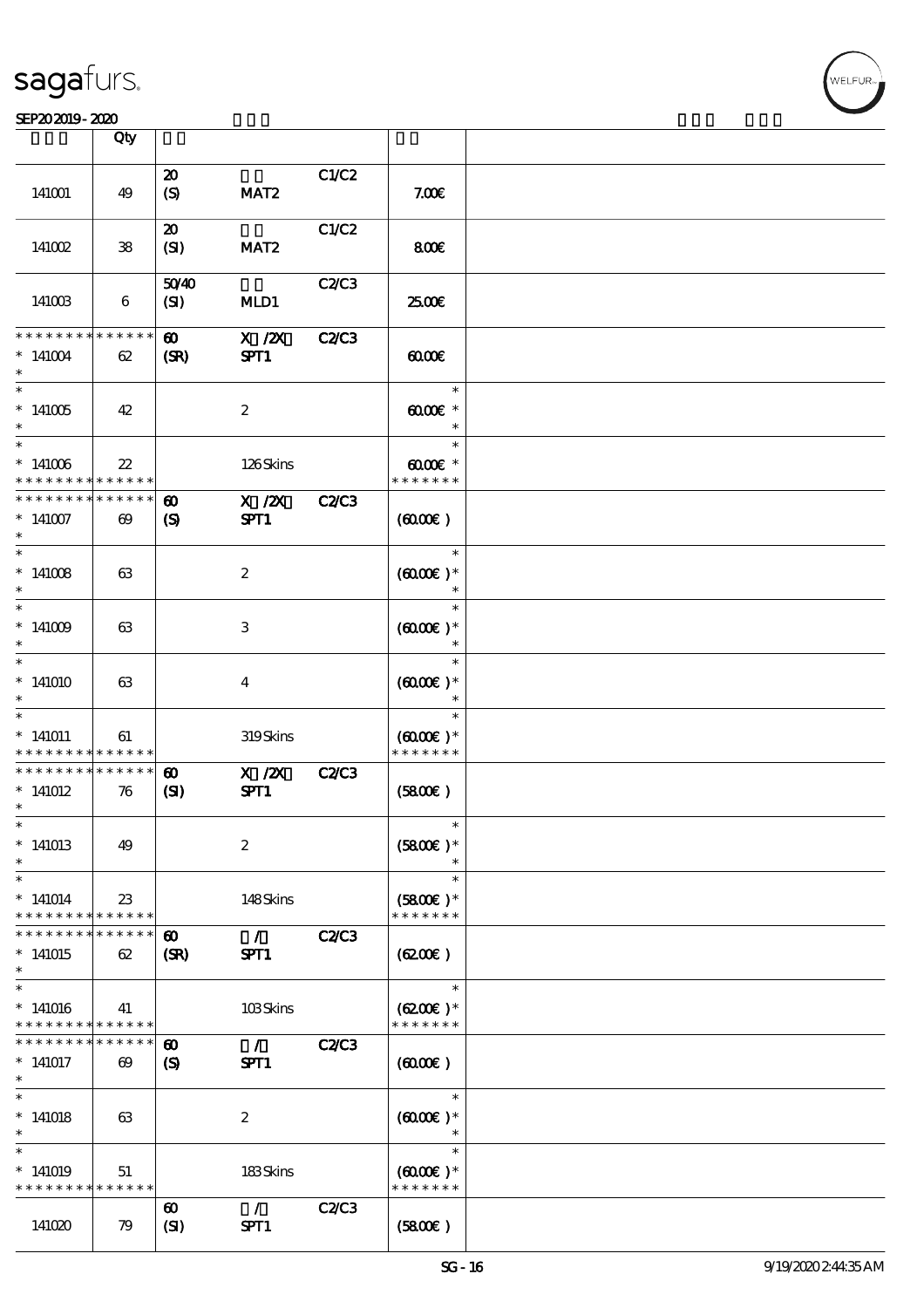#### SEP202019-2020

|                              | Qty                   |                               |                  |              |                                       |  |
|------------------------------|-----------------------|-------------------------------|------------------|--------------|---------------------------------------|--|
|                              |                       | $\boldsymbol{\mathbf{z}}$     |                  | C1/C2        |                                       |  |
| 141001                       | 49                    | $\boldsymbol{S}$              | MAT <sub>2</sub> |              | 7.006                                 |  |
|                              |                       | $\boldsymbol{\mathfrak{D}}$   |                  | C1/C2        |                                       |  |
| 141002                       | ${\bf 38}$            | (SI)                          | MAT <sub>2</sub> |              | 800E                                  |  |
|                              |                       | 5040                          |                  | C2/C3        |                                       |  |
| 141003                       | 6                     | (SI)                          | MLD1             |              | æœ                                    |  |
| * * * * * * * *              | * * * * * *           | $\boldsymbol{\omega}$         | $X$ / $ZX$       | <b>C2/C3</b> |                                       |  |
| $*141004$                    | 62                    | (SR)                          | SPT1             |              | $\omega$                              |  |
| $\ast$                       |                       |                               |                  |              | $\ast$                                |  |
| $*141005$                    | 42                    |                               | $\boldsymbol{2}$ |              | $\omega$ $\alpha$                     |  |
| $\ast$                       |                       |                               |                  |              | $\ast$                                |  |
| $*141006$<br>* * * * * * * * | $2\!2$<br>* * * * * * |                               | 126Skins         |              | $\omega$ occase $*$<br>* * * * * * *  |  |
| * * * * * * * *              | * * * * * *           | $\boldsymbol{\omega}$         | $X$ / $ZX$       | <b>C2/C3</b> |                                       |  |
| $*141007$<br>$\ast$          | $\boldsymbol{\omega}$ | $\boldsymbol{\mathrm{(S)}}$   | SPT1             |              | (6000)                                |  |
| $\ast$                       |                       |                               |                  |              | $\ast$                                |  |
| $*141008$<br>$\ast$          | 63                    |                               | $\boldsymbol{2}$ |              | $(6000\varepsilon)*$<br>$\ast$        |  |
| $\ast$                       |                       |                               |                  |              | $\ast$                                |  |
| $*141009$<br>$\ast$          | 63                    |                               | $\,3$            |              | $(0,000)$ *<br>$\ast$                 |  |
| $\ast$                       |                       |                               |                  |              | $\ast$                                |  |
| $*141010$                    | 63                    |                               | $\bf{4}$         |              | $(0,000)$ *<br>$\ast$                 |  |
| $\ast$                       |                       |                               |                  |              | $\ast$                                |  |
| $*141011$                    | 61                    |                               | 319Skins         |              | $(6000\varepsilon)*$                  |  |
| * * * * * * * *              | * * * * * *           |                               |                  |              | * * * * * * *                         |  |
| * * * * * * * *              | * * * * * *           | $\boldsymbol{\omega}$         | $X$ / $ZX$       | <b>C2/C3</b> |                                       |  |
| $*141012$<br>$\ast$          | 76                    | $\mathbf{S}$                  | SPT1             |              | (5800)                                |  |
| $\ast$                       |                       |                               |                  |              |                                       |  |
| $*141013$<br>$\ast$          | 49                    |                               | $\boldsymbol{2}$ |              | $(5800)$ *                            |  |
| $\ast$                       |                       |                               |                  |              | $\ast$                                |  |
| $*141014$<br>* * * * * * * * | $23\,$<br>* * * * * * |                               | 148Skins         |              | $(5800)$ *<br>* * * * * * *           |  |
| * * * * * * * *              | * * * * * *           |                               | $\mathcal{L}$    |              |                                       |  |
| $*141015$<br>$\ast$          | 62                    | $\boldsymbol{\omega}$<br>(SR) | SPT1             | <b>C2/C3</b> | (6200)                                |  |
| $\ast$                       |                       |                               |                  |              | $\ast$                                |  |
| $*141016$<br>* * * * * * * * | 41<br>* * * * * *     |                               | 103Skins         |              | $(6200)$ *<br>* * * * * * *           |  |
| * * * * * * * *              | * * * * * *           | $\boldsymbol{\omega}$         | $\mathcal{L}$    | <b>C2/C3</b> |                                       |  |
| $*141017$                    | $\boldsymbol{\omega}$ | $\boldsymbol{\mathcal{S}}$    | SPT1             |              | $(6000\varepsilon)$                   |  |
| $\ast$<br>$\ast$             |                       |                               |                  |              | $\ast$                                |  |
|                              |                       |                               |                  |              |                                       |  |
| $*141018$<br>$\ast$          | 63                    |                               | $\boldsymbol{2}$ |              | $(6000)$ *                            |  |
|                              |                       |                               |                  |              | $\ast$                                |  |
| $*141019$<br>* * * * * * * * | 51<br>* * * * * *     |                               | 183Skins         |              | $(6000\varepsilon)*$<br>* * * * * * * |  |
|                              |                       | $\boldsymbol{\omega}$         | $\mathcal{L}$    | C2C3         |                                       |  |
| 141020                       | 79                    | (SI)                          | SPT1             |              | (5800)                                |  |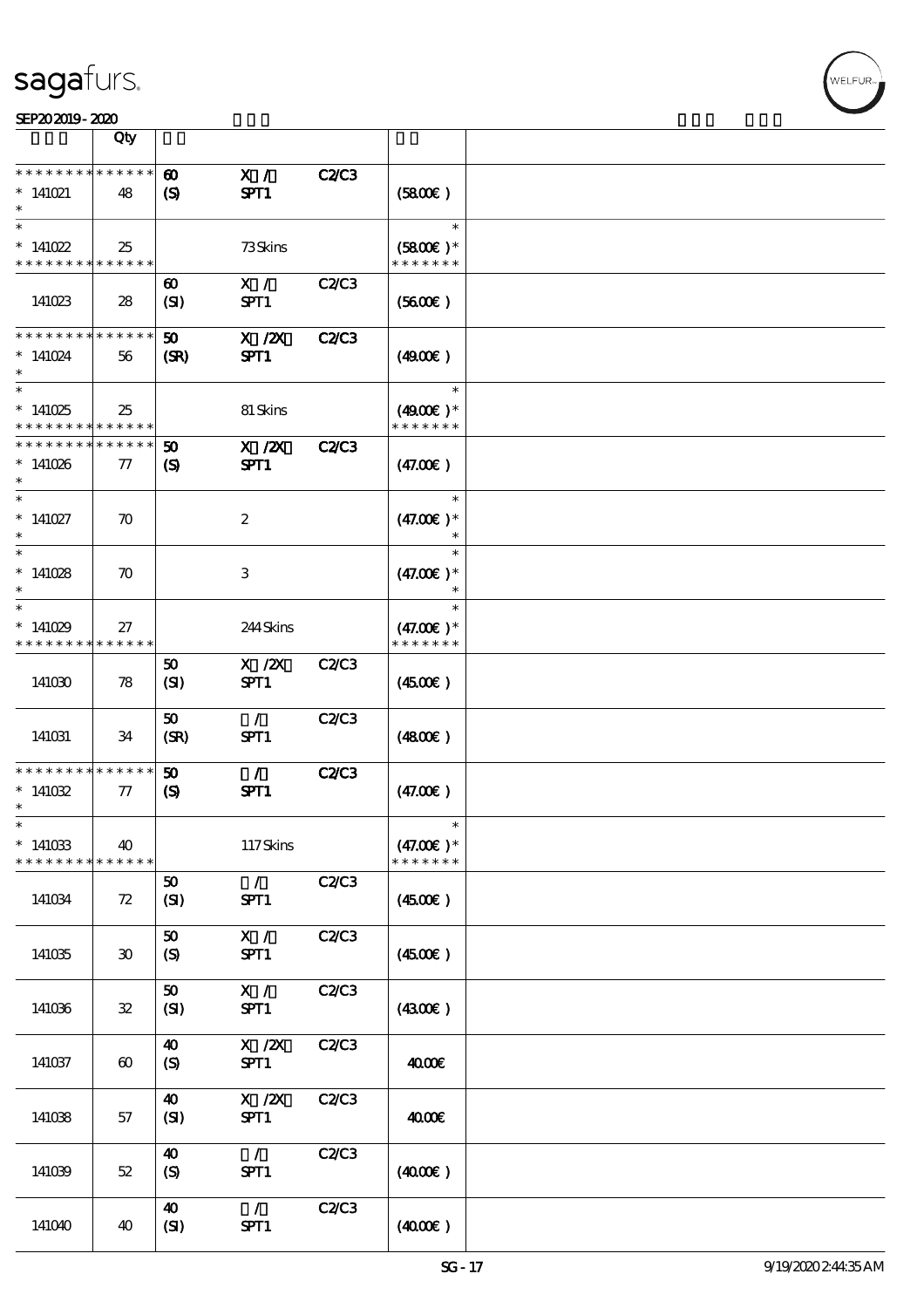|                                      | Qty                         |                                                           |                                       |              |                      |  |
|--------------------------------------|-----------------------------|-----------------------------------------------------------|---------------------------------------|--------------|----------------------|--|
| * * * * * * *                        |                             |                                                           |                                       |              |                      |  |
| $*$ 141021<br>$\ast$                 | * * * * * *<br>48           | $\boldsymbol{\omega}$<br>$\boldsymbol{\mathrm{(S)}}$      | X /<br>SPT1                           | <b>C2/C3</b> | (5800)               |  |
|                                      |                             |                                                           |                                       |              |                      |  |
| $\ast$<br>$*141022$                  | 25                          |                                                           | 73Skins                               |              | $\ast$<br>$(5800)$ * |  |
| * * * * * * * *                      | * * * * * *                 |                                                           |                                       |              | * * * * * * *        |  |
| 141023                               | 28                          | $\boldsymbol{\omega}$<br>(SI)                             | X /<br>SPT1                           | <b>C2C3</b>  | (5600)               |  |
|                                      |                             |                                                           |                                       |              |                      |  |
| * * * * * * * *                      | * * * * * *                 | 50                                                        | $X$ / $ZX$                            | <b>C2/C3</b> |                      |  |
| $*141024$                            | 56                          | (SR)                                                      | SPT1                                  |              | (4900)               |  |
| $\ast$                               |                             |                                                           |                                       |              | $\ast$               |  |
| $*141025$                            |                             |                                                           | 81 Skins                              |              | $(4900)$ *           |  |
|                                      | 25                          |                                                           |                                       |              |                      |  |
| * * * * * * * *                      | * * * * * *                 |                                                           |                                       |              | * * * * * * *        |  |
| * * * * * * *<br>$*141026$<br>$\ast$ | * * * * *<br>77             | $\boldsymbol{\mathfrak{D}}$<br>$\boldsymbol{\mathcal{S}}$ | $X$ / $ZX$<br>SPT1                    | <b>C2/C3</b> | (47.00)              |  |
| $\ast$                               |                             |                                                           |                                       |              | $\ast$               |  |
| $*141027$<br>$\ast$                  | $\boldsymbol{\pi}$          |                                                           | $\boldsymbol{2}$                      |              | $(47.00)$ *          |  |
| $\ast$                               |                             |                                                           |                                       |              | $\ast$               |  |
|                                      |                             |                                                           |                                       |              |                      |  |
| $*141028$<br>$\ast$                  | $\boldsymbol{\pi}$          |                                                           | 3                                     |              | $(47.00)$ *          |  |
| $\ast$                               |                             |                                                           |                                       |              | $\ast$               |  |
|                                      |                             |                                                           |                                       |              |                      |  |
| $*141029$                            | 27                          |                                                           | 244Skins                              |              | $(47.00)$ *          |  |
| * * * * * * * *                      | * * * * * *                 |                                                           |                                       |              | * * * * * * *        |  |
|                                      |                             | 50                                                        | $X$ / $ZX$                            | C2/C3        |                      |  |
| 141030                               | 78                          | (SI)                                                      | SPT1                                  |              | (450E)               |  |
|                                      |                             |                                                           |                                       |              |                      |  |
|                                      |                             |                                                           |                                       |              |                      |  |
|                                      |                             | 50                                                        | $\mathcal{L}$                         | C2C3         |                      |  |
| 141031                               | 34                          | (SR)                                                      | SPT1                                  |              | (4800)               |  |
|                                      |                             |                                                           |                                       |              |                      |  |
| * * * * * * * *                      | * * * * * *                 | 50                                                        | $\mathcal{L}$                         | <b>C2/C3</b> |                      |  |
| $*141032$                            | 77                          | $\boldsymbol{\mathrm{(S)}}$                               | SPT1                                  |              | (47.00)              |  |
| $\ast$                               |                             |                                                           |                                       |              |                      |  |
|                                      |                             |                                                           |                                       |              |                      |  |
| *                                    |                             |                                                           |                                       |              |                      |  |
| $*141033$                            | 40                          |                                                           | 117Skins                              |              | $(47.00)$ *          |  |
| * * * * * * * *                      | * * * * * *                 |                                                           |                                       |              | * * * * * * *        |  |
|                                      |                             | 50                                                        | $\mathcal{L}$                         | C2C3         |                      |  |
|                                      |                             |                                                           |                                       |              |                      |  |
| 141034                               | 72                          | (SI)                                                      | SPT1                                  |              | (450E)               |  |
|                                      |                             |                                                           |                                       |              |                      |  |
|                                      |                             | 50                                                        | X /                                   | C2/C3        |                      |  |
| 141035                               | $\boldsymbol{\mathfrak{D}}$ | $\boldsymbol{S}$                                          | SPT1                                  |              | (450E)               |  |
|                                      |                             |                                                           |                                       |              |                      |  |
|                                      |                             |                                                           |                                       |              |                      |  |
|                                      |                             | 50                                                        | X /                                   | C2C3         |                      |  |
| 141036                               | $\mathbf{32}$               | (SI)                                                      | SPT1                                  |              | (4300)               |  |
|                                      |                             |                                                           |                                       |              |                      |  |
|                                      |                             | 40                                                        | $X$ / $ZX$                            | C2C3         |                      |  |
| 141037                               | $\boldsymbol{\omega}$       | (S)                                                       | SPT1                                  |              | 4000€                |  |
|                                      |                             |                                                           |                                       |              |                      |  |
|                                      |                             |                                                           |                                       |              |                      |  |
|                                      |                             | 40                                                        | $\boldsymbol{\mathrm{X}}$ / <b>ZX</b> | C2C3         |                      |  |
| 141038                               | 57                          | (SI)                                                      | SPT1                                  |              | 4000€                |  |
|                                      |                             |                                                           |                                       |              |                      |  |
|                                      |                             | 40                                                        | $\mathcal{L}$                         | C2C3         |                      |  |
| 141039                               | $52\,$                      | (S)                                                       | SPT1                                  |              | (400E)               |  |
|                                      |                             |                                                           |                                       |              |                      |  |
|                                      |                             |                                                           |                                       |              |                      |  |
|                                      |                             | 40                                                        | $\mathcal{L}$                         | C2C3         |                      |  |
| 141040                               | 40                          | (SI)                                                      | SPT1                                  |              | (400E)               |  |
|                                      |                             |                                                           |                                       |              |                      |  |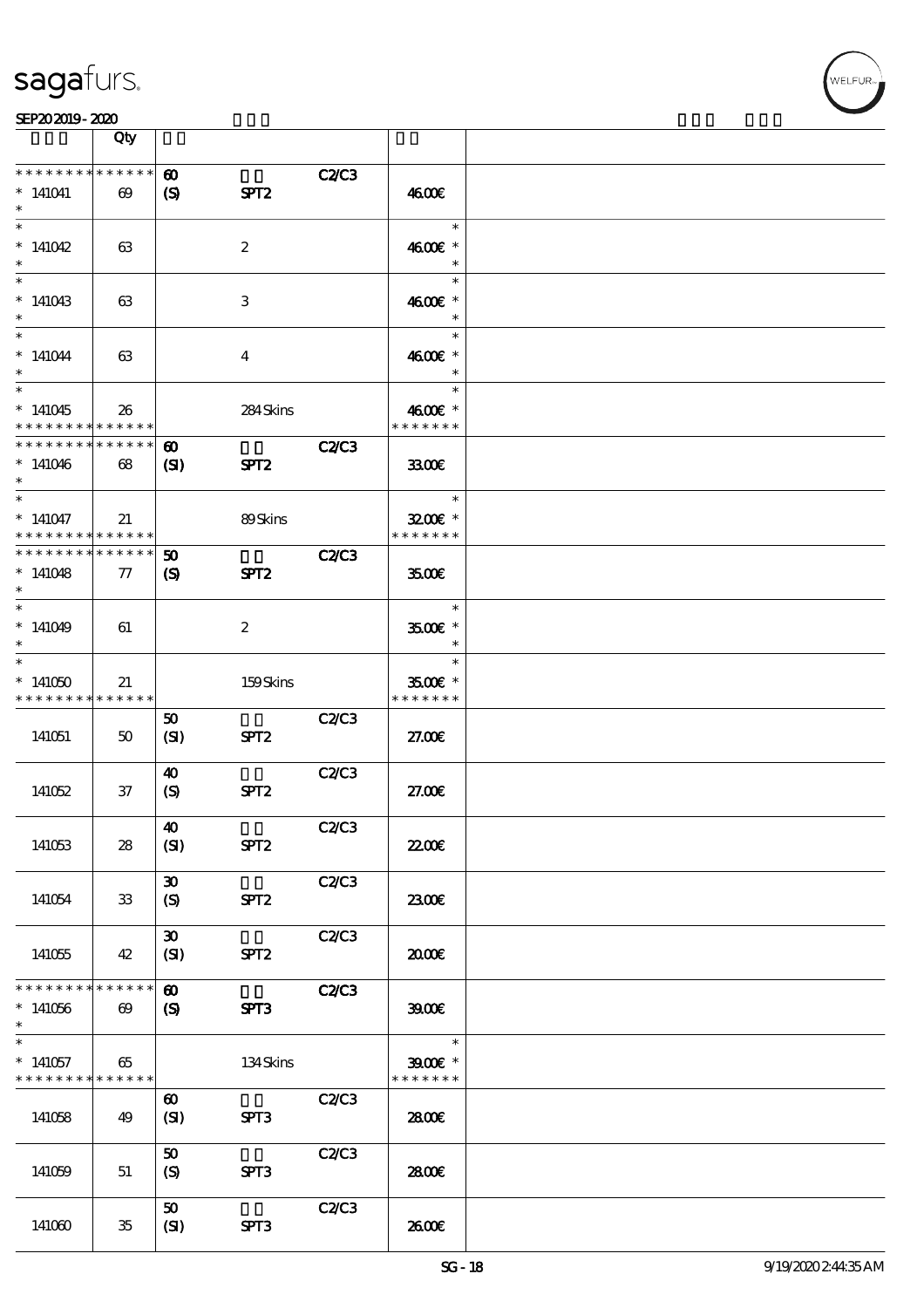

|                                                                      | Qty                                  |                                                     |                  |              |                                              |  |
|----------------------------------------------------------------------|--------------------------------------|-----------------------------------------------------|------------------|--------------|----------------------------------------------|--|
| * * * * * * * *<br>$*141041$<br>$\ast$                               | * * * * * *<br>$\boldsymbol{\omega}$ | $\boldsymbol{\omega}$<br>$\boldsymbol{\mathcal{S}}$ | SPT <sub>2</sub> | <b>C2C3</b>  | 4600E                                        |  |
| $\overline{\ast}$<br>$*141042$<br>$\ast$                             | 63                                   |                                                     | $\boldsymbol{2}$ |              | $\ast$<br>4600 £*<br>$\ast$                  |  |
| $\ast$<br>$*141043$<br>$\ast$                                        | 63                                   |                                                     | 3                |              | $\ast$<br>4600 £*<br>$\ast$                  |  |
| $\ast$<br>$*141044$<br>$\ast$                                        | 63                                   |                                                     | $\overline{4}$   |              | $\ast$<br>4600€ *<br>$\ast$                  |  |
| $\overline{\phantom{0}}$<br>$*141045$<br>* * * * * * * *             | 26<br>* * * * * *                    |                                                     | 284Skins         |              | $\ast$<br>4600 £*<br>* * * * * * *           |  |
| __<br>* * * * * * * *<br>$*141046$<br>$\ast$                         | * * * * * *<br>$68$                  | $\boldsymbol{\omega}$<br>$\mathbf{C}$               | SPT <sub>2</sub> | <b>C2/C3</b> | 3300                                         |  |
| $\ast$<br>$*141047$<br>* * * * * * * * <mark>* * * * * *</mark>      | 21                                   |                                                     | 89Skins          |              | $\ast$<br>3200E *<br>* * * * * * *           |  |
| * * * * * * * *<br>$*141048$<br>$\ast$                               | * * * * * *<br>${\bf \pi}$           | $\boldsymbol{\omega}$<br>$\mathbf{S}$               | SPT <sub>2</sub> | C2C3         | 3500E                                        |  |
| $\overline{\ast}$<br>$*141049$<br>$\ast$                             | 61                                   |                                                     | $\boldsymbol{2}$ |              | $\ast$<br>3500€ *<br>$\ast$                  |  |
| $\ast$<br>$*141050$<br>* * * * * * * * <mark>* * * * * *</mark>      | 21                                   |                                                     | 159Skins         |              | $\ast$<br>3500€ *<br>* * * * * * *           |  |
| 141051                                                               | 50                                   | 50<br>(SI)                                          | SPT <sub>2</sub> | C2/C3        | 27.00E                                       |  |
| 141052                                                               | $37\,$                               | $\boldsymbol{\omega}$<br>(S)                        | SPT <sub>2</sub> | C2C3         | 27.00E                                       |  |
| 141053                                                               | 28                                   | 40<br>(SI)                                          | SPT <sub>2</sub> | C2C3         | 2200                                         |  |
| 141054                                                               | 33                                   | $\boldsymbol{\mathfrak{D}}$<br>(S)                  | SPT <sub>2</sub> | C2C3         | 2300E                                        |  |
| 141055                                                               | 42                                   | $\boldsymbol{\mathfrak{D}}$<br>(SI)                 | SPT <sub>2</sub> | C2/C3        | æœ                                           |  |
| * * * * * * * *<br>$*141056$<br>$\ast$                               | * * * * * *<br>$\boldsymbol{\omega}$ | $\boldsymbol{\omega}$<br>$\boldsymbol{S}$           | SPT3             | <b>C2/C3</b> | 39000                                        |  |
| $\overline{\phantom{0}}$<br>$*141057$<br>* * * * * * * * * * * * * * | 65                                   |                                                     | 134Skins         |              | $\ast$<br>$3900$ $^{\circ}$<br>* * * * * * * |  |
| 141058                                                               | 49                                   | $\boldsymbol{\omega}$<br>(SI)                       | SPT3             | C2C3         | 2800€                                        |  |
| 141059                                                               | 51                                   | 50<br>(S)                                           | SPT3             | C2C3         | 2800E                                        |  |
| 141060                                                               | $35\,$                               | 50<br>(SI)                                          | SPT3             | C2/C3        | 2600E                                        |  |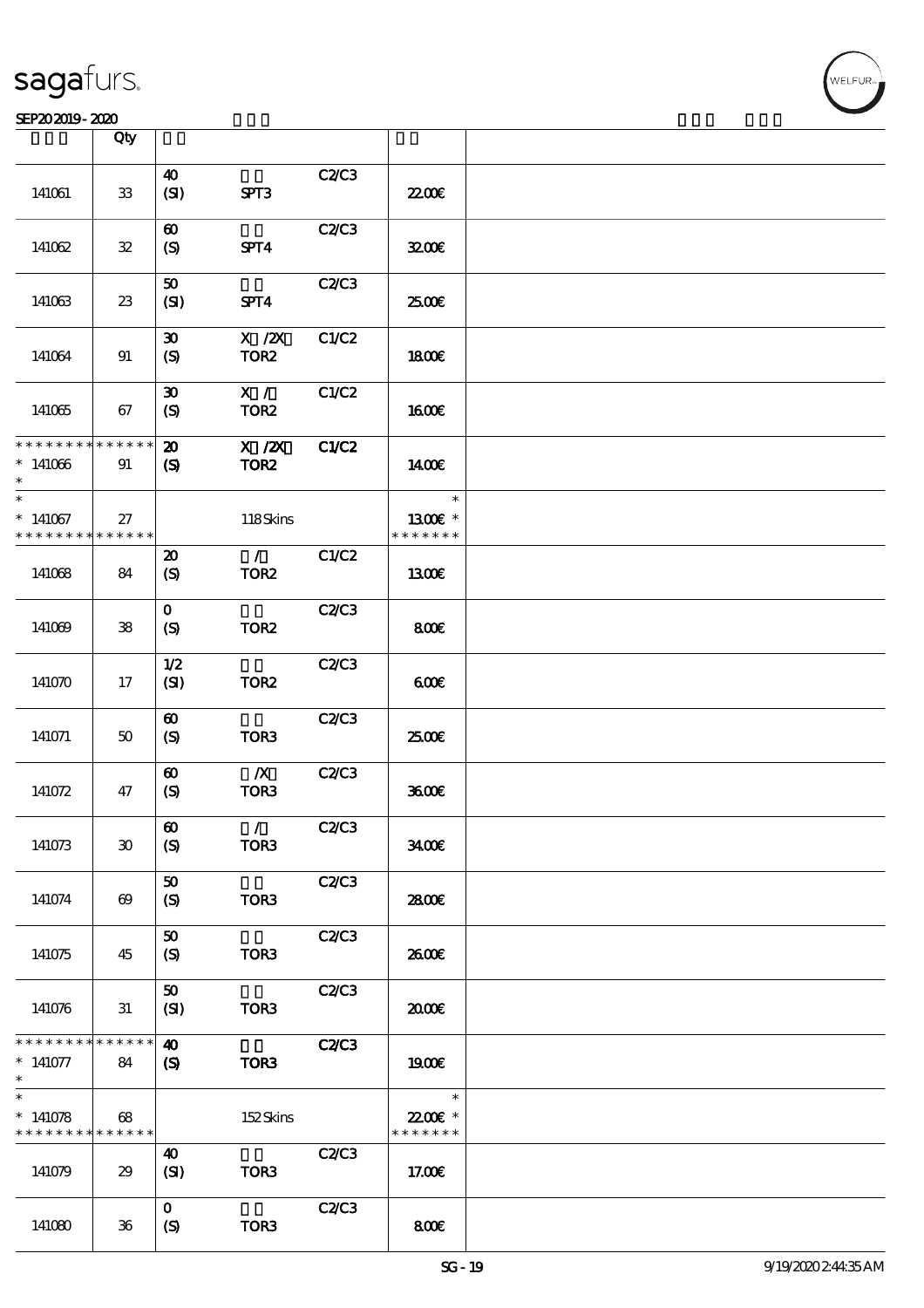#### SEP202019-2020

|                                          | Qty                   |                             |                                  |              |               |  |
|------------------------------------------|-----------------------|-----------------------------|----------------------------------|--------------|---------------|--|
|                                          |                       |                             |                                  |              |               |  |
|                                          |                       | $\boldsymbol{\omega}$       |                                  | <b>C2/C3</b> |               |  |
| 141061                                   | ${\bf 33}$            | (SI)                        | SPT3                             |              | <b>22006</b>  |  |
|                                          |                       |                             |                                  |              |               |  |
|                                          |                       | $\boldsymbol{\omega}$       |                                  | C2/C3        |               |  |
|                                          |                       |                             |                                  |              |               |  |
| 141062                                   | ${\bf 3\!2}$          | $\boldsymbol{S}$            | SPT4                             |              | 3200E         |  |
|                                          |                       |                             |                                  |              |               |  |
|                                          |                       | ${\bf 50}$                  |                                  | C2/C3        |               |  |
|                                          |                       |                             |                                  |              |               |  |
| 141063                                   | 23                    | (SI)                        | SPT4                             |              | 2500€         |  |
|                                          |                       |                             |                                  |              |               |  |
|                                          |                       | $\boldsymbol{\mathfrak{D}}$ | $X$ / $ZX$                       | C1/C2        |               |  |
| 141064                                   | 91                    | $\boldsymbol{S}$            | TOR <sub>2</sub>                 |              | 1800E         |  |
|                                          |                       |                             |                                  |              |               |  |
|                                          |                       |                             |                                  |              |               |  |
|                                          |                       | $\boldsymbol{\mathfrak{D}}$ | X /                              | C1/C2        |               |  |
| 141065                                   | 67                    | $\boldsymbol{S}$            | TOR <sub>2</sub>                 |              | <b>1600€</b>  |  |
|                                          |                       |                             |                                  |              |               |  |
| * * * * * * * * * * * * * *              |                       |                             | $\overline{X}$ / $\overline{Z}X$ |              |               |  |
|                                          |                       | $\boldsymbol{\mathbf{z}}$   |                                  | C1/C2        |               |  |
| $*141066$                                | 91                    | $\boldsymbol{\mathcal{S}}$  | TOR <sub>2</sub>                 |              | 1400E         |  |
|                                          |                       |                             |                                  |              |               |  |
| $\overline{\ast}$                        |                       |                             |                                  |              | $\ast$        |  |
|                                          |                       |                             |                                  |              |               |  |
| $*141067$                                | 27                    |                             | 118Skins                         |              | $1300E$ *     |  |
| * * * * * * * *                          | * * * * * *           |                             |                                  |              | * * * * * * * |  |
|                                          |                       | $\boldsymbol{\mathfrak{D}}$ | $\mathcal{T}$                    | C1/C2        |               |  |
| 141068                                   | 84                    | $\boldsymbol{S}$            | TOR <sub>2</sub>                 |              | 1300          |  |
|                                          |                       |                             |                                  |              |               |  |
|                                          |                       |                             |                                  |              |               |  |
|                                          |                       | $\mathbf{O}$                |                                  | C2C3         |               |  |
| 141069                                   | ${\bf 38}$            | $\boldsymbol{S}$            | TOR <sub>2</sub>                 |              | 800           |  |
|                                          |                       |                             |                                  |              |               |  |
|                                          |                       |                             |                                  |              |               |  |
|                                          |                       | 1/2                         |                                  | C2/C3        |               |  |
| 141070                                   | 17                    | (SI)                        | TOR <sub>2</sub>                 |              | 600           |  |
|                                          |                       |                             |                                  |              |               |  |
|                                          |                       | $\boldsymbol{\omega}$       |                                  | C2/C3        |               |  |
| 141071                                   | $50\,$                |                             | TOR <sub>3</sub>                 |              | 2500€         |  |
|                                          |                       | $\boldsymbol{\mathrm{(S)}}$ |                                  |              |               |  |
|                                          |                       |                             |                                  |              |               |  |
|                                          |                       | $\boldsymbol{\omega}$       | $\boldsymbol{X}$                 | C2C3         |               |  |
| 141072                                   | 47                    | $\boldsymbol{S}$            | TOR3                             |              | 3600          |  |
|                                          |                       |                             |                                  |              |               |  |
|                                          |                       |                             |                                  |              |               |  |
|                                          |                       | $\boldsymbol{\omega}$       | $\mathcal{L}$                    | C2C3         |               |  |
| 141073                                   | 30                    | (S)                         | TOR <sub>3</sub>                 |              | 3400          |  |
|                                          |                       |                             |                                  |              |               |  |
|                                          |                       | 50                          |                                  | C2/C3        |               |  |
| 141074                                   | $\boldsymbol{\omega}$ | $\boldsymbol{\mathrm{(S)}}$ | TOR <sub>3</sub>                 |              | 2800€         |  |
|                                          |                       |                             |                                  |              |               |  |
|                                          |                       |                             |                                  |              |               |  |
|                                          |                       | 50                          |                                  | C2/C3        |               |  |
| 141075                                   | 45                    | $\boldsymbol{S}$            | TOR <sub>3</sub>                 |              | 2600E         |  |
|                                          |                       |                             |                                  |              |               |  |
|                                          |                       | 50                          |                                  | C2/C3        |               |  |
|                                          |                       |                             |                                  |              |               |  |
| 141076                                   | 31                    | (SI)                        | TOR3                             |              | 2000          |  |
|                                          |                       |                             |                                  |              |               |  |
| * * * * * * * *                          | * * * * * *           | $\boldsymbol{\omega}$       |                                  | <b>C2/C3</b> |               |  |
| $*141077$                                | 84                    | $\boldsymbol{\mathcal{S}}$  | TOR <sub>3</sub>                 |              | 1900E         |  |
| $\ast$                                   |                       |                             |                                  |              |               |  |
| $\ast$                                   |                       |                             |                                  |              |               |  |
|                                          |                       |                             |                                  |              | $\ast$        |  |
| $*141078$                                | 68                    |                             | 152Skins                         |              | 22.00€ *      |  |
| * * * * * * * * <mark>* * * * * *</mark> |                       |                             |                                  |              | * * * * * * * |  |
|                                          |                       | 40                          |                                  | C2/C3        |               |  |
|                                          |                       |                             |                                  |              |               |  |
| 141079                                   | 29                    | (SI)                        | TOR <sub>3</sub>                 |              | 17.00E        |  |
|                                          |                       |                             |                                  |              |               |  |
|                                          |                       | $\mathbf{o}$                |                                  | C2C3         |               |  |
| 141080                                   | $36\,$                | $\boldsymbol{S}$            | TOR <sub>3</sub>                 |              | 800E          |  |
|                                          |                       |                             |                                  |              |               |  |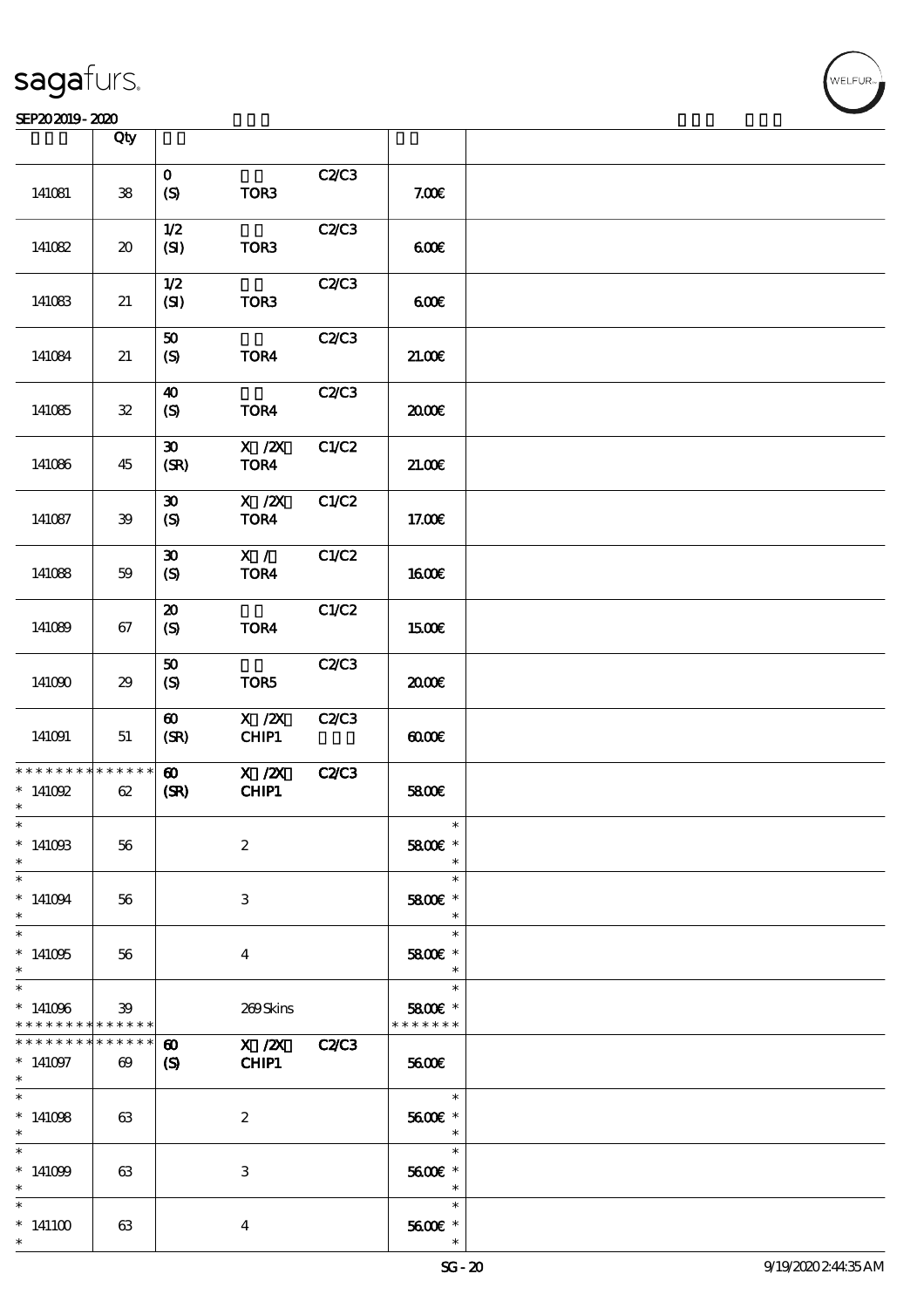#### SEP202019-2020

|                                                 | Qty                                 |                                                 |                            |              |                                                                        |  |
|-------------------------------------------------|-------------------------------------|-------------------------------------------------|----------------------------|--------------|------------------------------------------------------------------------|--|
|                                                 |                                     |                                                 |                            |              |                                                                        |  |
| 141081                                          | ${\bf 38}$                          | $\mathbf{o}$<br>$\boldsymbol{S}$                | TOR3                       | C2C3         | 7.00E                                                                  |  |
| 141082                                          | $\boldsymbol{\boldsymbol{\lambda}}$ | 1/2<br>(SI)                                     | TOR3                       | C2/C3        | 600                                                                    |  |
| 141083                                          | $21\,$                              | $1/2$<br>(SI)                                   | TOR3                       | C2/C3        | 600                                                                    |  |
| 141084                                          | 21                                  | ${\bf 50}$<br>$\boldsymbol{S}$                  | TOR4                       | C2/C3        | 21.00E                                                                 |  |
| 141085                                          | ${\bf 3\!}$                         | $\boldsymbol{\omega}$<br>(S)                    | TOR4                       | C2/C3        | æœ                                                                     |  |
| 141086                                          | 45                                  | $\boldsymbol{\mathfrak{D}}$<br>(SR)             | $X$ / $ZX$<br>TOR4         | C1/C2        | 21.006                                                                 |  |
| 141087                                          | 39                                  | $\boldsymbol{\mathfrak{D}}$<br>$\boldsymbol{S}$ | $X$ / $ZX$<br>TOR4         | C1/C2        | 17.00E                                                                 |  |
| 141088                                          | 59                                  | $\boldsymbol{\mathfrak{D}}$<br>$\boldsymbol{S}$ | X /<br>TOR4                | C1/C2        | <b>160€</b>                                                            |  |
| 141089                                          | 67                                  | $\boldsymbol{\mathsf{20}}$<br>$\boldsymbol{S}$  | TOR4                       | C1/C2        | <b>1500€</b>                                                           |  |
| 141090                                          | 29                                  | 50<br>$\boldsymbol{S}$                          | TOR5                       | C2C3         | æœ                                                                     |  |
| 141091                                          | 51                                  | $\boldsymbol{\omega}$<br>(SR)                   | $X$ / $ZX$<br>CHIP1        | C2C3         | $\omega$                                                               |  |
| * * * * * * * *<br>$*$ 141092<br>$\ast$         | * * * * * *<br>62                   | $\boldsymbol{\omega}$<br>(SR)                   | $X$ / $ZX$<br><b>CHIP1</b> | <b>C2/C3</b> | 5800€                                                                  |  |
| $\ast$<br>$*14100B$<br>$*$                      | 56                                  |                                                 | $\boldsymbol{2}$           |              | $\ast$<br>5800€ *<br>$\ast$                                            |  |
| $\ast$<br>$*141094$<br>$*$                      | 56                                  |                                                 | 3                          |              | $\ast$<br>5800€ *<br>$\ast$                                            |  |
| $\overline{\phantom{0}}$<br>$*141005$<br>$\ast$ | 56                                  |                                                 | $\bf{4}$                   |              | $\ast$<br>5800 £*<br>$\ast$                                            |  |
| $\ast$<br>$*141096$<br>* * * * * * * *          | 39<br>* * * * * *                   |                                                 | 269Skins                   |              | $\ast$<br>5800€ *<br>* * * * * * *                                     |  |
| * * * * * * * *<br>$*141097$<br>$\ast$          | $******$<br>$\boldsymbol{\omega}$   | $\boldsymbol{\omega}$<br>$\mathbf{S}$           | X / ZX C2/C3<br>CHIP1      |              | <b>5600€</b>                                                           |  |
| $\ast$<br>$*141008$<br>$\ast$                   | 63                                  |                                                 | 2                          |              | $\overline{\phantom{0}}$<br>5600€ *<br>$\ast$                          |  |
| $*$<br>$*141099$<br>$*$                         | 63                                  |                                                 | 3                          |              | $\ast$<br>5600€ *<br>$\overline{\phantom{a}}$ $\overline{\phantom{a}}$ |  |
| $\ast$<br>$*141100$<br>$\ast$                   | 63                                  |                                                 | $\bf{4}$                   |              | $\ast$<br>$5600E$ $^{\ast}$                                            |  |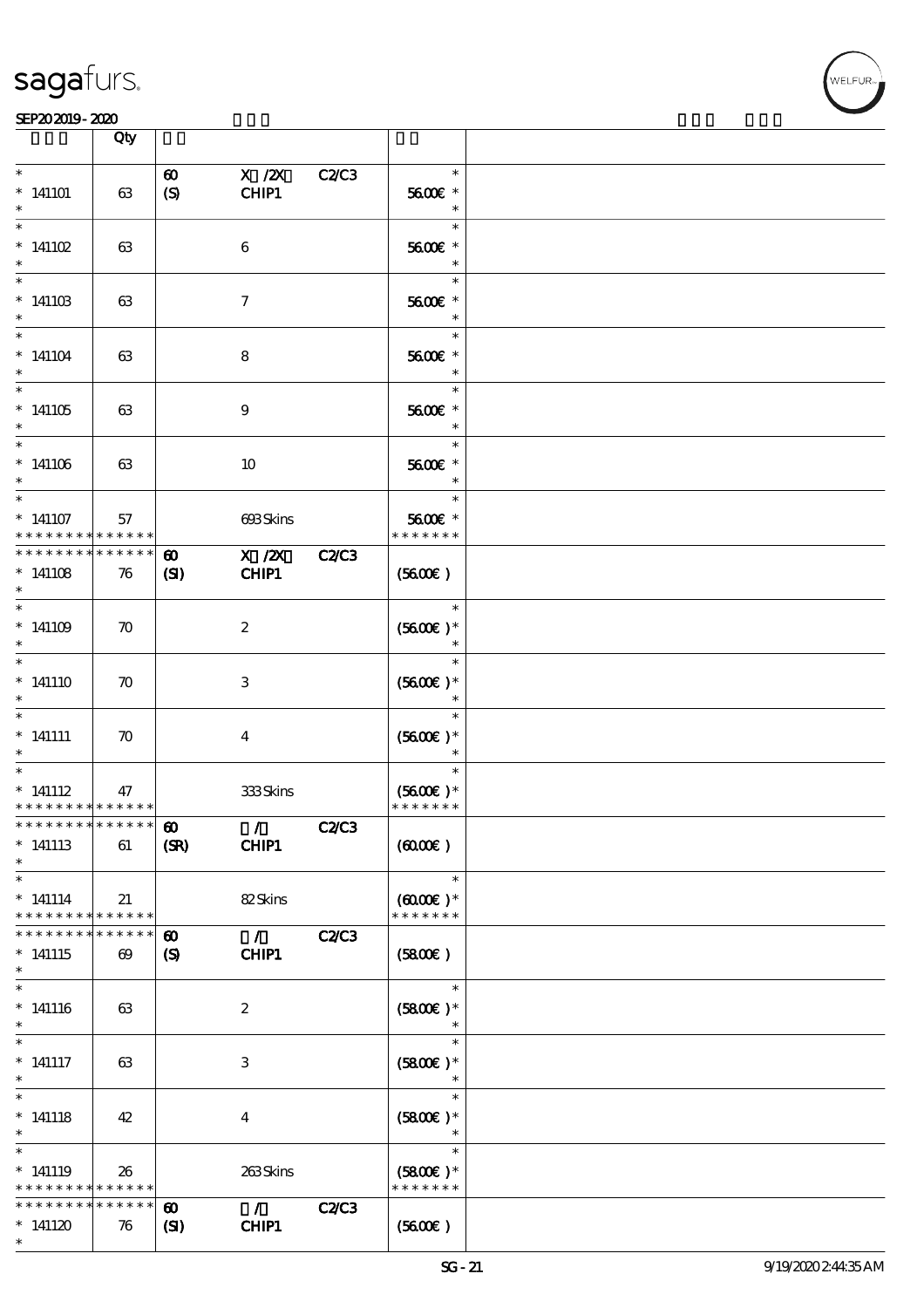

|                                                                  | Qty                                  |                                           |                           |              |                                                 |  |
|------------------------------------------------------------------|--------------------------------------|-------------------------------------------|---------------------------|--------------|-------------------------------------------------|--|
| $\ast$<br>$*141101$<br>$\ast$                                    | 63                                   | $\boldsymbol{\omega}$<br>$\boldsymbol{S}$ | $X$ / $ZX$<br>CHIP1       | C2/C3        | $\ast$<br>5600€ *<br>$\ast$                     |  |
| $\ast$<br>$* 141102$<br>$\ast$                                   | 63                                   |                                           | 6                         |              | $\ast$<br>5600€ *<br>$\ast$                     |  |
| $\ast$<br>$*14110B$<br>$\ast$                                    | 63                                   |                                           | $\boldsymbol{\tau}$       |              | $\ast$<br>5600€ *                               |  |
| $\ast$<br>$*141104$<br>$\ast$                                    | 63                                   |                                           | 8                         |              | $\ast$<br>5600€ *<br>$\ast$                     |  |
| $\overline{\ast}$<br>$*141105$<br>$\ast$                         | 63                                   |                                           | $\boldsymbol{9}$          |              | $\ast$<br>5600€ *<br>$\ast$                     |  |
| $\ast$<br>$*141106$<br>$\ast$                                    | 63                                   |                                           | 10                        |              | $\ast$<br>5600€ *<br>$\ast$                     |  |
| $\ast$<br>$*141107$<br>* * * * * * * *                           | 57<br>* * * * * *                    |                                           | 693Skins                  |              | $\ast$<br>5600€ *<br>* * * * * * *              |  |
| * * * * * * * *<br>$*141108$<br>$\ast$                           | * * * * * *<br>76                    | $\boldsymbol{\omega}$<br>$\mathbf{S}$     | $X$ / $ZX$<br>CHIP1       | <b>C2/C3</b> | (5600)                                          |  |
| $\ast$<br>$*141109$<br>$\ast$                                    | $\boldsymbol{\pi}$                   |                                           | $\boldsymbol{2}$          |              | $\ast$<br>$(5600)$ *                            |  |
| $\ast$<br>$*$ 141110                                             | $\boldsymbol{\pi}$                   |                                           | $\ensuremath{\mathsf{3}}$ |              | $\ast$<br>$(5600)$ *                            |  |
| $\ast$<br>$*$ 141111<br>$\ast$                                   | $\boldsymbol{\pi}$                   |                                           | $\bf{4}$                  |              | $\ast$<br>$(5600)$ *                            |  |
| $\ast$<br>$*$ 141112<br>* * * * * * * * * * * * * *              | 47                                   |                                           | 333Skins                  |              | $\ast$<br>$(5600)$ *<br>* * * * * * *           |  |
| *************** 8<br>$*$ 141113<br>$\ast$                        | 61                                   | (SR)                                      | $\sqrt{C2C3}$<br>CHIP1    |              | (6000)                                          |  |
| $\ast$<br>$*$ 141114<br>* * * * * * * * * * * * * *              | 21                                   |                                           | 82Skins                   |              | $\ast$<br>$(6000\varepsilon)*$<br>* * * * * * * |  |
| * * * * * * *<br>$*$ 141115<br>$\ast$                            | * * * * * *<br>$\boldsymbol{\omega}$ | $\boldsymbol{\omega}$<br>(S)              | $\mathcal{L}$<br>CHIP1    | <b>C2/C3</b> | (5800)                                          |  |
| $\ast$<br>$*$ 141116<br>$\ast$                                   | 63                                   |                                           | $\boldsymbol{z}$          |              | $\ast$<br>$(5800)$ *                            |  |
| $\ast$<br>$*$ 141117<br>$\ast$                                   | 63                                   |                                           | 3                         |              | $\ast$<br>$(5800)$ *                            |  |
| $\overline{\ast}$<br>$*$ 141118<br>$\ast$                        | 42                                   |                                           | $\overline{\mathbf{4}}$   |              | $\ast$<br>$(5800)$ *<br>$\ast$                  |  |
| $\ast$<br>$*$ 141119<br>* * * * * * * * <mark>* * * * * *</mark> | 26                                   |                                           | 263Skins                  |              | $\ast$<br>$(5800)$ *<br>* * * * * * *           |  |
| * * * * * * * *<br>$*141120$<br>$\ast$                           | * * * * * *<br>76                    | $\boldsymbol{\omega}$<br>$\mathbf{C}$     | $\mathcal{L}$<br>CHIP1    | <b>C2/C3</b> | (5600)                                          |  |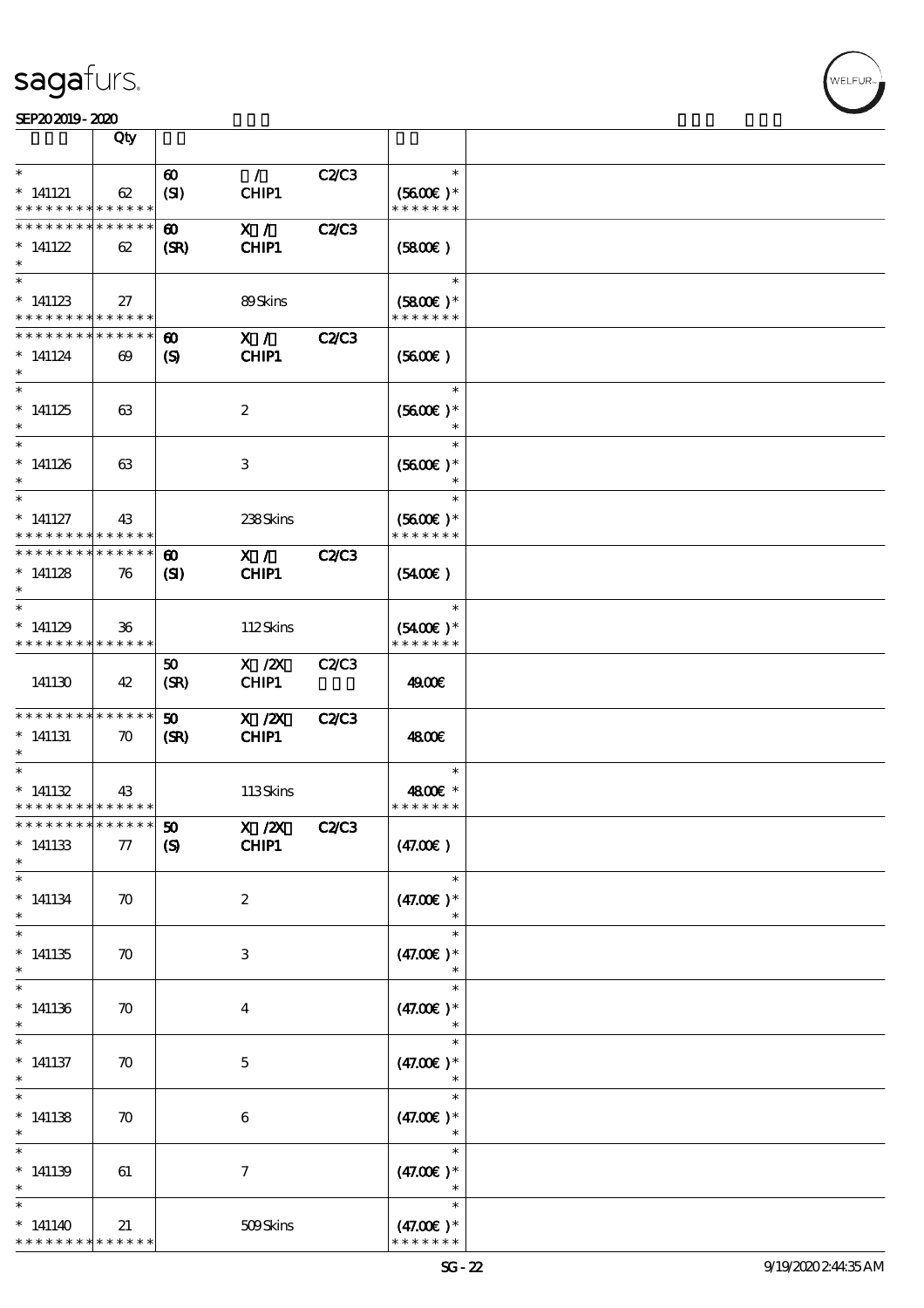\* \* \* \* \* \* \* \* \* \* \* \* \*

|                                                                         | Qty                   |                                                      |                        |              |                             |  |
|-------------------------------------------------------------------------|-----------------------|------------------------------------------------------|------------------------|--------------|-----------------------------|--|
| $\ast$                                                                  |                       |                                                      |                        |              | $\ast$                      |  |
| $*$ 141121                                                              | 62                    | $\boldsymbol{\omega}$<br>(SI)                        | $\mathcal{L}$<br>CHIP1 | C2C3         | $(5600\epsilon)*$           |  |
| * * * * * * * * <mark>* * * * * *</mark>                                |                       |                                                      |                        |              | * * * * * * *               |  |
| * * * * * * * * * * * * * *                                             |                       | $\boldsymbol{\omega}$                                | X /                    | <b>C2/C3</b> |                             |  |
| $*141122$                                                               | 62                    | (SR)                                                 | CHIP1                  |              | (5800)                      |  |
| $\ast$                                                                  |                       |                                                      |                        |              |                             |  |
| $\ast$                                                                  |                       |                                                      |                        |              | $\ast$                      |  |
| $*141123$                                                               | 27                    |                                                      | 89Skins                |              | $(5800)$ *                  |  |
| * * * * * * * * <mark>* * * * * *</mark><br>* * * * * * * * * * * * * * |                       |                                                      | X /                    | <b>C2/C3</b> | * * * * * * *               |  |
| $*141124$                                                               | $\boldsymbol{\omega}$ | $\boldsymbol{\omega}$<br>$\boldsymbol{\mathrm{(S)}}$ | CHIP1                  |              | (5600)                      |  |
| $\ast$                                                                  |                       |                                                      |                        |              |                             |  |
| $\overline{\ast}$                                                       |                       |                                                      |                        |              | $\ast$                      |  |
| $*141125$                                                               | 63                    |                                                      | $\boldsymbol{2}$       |              | $(5600E)*$                  |  |
| $\ast$                                                                  |                       |                                                      |                        |              |                             |  |
| $\ast$                                                                  |                       |                                                      |                        |              | $\ast$                      |  |
| $*141126$<br>$\ast$                                                     | 63                    |                                                      | 3                      |              | $(5600)$ *<br>$\ast$        |  |
| $\ast$                                                                  |                       |                                                      |                        |              | $\ast$                      |  |
| $*$ 141127                                                              | 43                    |                                                      | 238Skins               |              | $(5600)$ *                  |  |
| * * * * * * * * * * * * * *                                             |                       |                                                      |                        |              | * * * * * * *               |  |
| * * * * * * * * * * * * * *                                             |                       | $\boldsymbol{\omega}$                                | X /                    | <b>C2/C3</b> |                             |  |
| $*141128$                                                               | 76                    | $\mathbf{S}$                                         | CHIP1                  |              | (5400)                      |  |
| $\ast$                                                                  |                       |                                                      |                        |              |                             |  |
| $\ast$                                                                  |                       |                                                      |                        |              | $\ast$                      |  |
| $*141129$<br>* * * * * * * * * * * * * *                                | 36                    |                                                      | 112Skins               |              | $(5400)$ *<br>* * * * * * * |  |
|                                                                         |                       | 50                                                   | $X$ / $ZX$             | <b>C2/C3</b> |                             |  |
| 141130                                                                  | 42                    | (SR)                                                 | CHIP1                  |              | 4900€                       |  |
|                                                                         |                       |                                                      |                        |              |                             |  |
| * * * * * * * * * * * * * *                                             |                       | $\boldsymbol{\omega}$                                | $X$ / $ZX$             | <b>C2/C3</b> |                             |  |
| $*$ 141131                                                              | $\boldsymbol{\pi}$    | (SR)                                                 | CHIP1                  |              | 4800€                       |  |
| $\ast$<br>$\ast$                                                        |                       |                                                      |                        |              | $\ast$                      |  |
| $*141132$                                                               |                       |                                                      | 113Skins               |              |                             |  |
| * * * * * * * * * * * * * *                                             | 43                    |                                                      |                        |              | 4800€ *<br>* * * * * * *    |  |
| $x***************$                                                      |                       |                                                      | X / ZX C2/C3           |              |                             |  |
| $^\ast$ 141133                                                          | $77\,$                | $\boldsymbol{S}$                                     | <b>CHIP1</b>           |              | (47.00)                     |  |
| $\ast$                                                                  |                       |                                                      |                        |              |                             |  |
| $\ast$                                                                  |                       |                                                      |                        |              | $\ast$                      |  |
| $*141134$                                                               | $\boldsymbol{\pi}$    |                                                      | $\boldsymbol{2}$       |              | $(47.00)$ *                 |  |
| $\ast$<br>$\ast$                                                        |                       |                                                      |                        |              | $\ast$                      |  |
| $*141135$                                                               | $\boldsymbol{\pi}$    |                                                      | 3                      |              | $(47.00)$ *                 |  |
| $\ast$                                                                  |                       |                                                      |                        |              |                             |  |
| $\ast$                                                                  |                       |                                                      |                        |              | $\ast$                      |  |
| $*141136$                                                               | $\boldsymbol{\pi}$    |                                                      | $\boldsymbol{4}$       |              | $(47.00)$ *                 |  |
| $\ast$                                                                  |                       |                                                      |                        |              |                             |  |
|                                                                         |                       |                                                      |                        |              | $\ast$                      |  |
| $*$ 141137                                                              | $\boldsymbol{\pi}$    |                                                      | $\mathbf{5}$           |              | $(47.00)$ *                 |  |
| $\ast$<br>$\overline{\ast}$                                             |                       |                                                      |                        |              | $\ast$                      |  |
| $*141138$                                                               | $\boldsymbol{\pi}$    |                                                      | $\boldsymbol{6}$       |              | $(47.00)$ *                 |  |
| $\ast$                                                                  |                       |                                                      |                        |              | $\ast$                      |  |
| $\ast$                                                                  |                       |                                                      |                        |              | $\ast$                      |  |
| $*141139$                                                               | 61                    |                                                      | $\boldsymbol{7}$       |              | $(47.00)$ *                 |  |
| $\ast$                                                                  |                       |                                                      |                        |              | $\ast$                      |  |
|                                                                         |                       |                                                      |                        |              | $\ast$                      |  |
| $*141140$                                                               | 21                    |                                                      | 509Skins               |              | $(47.00)$ *                 |  |

\* \* \* \* \* \* \*  $(47.00)$ 

WELFUR<sub>T</sub>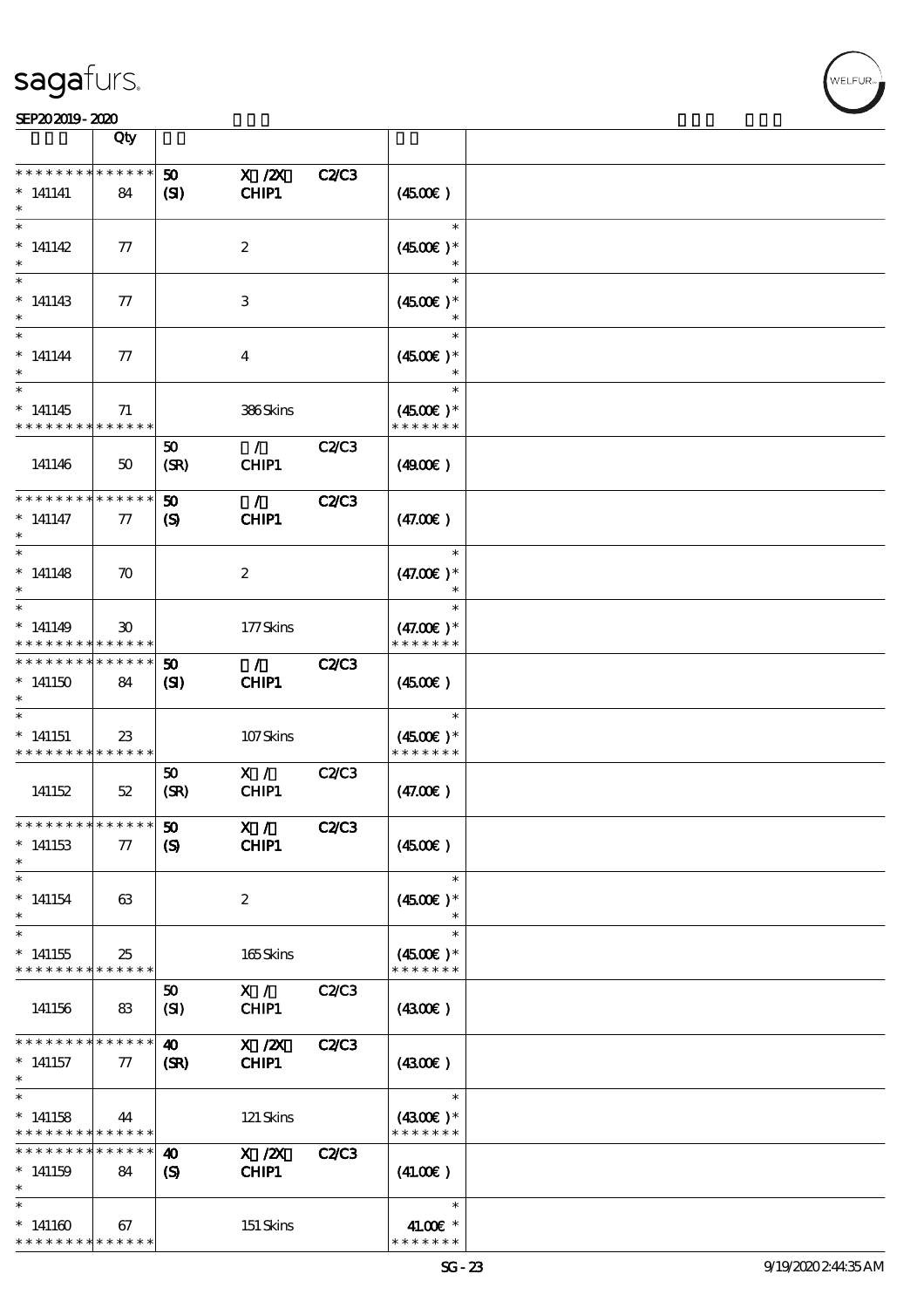#### $\frac{\text{SEPA} \cdot \text{0.0019}}{\text{Qty}}$

| SEP202019-2020                                                    |                             |                                             |                        |              |                                        |  |
|-------------------------------------------------------------------|-----------------------------|---------------------------------------------|------------------------|--------------|----------------------------------------|--|
|                                                                   | Qty                         |                                             |                        |              |                                        |  |
| * * * * * * * *<br>$*$ 141141                                     | * * * * * *<br>84           | 50<br>$\mathbf{S}$                          | $X$ / $ZX$<br>CHIP1    | C2C3         | (450E)                                 |  |
| $\ast$<br>$*$ 141142                                              | 77                          |                                             | $\boldsymbol{2}$       |              | $\ast$<br>$(4500)$ *<br>$\ast$         |  |
| $\ast$<br>$*141143$                                               | 77                          |                                             | 3                      |              | $\ast$<br>$(4500)$ *                   |  |
| $\ast$<br>$* 141144$<br>$\ast$                                    | 77                          |                                             | $\bf{4}$               |              | $\ast$<br>$(4500)$ *                   |  |
| $\ast$<br>$*141145$<br>* * * * * * * *                            | 71<br>* * * * * *           |                                             | 386Skins               |              | $\ast$<br>$(4500)$ *<br>* * * * * * *  |  |
| 141146                                                            | 50                          | 50<br>(SR)                                  | $\mathcal{L}$<br>CHIP1 | C2C3         | (4900)                                 |  |
| * * * * * * * *<br>$*$ 141147<br>$\ast$                           | * * * * * *<br>77           | 50<br>$\boldsymbol{S}$                      | $\mathcal{L}$<br>CHIP1 | <b>C2/C3</b> | (47.00)                                |  |
| $\ast$<br>$*141148$<br>$\ast$                                     | $\boldsymbol{\pi}$          |                                             | $\boldsymbol{2}$       |              | $\ast$<br>$(47.00)$ *<br>$\ast$        |  |
| $\ast$<br>$*141149$<br>* * * * * * * *                            | $30^{\circ}$<br>* * * * * * |                                             | 177Skins               |              | $\ast$<br>$(47.00)$ *<br>* * * * * * * |  |
| * * * * * * * *<br>$*141150$<br>$\ast$                            | * * * * * *<br>84           | 50<br>$\mathbf{S}$                          | $\mathcal{F}$<br>CHIP1 | <b>C2/C3</b> | (450)                                  |  |
| $\ast$<br>$*141151$<br>* * * * * * * *                            | $23\,$<br>* * * * * *       |                                             | 107Skins               |              | $\ast$<br>$(4500E)*$<br>* * * * * * *  |  |
| 141152                                                            | 52                          | 50<br>(SR)                                  | X /<br>CHIP1           | C2C3         | (47.00)                                |  |
| * * * * * * * * * * * * * *<br>$*141153$<br>$\ast$                | $\tau$                      | $\boldsymbol{\mathfrak{D}}$<br>$\mathbf{S}$ | X /<br>CHIP1           | <b>C2/C3</b> | (4500)                                 |  |
| $\ast$<br>$*141154$                                               | 63                          |                                             | $\boldsymbol{2}$       |              | $\ast$<br>$(4500)$ *<br>$\ast$         |  |
| $\ast$<br>$*141155$<br>* * * * * * * * <mark>* * * * * * *</mark> | 25                          |                                             | 165Skins               |              | $\ast$<br>$(4500)$ *<br>* * * * * * *  |  |
| 141156                                                            | 83                          | 50<br>(SI)                                  | X /<br>CHIP1           | C2C3         | (4300)                                 |  |
| * * * * * * * *<br>$*$ 141157<br>$\ast$                           | * * * * * *<br>$\pi$        | 40<br>(SR)                                  | $X$ / $ZX$<br>CHIP1    | C2/C3        | (430)                                  |  |
| $\ast$<br>$*141158$<br>* * * * * * * * <mark>* * * * * *</mark>   | 44                          |                                             | 121 Skins              |              | $\ast$<br>$(4300)$ *<br>* * * * * * *  |  |
| * * * * * * * *<br>$*141159$                                      | * * * * * *<br>84           | 40<br>(S)                                   | X / ZX<br>CHIP1        | <b>C2/C3</b> | (41.00)                                |  |
| $\ast$<br>$*141160$<br>* * * * * * * * <mark>* * * * * *</mark>   | 67                          |                                             | 151 Skins              |              | $\ast$<br>41.00€ *<br>* * * * * * *    |  |

,<br>WELFUR: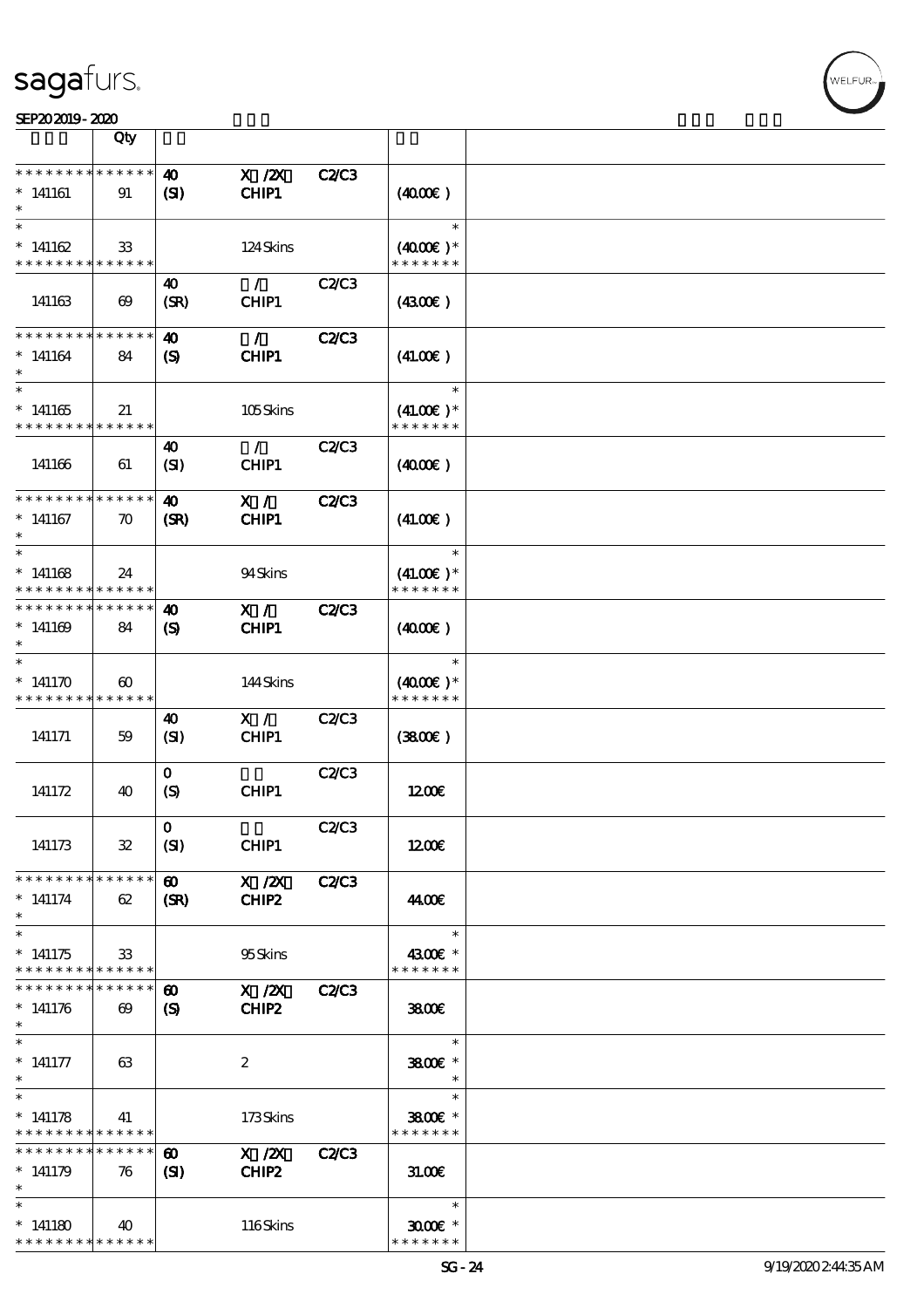|                                                                   | Qty                                  |                                                     |                            |              |                                        |  |
|-------------------------------------------------------------------|--------------------------------------|-----------------------------------------------------|----------------------------|--------------|----------------------------------------|--|
| * * * * * * * *                                                   | * * * * * *                          | $\boldsymbol{\omega}$                               |                            | <b>C2/C3</b> |                                        |  |
| $*141161$                                                         | 91                                   | $\mathbf{C}$                                        | $X$ / $ZX$<br><b>CHIP1</b> |              | (400E)                                 |  |
| $*141162$<br>* * * * * * * *                                      | 33<br>* * * * * *                    |                                                     | 124Skins                   |              | $\ast$<br>$(4000)$ *<br>* * * * * * *  |  |
| 141163                                                            | $\boldsymbol{\omega}$                | 40<br>(SR)                                          | $\mathcal{L}$<br>CHIP1     | C2C3         | (4300)                                 |  |
| * * * * * * * *<br>$*141164$                                      | * * * * * *<br>84                    | 40<br>$\boldsymbol{\mathrm{(S)}}$                   | $\mathcal{L}$<br>CHIP1     | <b>C2/C3</b> | (41.00)                                |  |
| $\ast$<br>$*141165$<br>* * * * * * * *                            | 21<br>******                         |                                                     | 105Skins                   |              | $\ast$<br>$(41.00)$ *<br>* * * * * * * |  |
| 141166                                                            | 61                                   | 40<br>(SI)                                          | $\mathcal{L}$<br>CHIP1     | C2C3         | (400E)                                 |  |
| * * * * * * * *<br>$*141167$<br>$\ast$                            | * * * * * *<br>$\boldsymbol{\pi}$    | $\boldsymbol{\omega}$<br>(SR)                       | X /<br>CHIP1               | <b>C2/C3</b> | (41.00)                                |  |
| $\ast$<br>$*141168$<br>* * * * * * * *                            | 24<br>* * * * * *                    |                                                     | 94Skins                    |              | $\ast$<br>$(41.00)$ *<br>* * * * * * * |  |
| * * * * * * * *<br>$*141169$                                      | * * * * * *<br>84                    | $\boldsymbol{\omega}$<br>$\boldsymbol{\mathcal{S}}$ | $X / \sqrt{2}$<br>CHIP1    | <b>C2/C3</b> | (400E)                                 |  |
| $\ast$<br>* $141170$<br>* * * * * * * *                           | $\boldsymbol{\omega}$<br>* * * * * * |                                                     | 144Skins                   |              | $\ast$<br>$(4000)$ *<br>* * * * * * *  |  |
| 141171                                                            | 59                                   | 40<br>(SI)                                          | X /<br>CHIP1               | C2C3         | (380)                                  |  |
| 141172                                                            | 40                                   | $\mathbf{O}$<br>(S)                                 | CHIP1                      | C2/C3        | 1200E                                  |  |
| 141173                                                            | ${\bf 3\!}$                          | $\mathbf{O}$<br>(SI)                                | CHIP1                      | <b>C2/C3</b> | 1200E                                  |  |
| * * * * * * * * <mark>* * * * * *</mark><br>$*$ 141174<br>$\ast$  | 62                                   | $\boldsymbol{\omega}$<br>(SR)                       | X / ZX<br>CHIP2            | <b>C2/C3</b> | 44.00€                                 |  |
| $\ast$<br>$*141175$<br>* * * * * * * * <mark>* * * * * *</mark>   | 33                                   |                                                     | 95Skins                    |              | $\ast$<br>4300€ *<br>* * * * * * *     |  |
| * * * * * * * *<br>$*141176$<br>$\ast$                            | * * * * * *<br>$\boldsymbol{\omega}$ | $\boldsymbol{\omega}$<br>$\boldsymbol{\mathcal{S}}$ | $X$ / $ZX$<br>CHIP2        | <b>C2/C3</b> | 3800€                                  |  |
| $\ast$<br>$* 141177$<br>$\ast$                                    | 63                                   |                                                     | $\boldsymbol{2}$           |              | $\ast$<br>3800€ *<br>$\ast$            |  |
| $\ast$<br>$*141178$<br>* * * * * * * *                            | 41<br>* * * * * *                    |                                                     | 173Skins                   |              | $\ast$<br>3800€ *<br>* * * * * * *     |  |
| * * * * * * * *<br>$*141179$<br>$\ast$                            | * * * * * *<br>76                    | $\boldsymbol{\omega}$<br>$\mathbf{C}$               | X / ZX<br>CHIP2            | <b>C2/C3</b> | 31.00                                  |  |
| $\ast$<br>$*141180$<br>* * * * * * * * <mark>* * * * * * *</mark> | 40                                   |                                                     | 116Skins                   |              | $\ast$<br>$3000$ $*$<br>* * * * * * *  |  |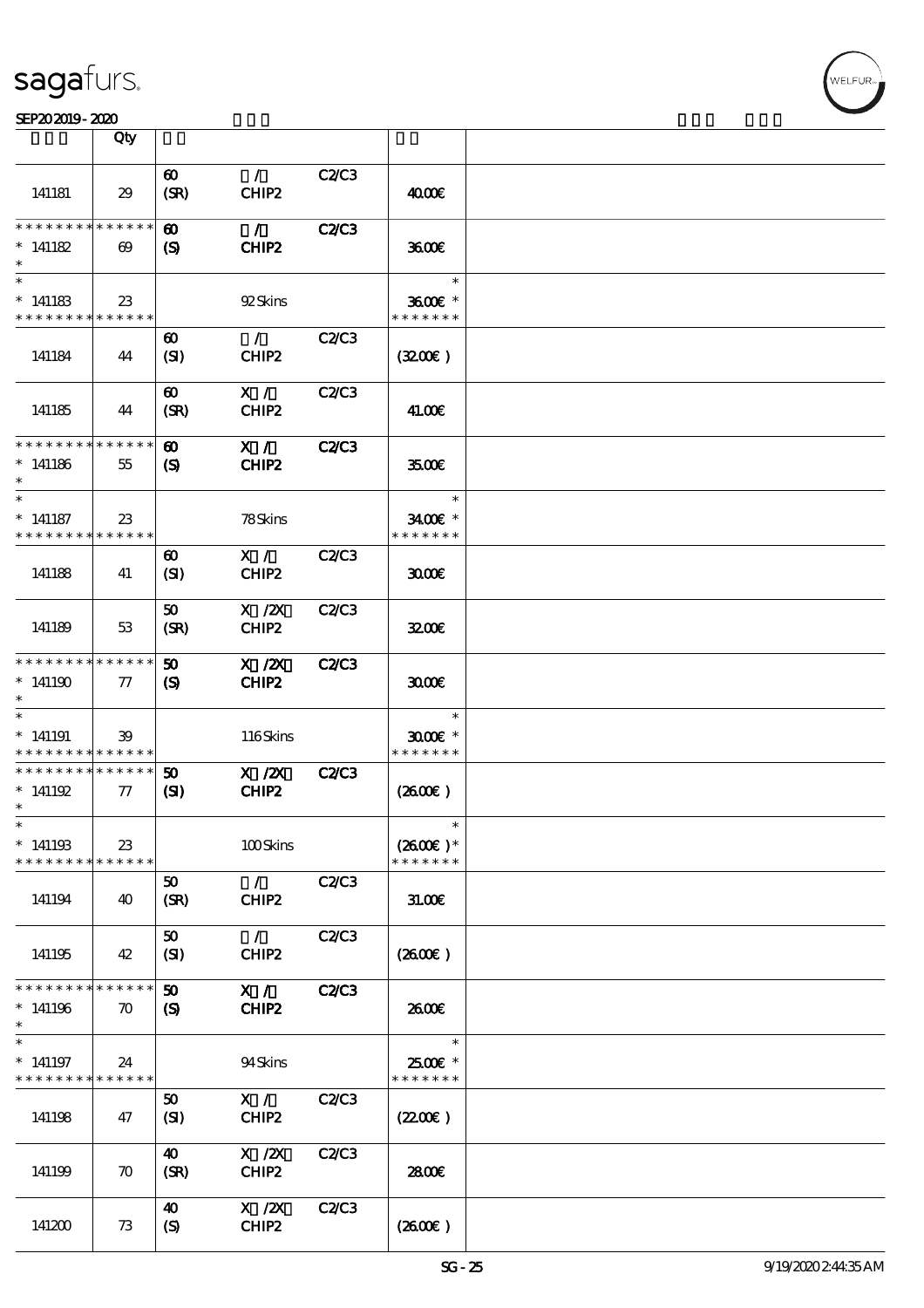|                                         | Qty                                      |                                                     |                                 |              |                                       |  |
|-----------------------------------------|------------------------------------------|-----------------------------------------------------|---------------------------------|--------------|---------------------------------------|--|
| 141181                                  | 29                                       | $\boldsymbol{\omega}$<br>(SR)                       | $\mathcal{L}$<br>CHIP2          | C2/C3        | 4000€                                 |  |
| * * * * * * * *<br>$* 141182$           | $* * * * * * *$<br>$\boldsymbol{\omega}$ | $\boldsymbol{\omega}$<br>(S)                        | $\mathcal{F}$<br>CHIP2          | <b>C2/C3</b> | 3600                                  |  |
| $\ast$<br>$*141183$<br>* * * * * * * *  | 23<br>* * * * * *                        |                                                     | 92Skins                         |              | $\ast$<br>3600€ *<br>* * * * * * *    |  |
| 141184                                  | 44                                       | $\boldsymbol{\omega}$<br>(SI)                       | $\mathcal{L}$<br>CHIP2          | <b>C2/C3</b> | (320)                                 |  |
| 141185                                  | 44                                       | $\boldsymbol{\omega}$<br>(SR)                       | X /<br>CHIP2                    | C2/C3        | 41.00E                                |  |
| * * * * * * * *<br>$*141186$<br>$\ast$  | * * * * * *<br>55                        | $\boldsymbol{\omega}$<br>$\boldsymbol{\mathcal{S}}$ | X /<br>CHIP2                    | <b>C2/C3</b> | 3500                                  |  |
| $\ast$<br>$*$ 141187<br>* * * * * * * * | $23\,$<br>* * * * * *                    |                                                     | 78Skins                         |              | $\ast$<br>3400€ *<br>* * * * * * *    |  |
| 141188                                  | 41                                       | $\boldsymbol{\omega}$<br>(SI)                       | X /<br>CHIP2                    | <b>C2/C3</b> | 3000                                  |  |
| 141189                                  | 53                                       | 50<br>(SR)                                          | $X$ / $ZX$<br>CHIP <sub>2</sub> | C2C3         | 3200E                                 |  |
| * * * * * * * *<br>$*141190$<br>$\ast$  | * * * * * *<br>$\pi$                     | $\boldsymbol{\mathfrak{D}}$<br>$\boldsymbol{S}$     | $X$ / $ZX$<br>CHIP2             | <b>C2/C3</b> | 3000                                  |  |
| $\ast$<br>$*141191$<br>* * * * * * * *  | 39<br>* * * * * *                        |                                                     | 116Skins                        |              | $\ast$<br>$3000$ $*$<br>* * * * * * * |  |
| * * * * * * * *<br>$*141192$<br>$\ast$  | * * * * * *<br>$\pi$                     | 50<br>$\mathbf{S}$                                  | $X$ / $ZX$<br>CHIP2             | <b>C2/C3</b> | (260)                                 |  |
| $*$<br>$*141193$<br>* * * * * * * *     | 23<br>* * * * * *                        |                                                     | 100Skins                        |              | $\ast$<br>$(2600E)*$<br>* * * * * * * |  |
| 141194                                  | 40                                       | 50<br>(SR)                                          | $\mathcal{F}$<br>CHIP2          | C2C3         | 31.006                                |  |
| 141195                                  | 42                                       | 50<br>(SI)                                          | $\mathcal{L}$<br>CHIP2          | C2C3         | (2600)                                |  |
| * * * * * * * *<br>$*141196$<br>$\ast$  | * * * * * *<br>$\boldsymbol{\pi}$        | $\boldsymbol{\mathfrak{D}}$<br>$\boldsymbol{S}$     | X /<br>CHIP2                    | C2/C3        | 2600E                                 |  |
| $\ast$<br>$*141197$<br>* * * * * * * *  | 24<br>* * * * * *                        |                                                     | 94Skins                         |              | $\ast$<br>2500€ *<br>* * * * * * *    |  |
| 141198                                  | 47                                       | 50<br>(SI)                                          | X /<br>CHIP2                    | C2C3         | (220E)                                |  |
| 141199                                  | $\boldsymbol{\pi}$                       | 40<br>(SR)                                          | $X$ / $ZX$<br>CHIP2             | C2/C3        | 2800€                                 |  |
| 141200                                  | 73                                       | $\boldsymbol{\omega}$<br>$\boldsymbol{S}$           | $X$ / $ZX$<br>CHIP2             | C2C3         | (2600)                                |  |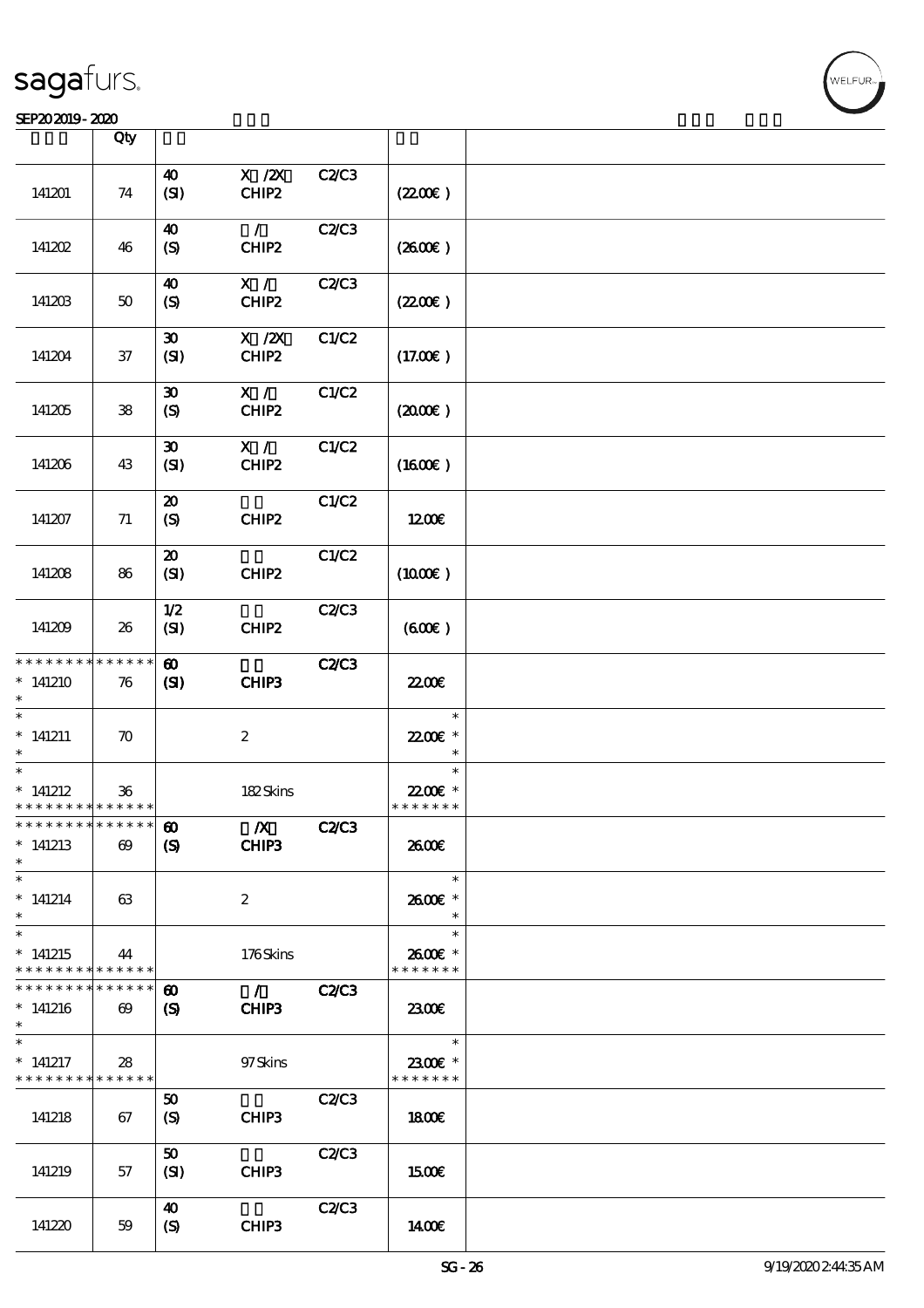#### SEP202019-2020 **DEEP202019-2020**

|                                            | Qty                   |                             |                   |              |                     |  |
|--------------------------------------------|-----------------------|-----------------------------|-------------------|--------------|---------------------|--|
|                                            |                       |                             |                   |              |                     |  |
|                                            |                       | 40                          | $X$ / $ZX$        | C2/C3        |                     |  |
| 141201                                     | 74                    | (SI)                        | CHIP2             |              | (220E)              |  |
|                                            |                       |                             |                   |              |                     |  |
|                                            |                       |                             | $\mathcal{L}$     |              |                     |  |
|                                            |                       | 40                          |                   | C2C3         |                     |  |
| 141202                                     | 46                    | (S)                         | CHIP <sub>2</sub> |              | (260E)              |  |
|                                            |                       |                             |                   |              |                     |  |
|                                            |                       | 40                          | X /               | C2C3         |                     |  |
|                                            |                       |                             |                   |              |                     |  |
| 141203                                     | $50\,$                | (S)                         | CHIP2             |              | (220E)              |  |
|                                            |                       |                             |                   |              |                     |  |
|                                            |                       | $\boldsymbol{\mathfrak{D}}$ | $X$ / $ZX$        | C1/C2        |                     |  |
|                                            |                       |                             |                   |              |                     |  |
| 141204                                     | $37\,$                | (SI)                        | CHIP2             |              | (17.00)             |  |
|                                            |                       |                             |                   |              |                     |  |
|                                            |                       | $\boldsymbol{\mathfrak{D}}$ | X /               | C1/C2        |                     |  |
| 141205                                     | ${\bf 38}$            | (S)                         | CHIP2             |              | (200)               |  |
|                                            |                       |                             |                   |              |                     |  |
|                                            |                       |                             |                   |              |                     |  |
|                                            |                       | $\boldsymbol{\mathfrak{D}}$ | $\mathbf{X}$ /    | C1/C2        |                     |  |
| 141206                                     | 43                    | (SI)                        | CHIP2             |              | $(1600\varepsilon)$ |  |
|                                            |                       |                             |                   |              |                     |  |
|                                            |                       |                             |                   |              |                     |  |
|                                            |                       | $\boldsymbol{\mathfrak{D}}$ |                   | C1/C2        |                     |  |
| 141207                                     | 71                    | (S)                         | CHIP2             |              | 1200                |  |
|                                            |                       |                             |                   |              |                     |  |
|                                            |                       | $\boldsymbol{\mathfrak{D}}$ |                   | C1/C2        |                     |  |
|                                            |                       |                             |                   |              |                     |  |
| 141208                                     | 86                    | (SI)                        | CHIP2             |              | (1000E)             |  |
|                                            |                       |                             |                   |              |                     |  |
|                                            |                       | 1/2                         |                   | C2C3         |                     |  |
|                                            |                       |                             |                   |              |                     |  |
| 141209                                     | 26                    | (SI)                        | CHIP2             |              | (60E)               |  |
|                                            |                       |                             |                   |              |                     |  |
| * * * * * * * *                            | * * * * * *           | $\boldsymbol{\omega}$       |                   | <b>C2C3</b>  |                     |  |
| $*141210$                                  | 76                    | (S)                         | CHIP3             |              | 2200                |  |
|                                            |                       |                             |                   |              |                     |  |
|                                            |                       |                             |                   |              |                     |  |
| $\ast$                                     |                       |                             |                   |              | $\ast$              |  |
| $*$ 141211                                 | $\boldsymbol{\pi}$    |                             | $\boldsymbol{2}$  |              | 22.00€ *            |  |
|                                            |                       |                             |                   |              | $\ast$              |  |
| $\ast$                                     |                       |                             |                   |              | $\ast$              |  |
|                                            |                       |                             |                   |              |                     |  |
| $*$ 141212                                 | 36                    |                             | 182Skins          |              | 22.00 *             |  |
| * * * * * * * * <mark>* * * * * * *</mark> |                       |                             |                   |              | * * * * * * *       |  |
| * * * * * * * * <mark>* * * * * *</mark>   |                       | $\boldsymbol{\omega}$       | $\boldsymbol{X}$  | C2C3         |                     |  |
| $*141213$                                  | $\boldsymbol{\omega}$ | $\boldsymbol{S}$            | CHIP3             |              | 2600E               |  |
|                                            |                       |                             |                   |              |                     |  |
| $\ast$                                     |                       |                             |                   |              |                     |  |
| $\ast$                                     |                       |                             |                   |              | $\ast$              |  |
| $*$ 141214                                 | 63                    |                             | $\boldsymbol{2}$  |              | 2600E *             |  |
| $\ast$                                     |                       |                             |                   |              | $\ast$              |  |
| $\ast$                                     |                       |                             |                   |              | $\ast$              |  |
|                                            |                       |                             |                   |              |                     |  |
| $*141215$                                  | 44                    |                             | 176Skins          |              | 2600E *             |  |
| * * * * * * * *                            | ******                |                             |                   |              | * * * * * * *       |  |
| * * * * * * * *                            | * * * * * *           | $\boldsymbol{\omega}$       | $\mathcal{L}$     | <b>C2/C3</b> |                     |  |
|                                            |                       |                             |                   |              |                     |  |
| $*141216$                                  | $\boldsymbol{\omega}$ | $\boldsymbol{\mathrm{(S)}}$ | CHIP3             |              | 2300                |  |
| $\ast$                                     |                       |                             |                   |              |                     |  |
| $\ast$                                     |                       |                             |                   |              | $\ast$              |  |
| $*$ 141217                                 | 28                    |                             | 97 Skins          |              | 2300€ *             |  |
| * * * * * * * *                            | ******                |                             |                   |              | * * * * * * *       |  |
|                                            |                       |                             |                   |              |                     |  |
|                                            |                       | 50                          |                   | C2C3         |                     |  |
| 141218                                     | 67                    | (S)                         | CHIP3             |              | 1800                |  |
|                                            |                       |                             |                   |              |                     |  |
|                                            |                       | 50                          |                   | C2C3         |                     |  |
|                                            |                       |                             |                   |              |                     |  |
| 141219                                     | 57                    | (SI)                        | CHIP3             |              | <b>1500€</b>        |  |
|                                            |                       |                             |                   |              |                     |  |
|                                            |                       | 40                          |                   | C2C3         |                     |  |
| 141220                                     | 59                    | $\boldsymbol{S}$            | CHIP3             |              | 1400E               |  |
|                                            |                       |                             |                   |              |                     |  |

-<br>ELFUR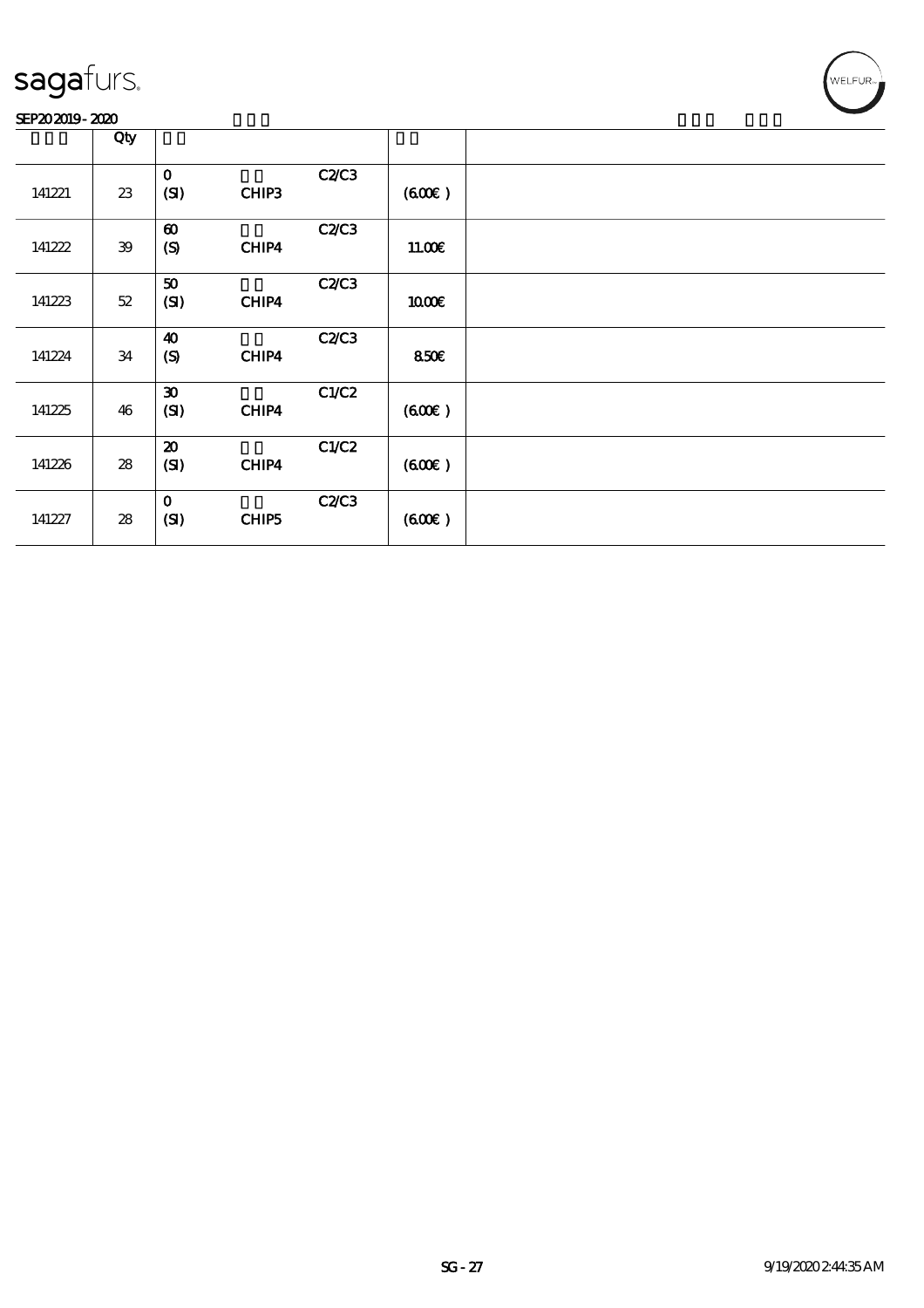#### SEP202019-2020

|        | Qty        |                                           |       |              |        |  |
|--------|------------|-------------------------------------------|-------|--------------|--------|--|
| 141221 | 23         | $\mathbf{o}$<br>(SI)                      | CHIP3 | <b>C2/C3</b> | (600)  |  |
| 141222 | ${\bf 39}$ | $\boldsymbol{\omega}$<br>$\boldsymbol{S}$ | CHIP4 | C2C3         | 11.00E |  |
| 141223 | $52\,$     | 50<br>(SI)                                | CHIP4 | C2C3         | 1000E  |  |
| 141224 | 34         | $\boldsymbol{\omega}$<br>$\boldsymbol{S}$ | CHIP4 | <b>C2/C3</b> | 850€   |  |
| 141225 | 46         | $\boldsymbol{\mathfrak{D}}$<br>(SI)       | CHIP4 | C1/C2        | (60E)  |  |
| 141226 | 28         | $\boldsymbol{\mathbf{z}}$<br>(SI)         | CHIP4 | C1/C2        | (60E)  |  |
| 141227 | ${\bf 28}$ | $\mathbf{o}$<br>(SI)                      | CHIP5 | <b>C2/C3</b> | (600)  |  |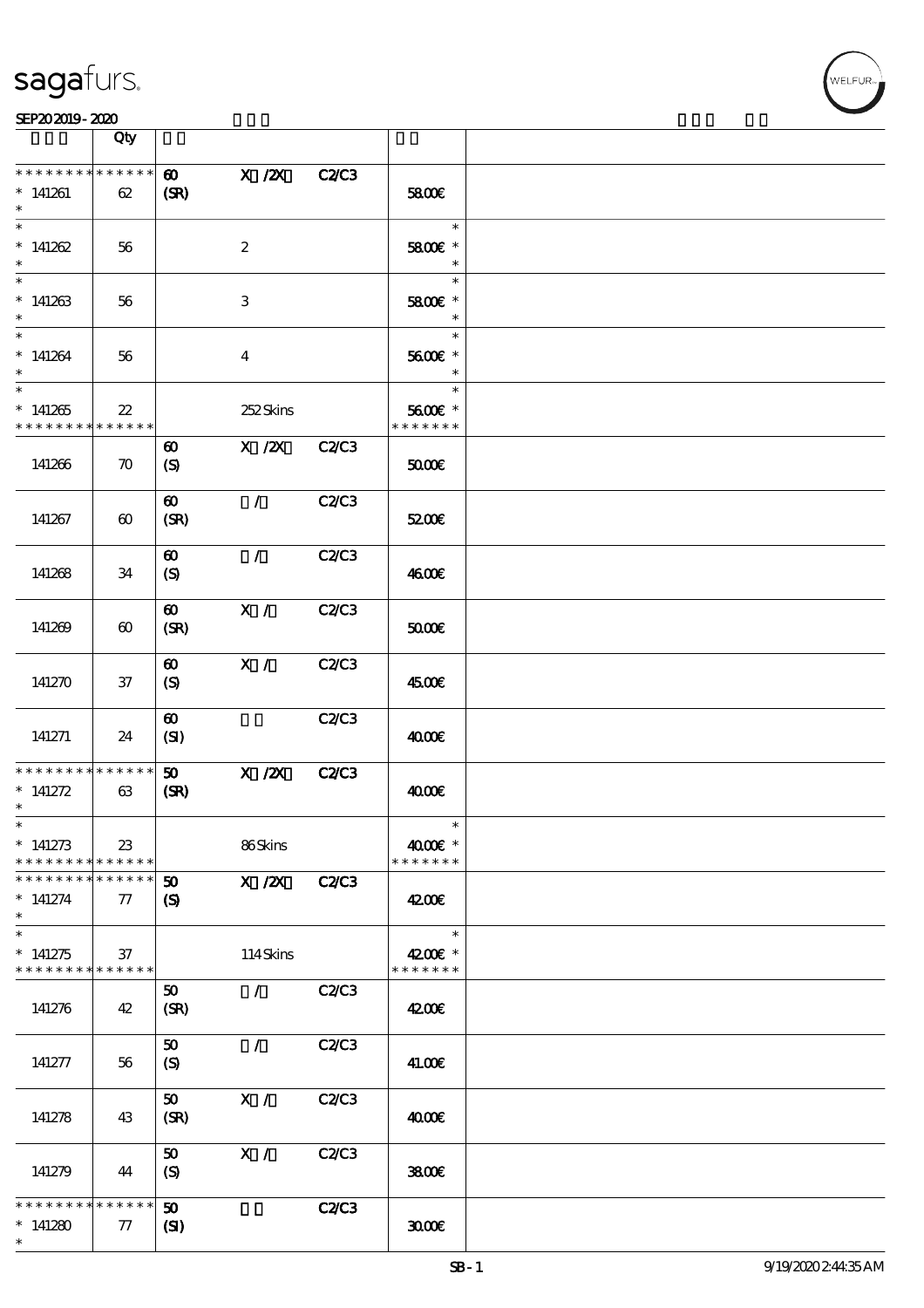

#### SEP202019-2020

|                                                                            | Qty                   |                                                           |                   |              |                                    |  |
|----------------------------------------------------------------------------|-----------------------|-----------------------------------------------------------|-------------------|--------------|------------------------------------|--|
| * * * * * * * * * * * * * *<br>$*141261$<br>$\ast$<br>$\overline{\ast}$    | 62                    | $\boldsymbol{\omega}$<br>(SR)                             | $X$ / $ZX$        | <b>C2C3</b>  | 5800E                              |  |
| $*141262$<br>$\ast$                                                        | 56                    |                                                           | $\boldsymbol{2}$  |              | $\ast$<br>5800€ *<br>$\ast$        |  |
| $\overline{\phantom{0}}$<br>$*141263$<br>$\ast$                            | 56                    |                                                           | $\,3$             |              | $\ast$<br>5800€ *<br>$\ast$        |  |
| $\overline{\ast}$<br>$*141264$<br>$\ast$                                   | 56                    |                                                           | $\boldsymbol{4}$  |              | $\ast$<br>5600€ *<br>$\ast$        |  |
| $\overline{\phantom{1}}$<br>$*141265$<br>* * * * * * * *                   | $22\,$<br>* * * * * * |                                                           | 252Skins          |              | $\ast$<br>5600€ *<br>* * * * * * * |  |
| 141266                                                                     | $\boldsymbol{\pi}$    | $\boldsymbol{\omega}$<br>$\boldsymbol{S}$                 | $X$ / $ZX$        | <b>C2/C3</b> | 50000                              |  |
| 141267                                                                     | $\boldsymbol{\omega}$ | $\boldsymbol{\omega}$<br>(SR)                             | $\mathcal{L}$     | <b>C2/C3</b> | 5200E                              |  |
| 141268                                                                     | 34                    | $\boldsymbol{\omega}$<br>$\boldsymbol{S}$                 | $\mathcal{L}$     | <b>C2/C3</b> | 4600€                              |  |
| 141269                                                                     | $\boldsymbol{\omega}$ | $\boldsymbol{\omega}$<br>(SR)                             | X /               | C2C3         | 50000                              |  |
| 141270                                                                     | $37\,$                | $\boldsymbol{\omega}$<br>$\boldsymbol{S}$                 | X /               | <b>C2/C3</b> | 4500€                              |  |
| 141271                                                                     | 24                    | $\boldsymbol{\omega}$<br>(SI)                             |                   | C2/C3        | 4000€                              |  |
| * * * * * * * * * * * * * *<br>$*$ 141272<br>$\ast$                        | 63                    | 50<br>(SR)                                                | $X$ / $ZX$        | <b>C2/C3</b> | 4000€                              |  |
| $\ast$<br>$*$ 141273<br>* * * * * * * * * * * * * *                        | 23                    |                                                           | 86Skins           |              | $\ast$<br>4000€ *<br>* * * * * * * |  |
| * * * * * * * *<br>$* 141274$<br>$\ast$                                    | * * * * * *<br>77     | $\boldsymbol{\mathfrak{D}}$<br>$\boldsymbol{\mathcal{S}}$ | X / ZX            | <b>C2/C3</b> | 4200E                              |  |
| $\overline{\ast}$<br>$*141275$<br>* * * * * * * * <mark>* * * * * *</mark> | 37                    |                                                           | 114Skins          |              | $\ast$<br>4200€ *<br>* * * * * * * |  |
| 141276                                                                     | 42                    | 50<br>(SR)                                                | $\mathcal{L}$     | C2/C3        | 4200E                              |  |
| 141277                                                                     | 56                    | 50<br>$\boldsymbol{\mathrm{(S)}}$                         | $\mathcal{L}$     | C2C3         | 41.00€                             |  |
| 141278                                                                     | 43                    | 50<br>(SR)                                                | X /               | <b>C2/C3</b> | 4000€                              |  |
| 141279                                                                     | 44                    | 50<br>$\boldsymbol{S}$                                    | $\mathbf{X} \neq$ | C2C3         | 3800€                              |  |
| * * * * * * * * * * * * * *<br>$*141280$<br>$\ast$                         | 77                    | 50<br>$\mathbf{C}$                                        |                   | <b>C2/C3</b> | 3000                               |  |

т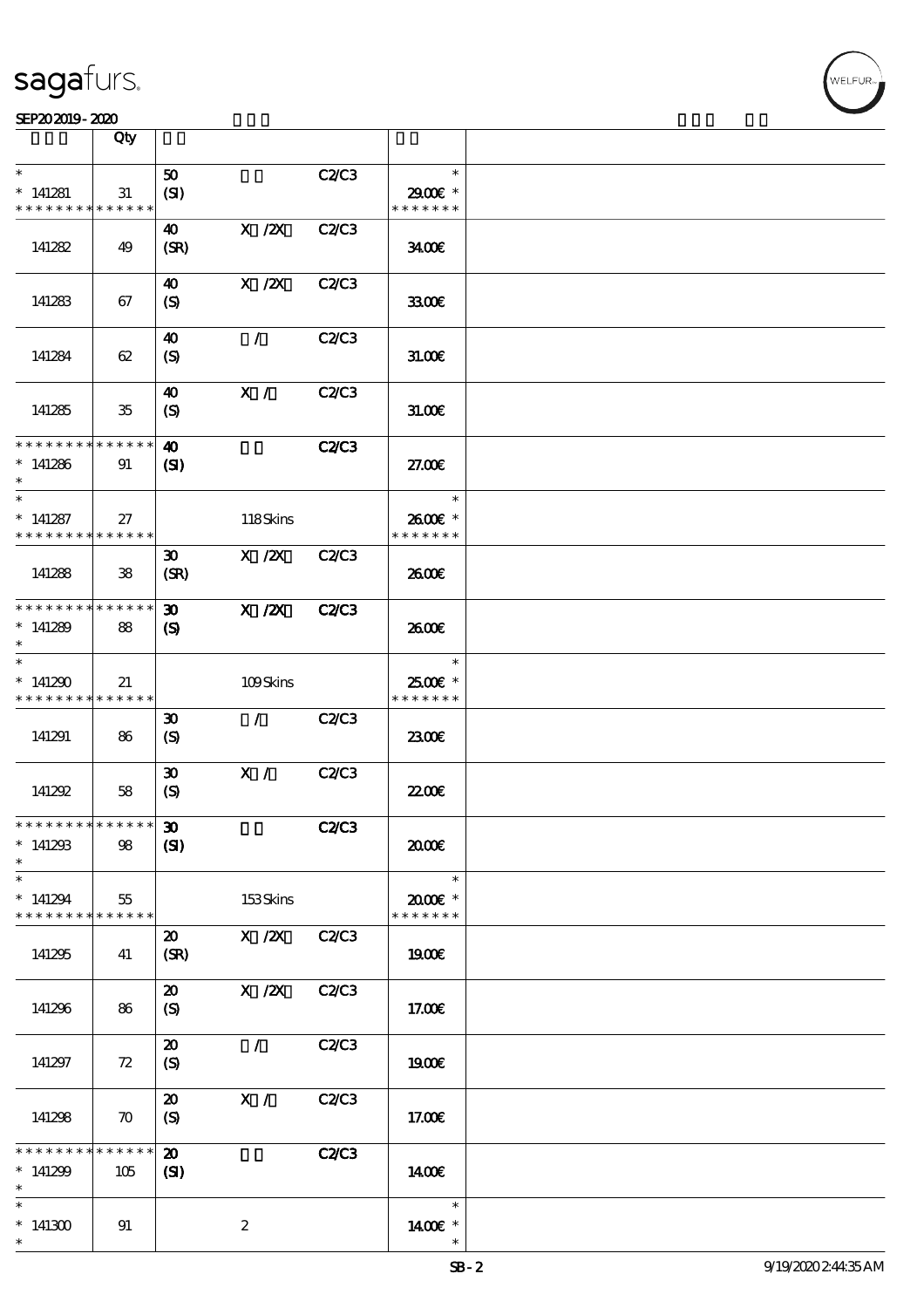#### $SEP202019 - 2020$

|                                            | Qty                |                             |                                       |              |               |  |
|--------------------------------------------|--------------------|-----------------------------|---------------------------------------|--------------|---------------|--|
|                                            |                    |                             |                                       |              |               |  |
| $\ast$                                     |                    | 50                          |                                       | C2/C3        | $\ast$        |  |
| $*141281$                                  | 31                 | (SI)                        |                                       |              | 2900€ *       |  |
|                                            |                    |                             |                                       |              |               |  |
| * * * * * * * *                            | * * * * * *        |                             |                                       |              | * * * * * * * |  |
|                                            |                    | 40                          | $X$ / $ZX$                            | C2/C3        |               |  |
|                                            |                    |                             |                                       |              |               |  |
| 141282                                     | 49                 | (SR)                        |                                       |              | 3400          |  |
|                                            |                    |                             |                                       |              |               |  |
|                                            |                    |                             |                                       |              |               |  |
|                                            |                    | 40                          | $X$ / $ZX$                            | C2C3         |               |  |
| 141283                                     | 67                 | $\boldsymbol{S}$            |                                       |              | 3300E         |  |
|                                            |                    |                             |                                       |              |               |  |
|                                            |                    |                             |                                       |              |               |  |
|                                            |                    | $\boldsymbol{\omega}$       | $\mathcal{L}$                         | <b>C2/C3</b> |               |  |
| 141284                                     | 62                 | (S)                         |                                       |              | 31.006        |  |
|                                            |                    |                             |                                       |              |               |  |
|                                            |                    |                             |                                       |              |               |  |
|                                            |                    | $\boldsymbol{\omega}$       | X /                                   | C2C3         |               |  |
| 141285                                     | $35\,$             | (S)                         |                                       |              | 31.00E        |  |
|                                            |                    |                             |                                       |              |               |  |
|                                            |                    |                             |                                       |              |               |  |
| * * * * * * * * * * * * * *                |                    | $\boldsymbol{\omega}$       |                                       | <b>C2/C3</b> |               |  |
| $*141286$                                  |                    |                             |                                       |              | 27.00E        |  |
|                                            | 91                 | $\mathbf{S}$                |                                       |              |               |  |
|                                            |                    |                             |                                       |              |               |  |
| $\overline{\phantom{0}}$                   |                    |                             |                                       |              | $\ast$        |  |
|                                            |                    |                             |                                       |              |               |  |
| $*141287$                                  | 27                 |                             | 118Skins                              |              | 2600€ *       |  |
| * * * * * * * *                            | * * * * * *        |                             |                                       |              | * * * * * * * |  |
|                                            |                    | $\boldsymbol{\mathfrak{D}}$ | $X$ / $ZX$                            | C2C3         |               |  |
|                                            |                    |                             |                                       |              |               |  |
| 141288                                     | ${\bf 38}$         | (SR)                        |                                       |              | 2600E         |  |
|                                            |                    |                             |                                       |              |               |  |
| * * * * * * * * * * * * * *                |                    | 30 <sub>o</sub>             | X / ZX                                | <b>C2/C3</b> |               |  |
|                                            |                    |                             |                                       |              |               |  |
| $*141289$                                  | 88                 | $\boldsymbol{\mathcal{S}}$  |                                       |              | 2600E         |  |
|                                            |                    |                             |                                       |              |               |  |
| $\ast$                                     |                    |                             |                                       |              | $\ast$        |  |
|                                            |                    |                             |                                       |              |               |  |
| $*141290$                                  | 21                 |                             | 109Skins                              |              | 2500€ *       |  |
| * * * * * * * *                            | ******             |                             |                                       |              | * * * * * * * |  |
|                                            |                    |                             |                                       |              |               |  |
|                                            |                    | $\boldsymbol{\mathfrak{D}}$ | $\mathcal{L}$                         | C2/C3        |               |  |
| 141291                                     | 86                 | $\boldsymbol{\mathrm{(S)}}$ |                                       |              | 2300E         |  |
|                                            |                    |                             |                                       |              |               |  |
|                                            |                    |                             |                                       |              |               |  |
|                                            |                    | $\boldsymbol{\mathfrak{D}}$ | X /                                   | C2/C3        |               |  |
| 141292                                     | 58                 | (S)                         |                                       |              | <b>22006</b>  |  |
|                                            |                    |                             |                                       |              |               |  |
|                                            |                    |                             |                                       |              |               |  |
| * * * * * * * * <mark>* * * * * *</mark> * |                    | $\boldsymbol{\mathfrak{D}}$ |                                       | C2C3         |               |  |
| $*141293$                                  | 98                 | (S)                         |                                       |              | æœ            |  |
| $\ast$                                     |                    |                             |                                       |              |               |  |
|                                            |                    |                             |                                       |              |               |  |
| $\ast$                                     |                    |                             |                                       |              | $\ast$        |  |
| $*141294$                                  | 55                 |                             | 153Skins                              |              | $2000$ $*$    |  |
|                                            |                    |                             |                                       |              |               |  |
| * * * * * * * *                            | * * * * * *        |                             |                                       |              | * * * * * * * |  |
|                                            |                    | $\boldsymbol{\mathfrak{D}}$ | $\boldsymbol{\mathrm{X}}$ / <b>2X</b> | <b>C2/C3</b> |               |  |
| 141295                                     |                    |                             |                                       |              |               |  |
|                                            | 41                 | (SR)                        |                                       |              | 1900E         |  |
|                                            |                    |                             |                                       |              |               |  |
|                                            |                    | $\boldsymbol{\mathsf{20}}$  | $X \, /ZX$                            | <b>C2/C3</b> |               |  |
|                                            |                    |                             |                                       |              |               |  |
| 141296                                     | 86                 | (S)                         |                                       |              | 17.00€        |  |
|                                            |                    |                             |                                       |              |               |  |
|                                            |                    | $\boldsymbol{\mathfrak{D}}$ | $\mathcal{L}$                         | C2C3         |               |  |
|                                            |                    |                             |                                       |              |               |  |
| 141297                                     | 72                 | $\boldsymbol{\mathrm{(S)}}$ |                                       |              | 1900E         |  |
|                                            |                    |                             |                                       |              |               |  |
|                                            |                    | $\boldsymbol{\mathfrak{D}}$ | X /                                   | C2/C3        |               |  |
|                                            |                    |                             |                                       |              |               |  |
| 141298                                     | $\boldsymbol{\pi}$ | (S)                         |                                       |              | 17.00€        |  |
|                                            |                    |                             |                                       |              |               |  |
| * * * * * * *                              | * * * * * *        | $\boldsymbol{\mathbf{z}}$   |                                       |              |               |  |
|                                            |                    |                             |                                       | <b>C2/C3</b> |               |  |
| $*141299$                                  | 105                | (S)                         |                                       |              | 1400E         |  |
| $\ast$                                     |                    |                             |                                       |              |               |  |
| $\ast$                                     |                    |                             |                                       |              | $\ast$        |  |
|                                            |                    |                             |                                       |              |               |  |
| $*141300$                                  | 91                 |                             | $\boldsymbol{z}$                      |              | 1400 £*       |  |
| $\ast$                                     |                    |                             |                                       |              |               |  |
|                                            |                    |                             |                                       |              |               |  |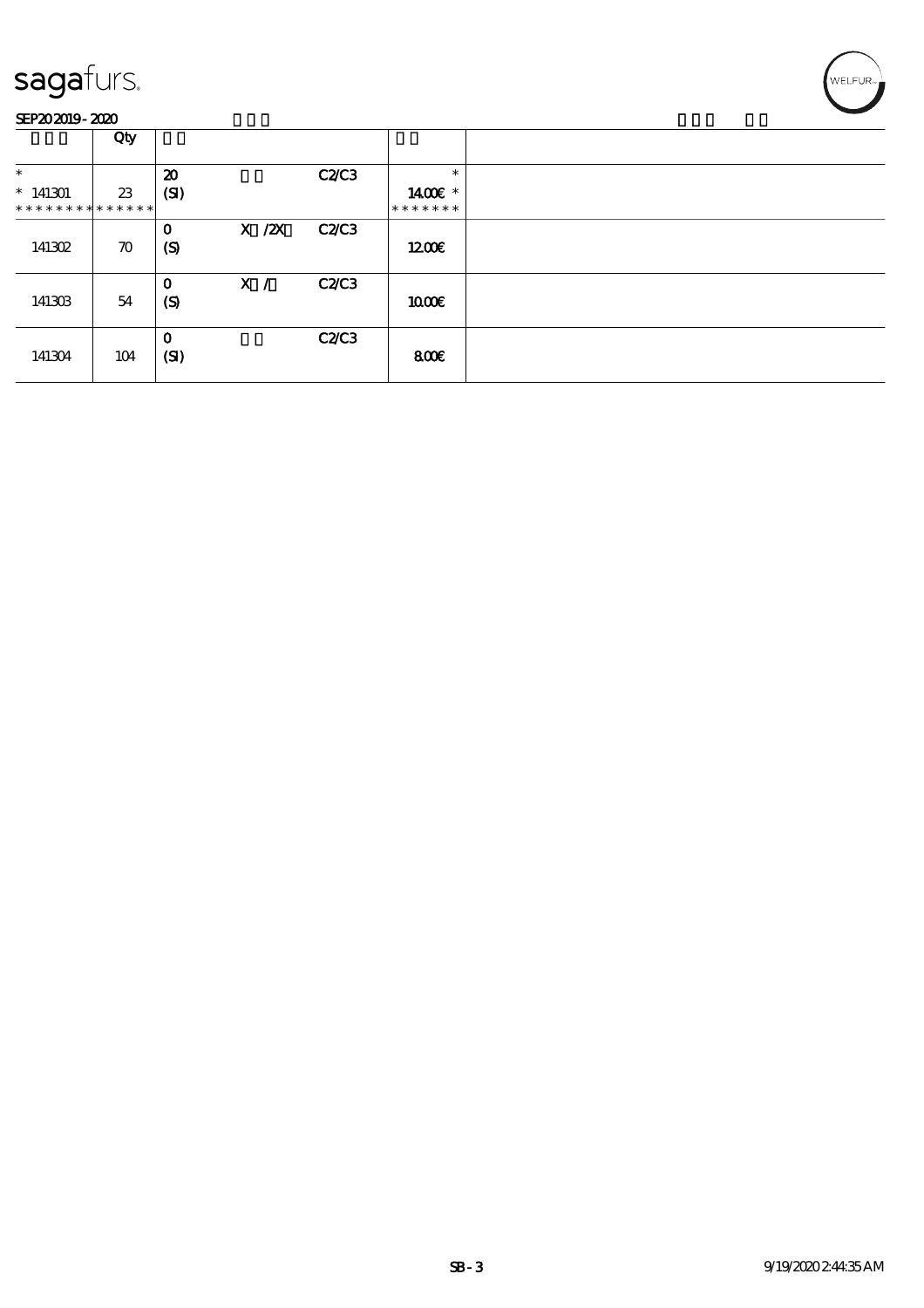

|                                            | Qty                |                                 |            |              |                          |  |
|--------------------------------------------|--------------------|---------------------------------|------------|--------------|--------------------------|--|
| $\ast$                                     |                    | $\boldsymbol{\mathfrak{D}}$     |            | C2C3         | $\ast$                   |  |
| $*141301$<br>* * * * * * * * * * * * * * * | 23                 | (SI)                            |            |              | 1400€ *<br>* * * * * * * |  |
| 141302                                     | $\boldsymbol{\pi}$ | $\mathbf 0$<br>$\boldsymbol{S}$ | $X$ / $ZX$ | <b>C2/C3</b> | 1200E                    |  |
| 141303                                     | 54                 | $\mathbf 0$<br>$\boldsymbol{S}$ | X /        | <b>C2/C3</b> | 1000E                    |  |
| 141304                                     | 104                | $\mathbf 0$<br>(SI)             |            | <b>C2/C3</b> | 800€                     |  |

'<br>WELFUR∍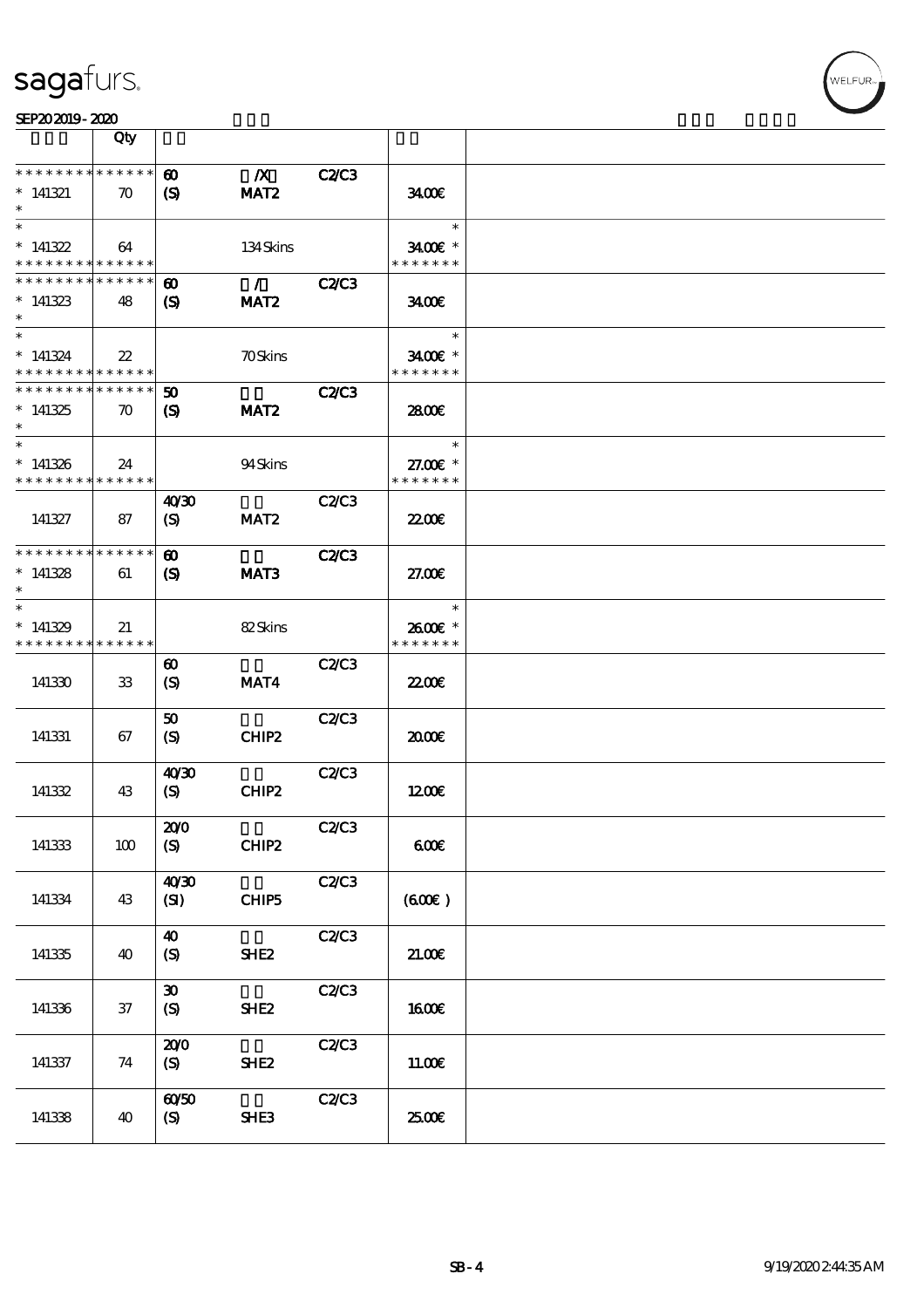

|                                                        | Qty                |                                                     |                   |              |                          |  |
|--------------------------------------------------------|--------------------|-----------------------------------------------------|-------------------|--------------|--------------------------|--|
| * * * * * * * * * * * * * *                            |                    | $\boldsymbol{\omega}$                               | $\boldsymbol{X}$  | <b>C2/C3</b> |                          |  |
| $*$ 141321                                             | $\boldsymbol{\pi}$ | $\boldsymbol{\mathcal{S}}$                          | MAT <sub>2</sub>  |              | 3400                     |  |
| $\ast$                                                 |                    |                                                     |                   |              |                          |  |
| $\ast$                                                 |                    |                                                     |                   |              | $\ast$                   |  |
| $*$ 141322<br>* * * * * * * * <mark>* * * * * *</mark> | 64                 |                                                     | 134Skins          |              | 3400€ *<br>* * * * * * * |  |
| * * * * * * * *                                        | * * * * * *        | $\boldsymbol{\omega}$                               | $\mathcal{L}$     | <b>C2/C3</b> |                          |  |
| $*141323$                                              | 48                 | $\boldsymbol{\mathsf{(S)}}$                         | MAT <sub>2</sub>  |              | 3400                     |  |
| $\ast$<br>$\ast$                                       |                    |                                                     |                   |              |                          |  |
| $*141324$                                              | $22\,$             |                                                     | <b>70Skins</b>    |              | $\ast$<br>3400E *        |  |
| * * * * * * * * * * * * * *                            |                    |                                                     |                   |              | * * * * * * *            |  |
| * * * * * * * * * * * * * *                            |                    | $\boldsymbol{\omega}$                               |                   | <b>C2/C3</b> |                          |  |
| $*141325$                                              | $\boldsymbol{\pi}$ | $\boldsymbol{S}$                                    | MAT <sub>2</sub>  |              | 2800E                    |  |
| $\ast$<br>$\ast$                                       |                    |                                                     |                   |              |                          |  |
| $*141326$                                              | 24                 |                                                     | 94Skins           |              | $\ast$<br>27.00 £*       |  |
| * * * * * * * * * * * * * *                            |                    |                                                     |                   |              | * * * * * * *            |  |
|                                                        |                    | 40'30                                               |                   | C2/C3        |                          |  |
| 141327                                                 | 87                 | $\boldsymbol{\mathrm{(S)}}$                         | MAT <sub>2</sub>  |              | 2200                     |  |
| * * * * * * * * * * * * * *                            |                    |                                                     |                   |              |                          |  |
| $*141328$                                              | 61                 | $\boldsymbol{\omega}$<br>$\boldsymbol{\mathcal{S}}$ | MAT <sub>3</sub>  | <b>C2/C3</b> | 27.00E                   |  |
| $\ast$                                                 |                    |                                                     |                   |              |                          |  |
| $\ast$                                                 |                    |                                                     |                   |              | $\ast$                   |  |
| $*141329$                                              | 21                 |                                                     | 82Skins           |              | 2600E *                  |  |
| * * * * * * * * * * * * * *                            |                    |                                                     |                   |              | * * * * * * *            |  |
| 141330                                                 | 33                 | ⊕<br>$\boldsymbol{\mathrm{(S)}}$                    | MAT4              | C2/C3        | 2200                     |  |
|                                                        |                    |                                                     |                   |              |                          |  |
|                                                        |                    | 50                                                  |                   | C2C3         |                          |  |
| 141331                                                 | 67                 | (S)                                                 | CHIP <sub>2</sub> |              | 2000E                    |  |
|                                                        |                    |                                                     |                   |              |                          |  |
| 141332                                                 | 43                 | 40'30<br>(S)                                        | CHIP2             | C2C3         | 1200E                    |  |
|                                                        |                    |                                                     |                   |              |                          |  |
|                                                        |                    | 200                                                 |                   | C2C3         |                          |  |
| 141333                                                 | 100                | (S)                                                 | CHIP2             |              | 600                      |  |
|                                                        |                    | 40'30                                               |                   | C2C3         |                          |  |
| 141334                                                 | 43                 | (SI)                                                | CHIP5             |              | (600)                    |  |
|                                                        |                    |                                                     |                   |              |                          |  |
|                                                        |                    | $\boldsymbol{\omega}$                               |                   | C2C3         |                          |  |
| 141335                                                 | 40                 | (S)                                                 | SHE <sub>2</sub>  |              | 21.00                    |  |
|                                                        |                    | $\boldsymbol{\mathfrak{D}}$                         |                   | C2C3         |                          |  |
| 141336                                                 | 37                 | (S)                                                 | SHE <sub>2</sub>  |              | <b>160€</b>              |  |
|                                                        |                    |                                                     |                   |              |                          |  |
|                                                        |                    | 200                                                 |                   | C2C3         |                          |  |
| 141337                                                 | 74                 | (S)                                                 | SHE <sub>2</sub>  |              | 11.00E                   |  |
|                                                        |                    | $\omega\omega$                                      |                   | C2C3         |                          |  |
| 141338                                                 | 40                 | (S)                                                 | SHE3              |              | 2500E                    |  |
|                                                        |                    |                                                     |                   |              |                          |  |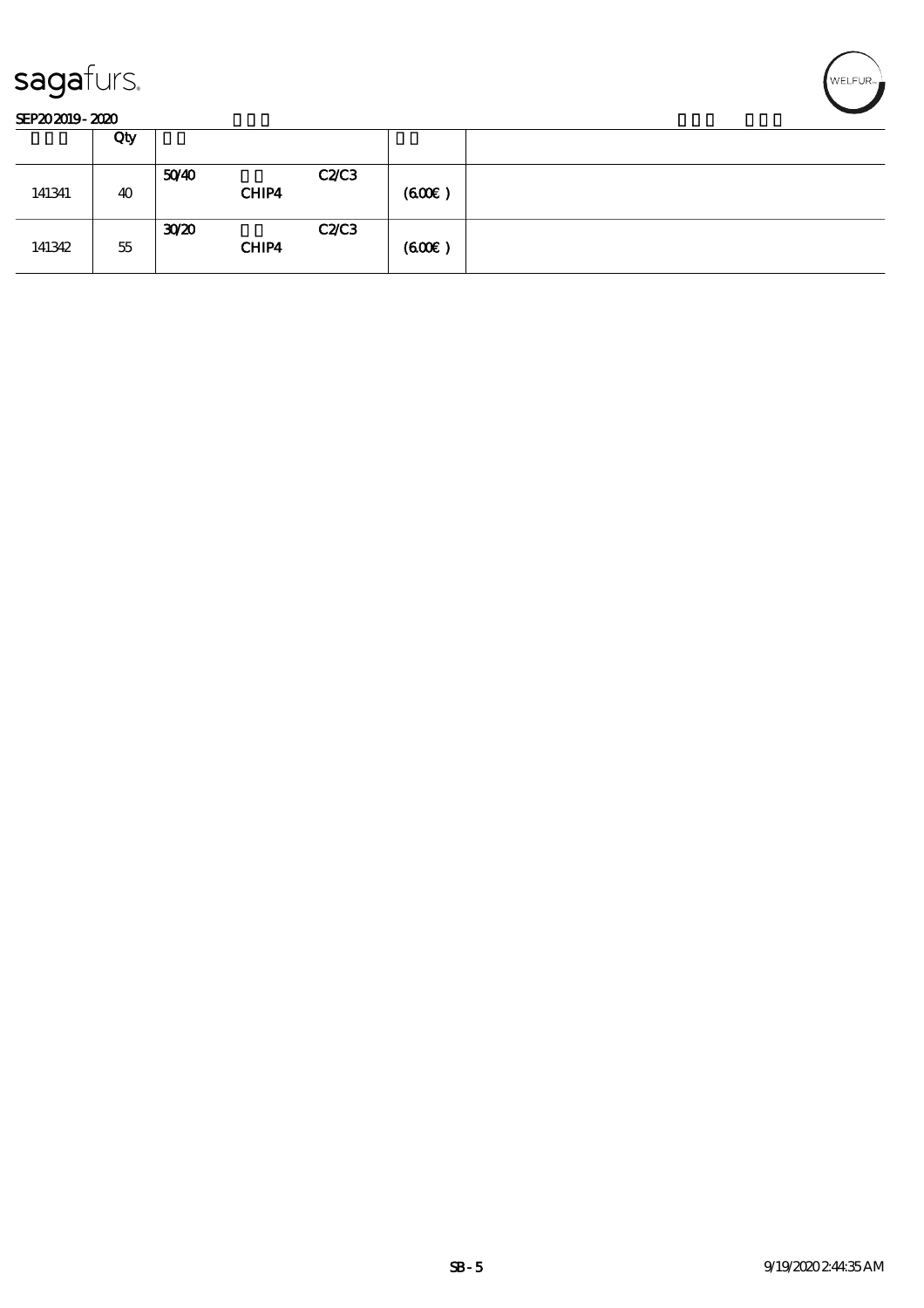

|        | Qty |                   |               |       |  |
|--------|-----|-------------------|---------------|-------|--|
| 141341 | 40  | 50 <sup>/40</sup> | C2C3<br>CHIP4 | (60E) |  |
| 141342 | 55  | 30 <sup>20</sup>  | C2C3<br>CHIP4 | (60E) |  |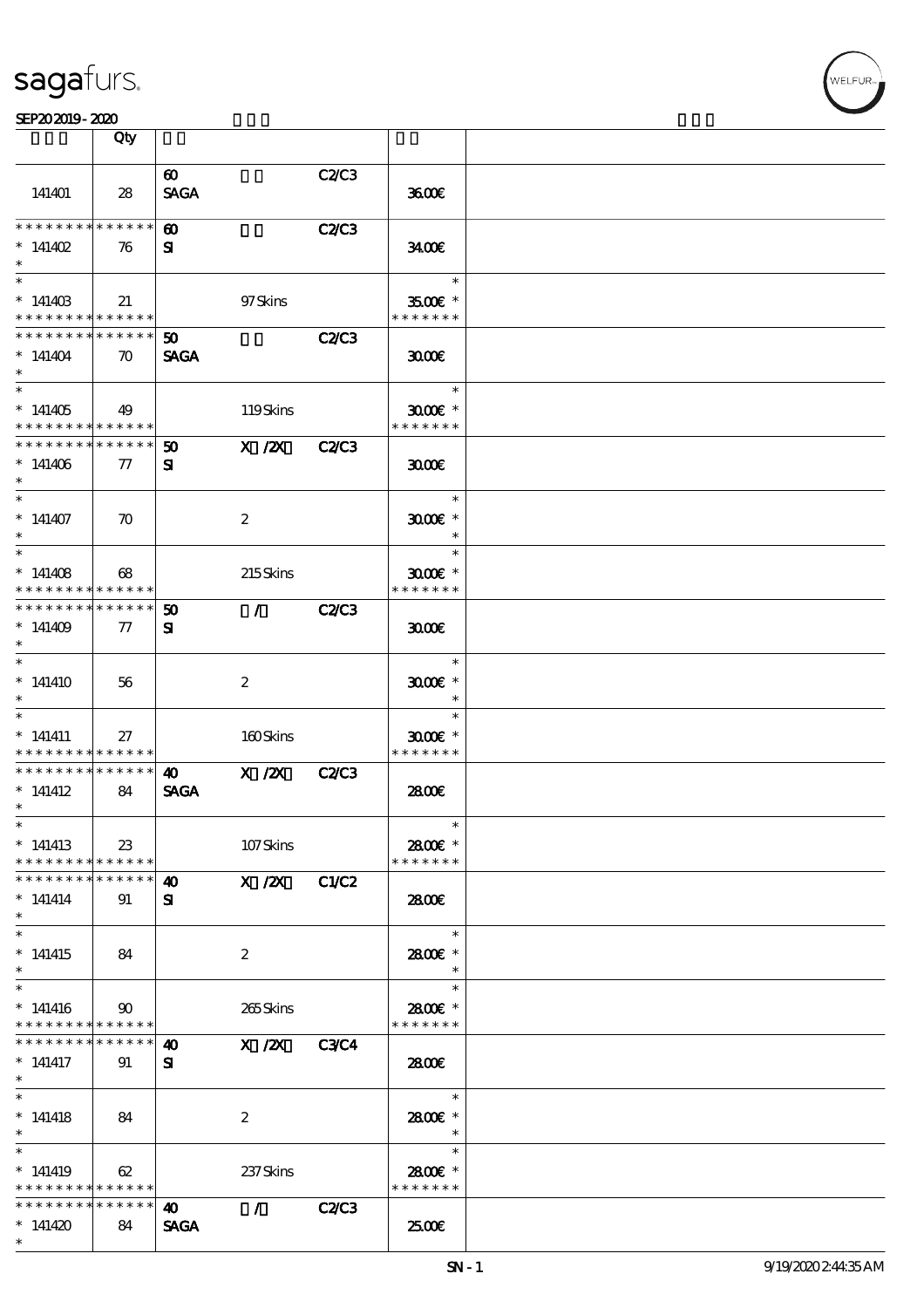|                                            | Qty                |                             |                                 |              |                     |  |
|--------------------------------------------|--------------------|-----------------------------|---------------------------------|--------------|---------------------|--|
|                                            |                    | $\boldsymbol{\omega}$       |                                 | C2C3         |                     |  |
| 141401                                     | 28                 | <b>SAGA</b>                 |                                 |              | 3600E               |  |
| * * * * * * * *                            | * * * * * *        | <b>60</b>                   |                                 | <b>C2/C3</b> |                     |  |
|                                            |                    |                             |                                 |              |                     |  |
| * $141402$                                 | 76                 | $\mathbf{S}$                |                                 |              | 3400                |  |
| $*$                                        |                    |                             |                                 |              | $\ast$              |  |
| $*14140B$                                  | 21                 |                             | 97Skins                         |              | $3500$ $\epsilon$ * |  |
| * * * * * * * * <mark>* * * * * *</mark>   |                    |                             |                                 |              | * * * * * * *       |  |
| * * * * * * * *                            | ******             | $50^{\circ}$                |                                 | <b>C2/C3</b> |                     |  |
| $*141404$                                  | $\boldsymbol{\pi}$ | <b>SAGA</b>                 |                                 |              | 3000                |  |
| $\ast$                                     |                    |                             |                                 |              |                     |  |
| $\overline{\ast}$                          |                    |                             |                                 |              | $\ast$              |  |
| $*141405$                                  | 49                 |                             | 119Skins                        |              | $3000$ $*$          |  |
| * * * * * * * * <mark>* * * * * *</mark>   |                    |                             |                                 |              | * * * * * * *       |  |
| * * * * * * * *                            | ******             | $\boldsymbol{\mathfrak{D}}$ | $X$ / $ZX$                      | <b>C2/C3</b> |                     |  |
|                                            |                    |                             |                                 |              |                     |  |
| $*141406$                                  | $\tau$             | ${\bf s}$                   |                                 |              | 3000                |  |
| $\ast$                                     |                    |                             |                                 |              |                     |  |
| $\ast$                                     |                    |                             |                                 |              | $\ast$              |  |
| $*141407$                                  | $\boldsymbol{\pi}$ |                             | $\boldsymbol{2}$                |              | $3000$ $*$          |  |
| $\ast$                                     |                    |                             |                                 |              | $\ast$              |  |
|                                            |                    |                             |                                 |              | $\ast$              |  |
| $*141408$                                  | 68                 |                             | 215Skins                        |              | $3000$ $*$          |  |
| * * * * * * * *                            | ******             |                             |                                 |              | * * * * * * *       |  |
| * * * * * * * *                            | * * * * * *        | $\boldsymbol{\mathfrak{D}}$ | $\mathcal{L}$ and $\mathcal{L}$ | <b>C2/C3</b> |                     |  |
| $*141409$                                  | $\tau$             | ${\bf s}$                   |                                 |              | 3000                |  |
| $\ast$                                     |                    |                             |                                 |              |                     |  |
| $\ast$                                     |                    |                             |                                 |              | $\ast$              |  |
| $*141410$                                  | 56                 |                             | $\boldsymbol{2}$                |              | $3000$ $*$          |  |
| $\ast$                                     |                    |                             |                                 |              | $\ast$              |  |
| $\ast$                                     |                    |                             |                                 |              | $\ast$              |  |
|                                            |                    |                             |                                 |              |                     |  |
| $*$ 141411                                 | 27                 |                             | 160Skins                        |              | $3000$ $*$          |  |
| * * * * * * * *                            | * * * * * *        |                             |                                 |              | * * * * * * *       |  |
| * * * * * * * *                            | * * * * * *        | $\boldsymbol{\omega}$       | $X$ / $ZX$                      | <b>C2/C3</b> |                     |  |
| $*$ 141412                                 | 84                 | <b>SAGA</b>                 |                                 |              | 2800E               |  |
| $\ast$                                     |                    |                             |                                 |              |                     |  |
| $\ast$                                     |                    |                             |                                 |              | $\ast$              |  |
| $*141413$                                  | 23                 |                             | 107Skins                        |              | 2800€ *             |  |
| * * * * * * * * <mark>* * * * * * *</mark> |                    |                             |                                 |              | * * * * * * *       |  |
| * * * * * * * * * * * * * * *              |                    | 40                          | $\overline{X}$ X $\overline{Z}$ | C1/C2        |                     |  |
| $* 141414$                                 | 91                 | ${\bf s}$                   |                                 |              | 2800E               |  |
| $\ast$                                     |                    |                             |                                 |              |                     |  |
|                                            |                    |                             |                                 |              | $\ast$              |  |
| $*141415$                                  | 84                 |                             | $\boldsymbol{2}$                |              | 2800€ *             |  |
| $\ast$                                     |                    |                             |                                 |              | $*$                 |  |
| $\ast$                                     |                    |                             |                                 |              | $\ast$              |  |
| $*141416$                                  | $90^{\circ}$       |                             | 265Skins                        |              | 2800€ *             |  |
| * * * * * * * * <mark>* * * * * * *</mark> |                    |                             |                                 |              | * * * * * * *       |  |
| * * * * * * * *                            | * * * * * *        | 40                          | X / ZX C3C4                     |              |                     |  |
| $*$ 141417                                 | 91                 | ${\bf s}$                   |                                 |              | <b>2800€</b>        |  |
| $\ast$                                     |                    |                             |                                 |              |                     |  |
| $\overline{\phantom{0}}$                   |                    |                             |                                 |              | $\ast$              |  |
|                                            |                    |                             |                                 |              |                     |  |
| $*141418$                                  | 84                 |                             | $\boldsymbol{2}$                |              | 2800€ *             |  |
| $\ast$                                     |                    |                             |                                 |              | $\ast$              |  |
| $\ast$                                     |                    |                             |                                 |              | $\ast$              |  |
| $*141419$                                  | 62                 |                             | 237 Skins                       |              | 2800€ *             |  |
| * * * * * * * * <mark>* * * * * *</mark>   |                    |                             |                                 |              | * * * * * * *       |  |
| * * * * * * * *                            | ******             | $\bullet$                   | $\mathcal{F}$ and $\mathcal{F}$ | <b>C2/C3</b> |                     |  |
| $*141420$                                  | 84                 | <b>SAGA</b>                 |                                 |              | 2500E               |  |
| $\ast$                                     |                    |                             |                                 |              |                     |  |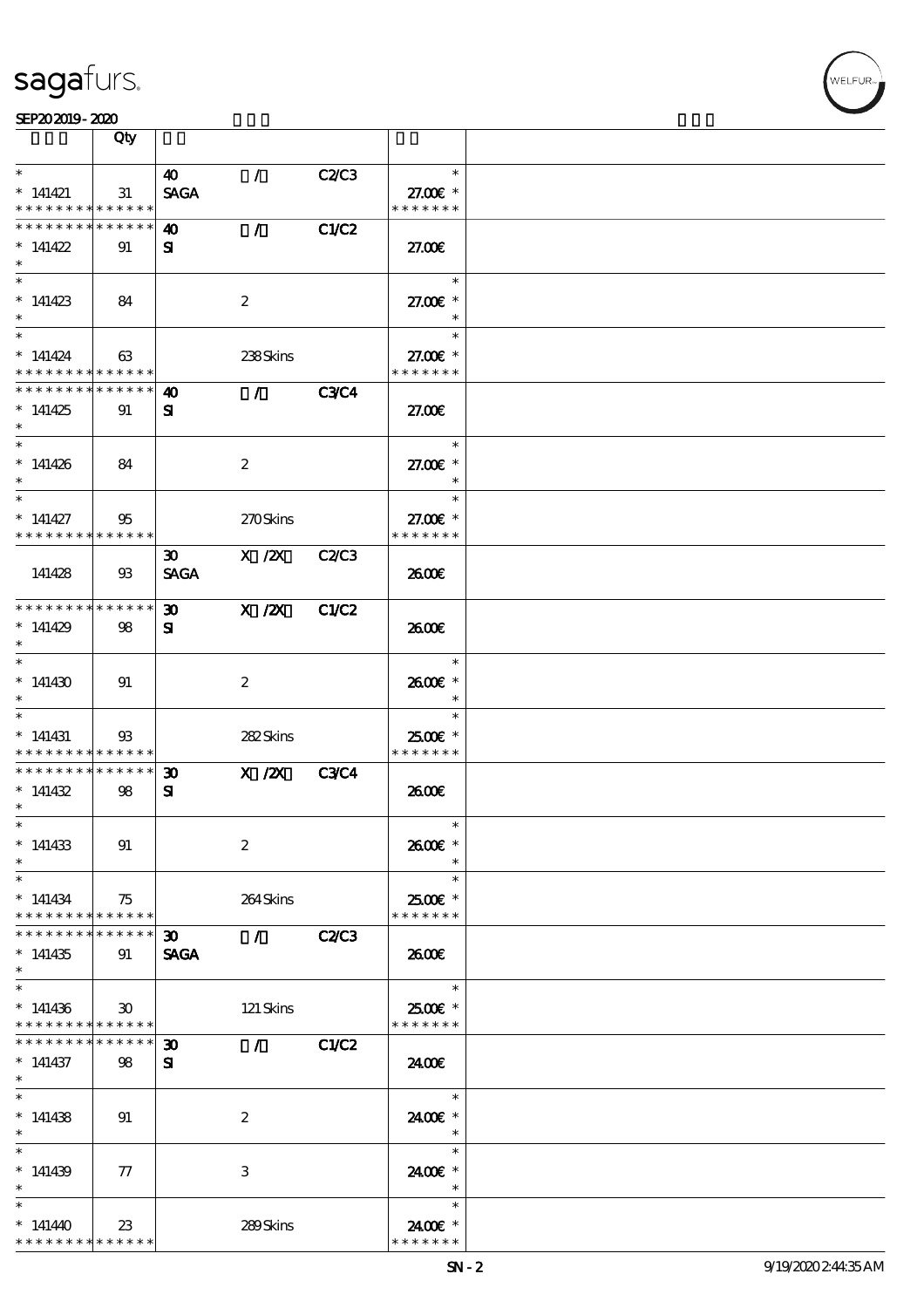

|                     |                 | Qty                                                                       |                             |                                 |              |                           |  |
|---------------------|-----------------|---------------------------------------------------------------------------|-----------------------------|---------------------------------|--------------|---------------------------|--|
| $\ast$              |                 |                                                                           | 40                          | $\mathcal{L}$                   | C2C3         | $\ast$                    |  |
| $*$ 141421          |                 | 31<br>* * * * * * * * * * * * * *                                         | <b>SAGA</b>                 |                                 |              | 27.00 £*<br>* * * * * * * |  |
|                     |                 | * * * * * * * * * * * * * *                                               | 40                          | $\mathcal{L}$                   | C1/C2        |                           |  |
| $*141422$<br>$\ast$ |                 | 91                                                                        | $\mathbf{S}$                |                                 |              | 27.00E                    |  |
| $\overline{\ast}$   |                 |                                                                           |                             |                                 |              | $\ast$                    |  |
| $*141423$<br>$\ast$ |                 | 84                                                                        |                             | $\boldsymbol{2}$                |              | 27.00 £*                  |  |
| $\overline{\ast}$   |                 |                                                                           |                             |                                 |              | $\ast$                    |  |
| $* 141424$          | * * * * * * * * | 63<br>* * * * * *                                                         |                             | 238Skins                        |              | 27.00 £*<br>* * * * * * * |  |
|                     |                 | * * * * * * * * * * * * * *                                               | $\boldsymbol{\Lambda}$      | $\mathcal{F}$ and $\mathcal{F}$ | <b>C3C4</b>  |                           |  |
| $*141425$<br>$\ast$ |                 | 91                                                                        | ${\bf s}$                   |                                 |              | 27.00E                    |  |
| $\ast$              |                 |                                                                           |                             |                                 |              | $\ast$                    |  |
| $*141426$<br>$\ast$ |                 | 84                                                                        |                             | $\boldsymbol{2}$                |              | 27.00 £*<br>$\ast$        |  |
| $\ast$              |                 |                                                                           |                             |                                 |              | $\ast$                    |  |
| $*$ 141427          | * * * * * * * * | 95<br>* * * * * *                                                         |                             | 270Skins                        |              | 27.00€ *<br>* * * * * * * |  |
|                     |                 |                                                                           | $\boldsymbol{\mathfrak{D}}$ | $X$ / $ZX$                      | C2C3         |                           |  |
| 141428              |                 | $\mathfrak{B}$                                                            | <b>SAGA</b>                 |                                 |              | 2600E                     |  |
|                     |                 | * * * * * * * * * * * * * *                                               | $\boldsymbol{\mathfrak{D}}$ | $X$ / $ZX$                      | C1/C2        |                           |  |
| $*141429$<br>$\ast$ |                 | 98                                                                        | ${\bf s}$                   |                                 |              | 2600E                     |  |
| $\ast$              |                 |                                                                           |                             |                                 |              | $\ast$                    |  |
| $*141430$           |                 | 91                                                                        |                             | $\boldsymbol{2}$                |              | 2600E *<br>$\ast$         |  |
|                     |                 |                                                                           |                             |                                 |              | $\ast$                    |  |
| $*$ 141431          |                 | $\mathfrak{B}$                                                            |                             | 282Skins                        |              | 2500€ *                   |  |
|                     |                 | * * * * * * * * <mark>* * * * * *</mark><br>******** <mark>******</mark>  | $\boldsymbol{\mathfrak{D}}$ | $X$ / $ZX$                      | C3C4         | * * * * * * *             |  |
| $*141432$           |                 | 98                                                                        | ${\bf s}$                   |                                 |              | 2600E                     |  |
| $*$                 |                 |                                                                           |                             |                                 |              |                           |  |
| $*$                 |                 |                                                                           |                             |                                 |              | $\ast$                    |  |
| $*141433$<br>$\ast$ |                 | 91                                                                        |                             | $\boldsymbol{2}$                |              | 2600€ *                   |  |
| $\ast$              |                 |                                                                           |                             |                                 |              | $\ast$                    |  |
| $*141434$           | * * * * * * * * | 75<br>$\ast\ast\ast\ast\ast\ast$                                          |                             | 264Skins                        |              | 2500€ *<br>* * * * * * *  |  |
|                     | * * * * * * *   | * * * * * *                                                               | $\boldsymbol{\mathfrak{D}}$ | $\mathcal{L}$                   | <b>C2/C3</b> |                           |  |
| $*141435$<br>$\ast$ |                 | 91                                                                        | <b>SAGA</b>                 |                                 |              | 2600E                     |  |
| $\ast$              |                 |                                                                           |                             |                                 |              | $\ast$                    |  |
| $*141436$           |                 | $\boldsymbol{\mathfrak{D}}$<br>* * * * * * * * <mark>* * * * * * *</mark> |                             | 121 Skins                       |              | 2500€ *<br>* * * * * * *  |  |
|                     | * * * * * * *   | * * * * * *                                                               | $\boldsymbol{\mathfrak{D}}$ | $\mathcal{L}$                   | C1/C2        |                           |  |
| $*141437$<br>$*$    |                 | 98                                                                        | ${\bf s}$                   |                                 |              | 2400E                     |  |
| $\overline{\ast}$   |                 |                                                                           |                             |                                 |              | $\ast$                    |  |
| $*141438$<br>$\ast$ |                 | 91                                                                        |                             | $\boldsymbol{2}$                |              | 2400€ *<br>$\ast$         |  |
| $\ast$              |                 |                                                                           |                             |                                 |              | $\ast$                    |  |
| $*141439$           |                 | $\tau$                                                                    |                             | 3                               |              | 2400€ *                   |  |
| $\ast$              |                 |                                                                           |                             |                                 |              | $\ast$                    |  |
| $\ast$              |                 |                                                                           |                             |                                 |              | $\ast$                    |  |
| $*141440$           |                 | $23\,$<br>* * * * * * * * * * * * * *                                     |                             | 289Skins                        |              | 2400€ *<br>* * * * * * *  |  |